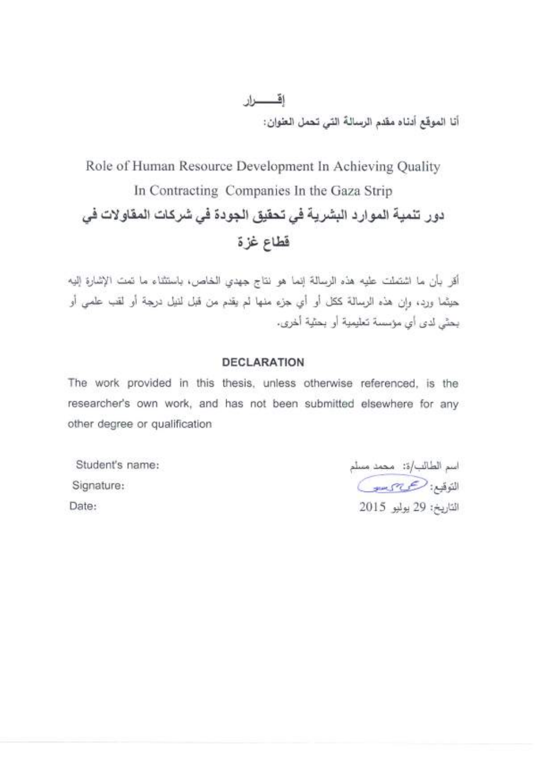اقسطار أنا الموقع أدناه مقدم الرسالةَ التي تحمل العنوان:

# Role of Human Resource Development In Achieving Quality In Contracting Companies In the Gaza Strip دور تنمية الموارد البشرية في تحقيق الجودة في شركات المقاولات في قطاع غزة

أقر بأن ما اشتملت عليه هذه الرسالة إنما هو نتاج جهدي الخاص، باستثناء ما تمت الإشارة إليه حيثما ورد، وإن هذه الرسالة ككل أو أي جزء منها لم يقدم من قبل لنيل درجة أو لقب علمي أو يحيَّى لدى أي مؤسسة تعليمية أو يحتَّية أخرى،

#### **DECLARATION**

The work provided in this thesis, unless otherwise referenced, is the researcher's own work, and has not been submitted elsewhere for any other degree or qualification

Student's name: Signature: Date:

اسم الطالب/ة: محمد مسلم التوقيع: حسيس التاريخ: 29 يوليو 2015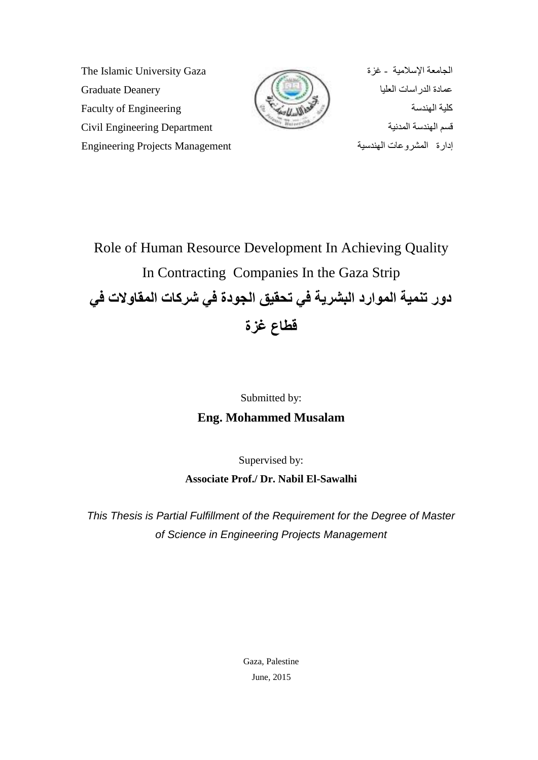انغبيؼخ ا٠ساليٛخ - غضح Gaza University Islamic The ػًبدح انذساسبد انؼهٛب ػًبدح انذساسبد انؼهٛب Deanery Graduate كلية الهندسة المستخدمة المستخدمة المستخدمة للمستخدمة المستخدمة المستخدمة المستخدمة المستخدمة المستخدمة المستخد لسى انُٓذسخ انًذَٛخ Department Engineering Civil إداسح انًششٔػبد انُٓذسٛخ Management Projects Engineering



Role of Human Resource Development In Achieving Quality In Contracting Companies In the Gaza Strip دور تنمية الموارد البشرية في تحقيق الجودة في شركات المقاولات ف*ي* **لطاع غزة**

# Submitted by: **Eng. Mohammed Musalam**

Supervised by:

**Associate Prof./ Dr. Nabil El-Sawalhi**

This Thesis is Partial Fulfillment of the Requirement for the Degree of Master of Science in Engineering Projects Management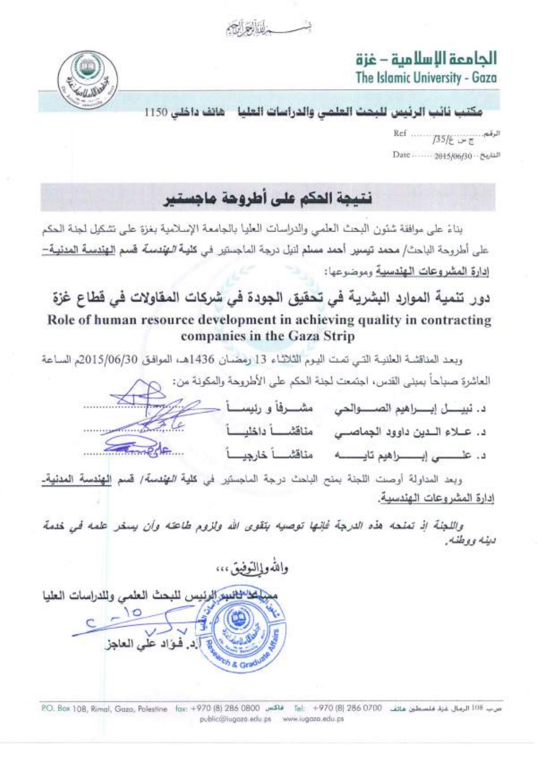alta-





مكتب نائب الرئيس للبحث العلمى والدراسات العليا \_ هانف داخلي 1150

# نتيجة الحكم على أطروهة ماجستير

بناءً على موافقة شئون البحث العلمي والدراسات العليا بالجامعة الإسلامية بغزة على تشكيل لجنة الحكم على أطروحة الباحث/ محمد تيسير. أحمد مسلم لنيل درجة الماجستير. في كليـة *الـهتدسة* قسم <u>الـهندسـة المدنيـة –</u> إدارة المشروعات الهندسية وموضوعها:

# دور تنمية الموارد البشرية في تحقيق الجودة في شركات المقاولات في قطاع غزة Role of human resource development in achieving quality in contracting companies in the Gaza Strip

وبعد المناقشة العلنية التي تمت اليوم الثلاثاء 13 رمضان 1436هـ، الموافق 2015/06/30م الساعة

|        |                 | العاشرةِ صباحاً بمبنى القدس، اجتمعت لجنة الحكم على الأطروحة والمكونة من: ﴿ الْمَسْرَمَنِينَ الْمَعَلَمُ ال |
|--------|-----------------|------------------------------------------------------------------------------------------------------------|
|        |                 |                                                                                                            |
| the    | مناقشا داخليأ   | د. عــلاء الــدين داوود الجماصــي                                                                          |
| Finede | مناقشاً خارجياً |                                                                                                            |

وبعد المداولة أوصت اللجنة بمنح الباحث درجة ال*م*اجستير في **كلية** *المؤنسمة |* **قسم الهندسة المدنية**ـ إدارة المشروعات الهندسية.

واللجنة إذ تعنده هذه الدرجة فإنها توصيه يتقوى الله ولزوم طاعته وأن يسخر علمه في خدمة دينه ووطنه.

والله وإالتوفيق ،،،

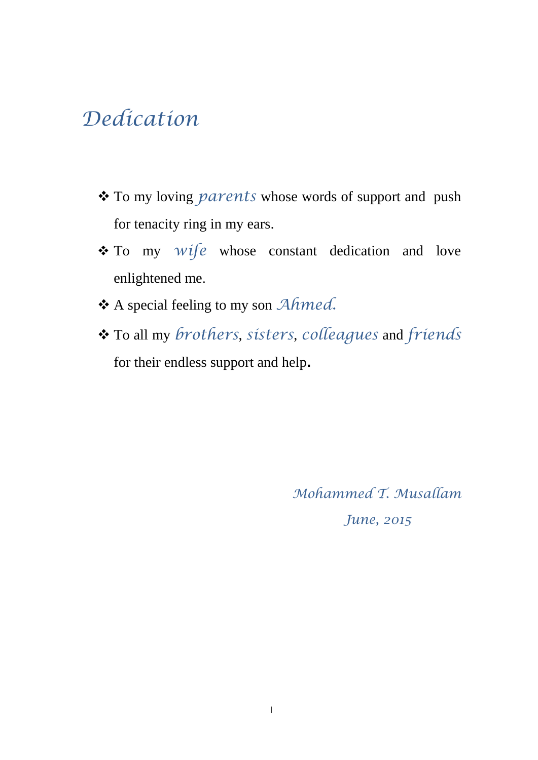# *Dedication*

- To my loving *parents* whose words of support and push for tenacity ring in my ears.
- To my *wife* whose constant dedication and love enlightened me.
- A special feeling to my son *Ahmed.*
- To all my *brothers*, *sisters*, *colleagues* and *friends*  for their endless support and help**.**

*Mohammed T. Musallam June, 2015*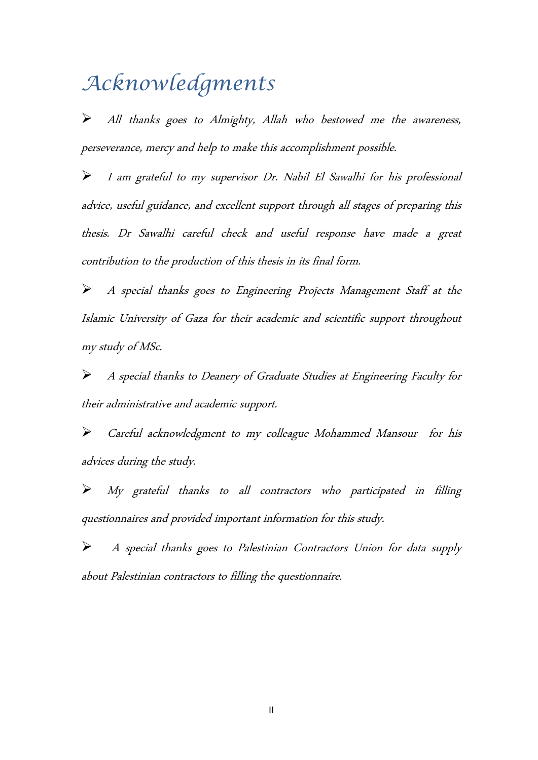# *Acknowledgments*

All thanks goes to Almighty, Allah who bestowed me the awareness, perseverance, mercy and help to make this accomplishment possible.

I am grateful to my supervisor Dr. Nabil El Sawalhi for his professional advice, useful guidance, and excellent support through all stages of preparing this thesis. Dr Sawalhi careful check and useful response have made a great contribution to the production of this thesis in its final form.

A special thanks goes to Engineering Projects Management Staff at the Islamic University of Gaza for their academic and scientific support throughout my study of MSc.

A special thanks to Deanery of Graduate Studies at Engineering Faculty for their administrative and academic support.

Careful acknowledgment to my colleague Mohammed Mansour for his advices during the study.

My grateful thanks to all contractors who participated in filling questionnaires and provided important information for this study.

 A special thanks goes to Palestinian Contractors Union for data supply about Palestinian contractors to filling the questionnaire.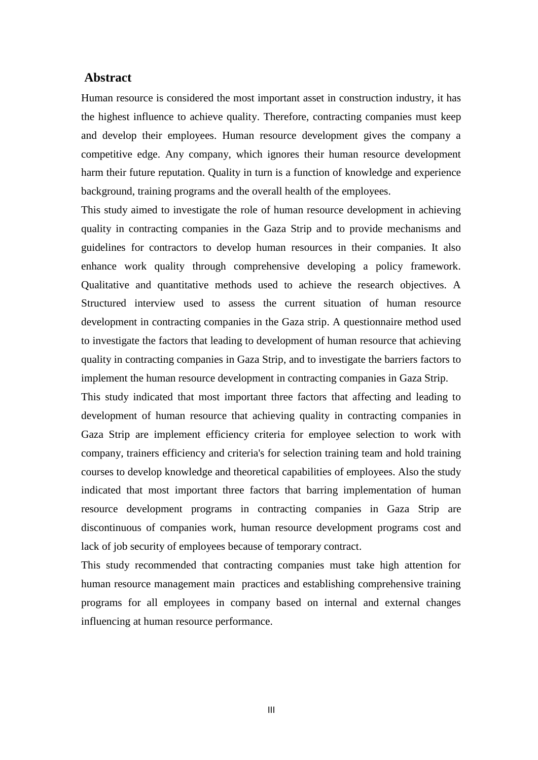#### **Abstract**

Human resource is considered the most important asset in construction industry, it has the highest influence to achieve quality. Therefore, contracting companies must keep and develop their employees. Human resource development gives the company a competitive edge. Any company, which ignores their human resource development harm their future reputation. Quality in turn is a function of knowledge and experience background, training programs and the overall health of the employees.

This study aimed to investigate the role of human resource development in achieving quality in contracting companies in the Gaza Strip and to provide mechanisms and guidelines for contractors to develop human resources in their companies. It also enhance work quality through comprehensive developing a policy framework. Qualitative and quantitative methods used to achieve the research objectives. A Structured interview used to assess the current situation of human resource development in contracting companies in the Gaza strip. A questionnaire method used to investigate the factors that leading to development of human resource that achieving quality in contracting companies in Gaza Strip, and to investigate the barriers factors to implement the human resource development in contracting companies in Gaza Strip.

This study indicated that most important three factors that affecting and leading to development of human resource that achieving quality in contracting companies in Gaza Strip are implement efficiency criteria for employee selection to work with company, trainers efficiency and criteria's for selection training team and hold training courses to develop knowledge and theoretical capabilities of employees. Also the study indicated that most important three factors that barring implementation of human resource development programs in contracting companies in Gaza Strip are discontinuous of companies work, human resource development programs cost and lack of job security of employees because of temporary contract.

This study recommended that contracting companies must take high attention for human resource management main practices and establishing comprehensive training programs for all employees in company based on internal and external changes influencing at human resource performance.

III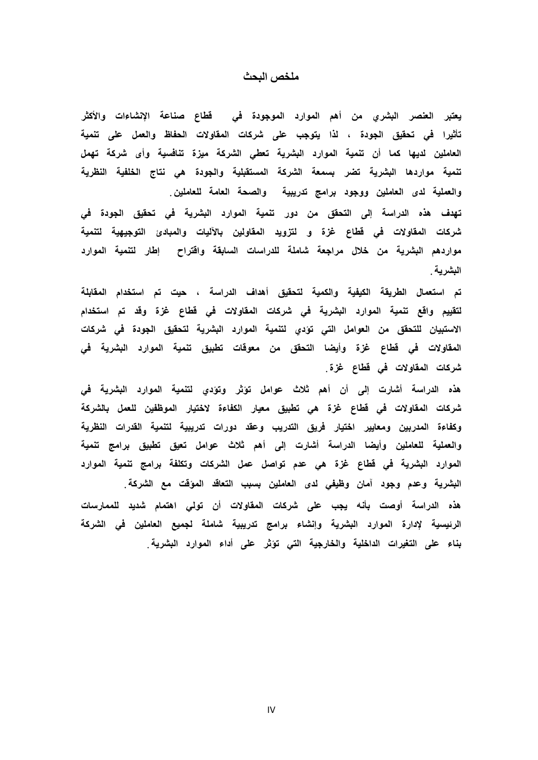#### **يهخص انبحذ**

يعتبر العنصر البشري من أهم الموارد الموجودة ف*ي* قطاع صناعة الإنشاءات والأكثر تأثيرا في تحقيق الجودة ، لذا يتوجب على شركات المقاولات الحفاظ والع*مل على* تنمية العاملين لديها كما أن تنمية الموارد البشرية تعطى الشركة ميزة تنافسية وأى شركة تهمل تنمية مواردها البشرية تضر بسمعة الشركة المستقبلية والجودة هى نتاج الخلفية النظرية **ٔانؼًهٛت****نذٖ****انؼايهٍٛ****ٔٔصٕد****بشايش****حذسٚبٛت****ٔانصحت****انؼايت****نهؼايه***.***ٍٛ**

تهدف هذه الدراسة إل*ى* التحقق من دور تنمية الموارد البشرية ف*ي* تحقيق الجودة ف*ي* شركات المقاولات في قطاع غزة و لتزويد المقاولين بالآليات والمبادئ التوجيهية لتنمية مواردهم البشرية من خلال مراجعة شاملة للدراسات السابقة واقتراح إطار لتنمية الموارد البشرية <sub>.</sub>

تم استعمال الطريقة الكيفية والكمية لتحقيق أهداف الدراسة ، حيت تم استخدام المقابلة لتقييم واقع تنمية الموارد البشرية في شركات المقاولات في قطاع غزة وقد تم استخدام الاستبيان للتحقق من العوامل التي تؤدي لتنمية الموارد البشرية لتحقيق الجودة في شركات المقاولات في قطاع غزة وأيضا التحقق من معوقات تطبيق تنمية الموارد البشرية في **ششكاث****انًمأالث****فٙ****لطاع****غزة***.* 

هذه الدراسة أشارت إلى أن أهم ثلاث عوامل تؤثر وتؤدى لتنمية الموارد البشرية في شركات المقاولات في قطاع غزة هي تطبيق معيار الكفاءة لاختيار الموظفين للعمل بالشركة وكفاءة المدربين ومعايير اختيار فريق التدريب وعقد دورات تدريبية لتنمية القدرات النظرية والعملية للعاملين وأيضا الدراسة أشارت إلى أهم ثلاث عوامل تعيق تطبيق برامج تنمية الموارد البشرية في قطاع غزة هي عدم تواصل عمل الشركات وتكلفة برامج تنمية الموارد البشرية وعدم وجود آمان وظيفي لدى العاملين بسبب التعاقد الموّقت مع الشركة ٍ هذه الدراسةَ أوصت بأنه يجِب على شركات المقاولات أن تولى اهتمام شديد للممارسات الرئيسية لإدارة الموارد البشرية وإنشاء برامج تدريبية شاملة لجميع العاملين فى الشركة بِناء على التغيرات الداخلية والخارجية التي تؤثر على أداء الموارد البشرية.

IV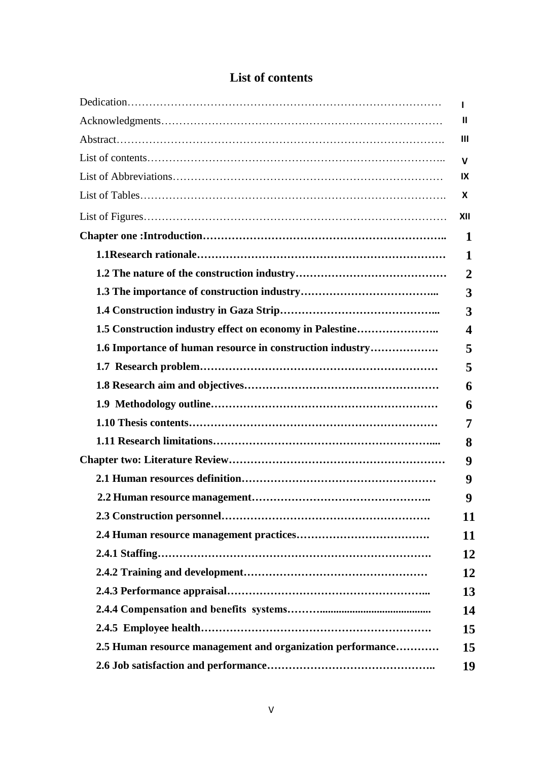|                                                            | п                       |
|------------------------------------------------------------|-------------------------|
|                                                            | Ш                       |
|                                                            | Ш                       |
|                                                            | v                       |
|                                                            | IX                      |
|                                                            | X                       |
|                                                            | XII                     |
|                                                            | 1                       |
|                                                            | 1                       |
|                                                            | $\overline{2}$          |
|                                                            | 3                       |
|                                                            | 3                       |
| 1.5 Construction industry effect on economy in Palestine   | $\overline{\mathbf{4}}$ |
| 1.6 Importance of human resource in construction industry  | 5                       |
|                                                            | 5                       |
|                                                            | 6                       |
|                                                            | 6                       |
|                                                            | 7                       |
|                                                            | 8                       |
|                                                            | 9                       |
|                                                            | 9                       |
|                                                            | 9                       |
|                                                            | 11                      |
|                                                            | 11                      |
|                                                            | 12                      |
|                                                            | 12                      |
|                                                            | 13                      |
|                                                            | 14                      |
|                                                            | 15                      |
| 2.5 Human resource management and organization performance | 15                      |
|                                                            | 19                      |

## **List of contents**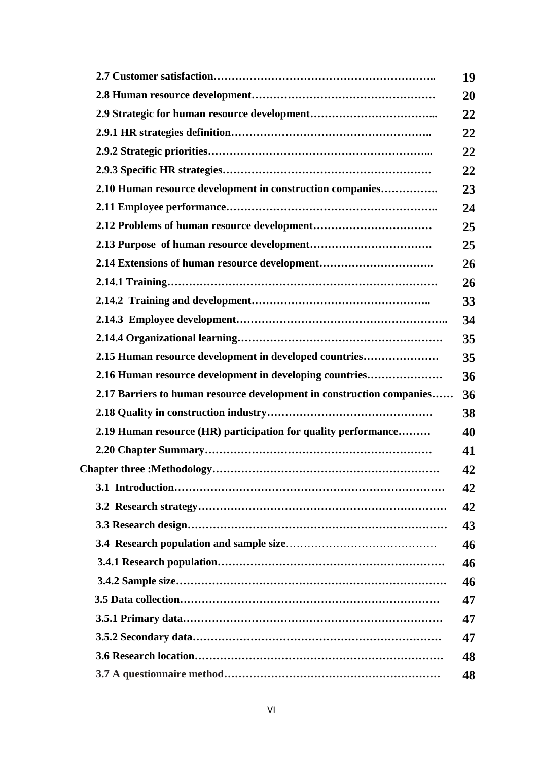|                                                                       | 19 |
|-----------------------------------------------------------------------|----|
|                                                                       | 20 |
|                                                                       | 22 |
|                                                                       | 22 |
|                                                                       | 22 |
|                                                                       | 22 |
| 2.10 Human resource development in construction companies             | 23 |
|                                                                       | 24 |
|                                                                       | 25 |
|                                                                       | 25 |
|                                                                       | 26 |
|                                                                       | 26 |
|                                                                       | 33 |
|                                                                       | 34 |
|                                                                       | 35 |
| 2.15 Human resource development in developed countries                | 35 |
| 2.16 Human resource development in developing countries               | 36 |
| 2.17 Barriers to human resource development in construction companies | 36 |
|                                                                       | 38 |
| 2.19 Human resource (HR) participation for quality performance        | 40 |
|                                                                       | 41 |
|                                                                       | 42 |
|                                                                       | 42 |
|                                                                       | 42 |
|                                                                       | 43 |
|                                                                       | 46 |
|                                                                       | 46 |
|                                                                       | 46 |
|                                                                       | 47 |
|                                                                       | 47 |
|                                                                       | 47 |
|                                                                       | 48 |
|                                                                       | 48 |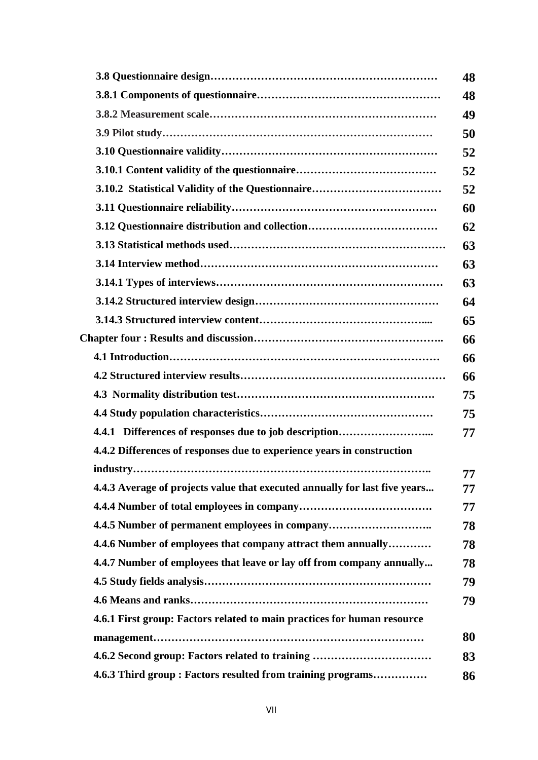|                                                                            | 48 |
|----------------------------------------------------------------------------|----|
|                                                                            | 48 |
|                                                                            | 49 |
|                                                                            | 50 |
|                                                                            | 52 |
|                                                                            | 52 |
|                                                                            | 52 |
|                                                                            | 60 |
| 3.12 Questionnaire distribution and collection                             | 62 |
|                                                                            | 63 |
|                                                                            | 63 |
|                                                                            | 63 |
|                                                                            | 64 |
|                                                                            | 65 |
|                                                                            | 66 |
|                                                                            | 66 |
|                                                                            | 66 |
|                                                                            | 75 |
|                                                                            | 75 |
| 4.4.1 Differences of responses due to job description                      | 77 |
| 4.4.2 Differences of responses due to experience years in construction     |    |
|                                                                            | 77 |
| 4.4.3 Average of projects value that executed annually for last five years | 77 |
|                                                                            | 77 |
| 4.4.5 Number of permanent employees in company                             | 78 |
| 4.4.6 Number of employees that company attract them annually               | 78 |
| 4.4.7 Number of employees that leave or lay off from company annually      | 78 |
|                                                                            | 79 |
|                                                                            | 79 |
| 4.6.1 First group: Factors related to main practices for human resource    |    |
|                                                                            | 80 |
| 4.6.2 Second group: Factors related to training                            | 83 |
| 4.6.3 Third group: Factors resulted from training programs                 | 86 |
|                                                                            |    |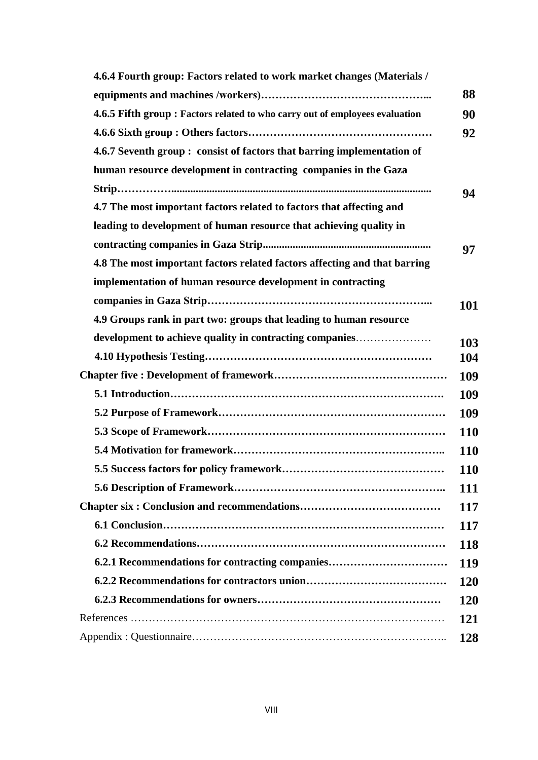| 4.6.4 Fourth group: Factors related to work market changes (Materials /      |            |
|------------------------------------------------------------------------------|------------|
|                                                                              | 88         |
| 4.6.5 Fifth group : Factors related to who carry out of employees evaluation | 90         |
|                                                                              | 92         |
| 4.6.7 Seventh group: consist of factors that barring implementation of       |            |
| human resource development in contracting companies in the Gaza              |            |
|                                                                              | 94         |
| 4.7 The most important factors related to factors that affecting and         |            |
| leading to development of human resource that achieving quality in           |            |
|                                                                              | 97         |
| 4.8 The most important factors related factors affecting and that barring    |            |
| implementation of human resource development in contracting                  |            |
|                                                                              | 101        |
| 4.9 Groups rank in part two: groups that leading to human resource           |            |
| development to achieve quality in contracting companies                      | 103        |
|                                                                              | 104        |
|                                                                              | 109        |
|                                                                              | 109        |
|                                                                              | 109        |
|                                                                              | <b>110</b> |
|                                                                              | <b>110</b> |
|                                                                              | <b>110</b> |
|                                                                              | <b>111</b> |
|                                                                              | <b>117</b> |
|                                                                              | <b>117</b> |
|                                                                              | <b>118</b> |
| 6.2.1 Recommendations for contracting companies                              | <b>119</b> |
|                                                                              | <b>120</b> |
|                                                                              | <b>120</b> |
|                                                                              | 121        |
|                                                                              | 128        |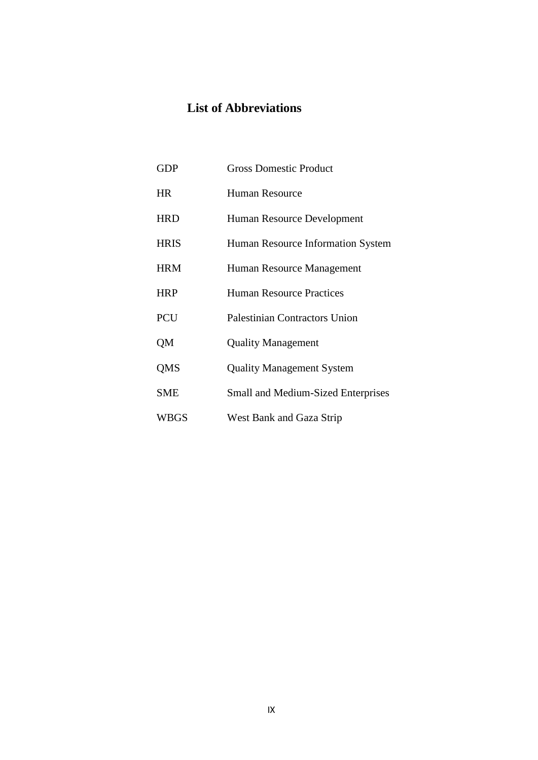# **List of Abbreviations**

| <b>GDP</b>  | <b>Gross Domestic Product</b>             |
|-------------|-------------------------------------------|
| <b>HR</b>   | Human Resource                            |
| <b>HRD</b>  | Human Resource Development                |
| <b>HRIS</b> | Human Resource Information System         |
| <b>HRM</b>  | Human Resource Management                 |
| <b>HRP</b>  | <b>Human Resource Practices</b>           |
| <b>PCU</b>  | <b>Palestinian Contractors Union</b>      |
| QM          | <b>Quality Management</b>                 |
| QMS         | <b>Quality Management System</b>          |
| <b>SME</b>  | <b>Small and Medium-Sized Enterprises</b> |
| WBGS        | West Bank and Gaza Strip                  |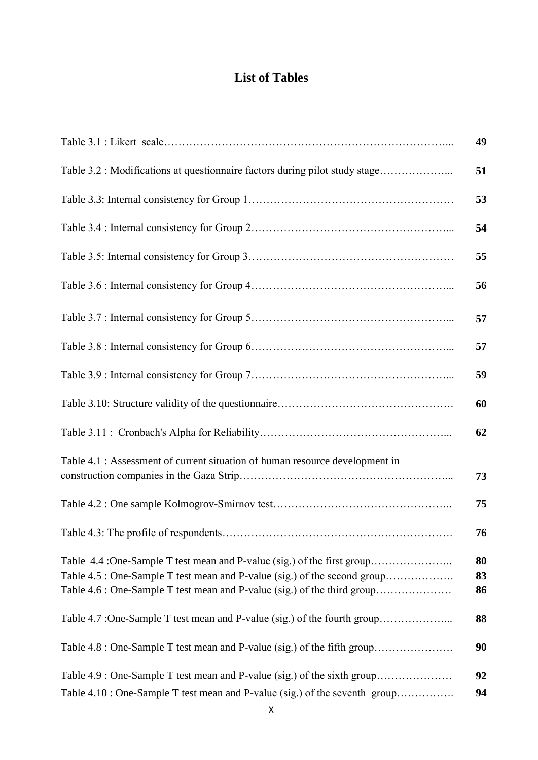# **List of Tables**

|                                                                                                                                                                                                                                  | 49             |
|----------------------------------------------------------------------------------------------------------------------------------------------------------------------------------------------------------------------------------|----------------|
| Table 3.2 : Modifications at questionnaire factors during pilot study stage                                                                                                                                                      | 51             |
|                                                                                                                                                                                                                                  | 53             |
|                                                                                                                                                                                                                                  | 54             |
|                                                                                                                                                                                                                                  | 55             |
|                                                                                                                                                                                                                                  | 56             |
|                                                                                                                                                                                                                                  | 57             |
|                                                                                                                                                                                                                                  | 57             |
|                                                                                                                                                                                                                                  | 59             |
|                                                                                                                                                                                                                                  | 60             |
|                                                                                                                                                                                                                                  | 62             |
| Table 4.1 : Assessment of current situation of human resource development in                                                                                                                                                     | 73             |
|                                                                                                                                                                                                                                  | 75             |
|                                                                                                                                                                                                                                  | 76             |
| Table 4.4 :One-Sample T test mean and P-value (sig.) of the first group<br>Table 4.5 : One-Sample T test mean and P-value (sig.) of the second group<br>Table 4.6 : One-Sample T test mean and P-value (sig.) of the third group | 80<br>83<br>86 |
| Table 4.7 :One-Sample T test mean and P-value (sig.) of the fourth group                                                                                                                                                         | 88             |
| Table 4.8 : One-Sample T test mean and P-value (sig.) of the fifth group                                                                                                                                                         | 90             |
| Table 4.9 : One-Sample T test mean and P-value (sig.) of the sixth group                                                                                                                                                         | 92             |
| Table 4.10 : One-Sample T test mean and P-value (sig.) of the seventh group                                                                                                                                                      | 94             |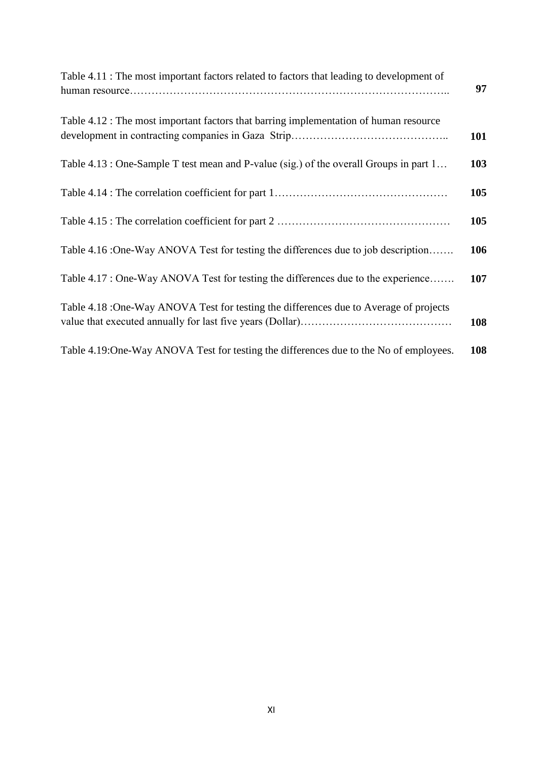| Table 4.11 : The most important factors related to factors that leading to development of | 97  |
|-------------------------------------------------------------------------------------------|-----|
| Table 4.12 : The most important factors that barring implementation of human resource     | 101 |
| Table 4.13 : One-Sample T test mean and P-value (sig.) of the overall Groups in part 1    | 103 |
|                                                                                           | 105 |
|                                                                                           | 105 |
| Table 4.16 :One-Way ANOVA Test for testing the differences due to job description         | 106 |
| Table 4.17 : One-Way ANOVA Test for testing the differences due to the experience         | 107 |
| Table 4.18 :One-Way ANOVA Test for testing the differences due to Average of projects     | 108 |
| Table 4.19:One-Way ANOVA Test for testing the differences due to the No of employees.     | 108 |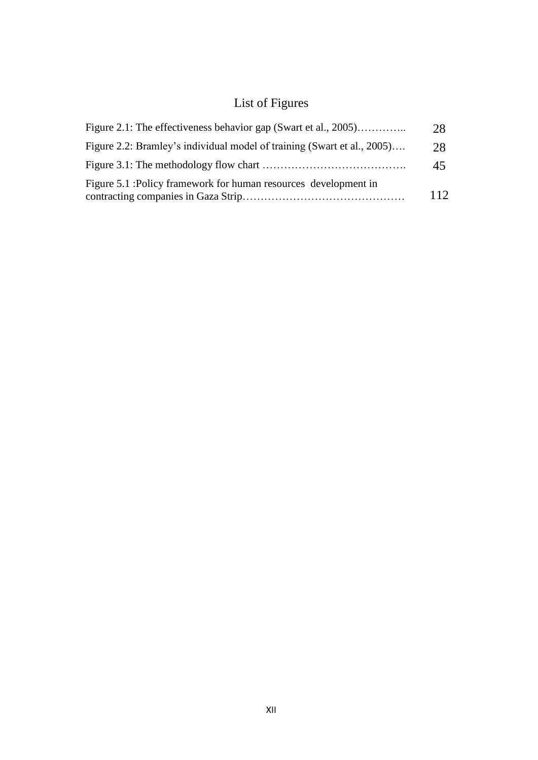# List of Figures

| Figure 2.1: The effectiveness behavior gap (Swart et al., 2005)         | 28  |
|-------------------------------------------------------------------------|-----|
| Figure 2.2: Bramley's individual model of training (Swart et al., 2005) | 28  |
|                                                                         | 45  |
| Figure 5.1 : Policy framework for human resources development in        | 112 |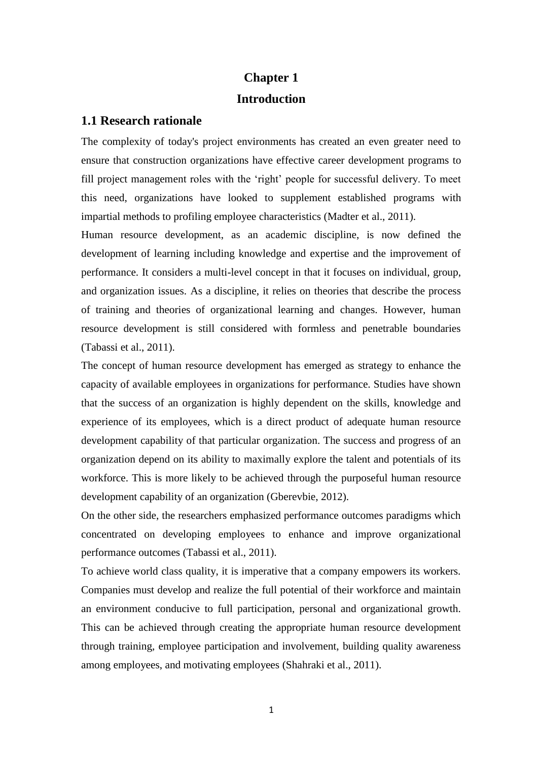# **Chapter 1 Introduction**

#### **1.1 Research rationale**

The complexity of today's project environments has created an even greater need to ensure that construction organizations have effective career development programs to fill project management roles with the 'right' people for successful delivery. To meet this need, organizations have looked to supplement established programs with impartial methods to profiling employee characteristics (Madter et al., 2011).

Human resource development, as an academic discipline, is now defined the development of learning including knowledge and expertise and the improvement of performance. It considers a multi-level concept in that it focuses on individual, group, and organization issues. As a discipline, it relies on theories that describe the process of training and theories of organizational learning and changes. However, human resource development is still considered with formless and penetrable boundaries (Tabassi et al., 2011).

The concept of human resource development has emerged as strategy to enhance the capacity of available employees in organizations for performance. Studies have shown that the success of an organization is highly dependent on the skills, knowledge and experience of its employees, which is a direct product of adequate human resource development capability of that particular organization. The success and progress of an organization depend on its ability to maximally explore the talent and potentials of its workforce. This is more likely to be achieved through the purposeful human resource development capability of an organization (Gberevbie, 2012).

On the other side, the researchers emphasized performance outcomes paradigms which concentrated on developing employees to enhance and improve organizational performance outcomes (Tabassi et al., 2011).

To achieve world class quality, it is imperative that a company empowers its workers. Companies must develop and realize the full potential of their workforce and maintain an environment conducive to full participation, personal and organizational growth. This can be achieved through creating the appropriate human resource development through training, employee participation and involvement, building quality awareness among employees, and motivating employees (Shahraki et al., 2011).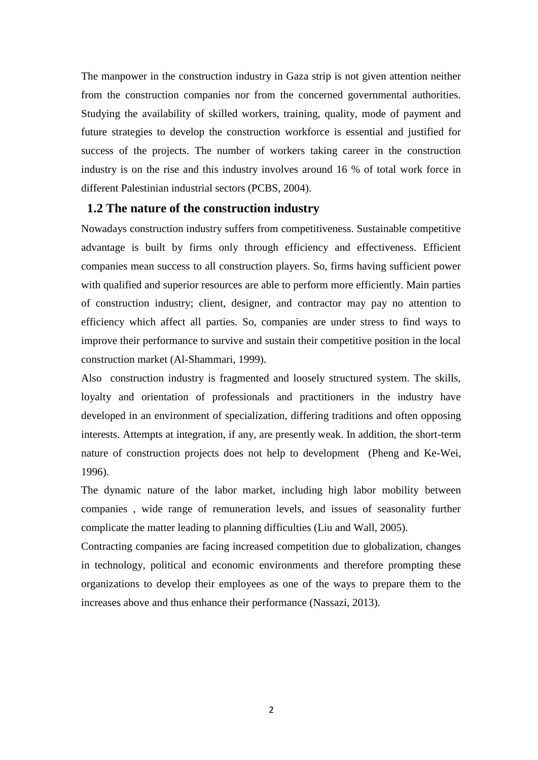The manpower in the construction industry in Gaza strip is not given attention neither from the construction companies nor from the concerned governmental authorities. Studying the availability of skilled workers, training, quality, mode of payment and future strategies to develop the construction workforce is essential and justified for success of the projects. The number of workers taking career in the construction industry is on the rise and this industry involves around 16 % of total work force in different Palestinian industrial sectors (PCBS, 2004).

#### **1.2 The nature of the construction industry**

Nowadays construction industry suffers from competitiveness. Sustainable competitive advantage is built by firms only through efficiency and effectiveness. Efficient companies mean success to all construction players. So, firms having sufficient power with qualified and superior resources are able to perform more efficiently. Main parties of construction industry; client, designer, and contractor may pay no attention to efficiency which affect all parties. So, companies are under stress to find ways to improve their performance to survive and sustain their competitive position in the local construction market (Al-Shammari, 1999).

Also construction industry is fragmented and loosely structured system. The skills, loyalty and orientation of professionals and practitioners in the industry have developed in an environment of specialization, differing traditions and often opposing interests. Attempts at integration, if any, are presently weak. In addition, the short-term nature of construction projects does not help to development (Pheng and Ke-Wei, 1996).

The dynamic nature of the labor market, including high labor mobility between companies , wide range of remuneration levels, and issues of seasonality further complicate the matter leading to planning difficulties (Liu and Wall, 2005).

Contracting companies are facing increased competition due to globalization, changes in technology, political and economic environments and therefore prompting these organizations to develop their employees as one of the ways to prepare them to the increases above and thus enhance their performance (Nassazi, 2013).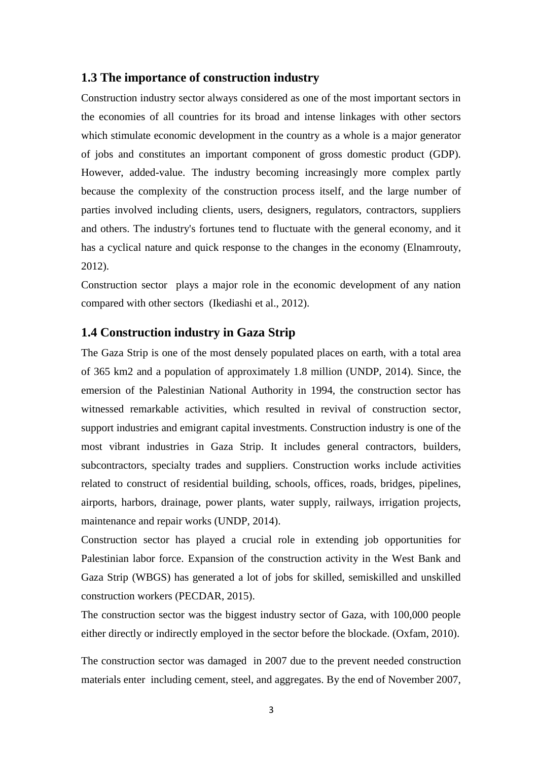#### **1.3 The importance of construction industry**

Construction industry sector always considered as one of the most important sectors in the economies of all countries for its broad and intense linkages with other sectors which stimulate economic development in the country as a whole is a major generator of jobs and constitutes an important component of gross domestic product (GDP). However, added-value. The industry becoming increasingly more complex partly because the complexity of the construction process itself, and the large number of parties involved including clients, users, designers, regulators, contractors, suppliers and others. The industry's fortunes tend to fluctuate with the general economy, and it has a cyclical nature and quick response to the changes in the economy (Elnamrouty, 2012).

Construction sector plays a major role in the economic development of any nation compared with other sectors (Ikediashi et al., 2012).

#### **1.4 Construction industry in Gaza Strip**

The Gaza Strip is one of the most densely populated places on earth, with a total area of 365 km2 and a population of approximately 1.8 million (UNDP, 2014). Since, the emersion of the Palestinian National Authority in 1994, the construction sector has witnessed remarkable activities, which resulted in revival of construction sector, support industries and emigrant capital investments. Construction industry is one of the most vibrant industries in Gaza Strip. It includes general contractors, builders, subcontractors, specialty trades and suppliers. Construction works include activities related to construct of residential building, schools, offices, roads, bridges, pipelines, airports, harbors, drainage, power plants, water supply, railways, irrigation projects, maintenance and repair works (UNDP, 2014).

Construction sector has played a crucial role in extending job opportunities for Palestinian labor force. Expansion of the construction activity in the West Bank and Gaza Strip (WBGS) has generated a lot of jobs for skilled, semiskilled and unskilled construction workers (PECDAR, 2015).

The construction sector was the biggest industry sector of Gaza, with 100,000 people either directly or indirectly employed in the sector before the blockade. (Oxfam, 2010).

The construction sector was damaged in 2007 due to the prevent needed construction materials enter including cement, steel, and aggregates. By the end of November 2007,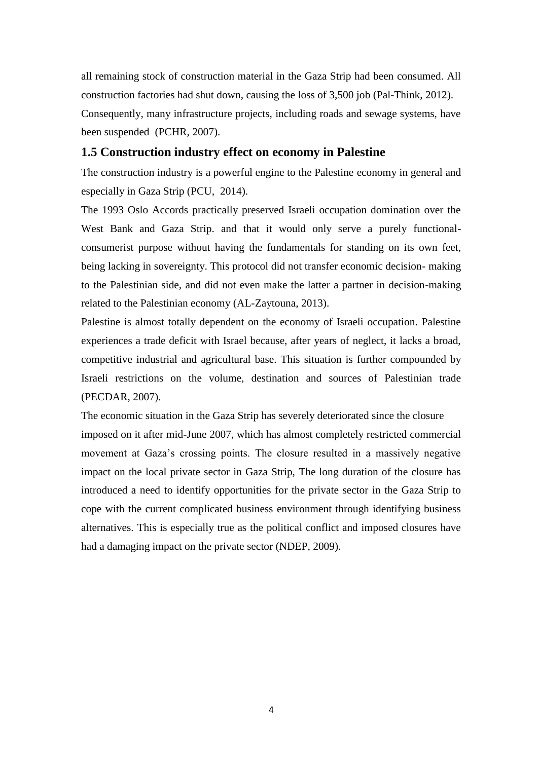all remaining stock of construction material in the Gaza Strip had been consumed. All construction factories had shut down, causing the loss of 3,500 job (Pal-Think, 2012).

Consequently, many infrastructure projects, including roads and sewage systems, have been suspended (PCHR, 2007).

#### **1.5 Construction industry effect on economy in Palestine**

The construction industry is a powerful engine to the Palestine economy in general and especially in Gaza Strip (PCU, 2014).

The 1993 Oslo Accords practically preserved Israeli occupation domination over the West Bank and Gaza Strip. and that it would only serve a purely functionalconsumerist purpose without having the fundamentals for standing on its own feet, being lacking in sovereignty. This protocol did not transfer economic decision- making to the Palestinian side, and did not even make the latter a partner in decision-making related to the Palestinian economy (AL-Zaytouna, 2013).

Palestine is almost totally dependent on the economy of Israeli occupation. Palestine experiences a trade deficit with Israel because, after years of neglect, it lacks a broad, competitive industrial and agricultural base. This situation is further compounded by Israeli restrictions on the volume, destination and sources of Palestinian trade (PECDAR, 2007).

The economic situation in the Gaza Strip has severely deteriorated since the closure imposed on it after mid-June 2007, which has almost completely restricted commercial movement at Gaza"s crossing points. The closure resulted in a massively negative impact on the local private sector in Gaza Strip, The long duration of the closure has introduced a need to identify opportunities for the private sector in the Gaza Strip to cope with the current complicated business environment through identifying business alternatives. This is especially true as the political conflict and imposed closures have had a damaging impact on the private sector (NDEP, 2009).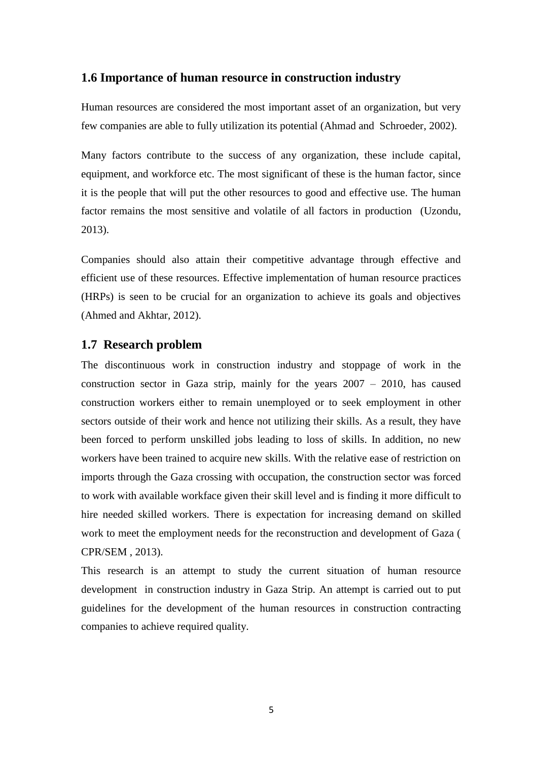#### **1.6 Importance of human resource in construction industry**

Human resources are considered the most important asset of an organization, but very few companies are able to fully utilization its potential (Ahmad and Schroeder, 2002).

Many factors contribute to the success of any organization, these include capital, equipment, and workforce etc. The most significant of these is the human factor, since it is the people that will put the other resources to good and effective use. The human factor remains the most sensitive and volatile of all factors in production (Uzondu, 2013).

Companies should also attain their competitive advantage through effective and efficient use of these resources. Effective implementation of human resource practices (HRPs) is seen to be crucial for an organization to achieve its goals and objectives (Ahmed and Akhtar, 2012).

#### **1.7 Research problem**

The discontinuous work in construction industry and stoppage of work in the construction sector in Gaza strip, mainly for the years 2007 – 2010, has caused construction workers either to remain unemployed or to seek employment in other sectors outside of their work and hence not utilizing their skills. As a result, they have been forced to perform unskilled jobs leading to loss of skills. In addition, no new workers have been trained to acquire new skills. With the relative ease of restriction on imports through the Gaza crossing with occupation, the construction sector was forced to work with available workface given their skill level and is finding it more difficult to hire needed skilled workers. There is expectation for increasing demand on skilled work to meet the employment needs for the reconstruction and development of Gaza ( CPR/SEM , 2013).

This research is an attempt to study the current situation of human resource development in construction industry in Gaza Strip. An attempt is carried out to put guidelines for the development of the human resources in construction contracting companies to achieve required quality.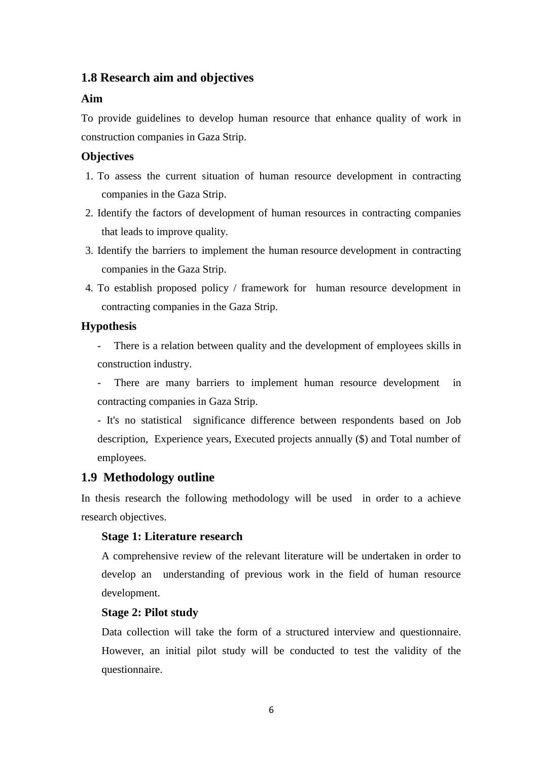## **1.8 Research aim and objectives**

#### **Aim**

To provide guidelines to develop human resource that enhance quality of work in construction companies in Gaza Strip.

#### **Objectives**

- 1. To assess the current situation of human resource development in contracting companies in the Gaza Strip.
- 2. Identify the factors of development of human resources in contracting companies that leads to improve quality.
- 3. Identify the barriers to implement the human resource development in contracting companies in the Gaza Strip.
- 4. To establish proposed policy / framework for human resource development in contracting companies in the Gaza Strip.

#### **Hypothesis**

- There is a relation between quality and the development of employees skills in construction industry.
- There are many barriers to implement human resource development in contracting companies in Gaza Strip.

- It's no statistical significance difference between respondents based on Job description, Experience years, Executed projects annually (\$) and Total number of employees.

#### **1.9 Methodology outline**

In thesis research the following methodology will be used in order to a achieve research objectives.

#### **Stage 1: Literature research**

A comprehensive review of the relevant literature will be undertaken in order to develop an understanding of previous work in the field of human resource development.

#### **Stage 2: Pilot study**

Data collection will take the form of a structured interview and questionnaire. However, an initial pilot study will be conducted to test the validity of the questionnaire.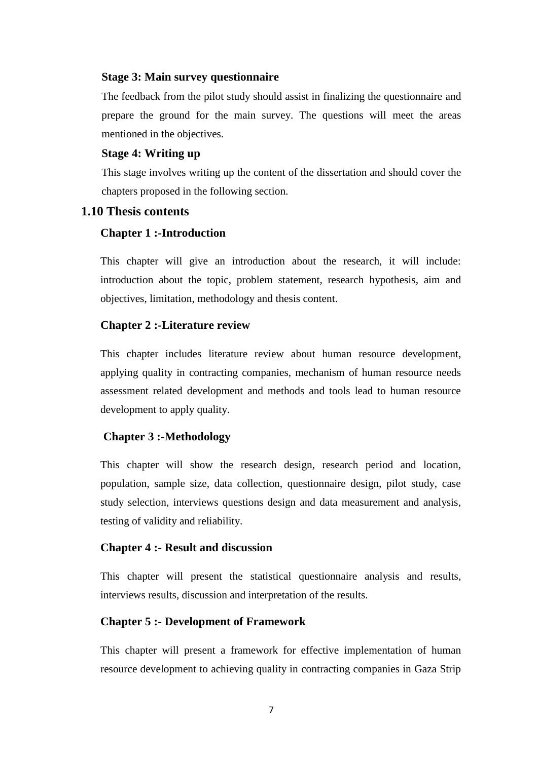#### **Stage 3: Main survey questionnaire**

The feedback from the pilot study should assist in finalizing the questionnaire and prepare the ground for the main survey. The questions will meet the areas mentioned in the objectives.

#### **Stage 4: Writing up**

This stage involves writing up the content of the dissertation and should cover the chapters proposed in the following section.

#### **1.10 Thesis contents**

#### **Chapter 1 :-Introduction**

This chapter will give an introduction about the research, it will include: introduction about the topic, problem statement, research hypothesis, aim and objectives, limitation, methodology and thesis content.

#### **Chapter 2 :-Literature review**

This chapter includes literature review about human resource development, applying quality in contracting companies, mechanism of human resource needs assessment related development and methods and tools lead to human resource development to apply quality.

#### **Chapter 3 :-Methodology**

This chapter will show the research design, research period and location, population, sample size, data collection, questionnaire design, pilot study, case study selection, interviews questions design and data measurement and analysis, testing of validity and reliability.

#### **Chapter 4 :- Result and discussion**

This chapter will present the statistical questionnaire analysis and results, interviews results, discussion and interpretation of the results.

#### **Chapter 5 :- Development of Framework**

This chapter will present a framework for effective implementation of human resource development to achieving quality in contracting companies in Gaza Strip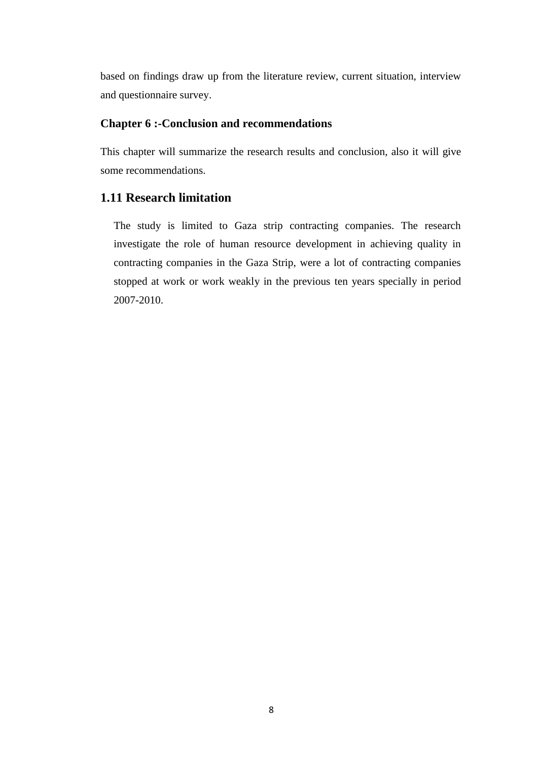based on findings draw up from the literature review, current situation, interview and questionnaire survey.

#### **Chapter 6 :-Conclusion and recommendations**

This chapter will summarize the research results and conclusion, also it will give some recommendations.

## **1.11 Research limitation**

The study is limited to Gaza strip contracting companies. The research investigate the role of human resource development in achieving quality in contracting companies in the Gaza Strip, were a lot of contracting companies stopped at work or work weakly in the previous ten years specially in period 2007-2010.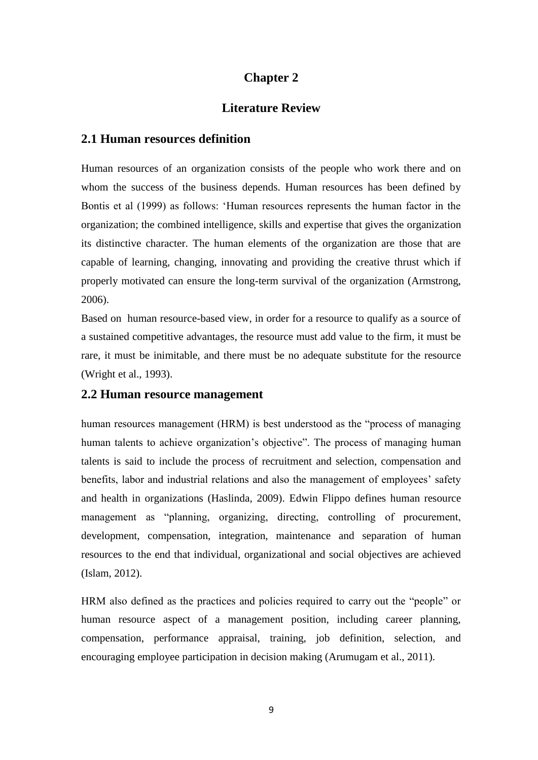## **Chapter 2**

#### **Literature Review**

#### **2.1 Human resources definition**

Human resources of an organization consists of the people who work there and on whom the success of the business depends. Human resources has been defined by Bontis et al (1999) as follows: "Human resources represents the human factor in the organization; the combined intelligence, skills and expertise that gives the organization its distinctive character. The human elements of the organization are those that are capable of learning, changing, innovating and providing the creative thrust which if properly motivated can ensure the long-term survival of the organization (Armstrong, 2006).

Based on human resource-based view, in order for a resource to qualify as a source of a sustained competitive advantages, the resource must add value to the firm, it must be rare, it must be inimitable, and there must be no adequate substitute for the resource (Wright et al., 1993).

#### **2.2 Human resource management**

human resources management (HRM) is best understood as the "process of managing human talents to achieve organization's objective". The process of managing human talents is said to include the process of recruitment and selection, compensation and benefits, labor and industrial relations and also the management of employees' safety and health in organizations (Haslinda, 2009). Edwin Flippo defines human resource management as "planning, organizing, directing, controlling of procurement, development, compensation, integration, maintenance and separation of human resources to the end that individual, organizational and social objectives are achieved (Islam, 2012).

HRM also defined as the practices and policies required to carry out the "people" or human resource aspect of a management position, including career planning, compensation, performance appraisal, training, job definition, selection, and encouraging employee participation in decision making (Arumugam et al., 2011).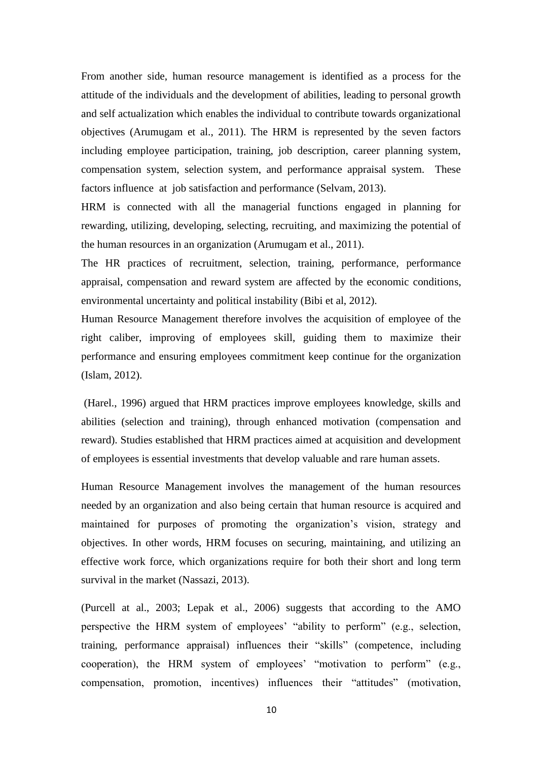From another side, human resource management is identified as a process for the attitude of the individuals and the development of abilities, leading to personal growth and self actualization which enables the individual to contribute towards organizational objectives (Arumugam et al., 2011). The HRM is represented by the seven factors including employee participation, training, job description, career planning system, compensation system, selection system, and performance appraisal system. These factors influence at job satisfaction and performance (Selvam, 2013).

HRM is connected with all the managerial functions engaged in planning for rewarding, utilizing, developing, selecting, recruiting, and maximizing the potential of the human resources in an organization (Arumugam et al., 2011).

The HR practices of recruitment, selection, training, performance, performance appraisal, compensation and reward system are affected by the economic conditions, environmental uncertainty and political instability (Bibi et al, 2012).

Human Resource Management therefore involves the acquisition of employee of the right caliber, improving of employees skill, guiding them to maximize their performance and ensuring employees commitment keep continue for the organization (Islam, 2012).

(Harel., 1996) argued that HRM practices improve employees knowledge, skills and abilities (selection and training), through enhanced motivation (compensation and reward). Studies established that HRM practices aimed at acquisition and development of employees is essential investments that develop valuable and rare human assets.

Human Resource Management involves the management of the human resources needed by an organization and also being certain that human resource is acquired and maintained for purposes of promoting the organization"s vision, strategy and objectives. In other words, HRM focuses on securing, maintaining, and utilizing an effective work force, which organizations require for both their short and long term survival in the market (Nassazi, 2013).

(Purcell at al., 2003; Lepak et al., 2006) suggests that according to the AMO perspective the HRM system of employees" "ability to perform" (e.g., selection, training, performance appraisal) influences their "skills" (competence, including cooperation), the HRM system of employees" "motivation to perform" (e.g., compensation, promotion, incentives) influences their "attitudes" (motivation,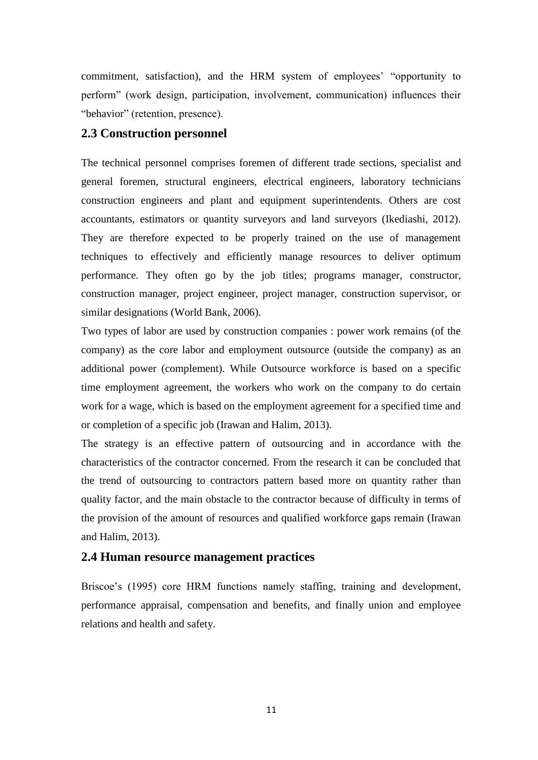commitment, satisfaction), and the HRM system of employees' "opportunity to perform" (work design, participation, involvement, communication) influences their "behavior" (retention, presence).

### **2.3 Construction personnel**

The technical personnel comprises foremen of different trade sections, specialist and general foremen, structural engineers, electrical engineers, laboratory technicians construction engineers and plant and equipment superintendents. Others are cost accountants, estimators or quantity surveyors and land surveyors (Ikediashi, 2012). They are therefore expected to be properly trained on the use of management techniques to effectively and efficiently manage resources to deliver optimum performance. They often go by the job titles; programs manager, constructor, construction manager, project engineer, project manager, construction supervisor, or similar designations (World Bank, 2006).

Two types of labor are used by construction companies : power work remains (of the company) as the core labor and employment outsource (outside the company) as an additional power (complement). While Outsource workforce is based on a specific time employment agreement, the workers who work on the company to do certain work for a wage, which is based on the employment agreement for a specified time and or completion of a specific job (Irawan and Halim, 2013).

The strategy is an effective pattern of outsourcing and in accordance with the characteristics of the contractor concerned. From the research it can be concluded that the trend of outsourcing to contractors pattern based more on quantity rather than quality factor, and the main obstacle to the contractor because of difficulty in terms of the provision of the amount of resources and qualified workforce gaps remain (Irawan and Halim, 2013).

#### **2.4 Human resource management practices**

Briscoe's (1995) core HRM functions namely staffing, training and development, performance appraisal, compensation and benefits, and finally union and employee relations and health and safety.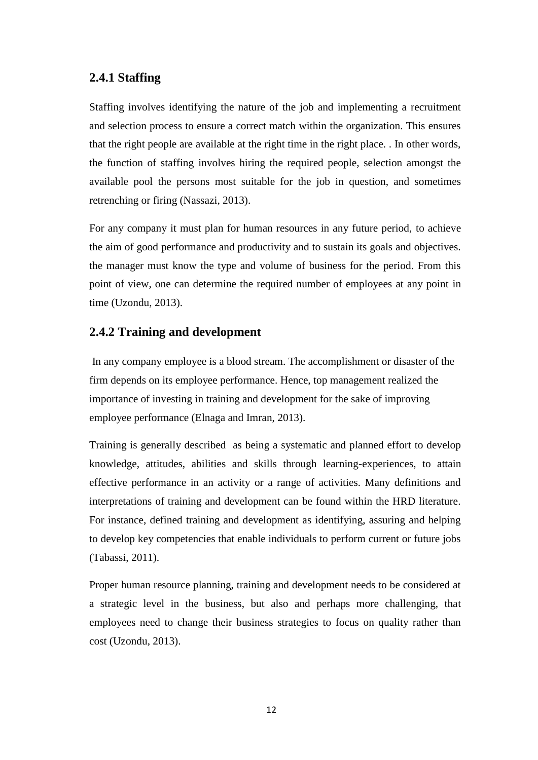## **2.4.1 Staffing**

Staffing involves identifying the nature of the job and implementing a recruitment and selection process to ensure a correct match within the organization. This ensures that the right people are available at the right time in the right place. . In other words, the function of staffing involves hiring the required people, selection amongst the available pool the persons most suitable for the job in question, and sometimes retrenching or firing (Nassazi, 2013).

For any company it must plan for human resources in any future period, to achieve the aim of good performance and productivity and to sustain its goals and objectives. the manager must know the type and volume of business for the period. From this point of view, one can determine the required number of employees at any point in time (Uzondu, 2013).

## **2.4.2 Training and development**

In any company employee is a blood stream. The accomplishment or disaster of the firm depends on its employee performance. Hence, top management realized the importance of investing in training and development for the sake of improving employee performance (Elnaga and Imran, 2013).

Training is generally described as being a systematic and planned effort to develop knowledge, attitudes, abilities and skills through learning-experiences, to attain effective performance in an activity or a range of activities. Many definitions and interpretations of training and development can be found within the HRD literature. For instance, defined training and development as identifying, assuring and helping to develop key competencies that enable individuals to perform current or future jobs (Tabassi, 2011).

Proper human resource planning, training and development needs to be considered at a strategic level in the business, but also and perhaps more challenging, that employees need to change their business strategies to focus on quality rather than cost (Uzondu, 2013).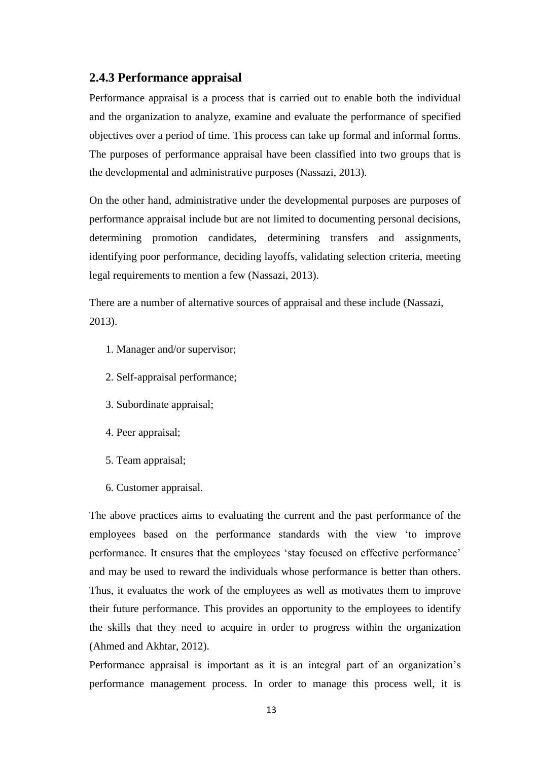### **2.4.3 Performance appraisal**

Performance appraisal is a process that is carried out to enable both the individual and the organization to analyze, examine and evaluate the performance of specified objectives over a period of time. This process can take up formal and informal forms. The purposes of performance appraisal have been classified into two groups that is the developmental and administrative purposes (Nassazi, 2013).

On the other hand, administrative under the developmental purposes are purposes of performance appraisal include but are not limited to documenting personal decisions, determining promotion candidates, determining transfers and assignments, identifying poor performance, deciding layoffs, validating selection criteria, meeting legal requirements to mention a few (Nassazi, 2013).

There are a number of alternative sources of appraisal and these include (Nassazi, 2013).

- 1. Manager and/or supervisor;
- 2. Self-appraisal performance;
- 3. Subordinate appraisal;
- 4. Peer appraisal;
- 5. Team appraisal;
- 6. Customer appraisal.

The above practices aims to evaluating the current and the past performance of the employees based on the performance standards with the view "to improve performance. It ensures that the employees "stay focused on effective performance" and may be used to reward the individuals whose performance is better than others. Thus, it evaluates the work of the employees as well as motivates them to improve their future performance. This provides an opportunity to the employees to identify the skills that they need to acquire in order to progress within the organization (Ahmed and Akhtar, 2012).

Performance appraisal is important as it is an integral part of an organization"s performance management process. In order to manage this process well, it is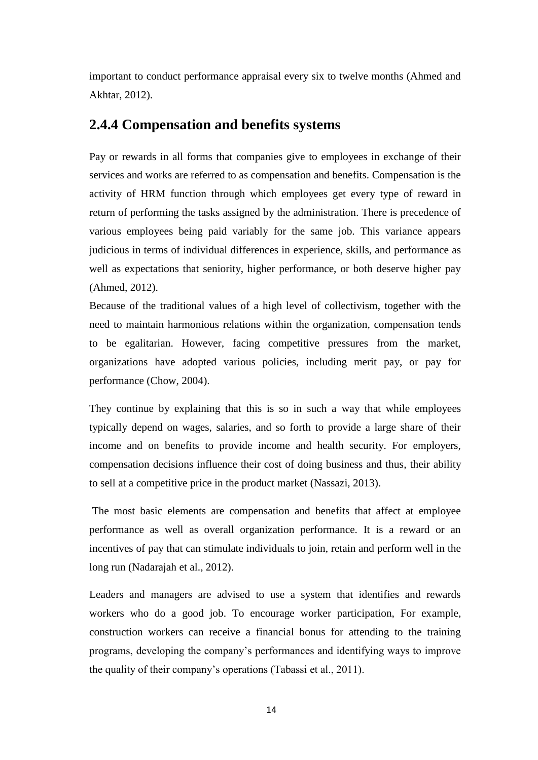important to conduct performance appraisal every six to twelve months (Ahmed and Akhtar, 2012).

## **2.4.4 Compensation and benefits systems**

Pay or rewards in all forms that companies give to employees in exchange of their services and works are referred to as compensation and benefits. Compensation is the activity of HRM function through which employees get every type of reward in return of performing the tasks assigned by the administration. There is precedence of various employees being paid variably for the same job. This variance appears judicious in terms of individual differences in experience, skills, and performance as well as expectations that seniority, higher performance, or both deserve higher pay (Ahmed, 2012).

Because of the traditional values of a high level of collectivism, together with the need to maintain harmonious relations within the organization, compensation tends to be egalitarian. However, facing competitive pressures from the market, organizations have adopted various policies, including merit pay, or pay for performance (Chow, 2004).

They continue by explaining that this is so in such a way that while employees typically depend on wages, salaries, and so forth to provide a large share of their income and on benefits to provide income and health security. For employers, compensation decisions influence their cost of doing business and thus, their ability to sell at a competitive price in the product market (Nassazi, 2013).

The most basic elements are compensation and benefits that affect at employee performance as well as overall organization performance. It is a reward or an incentives of pay that can stimulate individuals to join, retain and perform well in the long run (Nadarajah et al., 2012).

Leaders and managers are advised to use a system that identifies and rewards workers who do a good job. To encourage worker participation, For example, construction workers can receive a financial bonus for attending to the training programs, developing the company"s performances and identifying ways to improve the quality of their company"s operations (Tabassi et al., 2011).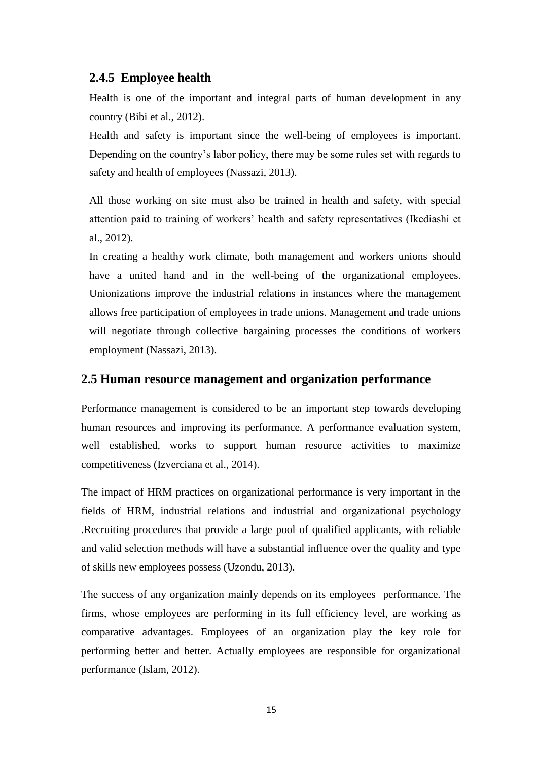## **2.4.5 Employee health**

Health is one of the important and integral parts of human development in any country (Bibi et al., 2012).

Health and safety is important since the well-being of employees is important. Depending on the country"s labor policy, there may be some rules set with regards to safety and health of employees (Nassazi, 2013).

All those working on site must also be trained in health and safety, with special attention paid to training of workers" health and safety representatives (Ikediashi et al., 2012).

In creating a healthy work climate, both management and workers unions should have a united hand and in the well-being of the organizational employees. Unionizations improve the industrial relations in instances where the management allows free participation of employees in trade unions. Management and trade unions will negotiate through collective bargaining processes the conditions of workers employment (Nassazi, 2013).

#### **2.5 Human resource management and organization performance**

Performance management is considered to be an important step towards developing human resources and improving its performance. A performance evaluation system, well established, works to support human resource activities to maximize competitiveness (Izverciana et al., 2014).

The impact of HRM practices on organizational performance is very important in the fields of HRM, industrial relations and industrial and organizational psychology .Recruiting procedures that provide a large pool of qualified applicants, with reliable and valid selection methods will have a substantial influence over the quality and type of skills new employees possess (Uzondu, 2013).

The success of any organization mainly depends on its employees performance. The firms, whose employees are performing in its full efficiency level, are working as comparative advantages. Employees of an organization play the key role for performing better and better. Actually employees are responsible for organizational performance (Islam, 2012).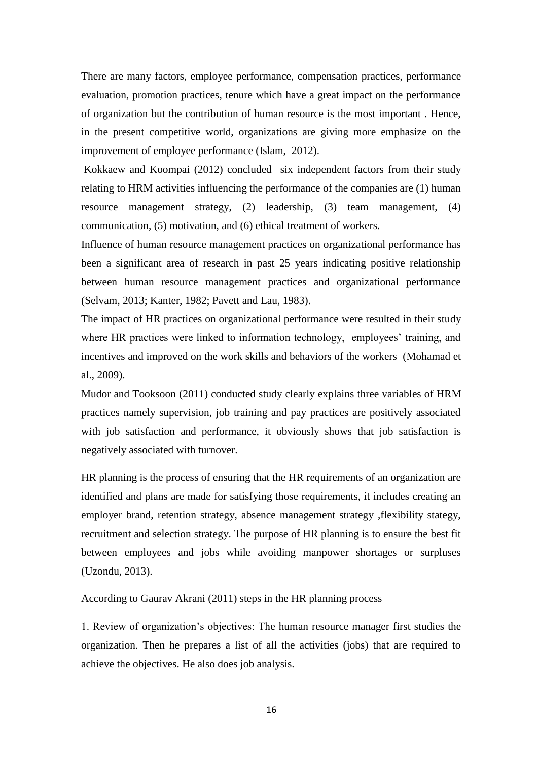There are many factors, employee performance, compensation practices, performance evaluation, promotion practices, tenure which have a great impact on the performance of organization but the contribution of human resource is the most important . Hence, in the present competitive world, organizations are giving more emphasize on the improvement of employee performance (Islam, 2012).

Kokkaew and Koompai (2012) concluded six independent factors from their study relating to HRM activities influencing the performance of the companies are (1) human resource management strategy, (2) leadership, (3) team management, (4) communication, (5) motivation, and (6) ethical treatment of workers.

Influence of human resource management practices on organizational performance has been a significant area of research in past 25 years indicating positive relationship between human resource management practices and organizational performance (Selvam, 2013; Kanter, 1982; Pavett and Lau, 1983).

The impact of HR practices on organizational performance were resulted in their study where HR practices were linked to information technology, employees' training, and incentives and improved on the work skills and behaviors of the workers (Mohamad et al., 2009).

Mudor and Tooksoon (2011) conducted study clearly explains three variables of HRM practices namely supervision, job training and pay practices are positively associated with job satisfaction and performance, it obviously shows that job satisfaction is negatively associated with turnover.

HR planning is the process of ensuring that the HR requirements of an organization are identified and plans are made for satisfying those requirements, it includes creating an employer brand, retention strategy, absence management strategy ,flexibility stategy, recruitment and selection strategy. The purpose of HR planning is to ensure the best fit between employees and jobs while avoiding manpower shortages or surpluses (Uzondu, 2013).

According to Gaurav Akrani (2011) steps in the HR planning process

1. Review of organization"s objectives: The human resource manager first studies the organization. Then he prepares a list of all the activities (jobs) that are required to achieve the objectives. He also does job analysis.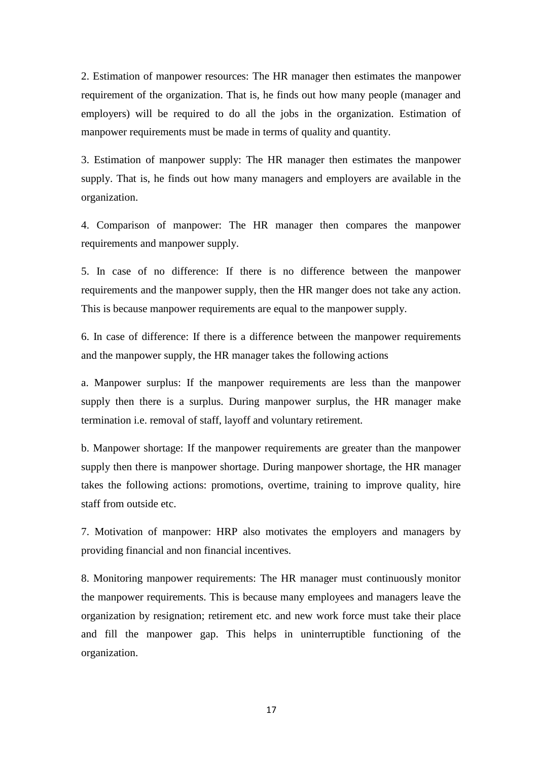2. Estimation of manpower resources: The HR manager then estimates the manpower requirement of the organization. That is, he finds out how many people (manager and employers) will be required to do all the jobs in the organization. Estimation of manpower requirements must be made in terms of quality and quantity.

3. Estimation of manpower supply: The HR manager then estimates the manpower supply. That is, he finds out how many managers and employers are available in the organization.

4. Comparison of manpower: The HR manager then compares the manpower requirements and manpower supply.

5. In case of no difference: If there is no difference between the manpower requirements and the manpower supply, then the HR manger does not take any action. This is because manpower requirements are equal to the manpower supply.

6. In case of difference: If there is a difference between the manpower requirements and the manpower supply, the HR manager takes the following actions

a. Manpower surplus: If the manpower requirements are less than the manpower supply then there is a surplus. During manpower surplus, the HR manager make termination i.e. removal of staff, layoff and voluntary retirement.

b. Manpower shortage: If the manpower requirements are greater than the manpower supply then there is manpower shortage. During manpower shortage, the HR manager takes the following actions: promotions, overtime, training to improve quality, hire staff from outside etc.

7. Motivation of manpower: HRP also motivates the employers and managers by providing financial and non financial incentives.

8. Monitoring manpower requirements: The HR manager must continuously monitor the manpower requirements. This is because many employees and managers leave the organization by resignation; retirement etc. and new work force must take their place and fill the manpower gap. This helps in uninterruptible functioning of the organization.

17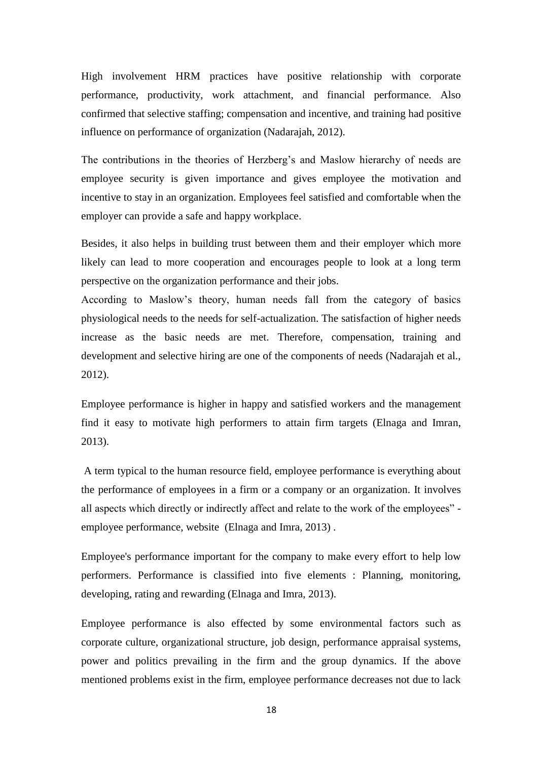High involvement HRM practices have positive relationship with corporate performance, productivity, work attachment, and financial performance. Also confirmed that selective staffing; compensation and incentive, and training had positive influence on performance of organization (Nadarajah, 2012).

The contributions in the theories of Herzberg's and Maslow hierarchy of needs are employee security is given importance and gives employee the motivation and incentive to stay in an organization. Employees feel satisfied and comfortable when the employer can provide a safe and happy workplace.

Besides, it also helps in building trust between them and their employer which more likely can lead to more cooperation and encourages people to look at a long term perspective on the organization performance and their jobs.

According to Maslow"s theory, human needs fall from the category of basics physiological needs to the needs for self-actualization. The satisfaction of higher needs increase as the basic needs are met. Therefore, compensation, training and development and selective hiring are one of the components of needs (Nadarajah et al., 2012).

Employee performance is higher in happy and satisfied workers and the management find it easy to motivate high performers to attain firm targets (Elnaga and Imran, 2013).

A term typical to the human resource field, employee performance is everything about the performance of employees in a firm or a company or an organization. It involves all aspects which directly or indirectly affect and relate to the work of the employees" employee performance, website (Elnaga and Imra, 2013) .

Employee's performance important for the company to make every effort to help low performers. Performance is classified into five elements : Planning, monitoring, developing, rating and rewarding (Elnaga and Imra, 2013).

Employee performance is also effected by some environmental factors such as corporate culture, organizational structure, job design, performance appraisal systems, power and politics prevailing in the firm and the group dynamics. If the above mentioned problems exist in the firm, employee performance decreases not due to lack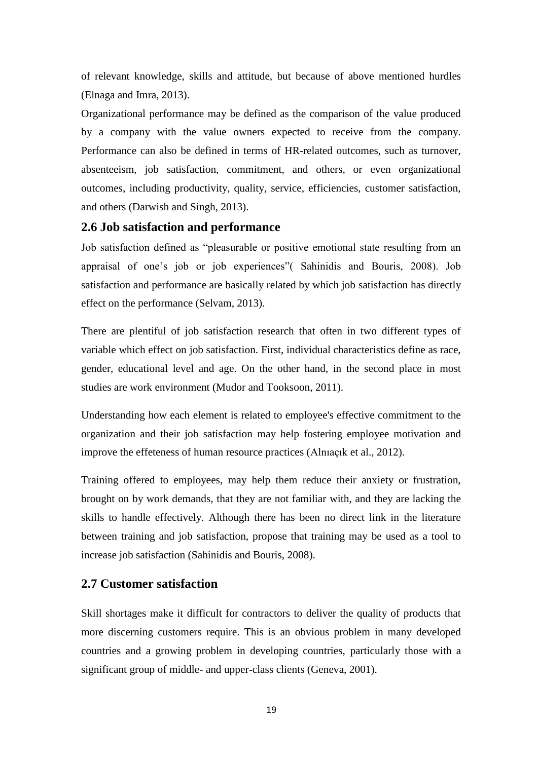of relevant knowledge, skills and attitude, but because of above mentioned hurdles (Elnaga and Imra, 2013).

Organizational performance may be defined as the comparison of the value produced by a company with the value owners expected to receive from the company. Performance can also be defined in terms of HR-related outcomes, such as turnover, absenteeism, job satisfaction, commitment, and others, or even organizational outcomes, including productivity, quality, service, efficiencies, customer satisfaction, and others (Darwish and Singh, 2013).

#### **2.6 Job satisfaction and performance**

Job satisfaction defined as "pleasurable or positive emotional state resulting from an appraisal of one"s job or job experiences"( Sahinidis and Bouris, 2008). Job satisfaction and performance are basically related by which job satisfaction has directly effect on the performance (Selvam, 2013).

There are plentiful of job satisfaction research that often in two different types of variable which effect on job satisfaction. First, individual characteristics define as race, gender, educational level and age. On the other hand, in the second place in most studies are work environment (Mudor and Tooksoon, 2011).

Understanding how each element is related to employee's effective commitment to the organization and their job satisfaction may help fostering employee motivation and improve the effeteness of human resource practices (Alnıaçık et al., 2012).

Training offered to employees, may help them reduce their anxiety or frustration, brought on by work demands, that they are not familiar with, and they are lacking the skills to handle effectively. Although there has been no direct link in the literature between training and job satisfaction, propose that training may be used as a tool to increase job satisfaction (Sahinidis and Bouris, 2008).

#### **2.7 Customer satisfaction**

Skill shortages make it difficult for contractors to deliver the quality of products that more discerning customers require. This is an obvious problem in many developed countries and a growing problem in developing countries, particularly those with a significant group of middle- and upper-class clients (Geneva, 2001).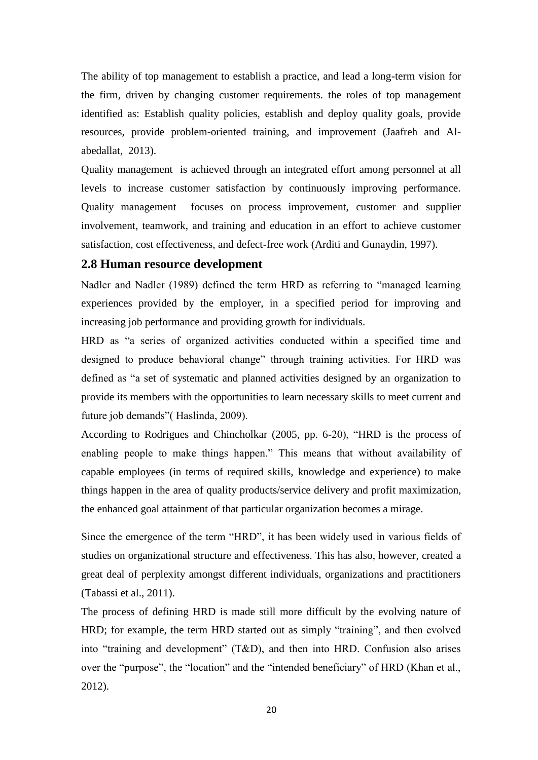The ability of top management to establish a practice, and lead a long-term vision for the firm, driven by changing customer requirements. the roles of top management identified as: Establish quality policies, establish and deploy quality goals, provide resources, provide problem-oriented training, and improvement (Jaafreh and Alabedallat, 2013).

Quality management is achieved through an integrated effort among personnel at all levels to increase customer satisfaction by continuously improving performance. Quality management focuses on process improvement, customer and supplier involvement, teamwork, and training and education in an effort to achieve customer satisfaction, cost effectiveness, and defect-free work (Arditi and Gunaydin, 1997).

#### **2.8 Human resource development**

Nadler and Nadler (1989) defined the term HRD as referring to "managed learning experiences provided by the employer, in a specified period for improving and increasing job performance and providing growth for individuals.

HRD as "a series of organized activities conducted within a specified time and designed to produce behavioral change" through training activities. For HRD was defined as "a set of systematic and planned activities designed by an organization to provide its members with the opportunities to learn necessary skills to meet current and future job demands"( Haslinda, 2009).

According to Rodrigues and Chincholkar (2005, pp. 6-20), "HRD is the process of enabling people to make things happen." This means that without availability of capable employees (in terms of required skills, knowledge and experience) to make things happen in the area of quality products/service delivery and profit maximization, the enhanced goal attainment of that particular organization becomes a mirage.

Since the emergence of the term "HRD", it has been widely used in various fields of studies on organizational structure and effectiveness. This has also, however, created a great deal of perplexity amongst different individuals, organizations and practitioners (Tabassi et al., 2011).

The process of defining HRD is made still more difficult by the evolving nature of HRD; for example, the term HRD started out as simply "training", and then evolved into "training and development" (T&D), and then into HRD. Confusion also arises over the "purpose", the "location" and the "intended beneficiary" of HRD (Khan et al., 2012).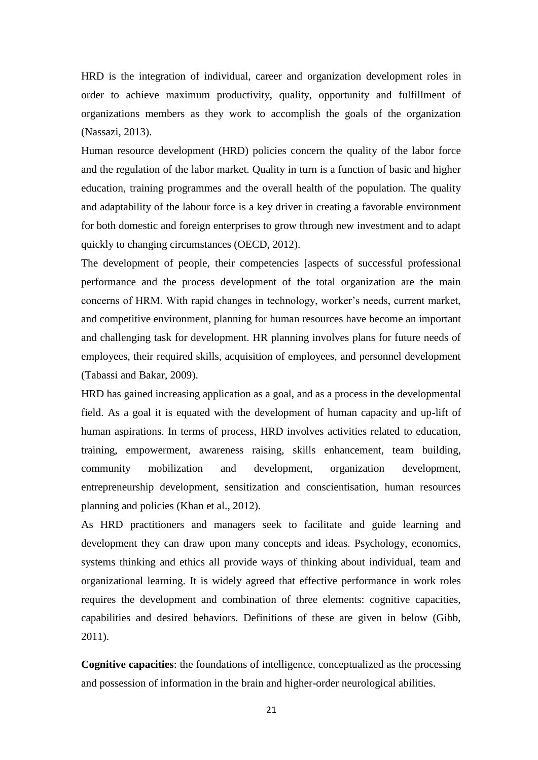HRD is the integration of individual, career and organization development roles in order to achieve maximum productivity, quality, opportunity and fulfillment of organizations members as they work to accomplish the goals of the organization (Nassazi, 2013).

Human resource development (HRD) policies concern the quality of the labor force and the regulation of the labor market. Quality in turn is a function of basic and higher education, training programmes and the overall health of the population. The quality and adaptability of the labour force is a key driver in creating a favorable environment for both domestic and foreign enterprises to grow through new investment and to adapt quickly to changing circumstances (OECD, 2012).

The development of people, their competencies [aspects of successful professional performance and the process development of the total organization are the main concerns of HRM. With rapid changes in technology, worker"s needs, current market, and competitive environment, planning for human resources have become an important and challenging task for development. HR planning involves plans for future needs of employees, their required skills, acquisition of employees, and personnel development (Tabassi and Bakar, 2009).

HRD has gained increasing application as a goal, and as a process in the developmental field. As a goal it is equated with the development of human capacity and up-lift of human aspirations. In terms of process, HRD involves activities related to education, training, empowerment, awareness raising, skills enhancement, team building, community mobilization and development, organization development, entrepreneurship development, sensitization and conscientisation, human resources planning and policies (Khan et al., 2012).

As HRD practitioners and managers seek to facilitate and guide learning and development they can draw upon many concepts and ideas. Psychology, economics, systems thinking and ethics all provide ways of thinking about individual, team and organizational learning. It is widely agreed that effective performance in work roles requires the development and combination of three elements: cognitive capacities, capabilities and desired behaviors. Definitions of these are given in below (Gibb, 2011).

**Cognitive capacities**: the foundations of intelligence, conceptualized as the processing and possession of information in the brain and higher-order neurological abilities.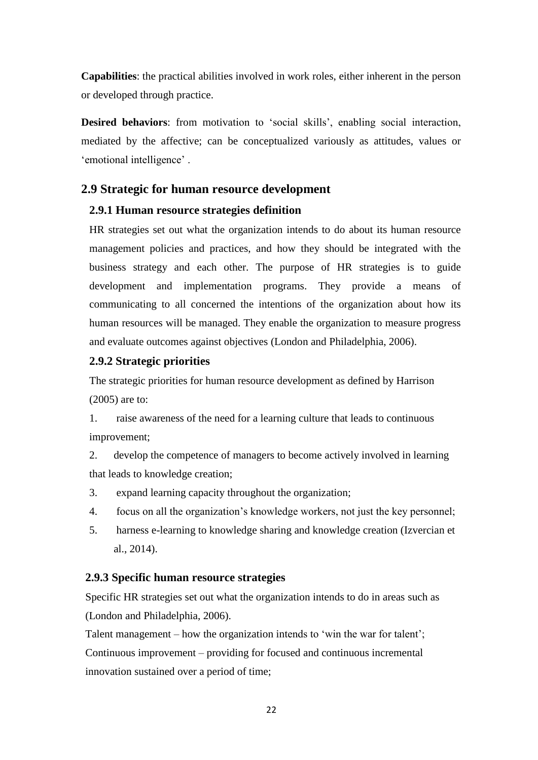**Capabilities**: the practical abilities involved in work roles, either inherent in the person or developed through practice.

**Desired behaviors:** from motivation to 'social skills', enabling social interaction, mediated by the affective; can be conceptualized variously as attitudes, values or 'emotional intelligence'.

### **2.9 Strategic for human resource development**

#### **2.9.1 Human resource strategies definition**

HR strategies set out what the organization intends to do about its human resource management policies and practices, and how they should be integrated with the business strategy and each other. The purpose of HR strategies is to guide development and implementation programs. They provide a means of communicating to all concerned the intentions of the organization about how its human resources will be managed. They enable the organization to measure progress and evaluate outcomes against objectives (London and Philadelphia, 2006).

#### **2.9.2 Strategic priorities**

The strategic priorities for human resource development as defined by Harrison (2005) are to:

1. raise awareness of the need for a learning culture that leads to continuous improvement;

2. develop the competence of managers to become actively involved in learning that leads to knowledge creation;

- 3. expand learning capacity throughout the organization;
- 4. focus on all the organization"s knowledge workers, not just the key personnel;
- 5. harness e-learning to knowledge sharing and knowledge creation (Izvercian et al., 2014).

#### **2.9.3 Specific human resource strategies**

Specific HR strategies set out what the organization intends to do in areas such as (London and Philadelphia, 2006).

Talent management – how the organization intends to 'win the war for talent'; Continuous improvement – providing for focused and continuous incremental innovation sustained over a period of time;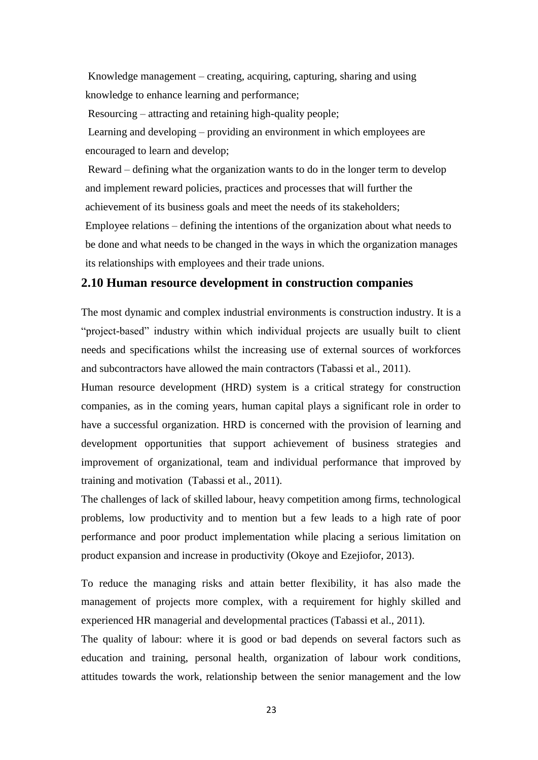Knowledge management – creating, acquiring, capturing, sharing and using knowledge to enhance learning and performance;

Resourcing – attracting and retaining high-quality people;

Learning and developing – providing an environment in which employees are encouraged to learn and develop;

Reward – defining what the organization wants to do in the longer term to develop and implement reward policies, practices and processes that will further the achievement of its business goals and meet the needs of its stakeholders;

Employee relations – defining the intentions of the organization about what needs to be done and what needs to be changed in the ways in which the organization manages its relationships with employees and their trade unions.

### **2.10 Human resource development in construction companies**

The most dynamic and complex industrial environments is construction industry. It is a "project-based" industry within which individual projects are usually built to client needs and specifications whilst the increasing use of external sources of workforces and subcontractors have allowed the main contractors (Tabassi et al., 2011).

Human resource development (HRD) system is a critical strategy for construction companies, as in the coming years, human capital plays a significant role in order to have a successful organization. HRD is concerned with the provision of learning and development opportunities that support achievement of business strategies and improvement of organizational, team and individual performance that improved by training and motivation (Tabassi et al., 2011).

The challenges of lack of skilled labour, heavy competition among firms, technological problems, low productivity and to mention but a few leads to a high rate of poor performance and poor product implementation while placing a serious limitation on product expansion and increase in productivity (Okoye and Ezejiofor, 2013).

To reduce the managing risks and attain better flexibility, it has also made the management of projects more complex, with a requirement for highly skilled and experienced HR managerial and developmental practices (Tabassi et al., 2011).

The quality of labour: where it is good or bad depends on several factors such as education and training, personal health, organization of labour work conditions, attitudes towards the work, relationship between the senior management and the low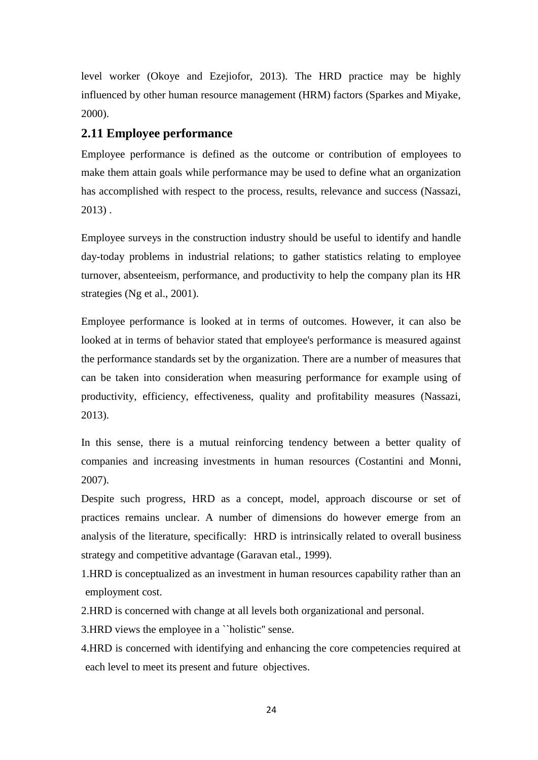level worker (Okoye and Ezejiofor, 2013). The HRD practice may be highly influenced by other human resource management (HRM) factors (Sparkes and Miyake, 2000).

# **2.11 Employee performance**

Employee performance is defined as the outcome or contribution of employees to make them attain goals while performance may be used to define what an organization has accomplished with respect to the process, results, relevance and success (Nassazi, 2013) .

Employee surveys in the construction industry should be useful to identify and handle day-today problems in industrial relations; to gather statistics relating to employee turnover, absenteeism, performance, and productivity to help the company plan its HR strategies (Ng et al., 2001).

Employee performance is looked at in terms of outcomes. However, it can also be looked at in terms of behavior stated that employee's performance is measured against the performance standards set by the organization. There are a number of measures that can be taken into consideration when measuring performance for example using of productivity, efficiency, effectiveness, quality and profitability measures (Nassazi, 2013).

In this sense, there is a mutual reinforcing tendency between a better quality of companies and increasing investments in human resources (Costantini and Monni, 2007).

Despite such progress, HRD as a concept, model, approach discourse or set of practices remains unclear. A number of dimensions do however emerge from an analysis of the literature, specifically: HRD is intrinsically related to overall business strategy and competitive advantage (Garavan etal., 1999).

1.HRD is conceptualized as an investment in human resources capability rather than an employment cost.

2.HRD is concerned with change at all levels both organizational and personal.

3.HRD views the employee in a ``holistic'' sense.

4.HRD is concerned with identifying and enhancing the core competencies required at each level to meet its present and future objectives.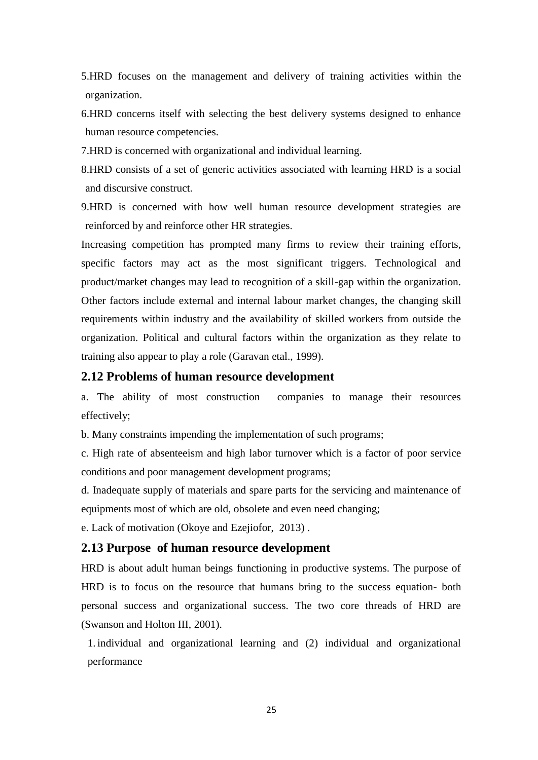5.HRD focuses on the management and delivery of training activities within the organization.

6.HRD concerns itself with selecting the best delivery systems designed to enhance human resource competencies.

7.HRD is concerned with organizational and individual learning.

8.HRD consists of a set of generic activities associated with learning HRD is a social and discursive construct.

9.HRD is concerned with how well human resource development strategies are reinforced by and reinforce other HR strategies.

Increasing competition has prompted many firms to review their training efforts, specific factors may act as the most significant triggers. Technological and product/market changes may lead to recognition of a skill-gap within the organization. Other factors include external and internal labour market changes, the changing skill requirements within industry and the availability of skilled workers from outside the organization. Political and cultural factors within the organization as they relate to training also appear to play a role (Garavan etal., 1999).

#### **2.12 Problems of human resource development**

a. The ability of most construction companies to manage their resources effectively;

b. Many constraints impending the implementation of such programs;

c. High rate of absenteeism and high labor turnover which is a factor of poor service conditions and poor management development programs;

d. Inadequate supply of materials and spare parts for the servicing and maintenance of equipments most of which are old, obsolete and even need changing;

e. Lack of motivation (Okoye and Ezejiofor, 2013) .

#### **2.13 Purpose of human resource development**

HRD is about adult human beings functioning in productive systems. The purpose of HRD is to focus on the resource that humans bring to the success equation- both personal success and organizational success. The two core threads of HRD are (Swanson and Holton III, 2001).

1. individual and organizational learning and (2) individual and organizational performance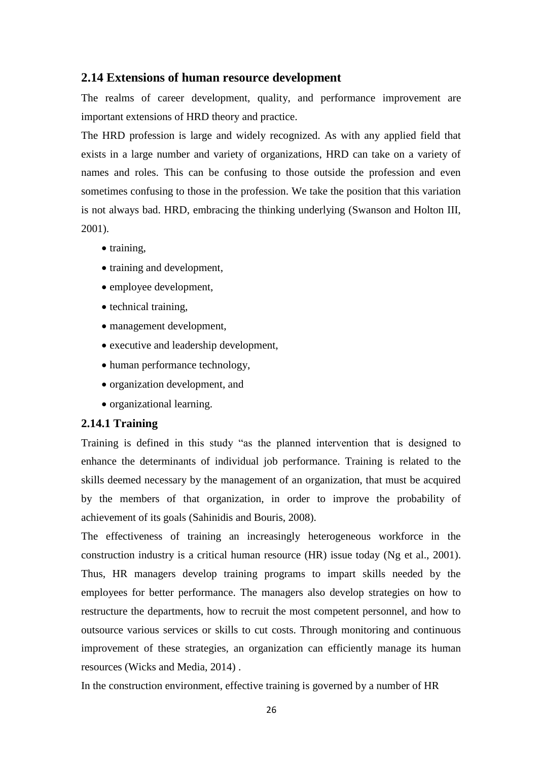### **2.14 Extensions of human resource development**

The realms of career development, quality, and performance improvement are important extensions of HRD theory and practice.

The HRD profession is large and widely recognized. As with any applied field that exists in a large number and variety of organizations, HRD can take on a variety of names and roles. This can be confusing to those outside the profession and even sometimes confusing to those in the profession. We take the position that this variation is not always bad. HRD, embracing the thinking underlying (Swanson and Holton III, 2001).

- training,
- training and development,
- employee development,
- technical training.
- management development,
- executive and leadership development,
- human performance technology,
- organization development, and
- organizational learning.

### **2.14.1 Training**

Training is defined in this study "as the planned intervention that is designed to enhance the determinants of individual job performance. Training is related to the skills deemed necessary by the management of an organization, that must be acquired by the members of that organization, in order to improve the probability of achievement of its goals (Sahinidis and Bouris, 2008).

The effectiveness of training an increasingly heterogeneous workforce in the construction industry is a critical human resource (HR) issue today (Ng et al., 2001). Thus, HR managers develop training programs to impart skills needed by the employees for better performance. The managers also develop strategies on how to restructure the departments, how to recruit the most competent personnel, and how to outsource various services or skills to cut costs. Through monitoring and continuous improvement of these strategies, an organization can efficiently manage its human resources (Wicks and Media, 2014) .

In the construction environment, effective training is governed by a number of HR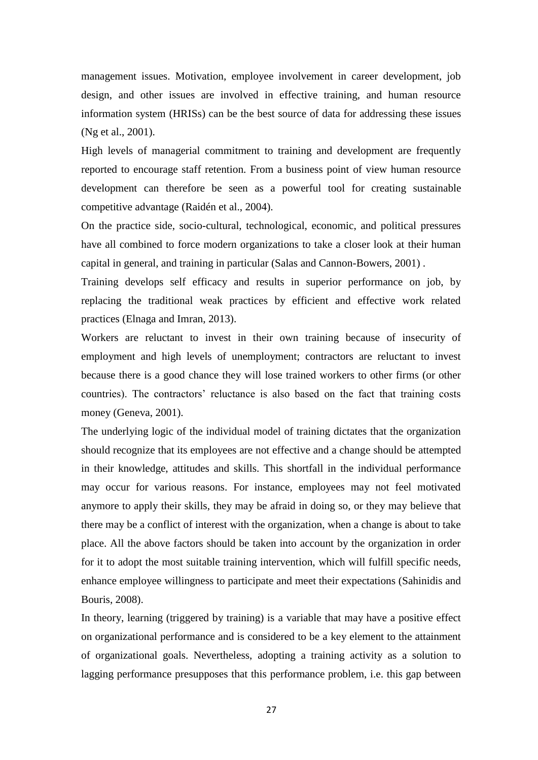management issues. Motivation, employee involvement in career development, job design, and other issues are involved in effective training, and human resource information system (HRISs) can be the best source of data for addressing these issues (Ng et al., 2001).

High levels of managerial commitment to training and development are frequently reported to encourage staff retention. From a business point of view human resource development can therefore be seen as a powerful tool for creating sustainable competitive advantage (Raidén et al., 2004).

On the practice side, socio-cultural, technological, economic, and political pressures have all combined to force modern organizations to take a closer look at their human capital in general, and training in particular (Salas and Cannon-Bowers, 2001) .

Training develops self efficacy and results in superior performance on job, by replacing the traditional weak practices by efficient and effective work related practices (Elnaga and Imran, 2013).

Workers are reluctant to invest in their own training because of insecurity of employment and high levels of unemployment; contractors are reluctant to invest because there is a good chance they will lose trained workers to other firms (or other countries). The contractors' reluctance is also based on the fact that training costs money (Geneva, 2001).

The underlying logic of the individual model of training dictates that the organization should recognize that its employees are not effective and a change should be attempted in their knowledge, attitudes and skills. This shortfall in the individual performance may occur for various reasons. For instance, employees may not feel motivated anymore to apply their skills, they may be afraid in doing so, or they may believe that there may be a conflict of interest with the organization, when a change is about to take place. All the above factors should be taken into account by the organization in order for it to adopt the most suitable training intervention, which will fulfill specific needs, enhance employee willingness to participate and meet their expectations (Sahinidis and Bouris, 2008).

In theory, learning (triggered by training) is a variable that may have a positive effect on organizational performance and is considered to be a key element to the attainment of organizational goals. Nevertheless, adopting a training activity as a solution to lagging performance presupposes that this performance problem, i.e. this gap between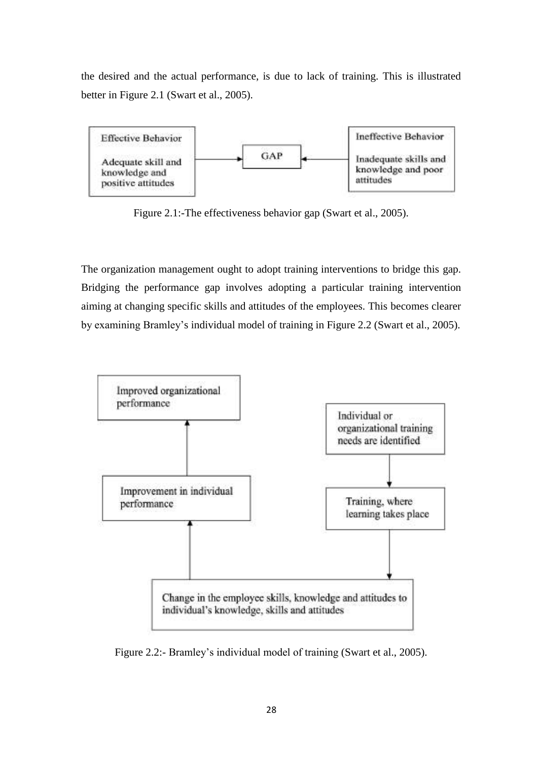the desired and the actual performance, is due to lack of training. This is illustrated better in Figure 2.1 (Swart et al., 2005).



Figure 2.1:-The effectiveness behavior gap (Swart et al., 2005).

The organization management ought to adopt training interventions to bridge this gap. Bridging the performance gap involves adopting a particular training intervention aiming at changing specific skills and attitudes of the employees. This becomes clearer by examining Bramley"s individual model of training in Figure 2.2 (Swart et al., 2005).



Figure 2.2:- Bramley"s individual model of training (Swart et al., 2005).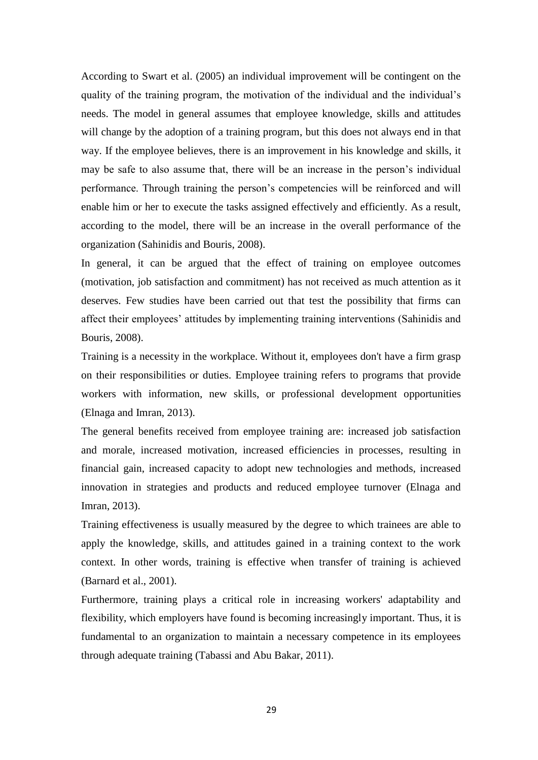According to Swart et al. (2005) an individual improvement will be contingent on the quality of the training program, the motivation of the individual and the individual"s needs. The model in general assumes that employee knowledge, skills and attitudes will change by the adoption of a training program, but this does not always end in that way. If the employee believes, there is an improvement in his knowledge and skills, it may be safe to also assume that, there will be an increase in the person's individual performance. Through training the person"s competencies will be reinforced and will enable him or her to execute the tasks assigned effectively and efficiently. As a result, according to the model, there will be an increase in the overall performance of the organization (Sahinidis and Bouris, 2008).

In general, it can be argued that the effect of training on employee outcomes (motivation, job satisfaction and commitment) has not received as much attention as it deserves. Few studies have been carried out that test the possibility that firms can affect their employees" attitudes by implementing training interventions (Sahinidis and Bouris, 2008).

Training is a necessity in the workplace. Without it, employees don't have a firm grasp on their responsibilities or duties. Employee training refers to programs that provide workers with information, new skills, or professional development opportunities (Elnaga and Imran, 2013).

The general benefits received from employee training are: increased job satisfaction and morale, increased motivation, increased efficiencies in processes, resulting in financial gain, increased capacity to adopt new technologies and methods, increased innovation in strategies and products and reduced employee turnover (Elnaga and Imran, 2013).

Training effectiveness is usually measured by the degree to which trainees are able to apply the knowledge, skills, and attitudes gained in a training context to the work context. In other words, training is effective when transfer of training is achieved (Barnard et al., 2001).

Furthermore, training plays a critical role in increasing workers' adaptability and flexibility, which employers have found is becoming increasingly important. Thus, it is fundamental to an organization to maintain a necessary competence in its employees through adequate training (Tabassi and Abu Bakar, 2011).

29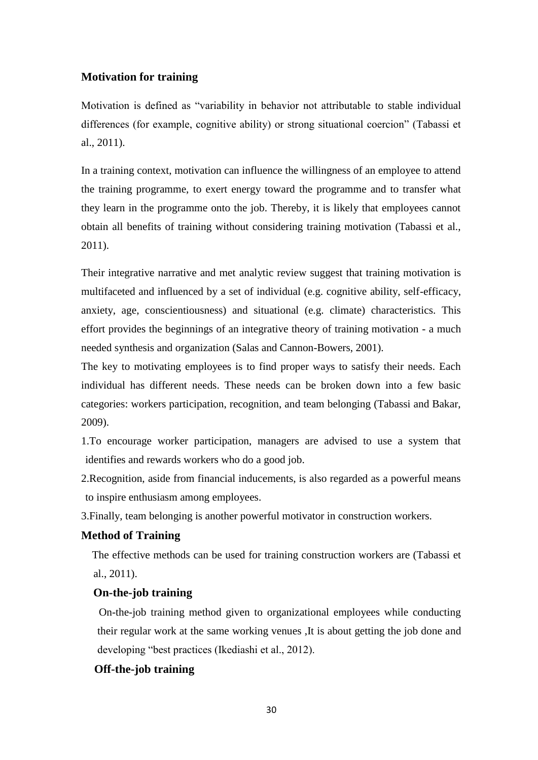### **Motivation for training**

Motivation is defined as "variability in behavior not attributable to stable individual differences (for example, cognitive ability) or strong situational coercion" (Tabassi et al., 2011).

In a training context, motivation can influence the willingness of an employee to attend the training programme, to exert energy toward the programme and to transfer what they learn in the programme onto the job. Thereby, it is likely that employees cannot obtain all benefits of training without considering training motivation (Tabassi et al., 2011).

Their integrative narrative and met analytic review suggest that training motivation is multifaceted and influenced by a set of individual (e.g. cognitive ability, self-efficacy, anxiety, age, conscientiousness) and situational (e.g. climate) characteristics. This effort provides the beginnings of an integrative theory of training motivation - a much needed synthesis and organization (Salas and Cannon-Bowers, 2001).

The key to motivating employees is to find proper ways to satisfy their needs. Each individual has different needs. These needs can be broken down into a few basic categories: workers participation, recognition, and team belonging (Tabassi and Bakar, 2009).

1.To encourage worker participation, managers are advised to use a system that identifies and rewards workers who do a good job.

2.Recognition, aside from financial inducements, is also regarded as a powerful means to inspire enthusiasm among employees.

3.Finally, team belonging is another powerful motivator in construction workers.

#### **Method of Training**

The effective methods can be used for training construction workers are (Tabassi et al., 2011).

#### **On-the-job training**

 On-the-job training method given to organizational employees while conducting their regular work at the same working venues ,It is about getting the job done and developing "best practices (Ikediashi et al., 2012).

### **Off-the-job training**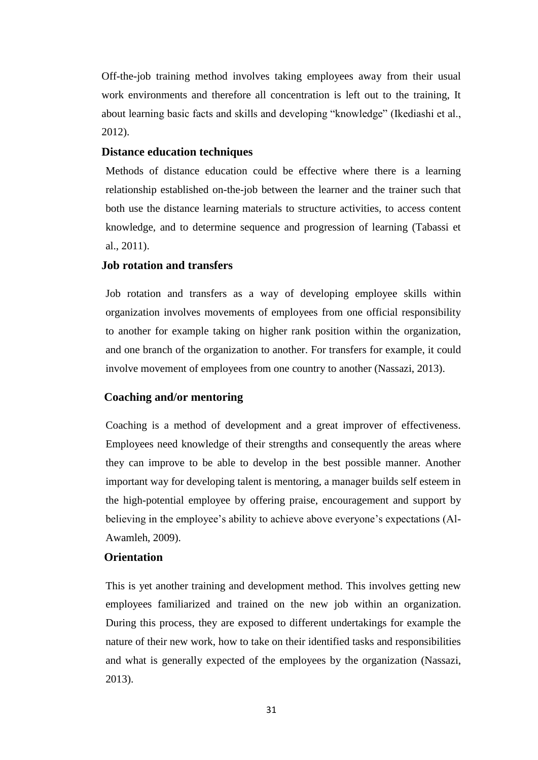Off-the-job training method involves taking employees away from their usual work environments and therefore all concentration is left out to the training, It about learning basic facts and skills and developing "knowledge" (Ikediashi et al., 2012).

#### **Distance education techniques**

Methods of distance education could be effective where there is a learning relationship established on-the-job between the learner and the trainer such that both use the distance learning materials to structure activities, to access content knowledge, and to determine sequence and progression of learning (Tabassi et al., 2011).

#### **Job rotation and transfers**

Job rotation and transfers as a way of developing employee skills within organization involves movements of employees from one official responsibility to another for example taking on higher rank position within the organization, and one branch of the organization to another. For transfers for example, it could involve movement of employees from one country to another (Nassazi, 2013).

#### **Coaching and/or mentoring**

Coaching is a method of development and a great improver of effectiveness. Employees need knowledge of their strengths and consequently the areas where they can improve to be able to develop in the best possible manner. Another important way for developing talent is mentoring, a manager builds self esteem in the high-potential employee by offering praise, encouragement and support by believing in the employee"s ability to achieve above everyone"s expectations (Al-Awamleh, 2009).

### **Orientation**

This is yet another training and development method. This involves getting new employees familiarized and trained on the new job within an organization. During this process, they are exposed to different undertakings for example the nature of their new work, how to take on their identified tasks and responsibilities and what is generally expected of the employees by the organization (Nassazi, 2013).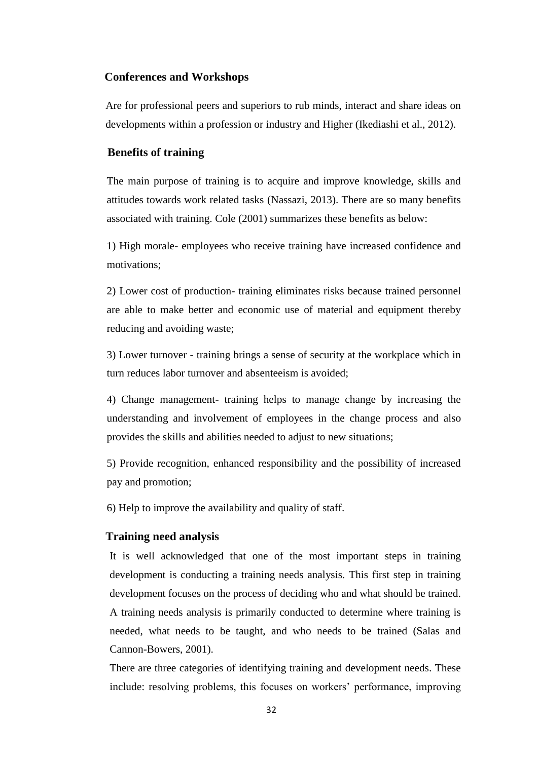#### **Conferences and Workshops**

Are for professional peers and superiors to rub minds, interact and share ideas on developments within a profession or industry and Higher (Ikediashi et al., 2012).

### **Benefits of training**

The main purpose of training is to acquire and improve knowledge, skills and attitudes towards work related tasks (Nassazi, 2013). There are so many benefits associated with training. Cole (2001) summarizes these benefits as below:

1) High morale- employees who receive training have increased confidence and motivations;

2) Lower cost of production- training eliminates risks because trained personnel are able to make better and economic use of material and equipment thereby reducing and avoiding waste;

3) Lower turnover - training brings a sense of security at the workplace which in turn reduces labor turnover and absenteeism is avoided;

4) Change management- training helps to manage change by increasing the understanding and involvement of employees in the change process and also provides the skills and abilities needed to adjust to new situations;

5) Provide recognition, enhanced responsibility and the possibility of increased pay and promotion;

6) Help to improve the availability and quality of staff.

#### **Training need analysis**

It is well acknowledged that one of the most important steps in training development is conducting a training needs analysis. This first step in training development focuses on the process of deciding who and what should be trained. A training needs analysis is primarily conducted to determine where training is needed, what needs to be taught, and who needs to be trained (Salas and Cannon-Bowers, 2001).

There are three categories of identifying training and development needs. These include: resolving problems, this focuses on workers' performance, improving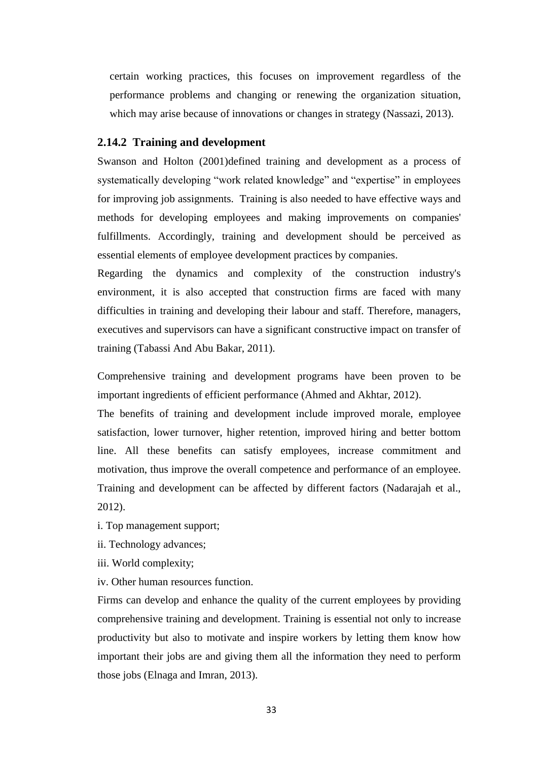certain working practices, this focuses on improvement regardless of the performance problems and changing or renewing the organization situation, which may arise because of innovations or changes in strategy (Nassazi, 2013).

#### **2.14.2 Training and development**

Swanson and Holton (2001)defined training and development as a process of systematically developing "work related knowledge" and "expertise" in employees for improving job assignments. Training is also needed to have effective ways and methods for developing employees and making improvements on companies' fulfillments. Accordingly, training and development should be perceived as essential elements of employee development practices by companies.

Regarding the dynamics and complexity of the construction industry's environment, it is also accepted that construction firms are faced with many difficulties in training and developing their labour and staff. Therefore, managers, executives and supervisors can have a significant constructive impact on transfer of training (Tabassi And Abu Bakar, 2011).

Comprehensive training and development programs have been proven to be important ingredients of efficient performance (Ahmed and Akhtar, 2012).

The benefits of training and development include improved morale, employee satisfaction, lower turnover, higher retention, improved hiring and better bottom line. All these benefits can satisfy employees, increase commitment and motivation, thus improve the overall competence and performance of an employee. Training and development can be affected by different factors (Nadarajah et al., 2012).

- i. Top management support;
- ii. Technology advances;
- iii. World complexity;
- iv. Other human resources function.

Firms can develop and enhance the quality of the current employees by providing comprehensive training and development. Training is essential not only to increase productivity but also to motivate and inspire workers by letting them know how important their jobs are and giving them all the information they need to perform those jobs (Elnaga and Imran, 2013).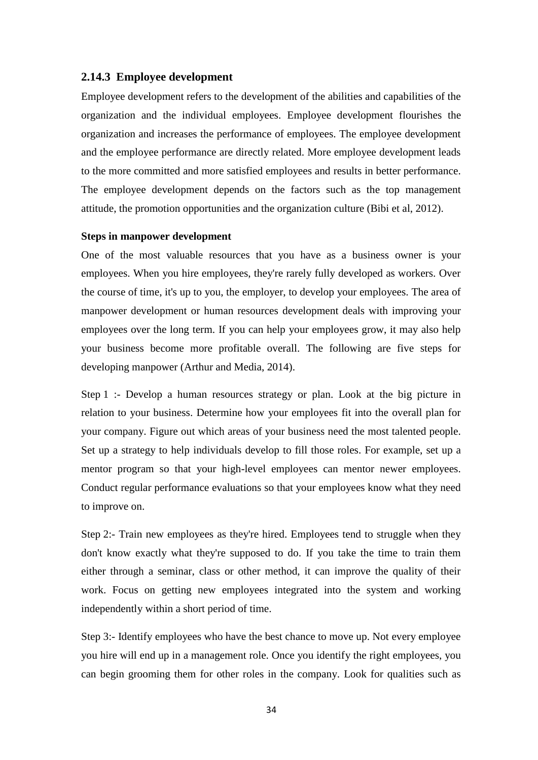#### **2.14.3 Employee development**

Employee development refers to the development of the abilities and capabilities of the organization and the individual employees. Employee development flourishes the organization and increases the performance of employees. The employee development and the employee performance are directly related. More employee development leads to the more committed and more satisfied employees and results in better performance. The employee development depends on the factors such as the top management attitude, the promotion opportunities and the organization culture (Bibi et al, 2012).

#### **Steps in manpower development**

One of the most valuable resources that you have as a business owner is your employees. When you hire employees, they're rarely fully developed as workers. Over the course of time, it's up to you, the employer, to develop your employees. The area of manpower development or human resources development deals with improving your employees over the long term. If you can help your employees grow, it may also help your business become more profitable overall. The following are five steps for developing manpower (Arthur and Media, 2014).

Step 1 :- Develop a human resources strategy or plan. Look at the big picture in relation to your business. Determine how your employees fit into the overall plan for your company. Figure out which areas of your business need the most talented people. Set up a strategy to help individuals develop to fill those roles. For example, set up a mentor program so that your high-level employees can mentor newer employees. Conduct regular performance evaluations so that your employees know what they need to improve on.

Step 2:- Train new employees as they're hired. Employees tend to struggle when they don't know exactly what they're supposed to do. If you take the time to train them either through a seminar, class or other method, it can improve the quality of their work. Focus on getting new employees integrated into the system and working independently within a short period of time.

Step 3:- Identify employees who have the best chance to move up. Not every employee you hire will end up in a management role. Once you identify the right employees, you can begin grooming them for other roles in the company. Look for qualities such as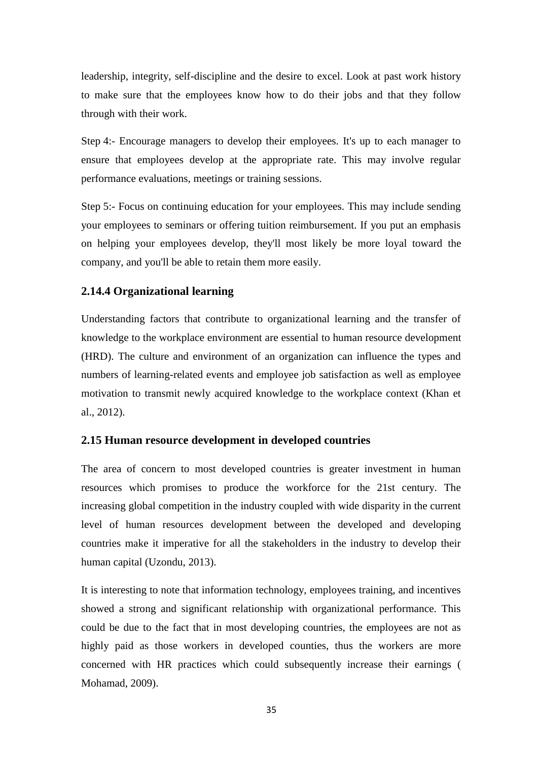leadership, integrity, self-discipline and the desire to excel. Look at past work history to make sure that the employees know how to do their jobs and that they follow through with their work.

Step 4:- Encourage managers to develop their employees. It's up to each manager to ensure that employees develop at the appropriate rate. This may involve regular performance evaluations, meetings or training sessions.

Step 5:- Focus on continuing education for your employees. This may include sending your employees to seminars or offering tuition reimbursement. If you put an emphasis on helping your employees develop, they'll most likely be more loyal toward the company, and you'll be able to retain them more easily.

#### **2.14.4 Organizational learning**

Understanding factors that contribute to organizational learning and the transfer of knowledge to the workplace environment are essential to human resource development (HRD). The culture and environment of an organization can influence the types and numbers of learning-related events and employee job satisfaction as well as employee motivation to transmit newly acquired knowledge to the workplace context (Khan et al., 2012).

#### **2.15 Human resource development in developed countries**

The area of concern to most developed countries is greater investment in human resources which promises to produce the workforce for the 21st century. The increasing global competition in the industry coupled with wide disparity in the current level of human resources development between the developed and developing countries make it imperative for all the stakeholders in the industry to develop their human capital (Uzondu, 2013).

It is interesting to note that information technology, employees training, and incentives showed a strong and significant relationship with organizational performance. This could be due to the fact that in most developing countries, the employees are not as highly paid as those workers in developed counties, thus the workers are more concerned with HR practices which could subsequently increase their earnings ( Mohamad, 2009).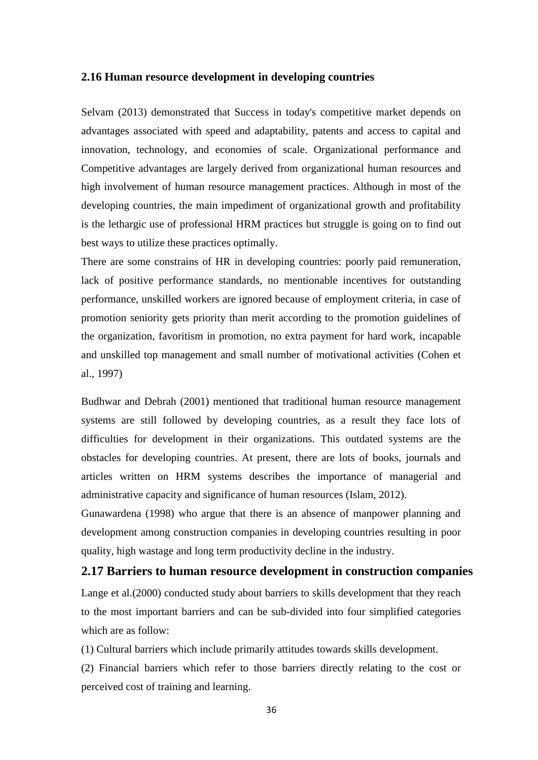#### **2.16 Human resource development in developing countries**

Selvam (2013) demonstrated that Success in today's competitive market depends on advantages associated with speed and adaptability, patents and access to capital and innovation, technology, and economies of scale. Organizational performance and Competitive advantages are largely derived from organizational human resources and high involvement of human resource management practices. Although in most of the developing countries, the main impediment of organizational growth and profitability is the lethargic use of professional HRM practices but struggle is going on to find out best ways to utilize these practices optimally.

There are some constrains of HR in developing countries: poorly paid remuneration, lack of positive performance standards, no mentionable incentives for outstanding performance, unskilled workers are ignored because of employment criteria, in case of promotion seniority gets priority than merit according to the promotion guidelines of the organization, favoritism in promotion, no extra payment for hard work, incapable and unskilled top management and small number of motivational activities (Cohen et al., 1997)

Budhwar and Debrah (2001) mentioned that traditional human resource management systems are still followed by developing countries, as a result they face lots of difficulties for development in their organizations. This outdated systems are the obstacles for developing countries. At present, there are lots of books, journals and articles written on HRM systems describes the importance of managerial and administrative capacity and significance of human resources (Islam, 2012).

Gunawardena (1998) who argue that there is an absence of manpower planning and development among construction companies in developing countries resulting in poor quality, high wastage and long term productivity decline in the industry.

### **2.17 Barriers to human resource development in construction companies**

Lange et al.(2000) conducted study about barriers to skills development that they reach to the most important barriers and can be sub-divided into four simplified categories which are as follow:

(1) Cultural barriers which include primarily attitudes towards skills development.

(2) Financial barriers which refer to those barriers directly relating to the cost or perceived cost of training and learning.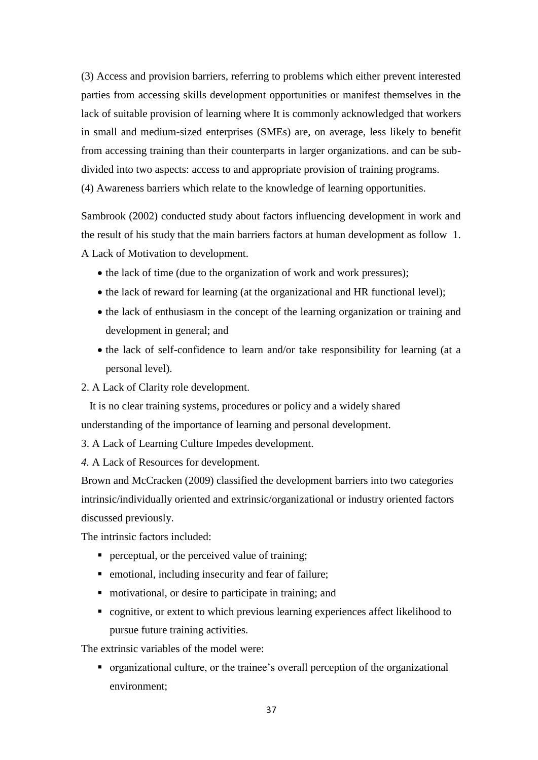(3) Access and provision barriers, referring to problems which either prevent interested parties from accessing skills development opportunities or manifest themselves in the lack of suitable provision of learning where It is commonly acknowledged that workers in small and medium-sized enterprises (SMEs) are, on average, less likely to benefit from accessing training than their counterparts in larger organizations. and can be subdivided into two aspects: access to and appropriate provision of training programs. (4) Awareness barriers which relate to the knowledge of learning opportunities.

Sambrook (2002) conducted study about factors influencing development in work and the result of his study that the main barriers factors at human development as follow 1. A Lack of Motivation to development.

- the lack of time (due to the organization of work and work pressures);
- the lack of reward for learning (at the organizational and HR functional level);
- the lack of enthusiasm in the concept of the learning organization or training and development in general; and
- the lack of self-confidence to learn and/or take responsibility for learning (at a personal level).
- 2. A Lack of Clarity role development.

 It is no clear training systems, procedures or policy and a widely shared understanding of the importance of learning and personal development.

3. A Lack of Learning Culture Impedes development.

*4.* A Lack of Resources for development.

Brown and McCracken (2009) classified the development barriers into two categories intrinsic/individually oriented and extrinsic/organizational or industry oriented factors discussed previously.

The intrinsic factors included:

- **Perceptual, or the perceived value of training;**
- **EXECUTE:** emotional, including insecurity and fear of failure;
- motivational, or desire to participate in training; and
- cognitive, or extent to which previous learning experiences affect likelihood to pursue future training activities.

The extrinsic variables of the model were:

• organizational culture, or the trainee's overall perception of the organizational environment;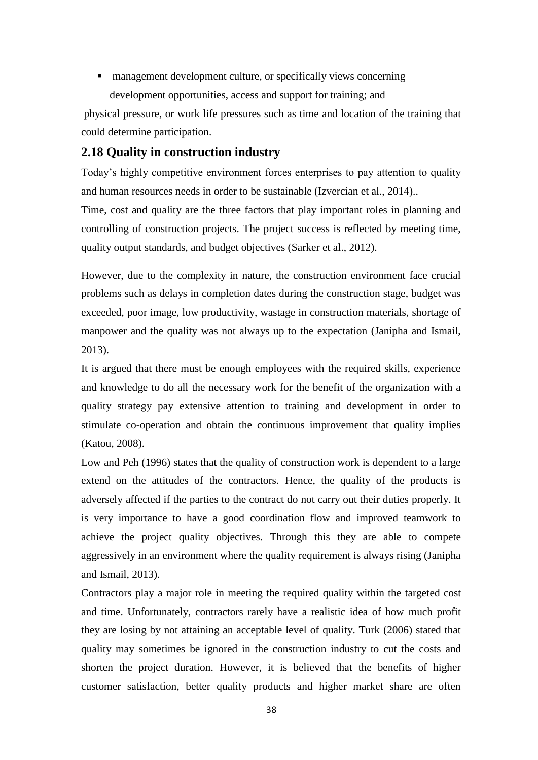■ management development culture, or specifically views concerning development opportunities, access and support for training; and

physical pressure, or work life pressures such as time and location of the training that could determine participation.

# **2.18 Quality in construction industry**

Today"s highly competitive environment forces enterprises to pay attention to quality and human resources needs in order to be sustainable (Izvercian et al., 2014)..

Time, cost and quality are the three factors that play important roles in planning and controlling of construction projects. The project success is reflected by meeting time, quality output standards, and budget objectives (Sarker et al., 2012).

However, due to the complexity in nature, the construction environment face crucial problems such as delays in completion dates during the construction stage, budget was exceeded, poor image, low productivity, wastage in construction materials, shortage of manpower and the quality was not always up to the expectation (Janipha and Ismail, 2013).

It is argued that there must be enough employees with the required skills, experience and knowledge to do all the necessary work for the benefit of the organization with a quality strategy pay extensive attention to training and development in order to stimulate co-operation and obtain the continuous improvement that quality implies (Katou, 2008).

Low and Peh (1996) states that the quality of construction work is dependent to a large extend on the attitudes of the contractors. Hence, the quality of the products is adversely affected if the parties to the contract do not carry out their duties properly. It is very importance to have a good coordination flow and improved teamwork to achieve the project quality objectives. Through this they are able to compete aggressively in an environment where the quality requirement is always rising (Janipha and Ismail, 2013).

Contractors play a major role in meeting the required quality within the targeted cost and time. Unfortunately, contractors rarely have a realistic idea of how much profit they are losing by not attaining an acceptable level of quality. Turk (2006) stated that quality may sometimes be ignored in the construction industry to cut the costs and shorten the project duration. However, it is believed that the benefits of higher customer satisfaction, better quality products and higher market share are often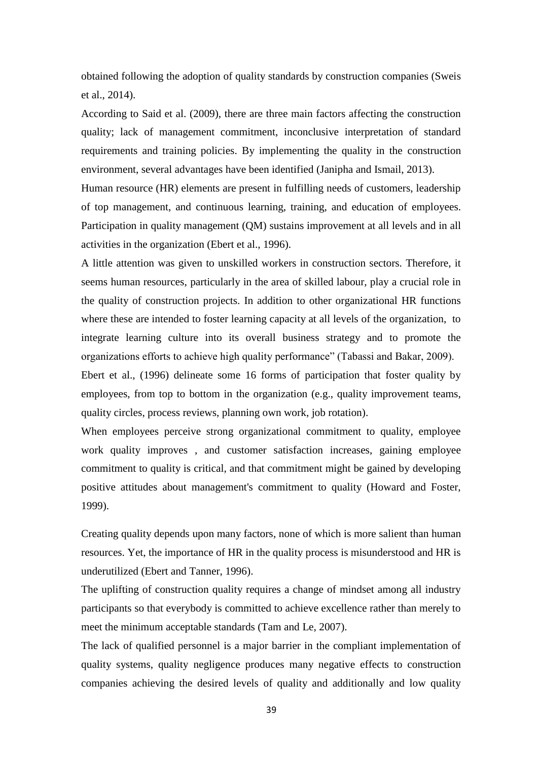obtained following the adoption of quality standards by construction companies (Sweis et al., 2014).

According to Said et al. (2009), there are three main factors affecting the construction quality; lack of management commitment, inconclusive interpretation of standard requirements and training policies. By implementing the quality in the construction environment, several advantages have been identified (Janipha and Ismail, 2013).

Human resource (HR) elements are present in fulfilling needs of customers, leadership of top management, and continuous learning, training, and education of employees. Participation in quality management (QM) sustains improvement at all levels and in all activities in the organization (Ebert et al., 1996).

A little attention was given to unskilled workers in construction sectors. Therefore, it seems human resources, particularly in the area of skilled labour, play a crucial role in the quality of construction projects. In addition to other organizational HR functions where these are intended to foster learning capacity at all levels of the organization, to integrate learning culture into its overall business strategy and to promote the organizations efforts to achieve high quality performance" (Tabassi and Bakar, 2009).

Ebert et al., (1996) delineate some 16 forms of participation that foster quality by employees, from top to bottom in the organization (e.g., quality improvement teams, quality circles, process reviews, planning own work, job rotation).

When employees perceive strong organizational commitment to quality, employee work quality improves , and customer satisfaction increases, gaining employee commitment to quality is critical, and that commitment might be gained by developing positive attitudes about management's commitment to quality (Howard and Foster, 1999).

Creating quality depends upon many factors, none of which is more salient than human resources. Yet, the importance of HR in the quality process is misunderstood and HR is underutilized (Ebert and Tanner, 1996).

The uplifting of construction quality requires a change of mindset among all industry participants so that everybody is committed to achieve excellence rather than merely to meet the minimum acceptable standards (Tam and Le, 2007).

The lack of qualified personnel is a major barrier in the compliant implementation of quality systems, quality negligence produces many negative effects to construction companies achieving the desired levels of quality and additionally and low quality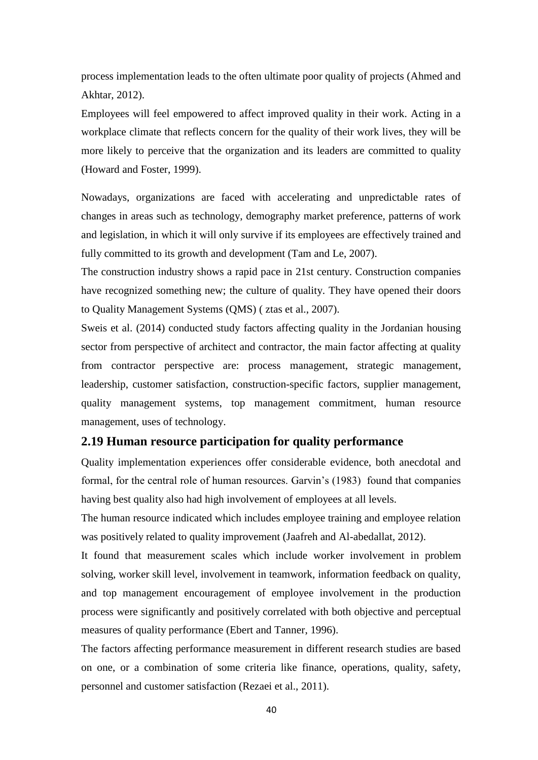process implementation leads to the often ultimate poor quality of projects (Ahmed and Akhtar, 2012).

Employees will feel empowered to affect improved quality in their work. Acting in a workplace climate that reflects concern for the quality of their work lives, they will be more likely to perceive that the organization and its leaders are committed to quality (Howard and Foster, 1999).

Nowadays, organizations are faced with accelerating and unpredictable rates of changes in areas such as technology, demography market preference, patterns of work and legislation, in which it will only survive if its employees are effectively trained and fully committed to its growth and development (Tam and Le, 2007).

The construction industry shows a rapid pace in 21st century. Construction companies have recognized something new; the culture of quality. They have opened their doors to Quality Management Systems (QMS) ( ztas et al., 2007).

Sweis et al. (2014) conducted study factors affecting quality in the Jordanian housing sector from perspective of architect and contractor, the main factor affecting at quality from contractor perspective are: process management, strategic management, leadership, customer satisfaction, construction-specific factors, supplier management, quality management systems, top management commitment, human resource management, uses of technology.

#### **2.19 Human resource participation for quality performance**

Quality implementation experiences offer considerable evidence, both anecdotal and formal, for the central role of human resources. Garvin"s (1983) found that companies having best quality also had high involvement of employees at all levels.

The human resource indicated which includes employee training and employee relation was positively related to quality improvement (Jaafreh and Al-abedallat, 2012).

It found that measurement scales which include worker involvement in problem solving, worker skill level, involvement in teamwork, information feedback on quality, and top management encouragement of employee involvement in the production process were significantly and positively correlated with both objective and perceptual measures of quality performance (Ebert and Tanner, 1996).

The factors affecting performance measurement in different research studies are based on one, or a combination of some criteria like finance, operations, quality, safety, personnel and customer satisfaction (Rezaei et al., 2011).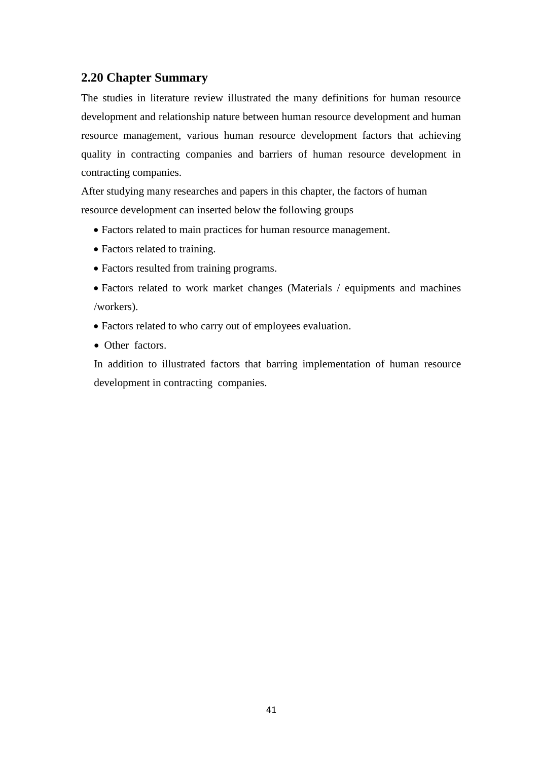## **2.20 Chapter Summary**

The studies in literature review illustrated the many definitions for human resource development and relationship nature between human resource development and human resource management, various human resource development factors that achieving quality in contracting companies and barriers of human resource development in contracting companies.

After studying many researches and papers in this chapter, the factors of human resource development can inserted below the following groups

- Factors related to main practices for human resource management.
- Factors related to training.
- Factors resulted from training programs.
- Factors related to work market changes (Materials / equipments and machines /workers).
- Factors related to who carry out of employees evaluation.
- Other factors.

In addition to illustrated factors that barring implementation of human resource development in contracting companies.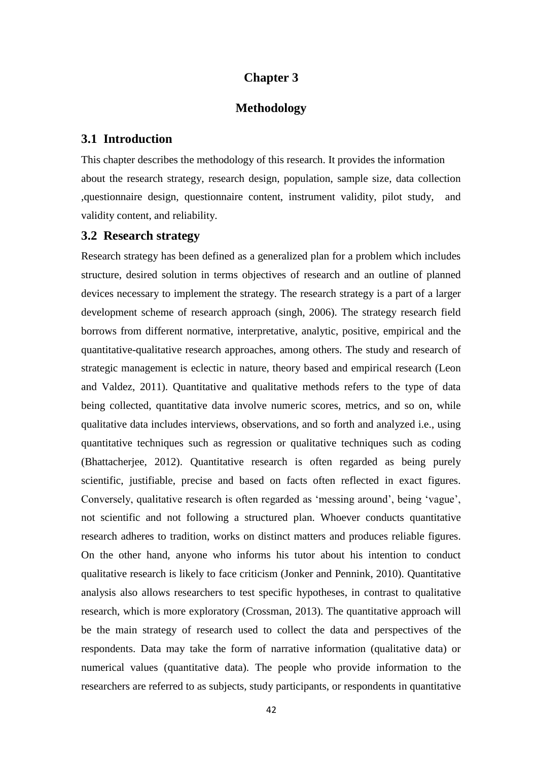### **Chapter 3**

### **Methodology**

#### **3.1 Introduction**

This chapter describes the methodology of this research. It provides the information about the research strategy, research design, population, sample size, data collection ,questionnaire design, questionnaire content, instrument validity, pilot study, and validity content, and reliability.

### **3.2 Research strategy**

Research strategy has been defined as a generalized plan for a problem which includes structure, desired solution in terms objectives of research and an outline of planned devices necessary to implement the strategy. The research strategy is a part of a larger development scheme of research approach (singh, 2006). The strategy research field borrows from different normative, interpretative, analytic, positive, empirical and the quantitative-qualitative research approaches, among others. The study and research of strategic management is eclectic in nature, theory based and empirical research (Leon and Valdez, 2011). Quantitative and qualitative methods refers to the type of data being collected, quantitative data involve numeric scores, metrics, and so on, while qualitative data includes interviews, observations, and so forth and analyzed i.e., using quantitative techniques such as regression or qualitative techniques such as coding (Bhattacherjee, 2012). Quantitative research is often regarded as being purely scientific, justifiable, precise and based on facts often reflected in exact figures. Conversely, qualitative research is often regarded as "messing around", being "vague", not scientific and not following a structured plan. Whoever conducts quantitative research adheres to tradition, works on distinct matters and produces reliable figures. On the other hand, anyone who informs his tutor about his intention to conduct qualitative research is likely to face criticism (Jonker and Pennink, 2010). Quantitative analysis also allows researchers to test specific hypotheses, in contrast to qualitative research, which is more exploratory (Crossman, 2013). The quantitative approach will be the main strategy of research used to collect the data and perspectives of the respondents. Data may take the form of narrative information (qualitative data) or numerical values (quantitative data). The people who provide information to the researchers are referred to as subjects, study participants, or respondents in quantitative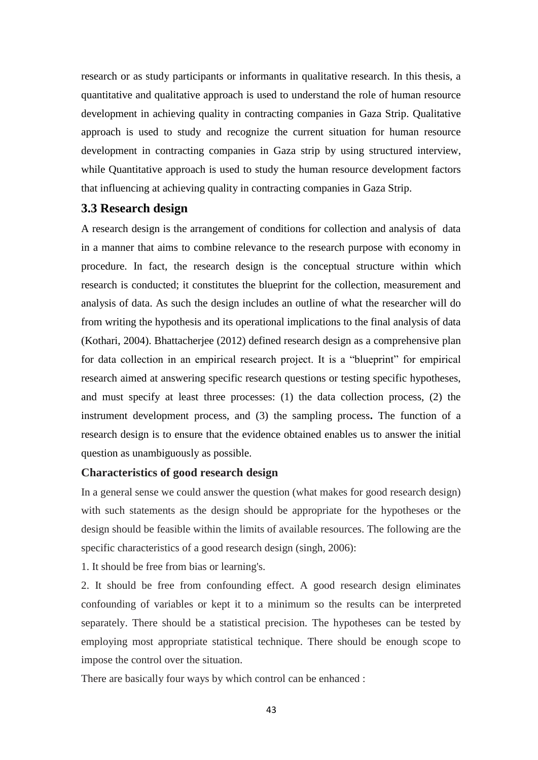research or as study participants or informants in qualitative research. In this thesis, a quantitative and qualitative approach is used to understand the role of human resource development in achieving quality in contracting companies in Gaza Strip. Qualitative approach is used to study and recognize the current situation for human resource development in contracting companies in Gaza strip by using structured interview, while Quantitative approach is used to study the human resource development factors that influencing at achieving quality in contracting companies in Gaza Strip.

### **3.3 Research design**

A research design is the arrangement of conditions for collection and analysis of data in a manner that aims to combine relevance to the research purpose with economy in procedure. In fact, the research design is the conceptual structure within which research is conducted; it constitutes the blueprint for the collection, measurement and analysis of data. As such the design includes an outline of what the researcher will do from writing the hypothesis and its operational implications to the final analysis of data (Kothari, 2004). Bhattacherjee (2012) defined research design as a comprehensive plan for data collection in an empirical research project. It is a "blueprint" for empirical research aimed at answering specific research questions or testing specific hypotheses, and must specify at least three processes: (1) the data collection process, (2) the instrument development process, and (3) the sampling process**.** The function of a research design is to ensure that the evidence obtained enables us to answer the initial question as unambiguously as possible.

### **Characteristics of good research design**

In a general sense we could answer the question (what makes for good research design) with such statements as the design should be appropriate for the hypotheses or the design should be feasible within the limits of available resources. The following are the specific characteristics of a good research design (singh, 2006):

1. It should be free from bias or learning's.

2. It should be free from confounding effect. A good research design eliminates confounding of variables or kept it to a minimum so the results can be interpreted separately. There should be a statistical precision. The hypotheses can be tested by employing most appropriate statistical technique. There should be enough scope to impose the control over the situation.

There are basically four ways by which control can be enhanced :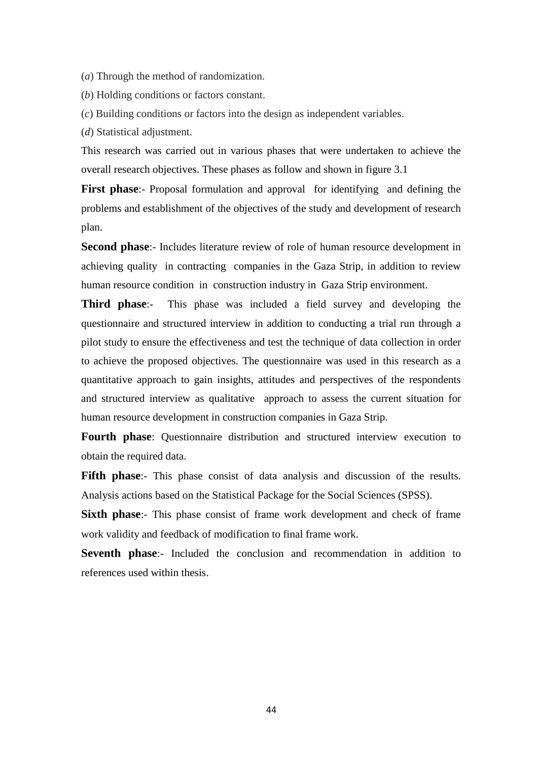(*a*) Through the method of randomization.

(*b*) Holding conditions or factors constant.

(*c*) Building conditions or factors into the design as independent variables.

(*d*) Statistical adjustment.

This research was carried out in various phases that were undertaken to achieve the overall research objectives. These phases as follow and shown in figure 3.1

**First phase:**- Proposal formulation and approval for identifying and defining the problems and establishment of the objectives of the study and development of research plan.

**Second phase**:- Includes literature review of role of human resource development in achieving quality in contracting companies in the Gaza Strip, in addition to review human resource condition in construction industry in Gaza Strip environment.

**Third phase**:- This phase was included a field survey and developing the questionnaire and structured interview in addition to conducting a trial run through a pilot study to ensure the effectiveness and test the technique of data collection in order to achieve the proposed objectives. The questionnaire was used in this research as a quantitative approach to gain insights, attitudes and perspectives of the respondents and structured interview as qualitative approach to assess the current situation for human resource development in construction companies in Gaza Strip.

**Fourth phase**: Questionnaire distribution and structured interview execution to obtain the required data.

**Fifth phase:**- This phase consist of data analysis and discussion of the results. Analysis actions based on the Statistical Package for the Social Sciences (SPSS).

**Sixth phase:**- This phase consist of frame work development and check of frame work validity and feedback of modification to final frame work.

**Seventh phase:**- Included the conclusion and recommendation in addition to references used within thesis.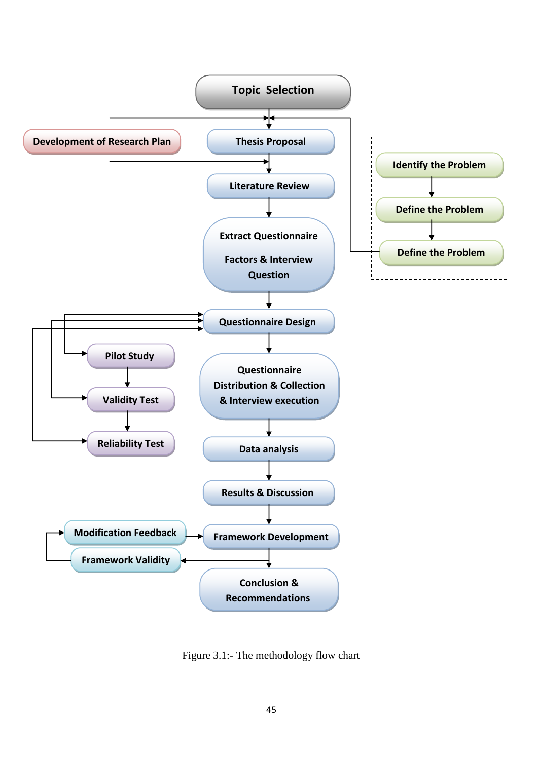

Figure 3.1:- The methodology flow chart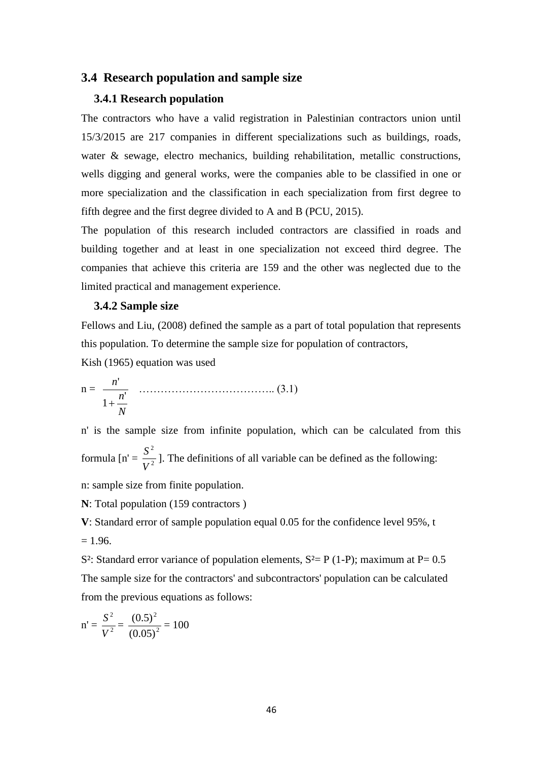### **3.4 Research population and sample size**

#### **3.4.1 Research population**

The contractors who have a valid registration in Palestinian contractors union until 15/3/2015 are 217 companies in different specializations such as buildings, roads, water & sewage, electro mechanics, building rehabilitation, metallic constructions, wells digging and general works, were the companies able to be classified in one or more specialization and the classification in each specialization from first degree to fifth degree and the first degree divided to A and B (PCU, 2015).

The population of this research included contractors are classified in roads and building together and at least in one specialization not exceed third degree. The companies that achieve this criteria are 159 and the other was neglected due to the limited practical and management experience.

#### **3.4.2 Sample size**

Fellows and Liu, (2008) defined the sample as a part of total population that represents this population. To determine the sample size for population of contractors,

Kish (1965) equation was used

$$
n = \frac{n'}{1 + \frac{n'}{N}} \quad \dots \quad (3.1)
$$

n' is the sample size from infinite population, which can be calculated from this formula  $[n] = \frac{5}{V^2}$ 2 *V*  $\frac{S^2}{S^2}$ ]. The definitions of all variable can be defined as the following:

n: sample size from finite population.

**N**: Total population (159 contractors )

**V**: Standard error of sample population equal 0.05 for the confidence level 95%, t  $= 1.96.$ 

S<sup>2</sup>: Standard error variance of population elements,  $S^2 = P(1-P)$ ; maximum at P= 0.5 The sample size for the contractors' and subcontractors' population can be calculated from the previous equations as follows:

$$
n' = \frac{S^2}{V^2} = \frac{(0.5)^2}{(0.05)^2} = 100
$$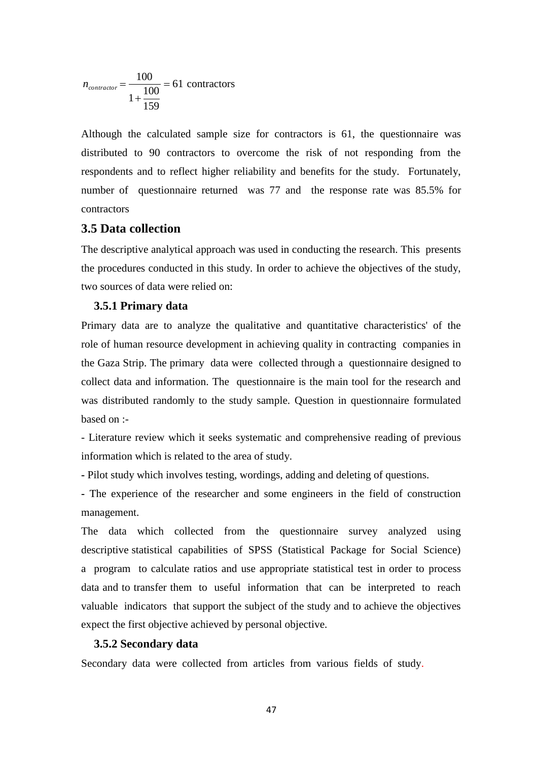$$
n_{\text{contractor}} = \frac{100}{1 + \frac{100}{159}} = 61 \text{ contracts}
$$

Although the calculated sample size for contractors is 61, the questionnaire was distributed to 90 contractors to overcome the risk of not responding from the respondents and to reflect higher reliability and benefits for the study. Fortunately, number of questionnaire returned was 77 and the response rate was 85.5% for contractors

### **3.5 Data collection**

The descriptive analytical approach was used in conducting the research. This presents the procedures conducted in this study. In order to achieve the objectives of the study, two sources of data were relied on:

#### **3.5.1 Primary data**

61 contractors<br>ated sample size for example size for example size for example size for example<br>reflect higher reliability<br>naire returned was 7<br>**n**<br>**n**<br>trical approach was used<br>acted in this study. In or<br>vere relied on:<br>**at** Primary data are to analyze the qualitative and quantitative characteristics' of the role of human resource development in achieving quality in contracting companies in the Gaza Strip. The primary data were collected through a questionnaire designed to collect data and information. The questionnaire is the main tool for the research and was distributed randomly to the study sample. Question in questionnaire formulated based on :-

- Literature review which it seeks systematic and comprehensive reading of previous information which is related to the area of study.

**-** Pilot study which involves testing, wordings, adding and deleting of questions.

**-** The experience of the researcher and some engineers in the field of construction management.

The data which collected from the questionnaire survey analyzed using descriptive statistical capabilities of SPSS (Statistical Package for Social Science) a program to calculate ratios and use appropriate statistical test in order to process data and to transfer them to useful information that can be interpreted to reach valuable indicators that support the subject of the study and to achieve the objectives expect the first objective achieved by personal objective.

#### **3.5.2 Secondary data**

Secondary data were collected from articles from various fields of study.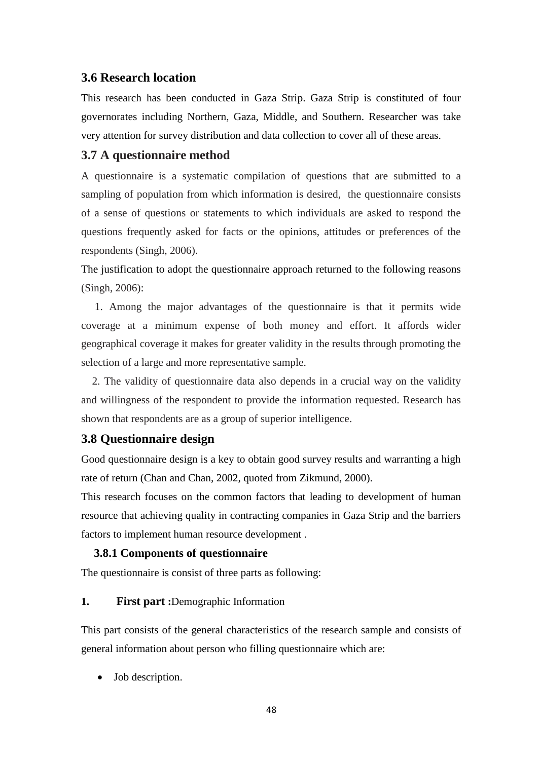### **3.6 Research location**

This research has been conducted in Gaza Strip. Gaza Strip is constituted of four governorates including Northern, Gaza, Middle, and Southern. Researcher was take very attention for survey distribution and data collection to cover all of these areas.

### **3.7 A questionnaire method**

A questionnaire is a systematic compilation of questions that are submitted to a sampling of population from which information is desired, the questionnaire consists of a sense of questions or statements to which individuals are asked to respond the questions frequently asked for facts or the opinions, attitudes or preferences of the respondents (Singh, 2006).

The justification to adopt the questionnaire approach returned to the following reasons (Singh, 2006):

 1. Among the major advantages of the questionnaire is that it permits wide coverage at a minimum expense of both money and effort. It affords wider geographical coverage it makes for greater validity in the results through promoting the selection of a large and more representative sample.

 2. The validity of questionnaire data also depends in a crucial way on the validity and willingness of the respondent to provide the information requested. Research has shown that respondents are as a group of superior intelligence.

### **3.8 Questionnaire design**

Good questionnaire design is a key to obtain good survey results and warranting a high rate of return (Chan and Chan, 2002, quoted from Zikmund, 2000).

This research focuses on the common factors that leading to development of human resource that achieving quality in contracting companies in Gaza Strip and the barriers factors to implement human resource development .

#### **3.8.1 Components of questionnaire**

The questionnaire is consist of three parts as following:

#### **1. First part :**Demographic Information

This part consists of the general characteristics of the research sample and consists of general information about person who filling questionnaire which are:

Job description.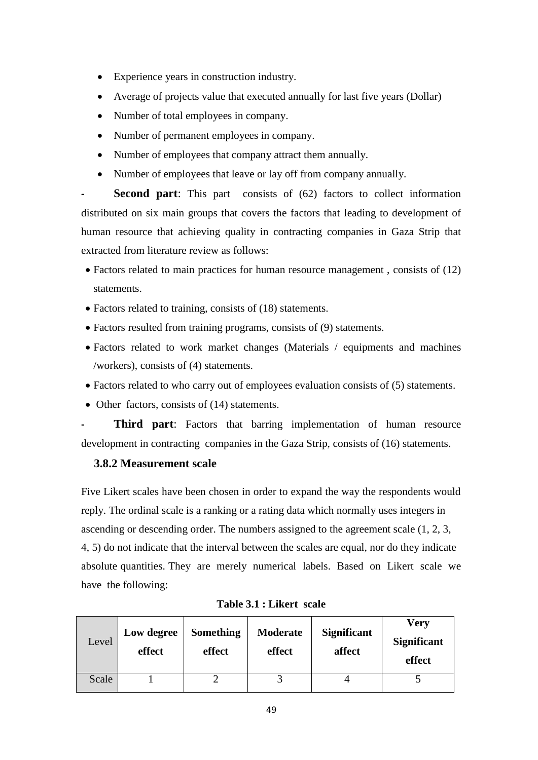- Experience years in construction industry.
- Average of projects value that executed annually for last five years (Dollar)
- Number of total employees in company.
- Number of permanent employees in company.
- Number of employees that company attract them annually.
- Number of employees that leave or lay off from company annually.

**Second part:** This part consists of (62) factors to collect information distributed on six main groups that covers the factors that leading to development of human resource that achieving quality in contracting companies in Gaza Strip that extracted from literature review as follows:

- Factors related to main practices for human resource management, consists of (12) statements.
- Factors related to training, consists of (18) statements.
- Factors resulted from training programs, consists of (9) statements.
- Factors related to work market changes (Materials / equipments and machines /workers), consists of (4) statements.
- Factors related to who carry out of employees evaluation consists of (5) statements.
- Other factors, consists of (14) statements.

**Third part:** Factors that barring implementation of human resource development in contracting companies in the Gaza Strip, consists of (16) statements.

### **3.8.2 Measurement scale**

Five Likert scales have been chosen in order to expand the way the respondents would reply. The ordinal scale is a ranking or a rating data which normally uses integers in ascending or descending order. The numbers assigned to the agreement scale (1, 2, 3, 4, 5) do not indicate that the interval between the scales are equal, nor do they indicate absolute quantities. They are merely numerical labels. Based on Likert scale we have the following:

| Level | Low degree<br>effect | Something<br>effect | Moderate<br>effect | <b>Significant</b><br>affect | Very<br><b>Significant</b><br>effect |
|-------|----------------------|---------------------|--------------------|------------------------------|--------------------------------------|
| Scale |                      |                     |                    |                              |                                      |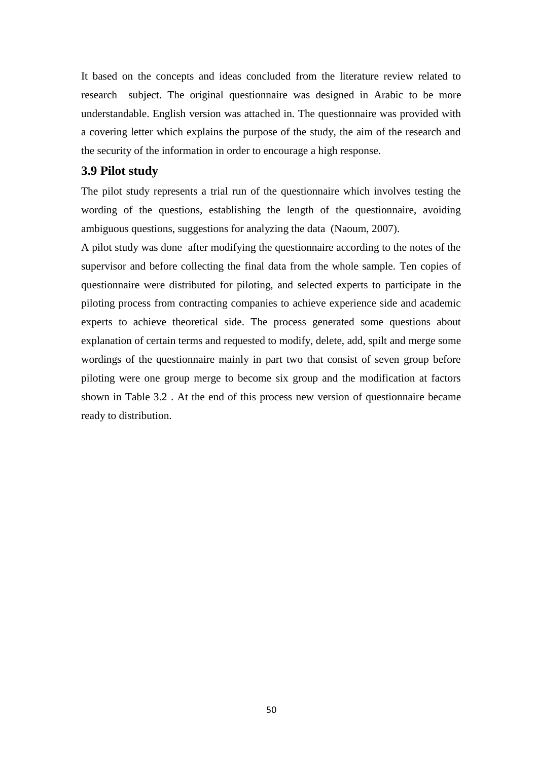It based on the concepts and ideas concluded from the literature review related to research subject. The original questionnaire was designed in Arabic to be more understandable. English version was attached in. The questionnaire was provided with a covering letter which explains the purpose of the study, the aim of the research and the security of the information in order to encourage a high response.

#### **3.9 Pilot study**

The pilot study represents a trial run of the questionnaire which involves testing the wording of the questions, establishing the length of the questionnaire, avoiding ambiguous questions, suggestions for analyzing the data (Naoum, 2007).

A pilot study was done after modifying the questionnaire according to the notes of the supervisor and before collecting the final data from the whole sample. Ten copies of questionnaire were distributed for piloting, and selected experts to participate in the piloting process from contracting companies to achieve experience side and academic experts to achieve theoretical side. The process generated some questions about explanation of certain terms and requested to modify, delete, add, spilt and merge some wordings of the questionnaire mainly in part two that consist of seven group before piloting were one group merge to become six group and the modification at factors shown in Table 3.2 . At the end of this process new version of questionnaire became ready to distribution.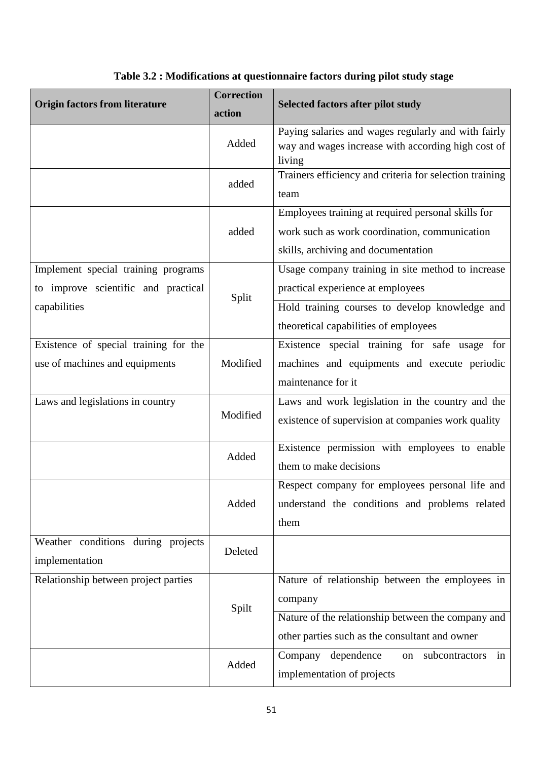| <b>Origin factors from literature</b>                | <b>Correction</b><br>action | <b>Selected factors after pilot study</b>                                                                                                  |  |  |
|------------------------------------------------------|-----------------------------|--------------------------------------------------------------------------------------------------------------------------------------------|--|--|
|                                                      | Added                       | Paying salaries and wages regularly and with fairly<br>way and wages increase with according high cost of<br>living                        |  |  |
|                                                      | added                       | Trainers efficiency and criteria for selection training<br>team                                                                            |  |  |
|                                                      | added                       | Employees training at required personal skills for<br>work such as work coordination, communication<br>skills, archiving and documentation |  |  |
| Implement special training programs                  |                             | Usage company training in site method to increase                                                                                          |  |  |
| to improve scientific and practical                  | Split                       | practical experience at employees                                                                                                          |  |  |
| capabilities                                         |                             | Hold training courses to develop knowledge and                                                                                             |  |  |
|                                                      |                             | theoretical capabilities of employees                                                                                                      |  |  |
| Existence of special training for the                |                             | Existence special training for safe usage for                                                                                              |  |  |
| use of machines and equipments                       | Modified                    | machines and equipments and execute periodic<br>maintenance for it                                                                         |  |  |
| Laws and legislations in country                     | Modified                    | Laws and work legislation in the country and the<br>existence of supervision at companies work quality                                     |  |  |
|                                                      | Added                       | Existence permission with employees to enable<br>them to make decisions                                                                    |  |  |
|                                                      |                             | Respect company for employees personal life and                                                                                            |  |  |
|                                                      | Added                       | understand the conditions and problems related                                                                                             |  |  |
|                                                      |                             | them                                                                                                                                       |  |  |
| Weather conditions during projects<br>implementation | Deleted                     |                                                                                                                                            |  |  |
| Relationship between project parties                 |                             | Nature of relationship between the employees in                                                                                            |  |  |
|                                                      | Spilt                       | company                                                                                                                                    |  |  |
|                                                      |                             | Nature of the relationship between the company and                                                                                         |  |  |
|                                                      |                             | other parties such as the consultant and owner                                                                                             |  |  |
|                                                      | Added                       | dependence<br>subcontractors<br>Company<br>in<br>on                                                                                        |  |  |
|                                                      |                             | implementation of projects                                                                                                                 |  |  |

# **Table 3.2 : Modifications at questionnaire factors during pilot study stage**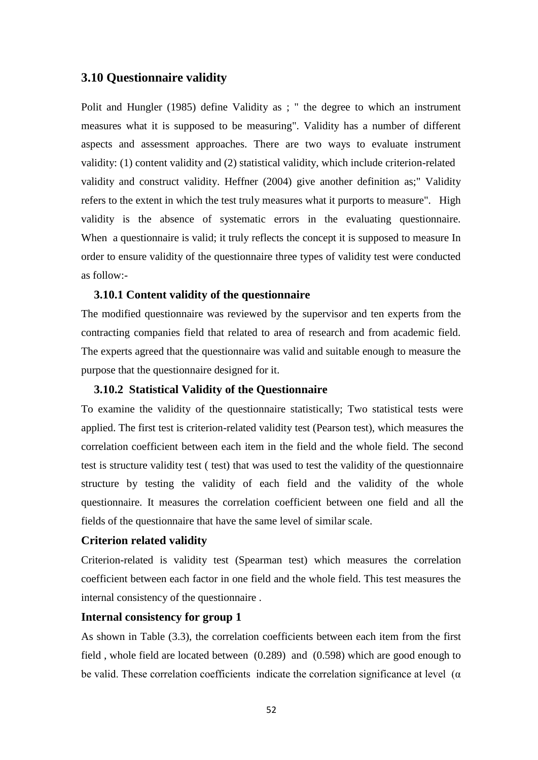### **3.10 Questionnaire validity**

Polit and Hungler (1985) define Validity as ; " the degree to which an instrument measures what it is supposed to be measuring". Validity has a number of different aspects and assessment approaches. There are two ways to evaluate instrument validity: (1) content validity and (2) statistical validity, which include criterion-related validity and construct validity. Heffner (2004) give another definition as;" Validity refers to the extent in which the test truly measures what it purports to measure". High validity is the absence of systematic errors in the evaluating questionnaire. When a questionnaire is valid; it truly reflects the concept it is supposed to measure In order to ensure validity of the questionnaire three types of validity test were conducted as follow:-

### **3.10.1 Content validity of the questionnaire**

The modified questionnaire was reviewed by the supervisor and ten experts from the contracting companies field that related to area of research and from academic field. The experts agreed that the questionnaire was valid and suitable enough to measure the purpose that the questionnaire designed for it.

### **3.10.2 Statistical Validity of the Questionnaire**

To examine the validity of the questionnaire statistically; Two statistical tests were applied. The first test is criterion-related validity test (Pearson test), which measures the correlation coefficient between each item in the field and the whole field. The second test is structure validity test ( test) that was used to test the validity of the questionnaire structure by testing the validity of each field and the validity of the whole questionnaire. It measures the correlation coefficient between one field and all the fields of the questionnaire that have the same level of similar scale.

#### **Criterion related validity**

Criterion-related is validity test (Spearman test) which measures the correlation coefficient between each factor in one field and the whole field. This test measures the internal consistency of the questionnaire .

### **Internal consistency for group 1**

As shown in Table (3.3), the correlation coefficients between each item from the first field , whole field are located between (0.289) and (0.598) which are good enough to be valid. These correlation coefficients indicate the correlation significance at level ( $\alpha$ )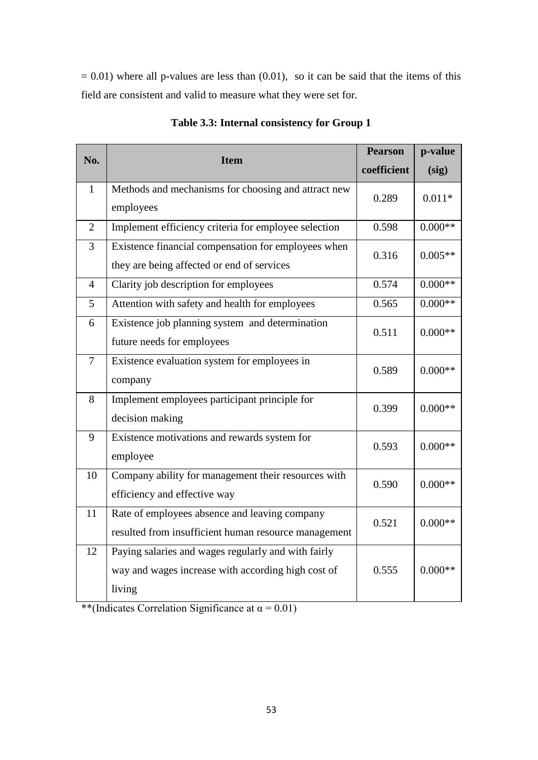$= 0.01$ ) where all p-values are less than  $(0.01)$ , so it can be said that the items of this field are consistent and valid to measure what they were set for.

|                |                                                      | <b>Pearson</b> | p-value   |  |
|----------------|------------------------------------------------------|----------------|-----------|--|
| No.            | <b>Item</b>                                          | coefficient    | (sig)     |  |
| $\mathbf{1}$   | Methods and mechanisms for choosing and attract new  | 0.289          | $0.011*$  |  |
|                | employees                                            |                |           |  |
| $\overline{2}$ | Implement efficiency criteria for employee selection | 0.598          | $0.000**$ |  |
| 3              | Existence financial compensation for employees when  | 0.316          | $0.005**$ |  |
|                | they are being affected or end of services           |                |           |  |
| $\overline{4}$ | Clarity job description for employees                | 0.574          | $0.000**$ |  |
| 5              | Attention with safety and health for employees       | 0.565          | $0.000**$ |  |
| 6              | Existence job planning system and determination      | 0.511          | $0.000**$ |  |
|                | future needs for employees                           |                |           |  |
| $\overline{7}$ | Existence evaluation system for employees in         | 0.589          | $0.000**$ |  |
|                | company                                              |                |           |  |
| 8              | Implement employees participant principle for        | 0.399          | $0.000**$ |  |
|                | decision making                                      |                |           |  |
| 9              | Existence motivations and rewards system for         | 0.593          | $0.000**$ |  |
|                | employee                                             |                |           |  |
| 10             | Company ability for management their resources with  | 0.590          | $0.000**$ |  |
|                | efficiency and effective way                         |                |           |  |
| 11             | Rate of employees absence and leaving company        | 0.521          | $0.000**$ |  |
|                | resulted from insufficient human resource management |                |           |  |
| 12             | Paying salaries and wages regularly and with fairly  |                |           |  |
|                | way and wages increase with according high cost of   | 0.555          | $0.000**$ |  |
|                | living                                               |                |           |  |

**Table 3.3: Internal consistency for Group 1**

\*\*(Indicates Correlation Significance at  $\alpha$  = 0.01)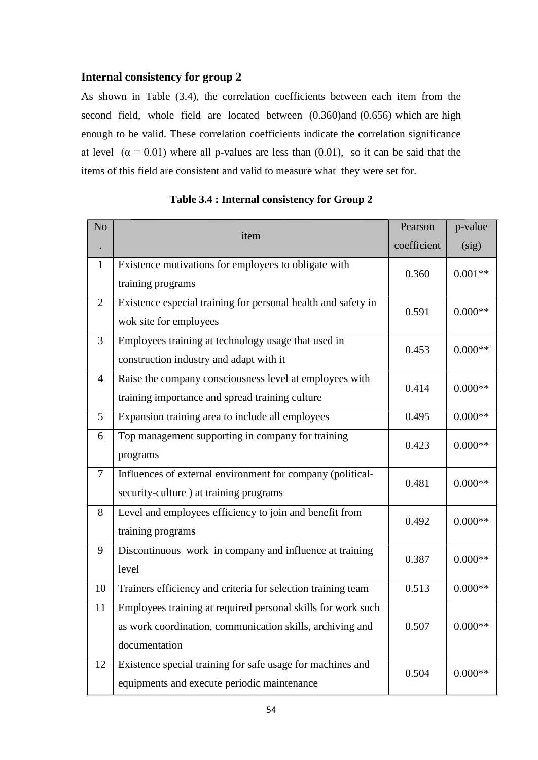# **Internal consistency for group 2**

As shown in Table (3.4), the correlation coefficients between each item from the second field, whole field are located between (0.360)and (0.656) which are high enough to be valid. These correlation coefficients indicate the correlation significance at level  $(\alpha = 0.01)$  where all p-values are less than (0.01), so it can be said that the items of this field are consistent and valid to measure what they were set for.

| N <sub>o</sub> |                                                                                                                                            | Pearson     | p-value   |
|----------------|--------------------------------------------------------------------------------------------------------------------------------------------|-------------|-----------|
|                | item                                                                                                                                       | coefficient | (sig)     |
| 1              | Existence motivations for employees to obligate with<br>training programs                                                                  | 0.360       | $0.001**$ |
| $\overline{2}$ | Existence especial training for personal health and safety in<br>wok site for employees                                                    | 0.591       | $0.000**$ |
| 3              | Employees training at technology usage that used in<br>construction industry and adapt with it                                             | 0.453       | $0.000**$ |
| 4              | Raise the company consciousness level at employees with<br>training importance and spread training culture                                 | 0.414       | $0.000**$ |
| 5              | Expansion training area to include all employees                                                                                           | 0.495       | $0.000**$ |
| 6              | Top management supporting in company for training<br>programs                                                                              | 0.423       | $0.000**$ |
| $\tau$         | Influences of external environment for company (political-<br>security-culture) at training programs                                       | 0.481       | $0.000**$ |
| 8              | Level and employees efficiency to join and benefit from<br>training programs                                                               | 0.492       | $0.000**$ |
| 9              | Discontinuous work in company and influence at training<br>level                                                                           | 0.387       | $0.000**$ |
| 10             | Trainers efficiency and criteria for selection training team                                                                               | 0.513       | $0.000**$ |
| 11             | Employees training at required personal skills for work such<br>as work coordination, communication skills, archiving and<br>documentation | 0.507       | $0.000**$ |
| 12             | Existence special training for safe usage for machines and<br>equipments and execute periodic maintenance                                  | 0.504       | $0.000**$ |

**Table 3.4 : Internal consistency for Group 2**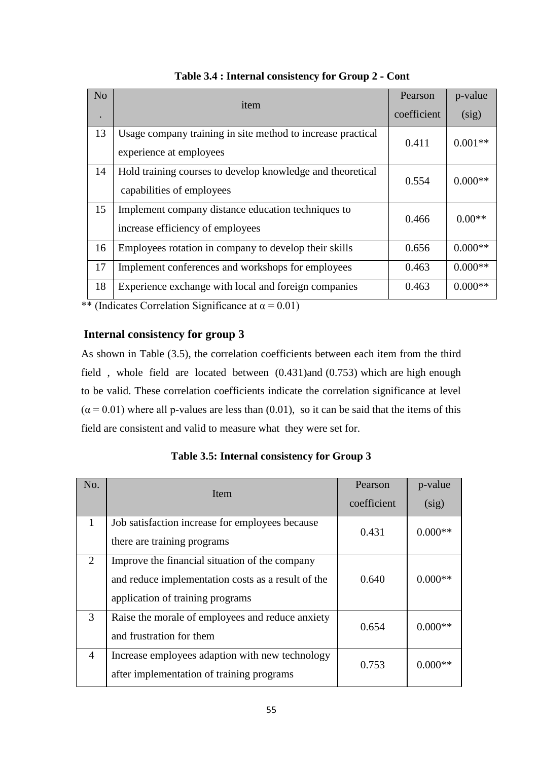| N <sub>o</sub> | item                                                                                    | Pearson<br>coefficient | p-value<br>(sig) |
|----------------|-----------------------------------------------------------------------------------------|------------------------|------------------|
| 13             | Usage company training in site method to increase practical<br>experience at employees  | 0.411                  | $0.001**$        |
| 14             | Hold training courses to develop knowledge and theoretical<br>capabilities of employees | 0.554                  | $0.000**$        |
| 15             | Implement company distance education techniques to<br>increase efficiency of employees  | 0.466                  | $0.00**$         |
| 16             | Employees rotation in company to develop their skills                                   | 0.656                  | $0.000**$        |
| 17             | Implement conferences and workshops for employees                                       | 0.463                  | $0.000**$        |
| 18             | Experience exchange with local and foreign companies                                    | 0.463                  | $0.000**$        |

**Table 3.4 : Internal consistency for Group 2 - Cont**

\*\* (Indicates Correlation Significance at  $\alpha$  = 0.01)

# **Internal consistency for group 3**

As shown in Table (3.5), the correlation coefficients between each item from the third field , whole field are located between (0.431)and (0.753) which are high enough to be valid. These correlation coefficients indicate the correlation significance at level  $(\alpha = 0.01)$  where all p-values are less than (0.01), so it can be said that the items of this field are consistent and valid to measure what they were set for.

| No.          | <b>Item</b>                                                                                                                              | Pearson<br>coefficient | p-value<br>(sig) |
|--------------|------------------------------------------------------------------------------------------------------------------------------------------|------------------------|------------------|
| $\mathbf{1}$ | Job satisfaction increase for employees because<br>there are training programs                                                           | 0.431                  | $0.000**$        |
| 2            | Improve the financial situation of the company<br>and reduce implementation costs as a result of the<br>application of training programs | 0.640                  | $0.000**$        |
| 3            | Raise the morale of employees and reduce anxiety<br>and frustration for them                                                             | 0.654                  | $0.000**$        |
| 4            | Increase employees adaption with new technology<br>after implementation of training programs                                             | 0.753                  | $0.000**$        |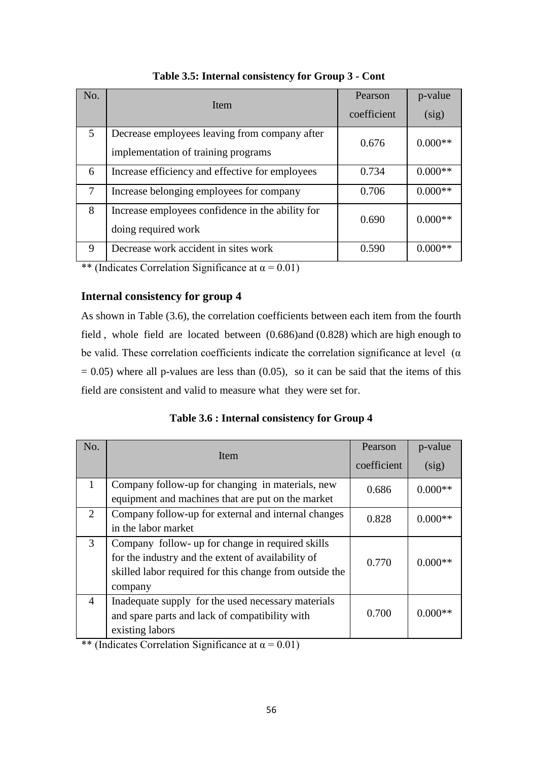| No. | <b>Item</b>                                                                          | Pearson<br>coefficient | p-value<br>(sig) |
|-----|--------------------------------------------------------------------------------------|------------------------|------------------|
| 5   | Decrease employees leaving from company after<br>implementation of training programs | 0.676                  | $0.000**$        |
| 6   | Increase efficiency and effective for employees                                      | 0.734                  | $0.000**$        |
| 7   | Increase belonging employees for company                                             | 0.706                  | $0.000**$        |
| 8   | Increase employees confidence in the ability for<br>doing required work              | 0.690                  | $0.000**$        |
| 9   | Decrease work accident in sites work                                                 | 0.590                  | $0.000**$        |

**Table 3.5: Internal consistency for Group 3 - Cont**

\*\* (Indicates Correlation Significance at  $\alpha$  = 0.01)

# **Internal consistency for group 4**

As shown in Table (3.6), the correlation coefficients between each item from the fourth field , whole field are located between (0.686)and (0.828) which are high enough to be valid. These correlation coefficients indicate the correlation significance at level  $(\alpha)$  $= 0.05$ ) where all p-values are less than (0.05), so it can be said that the items of this field are consistent and valid to measure what they were set for.

**Table 3.6 : Internal consistency for Group 4**

| No.            | Item                                                                                                                                                                         | Pearson<br>coefficient | p-value<br>(sig) |
|----------------|------------------------------------------------------------------------------------------------------------------------------------------------------------------------------|------------------------|------------------|
| $\mathbf{1}$   | Company follow-up for changing in materials, new<br>equipment and machines that are put on the market                                                                        | 0.686                  | $0.000**$        |
| 2              | Company follow-up for external and internal changes<br>in the labor market                                                                                                   | 0.828                  | $0.000**$        |
| 3              | Company follow- up for change in required skills<br>for the industry and the extent of availability of<br>skilled labor required for this change from outside the<br>company | 0.770                  | $0.000**$        |
| $\overline{4}$ | Inadequate supply for the used necessary materials<br>and spare parts and lack of compatibility with<br>existing labors                                                      | 0.700                  | $0.000**$        |

\*\* (Indicates Correlation Significance at  $\alpha$  = 0.01)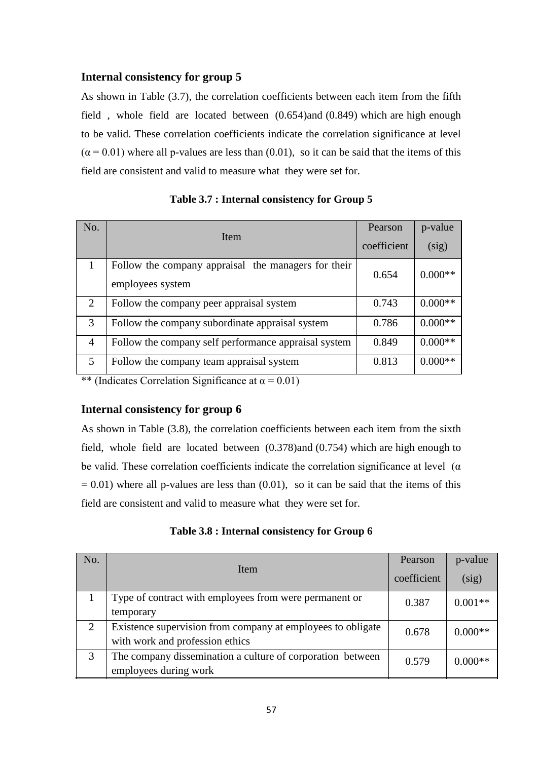# **Internal consistency for group 5**

As shown in Table (3.7), the correlation coefficients between each item from the fifth field , whole field are located between (0.654)and (0.849) which are high enough to be valid. These correlation coefficients indicate the correlation significance at level  $(\alpha = 0.01)$  where all p-values are less than (0.01), so it can be said that the items of this field are consistent and valid to measure what they were set for.

| No.                   | Item                                                                    | Pearson<br>coefficient | p-value<br>(sig) |
|-----------------------|-------------------------------------------------------------------------|------------------------|------------------|
|                       |                                                                         |                        |                  |
|                       | Follow the company appraisal the managers for their<br>employees system | 0.654                  | $0.000**$        |
| $\mathcal{D}_{\cdot}$ | Follow the company peer appraisal system                                | 0.743                  | $0.000**$        |
| $\mathcal{R}$         | Follow the company subordinate appraisal system                         | 0.786                  | $0.000**$        |
| $\overline{A}$        | Follow the company self performance appraisal system                    | 0.849                  | $0.000**$        |
| $\overline{5}$        | Follow the company team appraisal system                                | 0.813                  | $0.000**$        |

**Table 3.7 : Internal consistency for Group 5**

\*\* (Indicates Correlation Significance at  $\alpha = 0.01$ )

### **Internal consistency for group 6**

As shown in Table (3.8), the correlation coefficients between each item from the sixth field, whole field are located between (0.378)and (0.754) which are high enough to be valid. These correlation coefficients indicate the correlation significance at level ( $\alpha$ )  $= 0.01$ ) where all p-values are less than  $(0.01)$ , so it can be said that the items of this field are consistent and valid to measure what they were set for.

| Table 3.8 : Internal consistency for Group 6 |  |  |  |  |
|----------------------------------------------|--|--|--|--|
|----------------------------------------------|--|--|--|--|

| No. | Item                                                        | Pearson     | p-value   |
|-----|-------------------------------------------------------------|-------------|-----------|
|     |                                                             | coefficient | (sig)     |
|     | Type of contract with employees from were permanent or      | 0.387       | $0.001**$ |
|     | temporary                                                   |             |           |
| 2   | Existence supervision from company at employees to obligate | 0.678       | $0.000**$ |
|     | with work and profession ethics                             |             |           |
| 3   | The company dissemination a culture of corporation between  | 0.579       | $0.000**$ |
|     | employees during work                                       |             |           |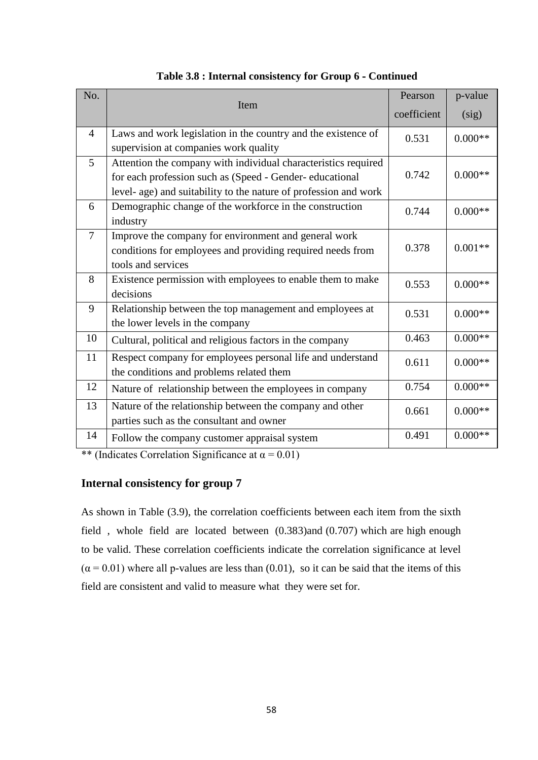| No.            | Item                                                             | Pearson     | p-value   |
|----------------|------------------------------------------------------------------|-------------|-----------|
|                |                                                                  | coefficient | (sig)     |
| $\overline{4}$ | Laws and work legislation in the country and the existence of    | 0.531       | $0.000**$ |
|                | supervision at companies work quality                            |             |           |
| 5              | Attention the company with individual characteristics required   |             |           |
|                | for each profession such as (Speed - Gender- educational         | 0.742       | $0.000**$ |
|                | level- age) and suitability to the nature of profession and work |             |           |
| 6              | Demographic change of the workforce in the construction          | 0.744       | $0.000**$ |
|                | industry                                                         |             |           |
| $\overline{7}$ | Improve the company for environment and general work             |             |           |
|                | conditions for employees and providing required needs from       | 0.378       | $0.001**$ |
|                | tools and services                                               |             |           |
| 8              | Existence permission with employees to enable them to make       | 0.553       | $0.000**$ |
|                | decisions                                                        |             |           |
| 9              | Relationship between the top management and employees at         | 0.531       | $0.000**$ |
|                | the lower levels in the company                                  |             |           |
| 10             | Cultural, political and religious factors in the company         | 0.463       | $0.000**$ |
| 11             | Respect company for employees personal life and understand       | 0.611       | $0.000**$ |
|                | the conditions and problems related them                         |             |           |
| 12             | Nature of relationship between the employees in company          | 0.754       | $0.000**$ |
| 13             | Nature of the relationship between the company and other         | 0.661       | $0.000**$ |
|                | parties such as the consultant and owner                         |             |           |
| 14             | Follow the company customer appraisal system                     | 0.491       | $0.000**$ |

**Table 3.8 : Internal consistency for Group 6 - Continued**

\*\* (Indicates Correlation Significance at  $\alpha = 0.01$ )

# **Internal consistency for group 7**

As shown in Table (3.9), the correlation coefficients between each item from the sixth field , whole field are located between (0.383)and (0.707) which are high enough to be valid. These correlation coefficients indicate the correlation significance at level  $(\alpha = 0.01)$  where all p-values are less than (0.01), so it can be said that the items of this field are consistent and valid to measure what they were set for.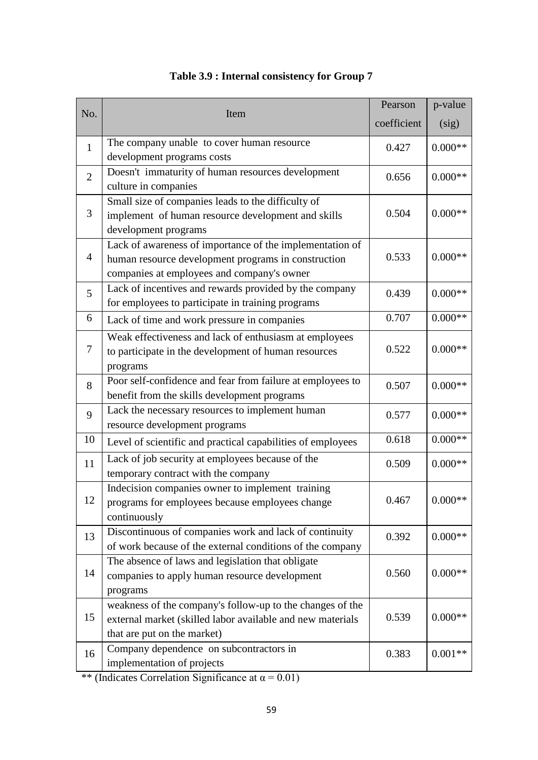|                |                                                             | Pearson     | p-value   |
|----------------|-------------------------------------------------------------|-------------|-----------|
| No.            | Item                                                        | coefficient | (sig)     |
| $\mathbf{1}$   | The company unable to cover human resource                  | 0.427       | $0.000**$ |
|                | development programs costs                                  |             |           |
| $\overline{2}$ | Doesn't immaturity of human resources development           | 0.656       | $0.000**$ |
|                | culture in companies                                        |             |           |
|                | Small size of companies leads to the difficulty of          |             |           |
| 3              | implement of human resource development and skills          | 0.504       | $0.000**$ |
|                | development programs                                        |             |           |
|                | Lack of awareness of importance of the implementation of    |             |           |
| 4              | human resource development programs in construction         | 0.533       | $0.000**$ |
|                | companies at employees and company's owner                  |             |           |
| 5              | Lack of incentives and rewards provided by the company      | 0.439       | $0.000**$ |
|                | for employees to participate in training programs           |             |           |
| 6              | Lack of time and work pressure in companies                 | 0.707       | $0.000**$ |
|                | Weak effectiveness and lack of enthusiasm at employees      |             |           |
| 7              | to participate in the development of human resources        | 0.522       | $0.000**$ |
|                | programs                                                    |             |           |
| 8              | Poor self-confidence and fear from failure at employees to  | 0.507       | $0.000**$ |
|                | benefit from the skills development programs                |             |           |
| 9              | Lack the necessary resources to implement human             | 0.577       | $0.000**$ |
|                | resource development programs                               |             |           |
| 10             | Level of scientific and practical capabilities of employees | 0.618       | $0.000**$ |
| 11             | Lack of job security at employees because of the            | 0.509       | $0.000**$ |
|                | temporary contract with the company                         |             |           |
|                | Indecision companies owner to implement training            |             |           |
| 12             | programs for employees because employees change             | 0.467       | $0.000**$ |
|                | continuously                                                |             |           |
| 13             | Discontinuous of companies work and lack of continuity      | 0.392       | $0.000**$ |
|                | of work because of the external conditions of the company   |             |           |
|                | The absence of laws and legislation that obligate           |             |           |
| 14             | companies to apply human resource development               | 0.560       | $0.000**$ |
|                | programs                                                    |             |           |
|                | weakness of the company's follow-up to the changes of the   |             |           |
| 15             | external market (skilled labor available and new materials  | 0.539       | $0.000**$ |
|                | that are put on the market)                                 |             |           |
| 16             | Company dependence on subcontractors in                     | 0.383       | $0.001**$ |
|                | implementation of projects                                  |             |           |

**Table 3.9 : Internal consistency for Group 7**

\*\* (Indicates Correlation Significance at  $\alpha = 0.01$ )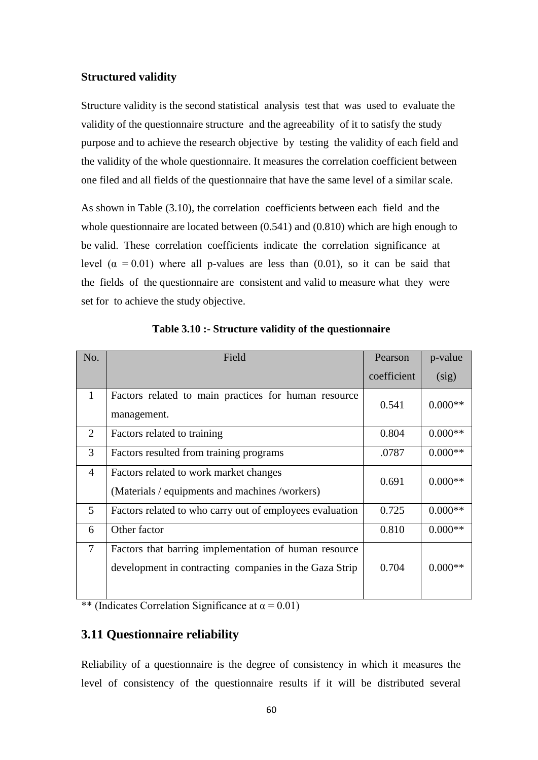### **Structured validity**

Structure validity is the second statistical analysis test that was used to evaluate the validity of the questionnaire structure and the agreeability of it to satisfy the study purpose and to achieve the research objective by testing the validity of each field and the validity of the whole questionnaire. It measures the correlation coefficient between one filed and all fields of the questionnaire that have the same level of a similar scale.

As shown in Table (3.10), the correlation coefficients between each field and the whole questionnaire are located between (0.541) and (0.810) which are high enough to be valid. These correlation coefficients indicate the correlation significance at level  $(\alpha = 0.01)$  where all p-values are less than (0.01), so it can be said that the fields of the questionnaire are consistent and valid to measure what they were set for to achieve the study objective.

| No.            | Field                                                                                                           | Pearson     | p-value   |
|----------------|-----------------------------------------------------------------------------------------------------------------|-------------|-----------|
|                |                                                                                                                 | coefficient | (sig)     |
| $\mathbf{1}$   | Factors related to main practices for human resource<br>management.                                             | 0.541       | $0.000**$ |
| 2              | Factors related to training                                                                                     | 0.804       | $0.000**$ |
| 3              | Factors resulted from training programs                                                                         | .0787       | $0.000**$ |
| 4              | Factors related to work market changes<br>(Materials / equipments and machines /workers)                        | 0.691       | $0.000**$ |
| 5              | Factors related to who carry out of employees evaluation                                                        | 0.725       | $0.000**$ |
| 6              | Other factor                                                                                                    | 0.810       | $0.000**$ |
| $\overline{7}$ | Factors that barring implementation of human resource<br>development in contracting companies in the Gaza Strip | 0.704       | $0.000**$ |

**Table 3.10 :- Structure validity of the questionnaire**

\*\* (Indicates Correlation Significance at  $\alpha = 0.01$ )

# **3.11 Questionnaire reliability**

Reliability of a questionnaire is the degree of consistency in which it measures the level of consistency of the questionnaire results if it will be distributed several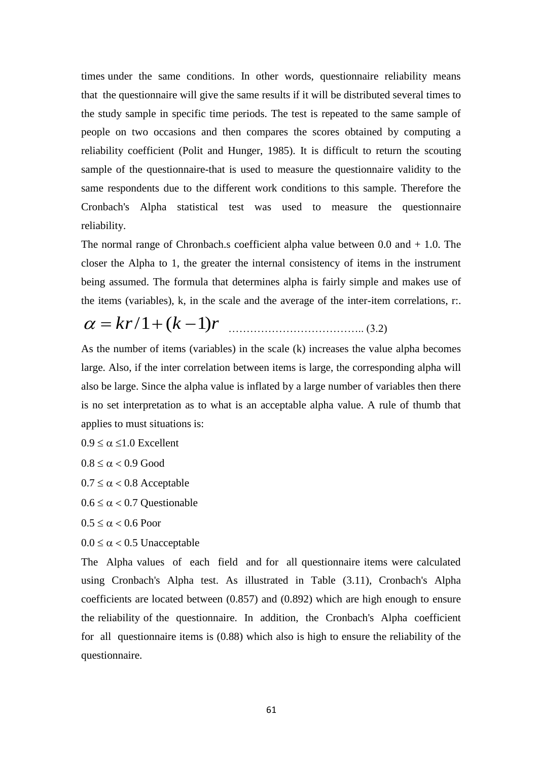times under the same conditions. In other words, questionnaire reliability means that the questionnaire will give the same results if it will be distributed several times to the study sample in specific time periods. The test is repeated to the same sample of people on two occasions and then compares the scores obtained by computing a reliability coefficient (Polit and Hunger, 1985). It is difficult to return the scouting sample of the questionnaire-that is used to measure the questionnaire validity to the same respondents due to the different work conditions to this sample. Therefore the Cronbach's Alpha statistical test was used to measure the questionnaire reliability.

The normal range of Chronbach.s coefficient alpha value between  $0.0$  and  $+1.0$ . The closer the Alpha to 1, the greater the internal consistency of items in the instrument being assumed. The formula that determines alpha is fairly simple and makes use of the items (variables), k, in the scale and the average of the inter-item correlations, r:.

$$
\alpha = kr/1 + (k-1)r
$$
\n(3.2)

As the number of items (variables) in the scale (k) increases the value alpha becomes large. Also, if the inter correlation between items is large, the corresponding alpha will also be large. Since the alpha value is inflated by a large number of variables then there is no set interpretation as to what is an acceptable alpha value. A rule of thumb that applies to must situations is:

 $0.9 \le \alpha \le 1.0$  Excellent

 $0.8 \leq \alpha < 0.9$  Good

 $0.7 \le \alpha < 0.8$  Acceptable

 $0.6 \le \alpha < 0.7$  Questionable

 $0.5 \leq \alpha < 0.6$  Poor

 $0.0 \le \alpha < 0.5$  Unacceptable

The Alpha values of each field and for all questionnaire items were calculated using Cronbach's Alpha test. As illustrated in Table (3.11), Cronbach's Alpha coefficients are located between (0.857) and (0.892) which are high enough to ensure the reliability of the questionnaire. In addition, the Cronbach's Alpha coefficient for all questionnaire items is (0.88) which also is high to ensure the reliability of the questionnaire.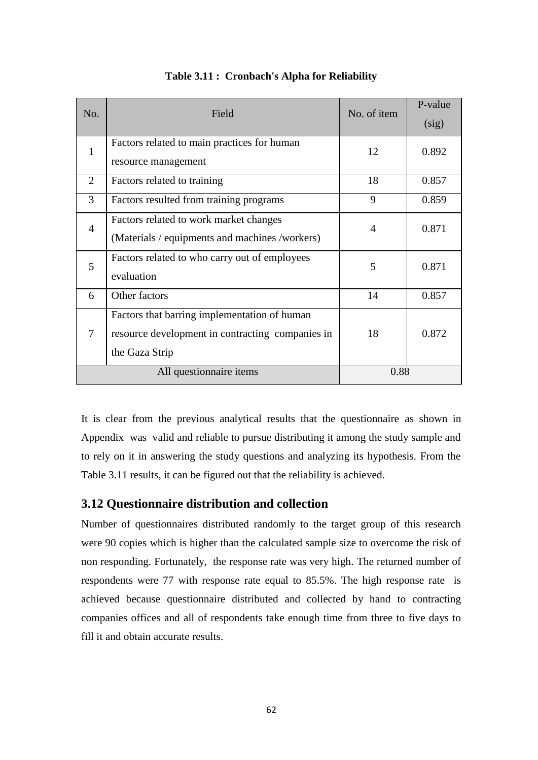| No.            | Field                                                                                                              | No. of item    | P-value<br>(sig) |
|----------------|--------------------------------------------------------------------------------------------------------------------|----------------|------------------|
| $\mathbf{1}$   | Factors related to main practices for human<br>resource management                                                 | 12             | 0.892            |
| $\overline{2}$ | Factors related to training                                                                                        | 18             | 0.857            |
| 3              | Factors resulted from training programs                                                                            | 9              | 0.859            |
| $\overline{4}$ | Factors related to work market changes<br>(Materials / equipments and machines /workers)                           | $\overline{4}$ | 0.871            |
| 5              | Factors related to who carry out of employees<br>evaluation                                                        | 5              | 0.871            |
| 6              | Other factors                                                                                                      | 14             | 0.857            |
| 7              | Factors that barring implementation of human<br>resource development in contracting companies in<br>the Gaza Strip | 18             | 0.872            |
|                | All questionnaire items                                                                                            | 0.88           |                  |

**Table 3.11 : Cronbach's Alpha for Reliability**

It is clear from the previous analytical results that the questionnaire as shown in Appendix was valid and reliable to pursue distributing it among the study sample and to rely on it in answering the study questions and analyzing its hypothesis. From the Table 3.11 results, it can be figured out that the reliability is achieved.

# **3.12 Questionnaire distribution and collection**

Number of questionnaires distributed randomly to the target group of this research were 90 copies which is higher than the calculated sample size to overcome the risk of non responding. Fortunately, the response rate was very high. The returned number of respondents were 77 with response rate equal to 85.5%. The high response rate is achieved because questionnaire distributed and collected by hand to contracting companies offices and all of respondents take enough time from three to five days to fill it and obtain accurate results.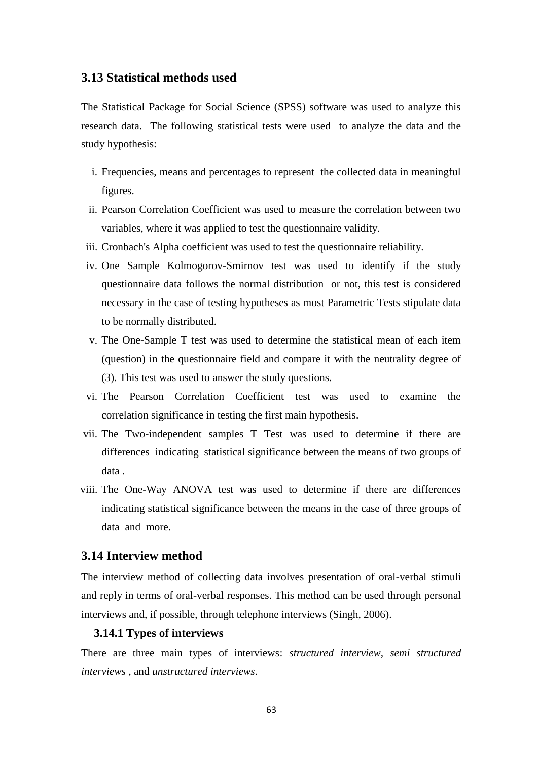## **3.13 Statistical methods used**

The Statistical Package for Social Science (SPSS) software was used to analyze this research data. The following statistical tests were used to analyze the data and the study hypothesis:

- i. Frequencies, means and percentages to represent the collected data in meaningful figures.
- ii. Pearson Correlation Coefficient was used to measure the correlation between two variables, where it was applied to test the questionnaire validity.
- iii. Cronbach's Alpha coefficient was used to test the questionnaire reliability.
- iv. One Sample Kolmogorov-Smirnov test was used to identify if the study questionnaire data follows the normal distribution or not, this test is considered necessary in the case of testing hypotheses as most Parametric Tests stipulate data to be normally distributed.
- v. The One-Sample T test was used to determine the statistical mean of each item (question) in the questionnaire field and compare it with the neutrality degree of (3). This test was used to answer the study questions.
- vi. The Pearson Correlation Coefficient test was used to examine the correlation significance in testing the first main hypothesis.
- vii. The Two-independent samples T Test was used to determine if there are differences indicating statistical significance between the means of two groups of data .
- viii. The One-Way ANOVA test was used to determine if there are differences indicating statistical significance between the means in the case of three groups of data and more.

#### **3.14 Interview method**

The interview method of collecting data involves presentation of oral-verbal stimuli and reply in terms of oral-verbal responses. This method can be used through personal interviews and, if possible, through telephone interviews (Singh, 2006).

#### **3.14.1 Types of interviews**

There are three main types of interviews: *structured interview, semi structured interviews ,* and *unstructured interviews*.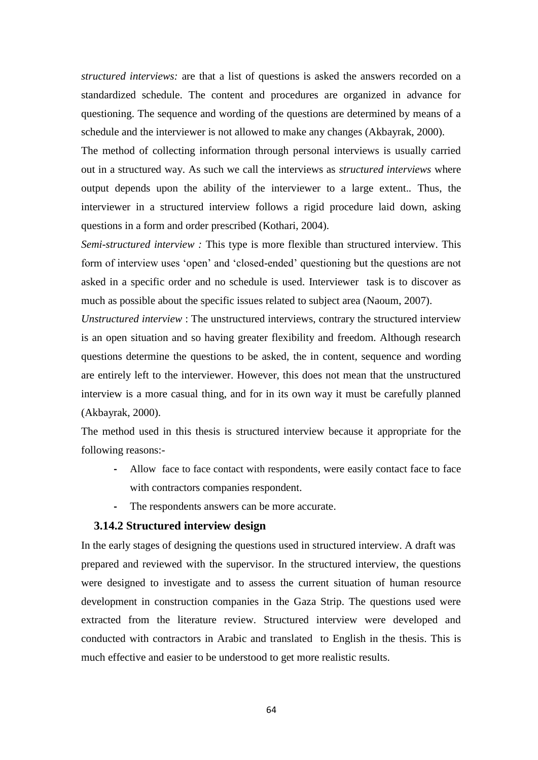*structured interviews:* are that a list of questions is asked the answers recorded on a standardized schedule. The content and procedures are organized in advance for questioning. The sequence and wording of the questions are determined by means of a schedule and the interviewer is not allowed to make any changes (Akbayrak, 2000).

The method of collecting information through personal interviews is usually carried out in a structured way. As such we call the interviews as *structured interviews* where output depends upon the ability of the interviewer to a large extent.*.* Thus, the interviewer in a structured interview follows a rigid procedure laid down, asking questions in a form and order prescribed (Kothari, 2004).

*Semi-structured interview :* This type is more flexible than structured interview. This form of interview uses "open" and "closed-ended" questioning but the questions are not asked in a specific order and no schedule is used. Interviewer task is to discover as much as possible about the specific issues related to subject area (Naoum, 2007).

*Unstructured interview* : The unstructured interviews, contrary the structured interview is an open situation and so having greater flexibility and freedom. Although research questions determine the questions to be asked, the in content, sequence and wording are entirely left to the interviewer. However, this does not mean that the unstructured interview is a more casual thing, and for in its own way it must be carefully planned (Akbayrak, 2000).

The method used in this thesis is structured interview because it appropriate for the following reasons:-

- **-** Allow face to face contact with respondents, were easily contact face to face with contractors companies respondent.
- The respondents answers can be more accurate.

#### **3.14.2 Structured interview design**

In the early stages of designing the questions used in structured interview. A draft was prepared and reviewed with the supervisor. In the structured interview, the questions were designed to investigate and to assess the current situation of human resource development in construction companies in the Gaza Strip. The questions used were extracted from the literature review. Structured interview were developed and conducted with contractors in Arabic and translated to English in the thesis. This is much effective and easier to be understood to get more realistic results.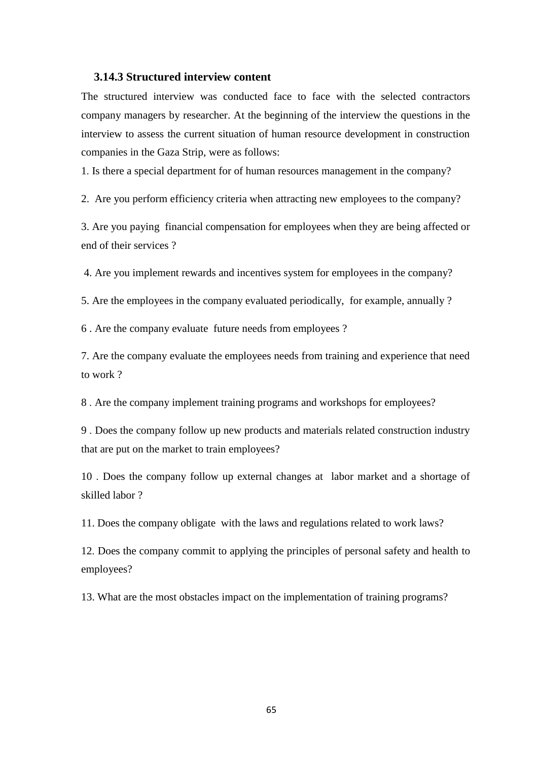#### **3.14.3 Structured interview content**

The structured interview was conducted face to face with the selected contractors company managers by researcher. At the beginning of the interview the questions in the interview to assess the current situation of human resource development in construction companies in the Gaza Strip, were as follows:

1. Is there a special department for of human resources management in the company?

2. Are you perform efficiency criteria when attracting new employees to the company?

3. Are you paying financial compensation for employees when they are being affected or end of their services ?

4. Are you implement rewards and incentives system for employees in the company?

5. Are the employees in the company evaluated periodically, for example, annually ?

6 . Are the company evaluate future needs from employees ?

7. Are the company evaluate the employees needs from training and experience that need to work ?

8 . Are the company implement training programs and workshops for employees?

9 . Does the company follow up new products and materials related construction industry that are put on the market to train employees?

10 . Does the company follow up external changes at labor market and a shortage of skilled labor ?

11. Does the company obligate with the laws and regulations related to work laws?

12. Does the company commit to applying the principles of personal safety and health to employees?

13. What are the most obstacles impact on the implementation of training programs?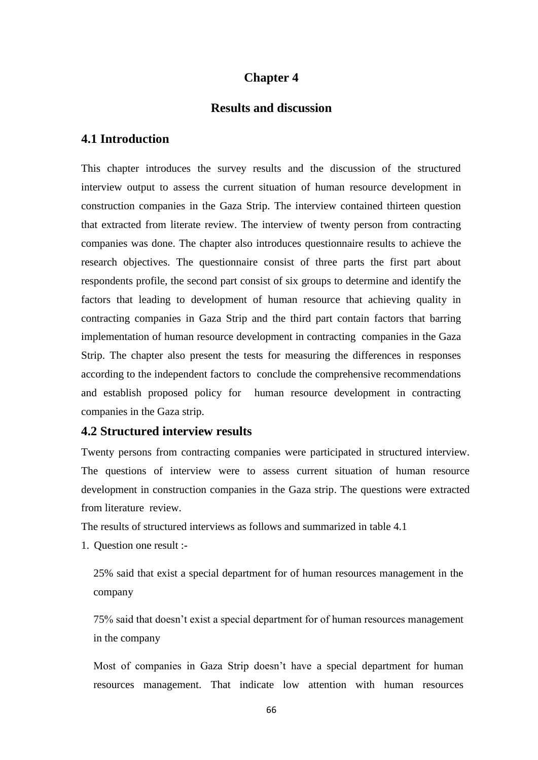# **Chapter 4**

# **Results and discussion**

#### **4.1 Introduction**

This chapter introduces the survey results and the discussion of the structured interview output to assess the current situation of human resource development in construction companies in the Gaza Strip. The interview contained thirteen question that extracted from literate review. The interview of twenty person from contracting companies was done. The chapter also introduces questionnaire results to achieve the research objectives. The questionnaire consist of three parts the first part about respondents profile, the second part consist of six groups to determine and identify the factors that leading to development of human resource that achieving quality in contracting companies in Gaza Strip and the third part contain factors that barring implementation of human resource development in contracting companies in the Gaza Strip. The chapter also present the tests for measuring the differences in responses according to the independent factors to conclude the comprehensive recommendations and establish proposed policy for human resource development in contracting companies in the Gaza strip.

## **4.2 Structured interview results**

Twenty persons from contracting companies were participated in structured interview. The questions of interview were to assess current situation of human resource development in construction companies in the Gaza strip. The questions were extracted from literature review.

The results of structured interviews as follows and summarized in table 4.1

1. Question one result :-

25% said that exist a special department for of human resources management in the company

75% said that doesn"t exist a special department for of human resources management in the company

Most of companies in Gaza Strip doesn't have a special department for human resources management. That indicate low attention with human resources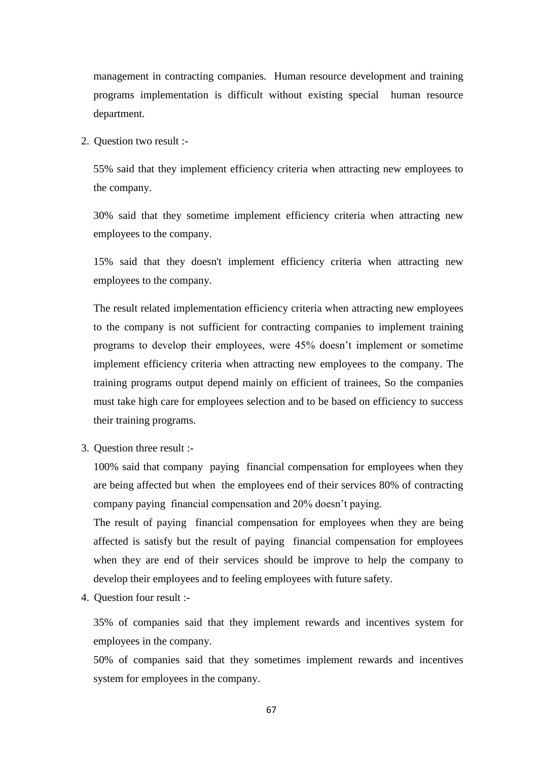management in contracting companies. Human resource development and training programs implementation is difficult without existing special human resource department.

2. Question two result :-

55% said that they implement efficiency criteria when attracting new employees to the company.

30% said that they sometime implement efficiency criteria when attracting new employees to the company.

15% said that they doesn't implement efficiency criteria when attracting new employees to the company.

The result related implementation efficiency criteria when attracting new employees to the company is not sufficient for contracting companies to implement training programs to develop their employees, were 45% doesn"t implement or sometime implement efficiency criteria when attracting new employees to the company. The training programs output depend mainly on efficient of trainees, So the companies must take high care for employees selection and to be based on efficiency to success their training programs.

3. Question three result :-

100% said that company paying financial compensation for employees when they are being affected but when the employees end of their services 80% of contracting company paying financial compensation and 20% doesn"t paying.

The result of paying financial compensation for employees when they are being affected is satisfy but the result of paying financial compensation for employees when they are end of their services should be improve to help the company to develop their employees and to feeling employees with future safety.

4. Question four result :-

35% of companies said that they implement rewards and incentives system for employees in the company.

50% of companies said that they sometimes implement rewards and incentives system for employees in the company.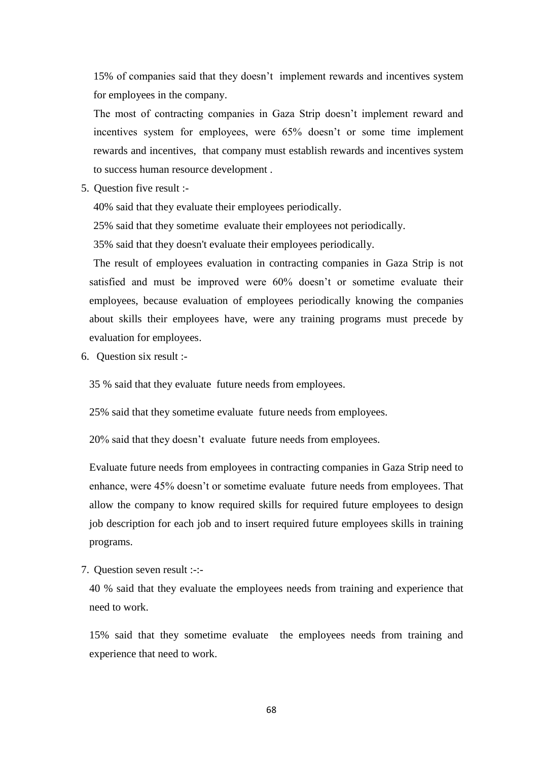15% of companies said that they doesn"t implement rewards and incentives system for employees in the company.

The most of contracting companies in Gaza Strip doesn"t implement reward and incentives system for employees, were 65% doesn"t or some time implement rewards and incentives, that company must establish rewards and incentives system to success human resource development .

5. Question five result :-

40% said that they evaluate their employees periodically.

25% said that they sometime evaluate their employees not periodically.

35% said that they doesn't evaluate their employees periodically.

The result of employees evaluation in contracting companies in Gaza Strip is not satisfied and must be improved were 60% doesn"t or sometime evaluate their employees, because evaluation of employees periodically knowing the companies about skills their employees have, were any training programs must precede by evaluation for employees.

6. Question six result :-

35 % said that they evaluate future needs from employees.

25% said that they sometime evaluate future needs from employees.

20% said that they doesn"t evaluate future needs from employees.

Evaluate future needs from employees in contracting companies in Gaza Strip need to enhance, were 45% doesn"t or sometime evaluate future needs from employees. That allow the company to know required skills for required future employees to design job description for each job and to insert required future employees skills in training programs.

7. Question seven result :-:-

40 % said that they evaluate the employees needs from training and experience that need to work.

15% said that they sometime evaluate the employees needs from training and experience that need to work.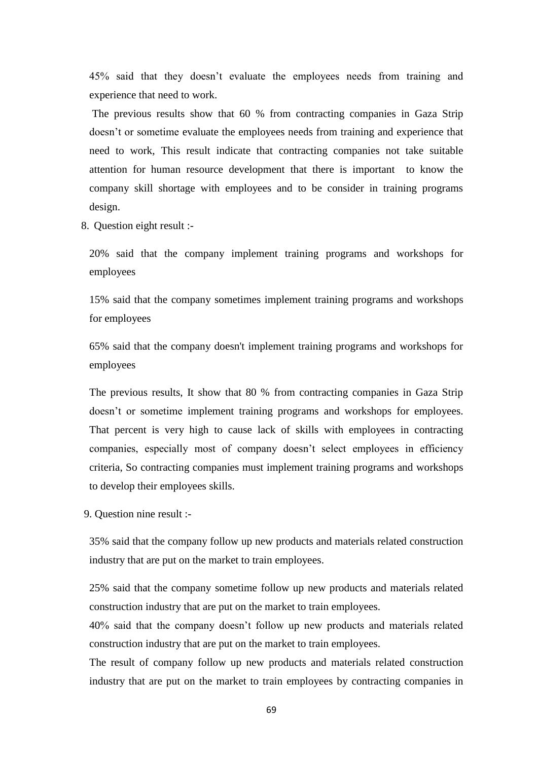45% said that they doesn"t evaluate the employees needs from training and experience that need to work.

The previous results show that 60 % from contracting companies in Gaza Strip doesn"t or sometime evaluate the employees needs from training and experience that need to work, This result indicate that contracting companies not take suitable attention for human resource development that there is important to know the company skill shortage with employees and to be consider in training programs design.

8. Question eight result :-

20% said that the company implement training programs and workshops for employees

15% said that the company sometimes implement training programs and workshops for employees

65% said that the company doesn't implement training programs and workshops for employees

The previous results, It show that 80 % from contracting companies in Gaza Strip doesn"t or sometime implement training programs and workshops for employees. That percent is very high to cause lack of skills with employees in contracting companies, especially most of company doesn't select employees in efficiency criteria, So contracting companies must implement training programs and workshops to develop their employees skills.

9. Question nine result :-

35% said that the company follow up new products and materials related construction industry that are put on the market to train employees.

25% said that the company sometime follow up new products and materials related construction industry that are put on the market to train employees.

40% said that the company doesn"t follow up new products and materials related construction industry that are put on the market to train employees.

The result of company follow up new products and materials related construction industry that are put on the market to train employees by contracting companies in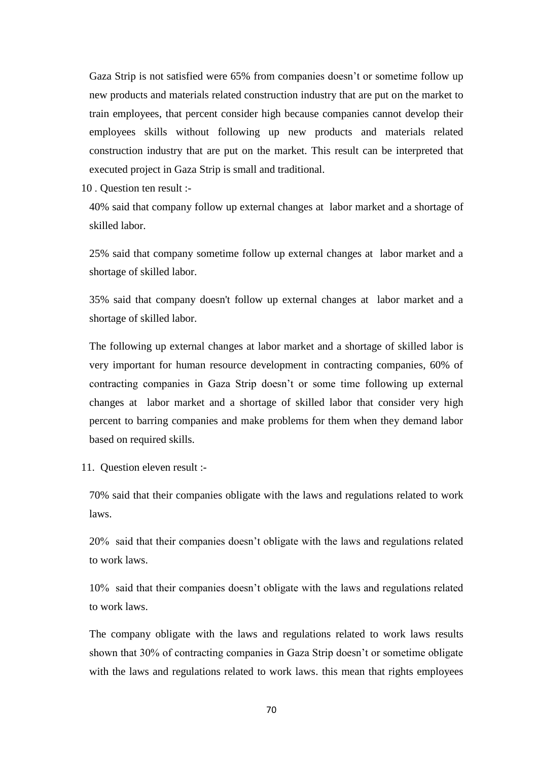Gaza Strip is not satisfied were 65% from companies doesn"t or sometime follow up new products and materials related construction industry that are put on the market to train employees, that percent consider high because companies cannot develop their employees skills without following up new products and materials related construction industry that are put on the market. This result can be interpreted that executed project in Gaza Strip is small and traditional.

10 . Question ten result :-

40% said that company follow up external changes at labor market and a shortage of skilled labor.

25% said that company sometime follow up external changes at labor market and a shortage of skilled labor.

35% said that company doesn't follow up external changes at labor market and a shortage of skilled labor.

The following up external changes at labor market and a shortage of skilled labor is very important for human resource development in contracting companies, 60% of contracting companies in Gaza Strip doesn"t or some time following up external changes at labor market and a shortage of skilled labor that consider very high percent to barring companies and make problems for them when they demand labor based on required skills.

11. Question eleven result :-

70% said that their companies obligate with the laws and regulations related to work laws.

20% said that their companies doesn"t obligate with the laws and regulations related to work laws.

10% said that their companies doesn"t obligate with the laws and regulations related to work laws.

The company obligate with the laws and regulations related to work laws results shown that 30% of contracting companies in Gaza Strip doesn"t or sometime obligate with the laws and regulations related to work laws. this mean that rights employees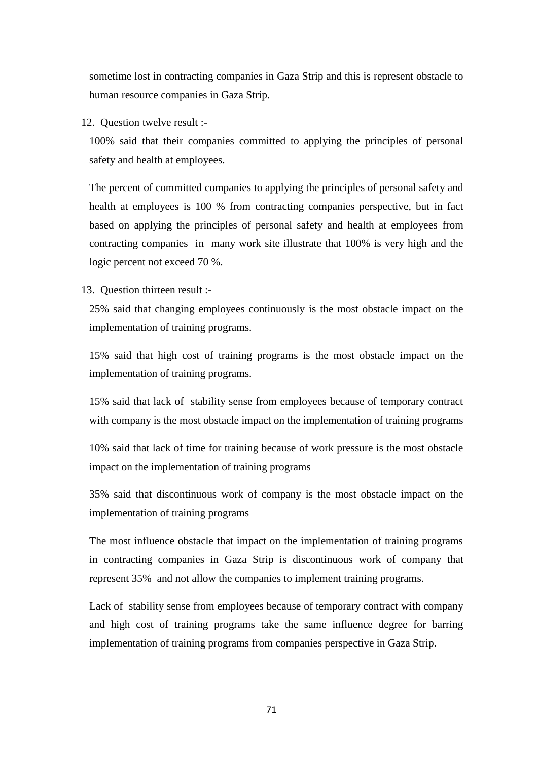sometime lost in contracting companies in Gaza Strip and this is represent obstacle to human resource companies in Gaza Strip.

12. Question twelve result :-

100% said that their companies committed to applying the principles of personal safety and health at employees.

The percent of committed companies to applying the principles of personal safety and health at employees is 100 % from contracting companies perspective, but in fact based on applying the principles of personal safety and health at employees from contracting companies in many work site illustrate that 100% is very high and the logic percent not exceed 70 %.

13. Question thirteen result :-

25% said that changing employees continuously is the most obstacle impact on the implementation of training programs.

15% said that high cost of training programs is the most obstacle impact on the implementation of training programs.

15% said that lack of stability sense from employees because of temporary contract with company is the most obstacle impact on the implementation of training programs

10% said that lack of time for training because of work pressure is the most obstacle impact on the implementation of training programs

35% said that discontinuous work of company is the most obstacle impact on the implementation of training programs

The most influence obstacle that impact on the implementation of training programs in contracting companies in Gaza Strip is discontinuous work of company that represent 35% and not allow the companies to implement training programs.

Lack of stability sense from employees because of temporary contract with company and high cost of training programs take the same influence degree for barring implementation of training programs from companies perspective in Gaza Strip.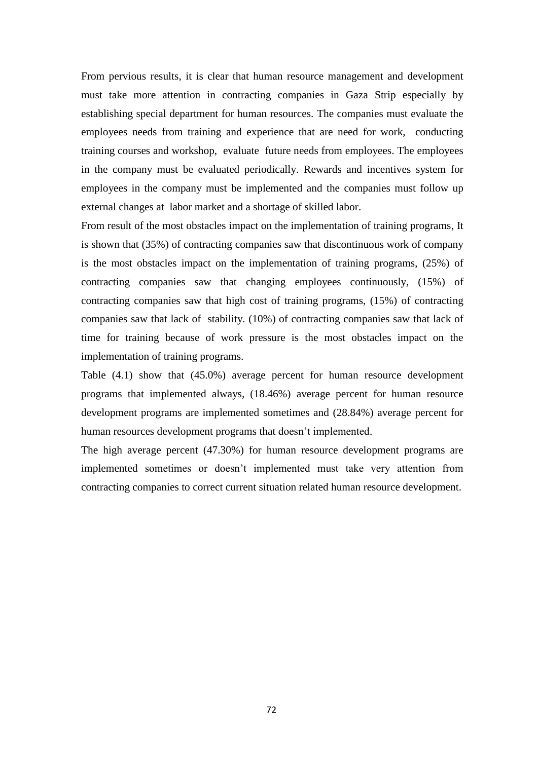From pervious results, it is clear that human resource management and development must take more attention in contracting companies in Gaza Strip especially by establishing special department for human resources. The companies must evaluate the employees needs from training and experience that are need for work, conducting training courses and workshop, evaluate future needs from employees. The employees in the company must be evaluated periodically. Rewards and incentives system for employees in the company must be implemented and the companies must follow up external changes at labor market and a shortage of skilled labor.

From result of the most obstacles impact on the implementation of training programs, It is shown that (35%) of contracting companies saw that discontinuous work of company is the most obstacles impact on the implementation of training programs, (25%) of contracting companies saw that changing employees continuously, (15%) of contracting companies saw that high cost of training programs, (15%) of contracting companies saw that lack of stability. (10%) of contracting companies saw that lack of time for training because of work pressure is the most obstacles impact on the implementation of training programs.

Table (4.1) show that (45.0%) average percent for human resource development programs that implemented always, (18.46%) average percent for human resource development programs are implemented sometimes and (28.84%) average percent for human resources development programs that doesn't implemented.

The high average percent (47.30%) for human resource development programs are implemented sometimes or doesn"t implemented must take very attention from contracting companies to correct current situation related human resource development.

72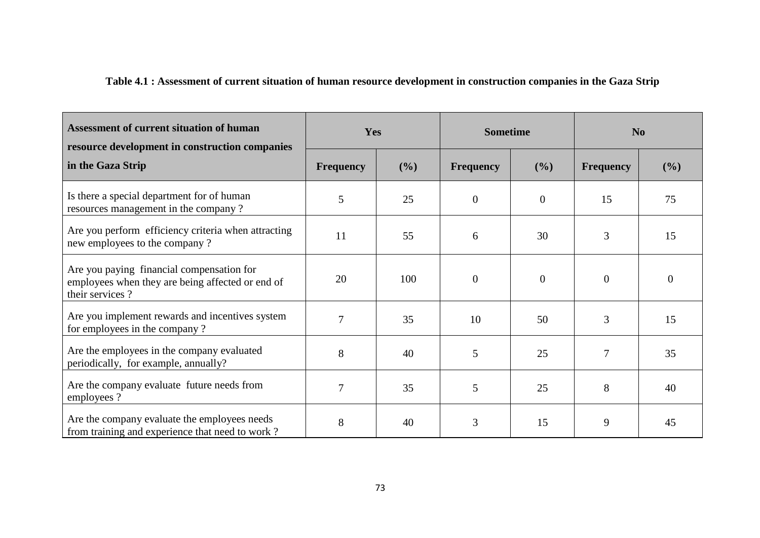# **Table 4.1 : Assessment of current situation of human resource development in construction companies in the Gaza Strip**

| <b>Assessment of current situation of human</b><br>resource development in construction companies                | Yes              |     | <b>Sometime</b>  |          | N <sub>o</sub>   |          |
|------------------------------------------------------------------------------------------------------------------|------------------|-----|------------------|----------|------------------|----------|
| in the Gaza Strip                                                                                                | <b>Frequency</b> | (%) | <b>Frequency</b> | (%)      | <b>Frequency</b> | (%)      |
| Is there a special department for of human<br>resources management in the company?                               | 5                | 25  | $\theta$         | $\theta$ | 15               | 75       |
| Are you perform efficiency criteria when attracting<br>new employees to the company?                             | 11               | 55  | 6                | 30       | 3                | 15       |
| Are you paying financial compensation for<br>employees when they are being affected or end of<br>their services? | 20               | 100 | $\mathbf{0}$     | $\theta$ | $\theta$         | $\Omega$ |
| Are you implement rewards and incentives system<br>for employees in the company?                                 | 7                | 35  | 10               | 50       | 3                | 15       |
| Are the employees in the company evaluated<br>periodically, for example, annually?                               | 8                | 40  | 5                | 25       | 7                | 35       |
| Are the company evaluate future needs from<br>employees?                                                         | 7                | 35  | 5                | 25       | 8                | 40       |
| Are the company evaluate the employees needs<br>from training and experience that need to work?                  | 8                | 40  | 3                | 15       | 9                | 45       |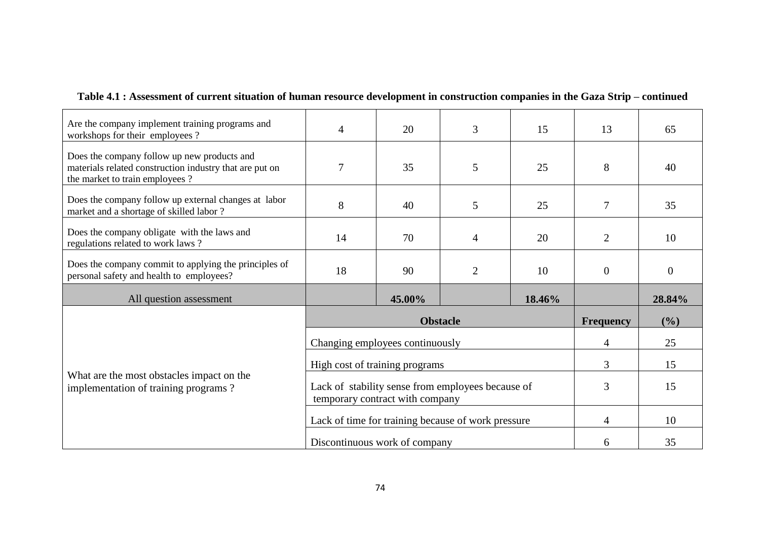| Table 4.1 : Assessment of current situation of human resource development in construction companies in the Gaza Strip – continued |  |
|-----------------------------------------------------------------------------------------------------------------------------------|--|
|-----------------------------------------------------------------------------------------------------------------------------------|--|

| Are the company implement training programs and<br>workshops for their employees?                                                        | $\overline{4}$                   | 20              | 3                                                  | 15     | 13               | 65             |
|------------------------------------------------------------------------------------------------------------------------------------------|----------------------------------|-----------------|----------------------------------------------------|--------|------------------|----------------|
| Does the company follow up new products and<br>materials related construction industry that are put on<br>the market to train employees? | 7                                | 35              | 5                                                  | 25     | 8                | 40             |
| Does the company follow up external changes at labor<br>market and a shortage of skilled labor?                                          | 8                                | 40              | 5                                                  | 25     | 7                | 35             |
| Does the company obligate with the laws and<br>regulations related to work laws?                                                         | 14                               | 70              | $\overline{4}$                                     | 20     | $\overline{2}$   | 10             |
| Does the company commit to applying the principles of<br>personal safety and health to employees?                                        | 18<br>90<br>$\overline{2}$<br>10 |                 |                                                    |        | $\overline{0}$   | $\overline{0}$ |
|                                                                                                                                          |                                  |                 |                                                    |        |                  |                |
| All question assessment                                                                                                                  |                                  | 45.00%          |                                                    | 18.46% |                  | 28.84%         |
|                                                                                                                                          |                                  | <b>Obstacle</b> |                                                    |        | <b>Frequency</b> | (%)            |
|                                                                                                                                          | Changing employees continuously  |                 |                                                    |        | 4                | 25             |
|                                                                                                                                          | High cost of training programs   |                 |                                                    |        | 3                | 15             |
| What are the most obstacles impact on the<br>implementation of training programs?                                                        | temporary contract with company  |                 | Lack of stability sense from employees because of  |        | 3                | 15             |
|                                                                                                                                          |                                  |                 | Lack of time for training because of work pressure |        | 4                | 10             |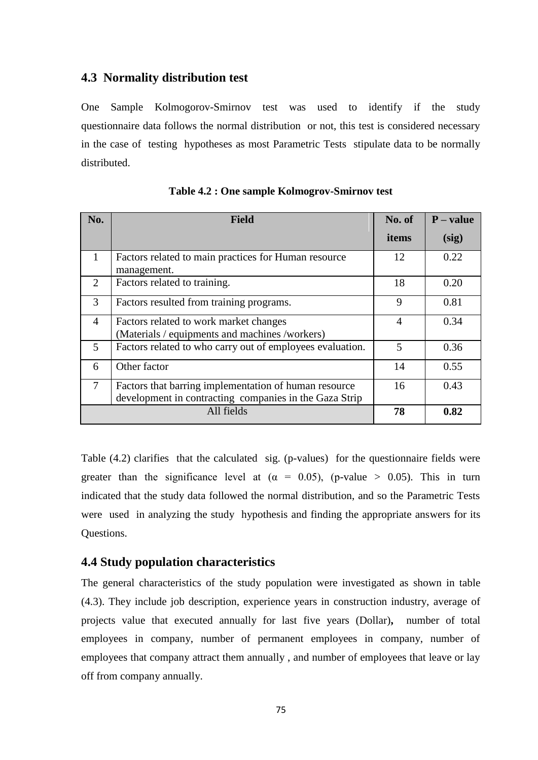## **4.3 Normality distribution test**

One Sample Kolmogorov-Smirnov test was used to identify if the study questionnaire data follows the normal distribution or not, this test is considered necessary in the case of testing hypotheses as most Parametric Tests stipulate data to be normally distributed.

| No.                         | <b>Field</b>                                                                                                    | No. of | $P - value$ |
|-----------------------------|-----------------------------------------------------------------------------------------------------------------|--------|-------------|
|                             |                                                                                                                 | items  | (sig)       |
| $\mathbf{1}$                | Factors related to main practices for Human resource<br>management.                                             | 12     | 0.22        |
| $\mathcal{D}_{\mathcal{L}}$ | Factors related to training.                                                                                    | 18     | 0.20        |
| 3                           | Factors resulted from training programs.                                                                        | 9      | 0.81        |
| $\overline{4}$              | Factors related to work market changes<br>(Materials / equipments and machines /workers)                        | 4      | 0.34        |
| 5                           | Factors related to who carry out of employees evaluation.                                                       | 5      | 0.36        |
| 6                           | Other factor                                                                                                    | 14     | 0.55        |
| $\tau$                      | Factors that barring implementation of human resource<br>development in contracting companies in the Gaza Strip | 16     | 0.43        |
|                             | All fields                                                                                                      | 78     | 0.82        |

|  |  |  | Table 4.2 : One sample Kolmogrov-Smirnov test |  |  |
|--|--|--|-----------------------------------------------|--|--|
|--|--|--|-----------------------------------------------|--|--|

Table (4.2) clarifies that the calculated sig. (p-values) for the questionnaire fields were greater than the significance level at ( $\alpha = 0.05$ ), (p-value > 0.05). This in turn indicated that the study data followed the normal distribution, and so the Parametric Tests were used in analyzing the study hypothesis and finding the appropriate answers for its Questions.

#### **4.4 Study population characteristics**

The general characteristics of the study population were investigated as shown in table (4.3). They include job description, experience years in construction industry, average of projects value that executed annually for last five years (Dollar)**,** number of total employees in company, number of permanent employees in company, number of employees that company attract them annually , and number of employees that leave or lay off from company annually.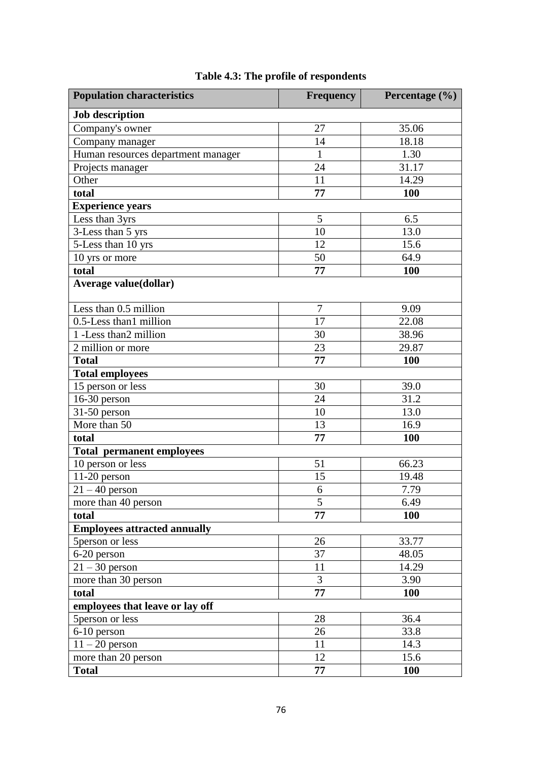| <b>Population characteristics</b>   | <b>Frequency</b> | Percentage (%) |
|-------------------------------------|------------------|----------------|
| <b>Job description</b>              |                  |                |
| Company's owner                     | 27               | 35.06          |
| Company manager                     | 14               | 18.18          |
| Human resources department manager  | $\mathbf{1}$     | 1.30           |
| Projects manager                    | 24               | 31.17          |
| Other                               | 11               | 14.29          |
| total                               | 77               | <b>100</b>     |
| <b>Experience years</b>             |                  |                |
| Less than 3yrs                      | 5                | 6.5            |
| 3-Less than 5 yrs                   | 10               | 13.0           |
| 5-Less than 10 yrs                  | 12               | 15.6           |
| 10 yrs or more                      | 50               | 64.9           |
| total                               | 77               | <b>100</b>     |
| <b>Average value(dollar)</b>        |                  |                |
| Less than 0.5 million               | 7                | 9.09           |
| 0.5-Less than1 million              | 17               | 22.08          |
| 1 -Less than 2 million              | 30               | 38.96          |
| 2 million or more                   | 23               | 29.87          |
| <b>Total</b>                        | 77               | <b>100</b>     |
| <b>Total employees</b>              |                  |                |
| 15 person or less                   | 30               | 39.0           |
| $16-30$ person                      | 24               | 31.2           |
| $31-50$ person                      | 10               | 13.0           |
| More than 50                        | 13               | 16.9           |
| total                               | 77               | <b>100</b>     |
| <b>Total permanent employees</b>    |                  |                |
| 10 person or less                   | 51               | 66.23          |
| $11-20$ person                      | 15               | 19.48          |
| $21 - 40$ person                    | 6                | 7.79           |
| more than 40 person                 | 5                | 6.49           |
| total                               | 77               | <b>100</b>     |
| <b>Employees attracted annually</b> |                  |                |
| 5 person or less                    | 26               | 33.77          |
| 6-20 person                         | 37               | 48.05          |
| $21 - 30$ person                    | 11               | 14.29          |
| more than 30 person                 | 3                | 3.90           |
| total                               | 77               | 100            |
| employees that leave or lay off     |                  |                |
| 5 person or less                    | 28               | 36.4           |
| 6-10 person                         | 26               | 33.8           |
| $11 - 20$ person                    | 11               | 14.3           |
| more than 20 person                 | 12               | 15.6           |
| <b>Total</b>                        | 77               | <b>100</b>     |

# **Table 4.3: The profile of respondents**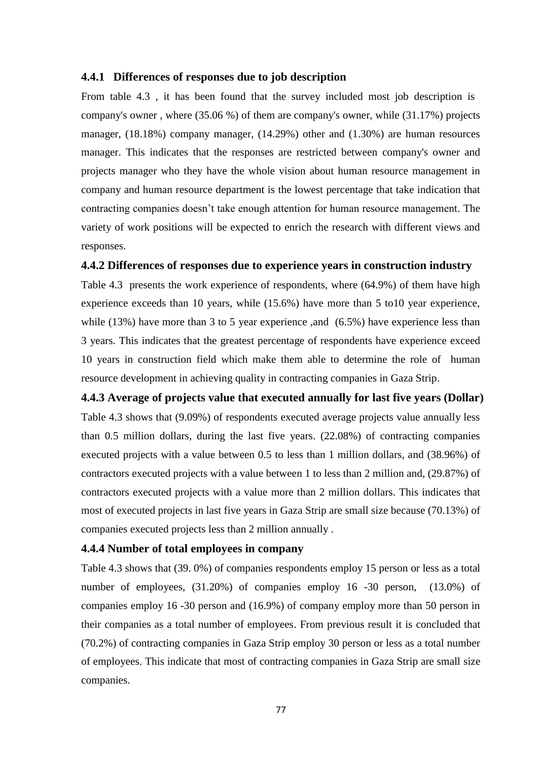#### **4.4.1 Differences of responses due to job description**

From table 4.3 , it has been found that the survey included most job description is company's owner , where (35.06 %) of them are company's owner, while (31.17%) projects manager, (18.18%) company manager, (14.29%) other and (1.30%) are human resources manager. This indicates that the responses are restricted between company's owner and projects manager who they have the whole vision about human resource management in company and human resource department is the lowest percentage that take indication that contracting companies doesn"t take enough attention for human resource management. The variety of work positions will be expected to enrich the research with different views and responses.

#### **4.4.2 Differences of responses due to experience years in construction industry**

Table 4.3 presents the work experience of respondents, where (64.9%) of them have high experience exceeds than 10 years, while (15.6%) have more than 5 to10 year experience, while (13%) have more than 3 to 5 year experience ,and (6.5%) have experience less than 3 years. This indicates that the greatest percentage of respondents have experience exceed 10 years in construction field which make them able to determine the role of human resource development in achieving quality in contracting companies in Gaza Strip.

#### **4.4.3 Average of projects value that executed annually for last five years (Dollar)**

Table 4.3 shows that (9.09%) of respondents executed average projects value annually less than 0.5 million dollars, during the last five years. (22.08%) of contracting companies executed projects with a value between 0.5 to less than 1 million dollars, and (38.96%) of contractors executed projects with a value between 1 to less than 2 million and, (29.87%) of contractors executed projects with a value more than 2 million dollars. This indicates that most of executed projects in last five years in Gaza Strip are small size because (70.13%) of companies executed projects less than 2 million annually .

#### **4.4.4 Number of total employees in company**

Table 4.3 shows that (39. 0%) of companies respondents employ 15 person or less as a total number of employees,  $(31.20%)$  of companies employ 16 -30 person,  $(13.0%)$  of companies employ 16 -30 person and (16.9%) of company employ more than 50 person in their companies as a total number of employees. From previous result it is concluded that (70.2%) of contracting companies in Gaza Strip employ 30 person or less as a total number of employees. This indicate that most of contracting companies in Gaza Strip are small size companies.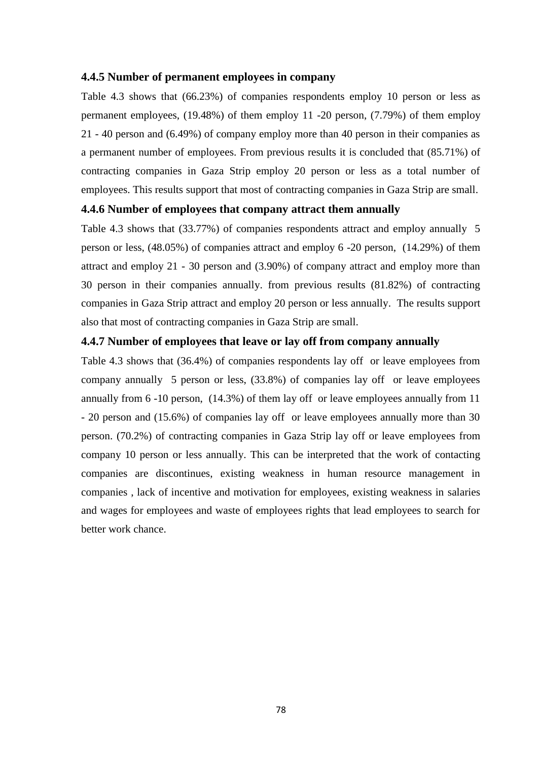#### **4.4.5 Number of permanent employees in company**

Table 4.3 shows that (66.23%) of companies respondents employ 10 person or less as permanent employees, (19.48%) of them employ 11 -20 person, (7.79%) of them employ 21 - 40 person and (6.49%) of company employ more than 40 person in their companies as a permanent number of employees. From previous results it is concluded that (85.71%) of contracting companies in Gaza Strip employ 20 person or less as a total number of employees. This results support that most of contracting companies in Gaza Strip are small.

#### **4.4.6 Number of employees that company attract them annually**

Table 4.3 shows that (33.77%) of companies respondents attract and employ annually 5 person or less, (48.05%) of companies attract and employ 6 -20 person, (14.29%) of them attract and employ 21 - 30 person and (3.90%) of company attract and employ more than 30 person in their companies annually. from previous results (81.82%) of contracting companies in Gaza Strip attract and employ 20 person or less annually. The results support also that most of contracting companies in Gaza Strip are small.

#### **4.4.7 Number of employees that leave or lay off from company annually**

Table 4.3 shows that (36.4%) of companies respondents lay off or leave employees from company annually 5 person or less, (33.8%) of companies lay off or leave employees annually from 6 -10 person, (14.3%) of them lay off or leave employees annually from 11 - 20 person and (15.6%) of companies lay off or leave employees annually more than 30 person. (70.2%) of contracting companies in Gaza Strip lay off or leave employees from company 10 person or less annually. This can be interpreted that the work of contacting companies are discontinues, existing weakness in human resource management in companies , lack of incentive and motivation for employees, existing weakness in salaries and wages for employees and waste of employees rights that lead employees to search for better work chance.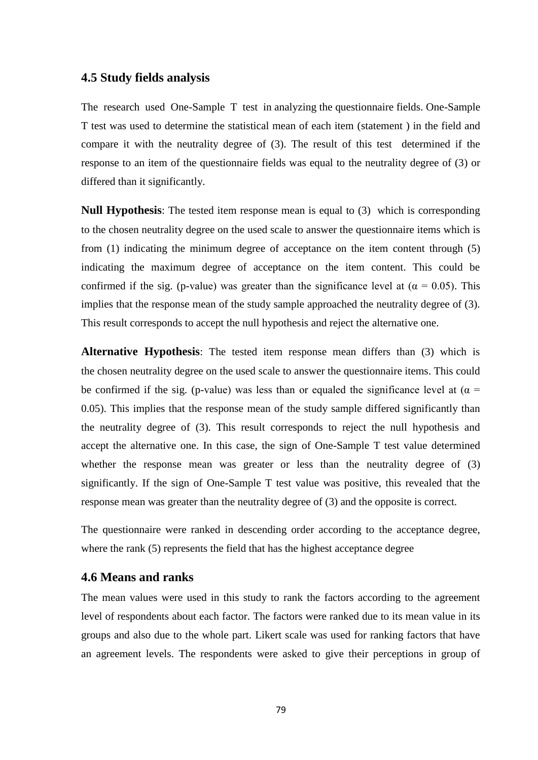#### **4.5 Study fields analysis**

The research used One-Sample T test in analyzing the questionnaire fields. One-Sample T test was used to determine the statistical mean of each item (statement ) in the field and compare it with the neutrality degree of (3). The result of this test determined if the response to an item of the questionnaire fields was equal to the neutrality degree of (3) or differed than it significantly.

**Null Hypothesis**: The tested item response mean is equal to (3) which is corresponding to the chosen neutrality degree on the used scale to answer the questionnaire items which is from (1) indicating the minimum degree of acceptance on the item content through (5) indicating the maximum degree of acceptance on the item content. This could be confirmed if the sig. (p-value) was greater than the significance level at ( $\alpha = 0.05$ ). This implies that the response mean of the study sample approached the neutrality degree of (3). This result corresponds to accept the null hypothesis and reject the alternative one.

**Alternative Hypothesis**: The tested item response mean differs than (3) which is the chosen neutrality degree on the used scale to answer the questionnaire items. This could be confirmed if the sig. (p-value) was less than or equaled the significance level at ( $\alpha$  = 0.05). This implies that the response mean of the study sample differed significantly than the neutrality degree of (3). This result corresponds to reject the null hypothesis and accept the alternative one. In this case, the sign of One-Sample T test value determined whether the response mean was greater or less than the neutrality degree of (3) significantly. If the sign of One-Sample T test value was positive, this revealed that the response mean was greater than the neutrality degree of (3) and the opposite is correct.

The questionnaire were ranked in descending order according to the acceptance degree, where the rank (5) represents the field that has the highest acceptance degree

## **4.6 Means and ranks**

The mean values were used in this study to rank the factors according to the agreement level of respondents about each factor. The factors were ranked due to its mean value in its groups and also due to the whole part. Likert scale was used for ranking factors that have an agreement levels. The respondents were asked to give their perceptions in group of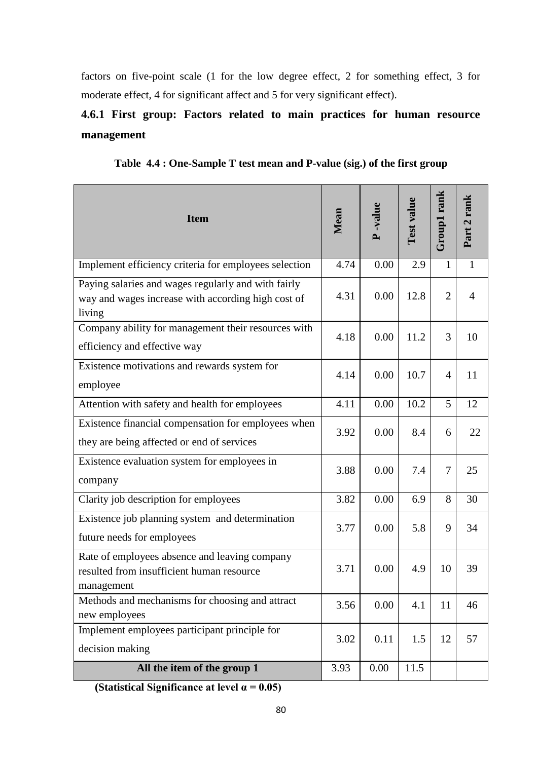factors on five-point scale (1 for the low degree effect, 2 for something effect, 3 for moderate effect, 4 for significant affect and 5 for very significant effect).

# **4.6.1 First group: Factors related to main practices for human resource management**

**Table 4.4 : One-Sample T test mean and P-value (sig.) of the first group**

| <b>Item</b>                                                                                                         | Mean | <b>P</b> -value | Test value | Group1 rank    | rank<br>Part 2 |
|---------------------------------------------------------------------------------------------------------------------|------|-----------------|------------|----------------|----------------|
| Implement efficiency criteria for employees selection                                                               | 4.74 | 0.00            | 2.9        | 1              | 1              |
| Paying salaries and wages regularly and with fairly<br>way and wages increase with according high cost of<br>living | 4.31 | 0.00            | 12.8       | $\overline{2}$ | $\overline{4}$ |
| Company ability for management their resources with<br>efficiency and effective way                                 | 4.18 | 0.00            | 11.2       | 3              | 10             |
| Existence motivations and rewards system for<br>employee                                                            | 4.14 | 0.00            | 10.7       | $\overline{4}$ | 11             |
| Attention with safety and health for employees                                                                      | 4.11 | 0.00            | 10.2       | 5              | 12             |
| Existence financial compensation for employees when<br>they are being affected or end of services                   | 3.92 | 0.00            | 8.4        | 6              | 22             |
| Existence evaluation system for employees in<br>company                                                             | 3.88 | 0.00            | 7.4        | $\overline{7}$ | 25             |
| Clarity job description for employees                                                                               | 3.82 | 0.00            | 6.9        | 8              | 30             |
| Existence job planning system and determination<br>future needs for employees                                       | 3.77 | 0.00            | 5.8        | 9              | 34             |
| Rate of employees absence and leaving company<br>resulted from insufficient human resource<br>management            | 3.71 | 0.00            | 4.9        | 10             | 39             |
| Methods and mechanisms for choosing and attract<br>new employees                                                    | 3.56 | 0.00            | 4.1        | 11             | 46             |
| Implement employees participant principle for<br>decision making                                                    | 3.02 | 0.11            | 1.5        | 12             | 57             |
| All the item of the group 1                                                                                         | 3.93 | 0.00            | 11.5       |                |                |

 **(Statistical Significance at level α = 0.05)**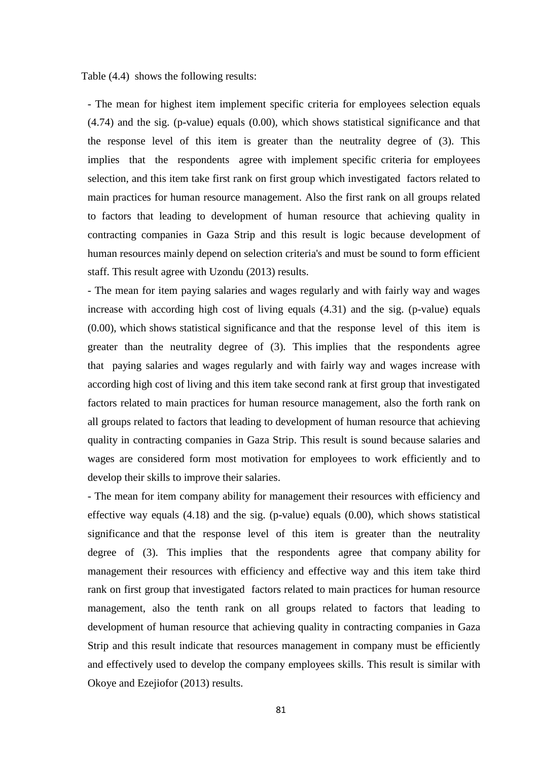Table (4.4) shows the following results:

- The mean for highest item implement specific criteria for employees selection equals (4.74) and the sig. (p-value) equals (0.00), which shows statistical significance and that the response level of this item is greater than the neutrality degree of (3). This implies that the respondents agree with implement specific criteria for employees selection, and this item take first rank on first group which investigated factors related to main practices for human resource management. Also the first rank on all groups related to factors that leading to development of human resource that achieving quality in contracting companies in Gaza Strip and this result is logic because development of human resources mainly depend on selection criteria's and must be sound to form efficient staff. This result agree with Uzondu (2013) results.

- The mean for item paying salaries and wages regularly and with fairly way and wages increase with according high cost of living equals (4.31) and the sig. (p-value) equals (0.00), which shows statistical significance and that the response level of this item is greater than the neutrality degree of (3). This implies that the respondents agree that paying salaries and wages regularly and with fairly way and wages increase with according high cost of living and this item take second rank at first group that investigated factors related to main practices for human resource management, also the forth rank on all groups related to factors that leading to development of human resource that achieving quality in contracting companies in Gaza Strip. This result is sound because salaries and wages are considered form most motivation for employees to work efficiently and to develop their skills to improve their salaries.

- The mean for item company ability for management their resources with efficiency and effective way equals (4.18) and the sig. (p-value) equals (0.00), which shows statistical significance and that the response level of this item is greater than the neutrality degree of (3). This implies that the respondents agree that company ability for management their resources with efficiency and effective way and this item take third rank on first group that investigated factors related to main practices for human resource management, also the tenth rank on all groups related to factors that leading to development of human resource that achieving quality in contracting companies in Gaza Strip and this result indicate that resources management in company must be efficiently and effectively used to develop the company employees skills. This result is similar with Okoye and Ezejiofor (2013) results.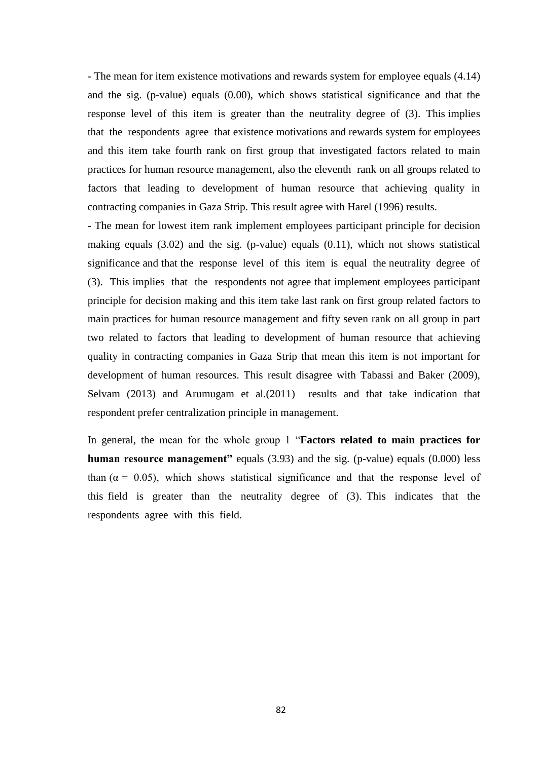- The mean for item existence motivations and rewards system for employee equals (4.14) and the sig. (p-value) equals (0.00), which shows statistical significance and that the response level of this item is greater than the neutrality degree of (3). This implies that the respondents agree that existence motivations and rewards system for employees and this item take fourth rank on first group that investigated factors related to main practices for human resource management, also the eleventh rank on all groups related to factors that leading to development of human resource that achieving quality in contracting companies in Gaza Strip. This result agree with Harel (1996) results.

- The mean for lowest item rank implement employees participant principle for decision making equals (3.02) and the sig. (p-value) equals (0.11), which not shows statistical significance and that the response level of this item is equal the neutrality degree of (3). This implies that the respondents not agree that implement employees participant principle for decision making and this item take last rank on first group related factors to main practices for human resource management and fifty seven rank on all group in part two related to factors that leading to development of human resource that achieving quality in contracting companies in Gaza Strip that mean this item is not important for development of human resources. This result disagree with Tabassi and Baker (2009), Selvam (2013) and Arumugam et al.(2011) results and that take indication that respondent prefer centralization principle in management.

In general, the mean for the whole group 1 "**Factors related to main practices for human resource management"** equals (3.93) and the sig. (p-value) equals (0.000) less than ( $\alpha$  = 0.05), which shows statistical significance and that the response level of this field is greater than the neutrality degree of (3). This indicates that the respondents agree with this field.

82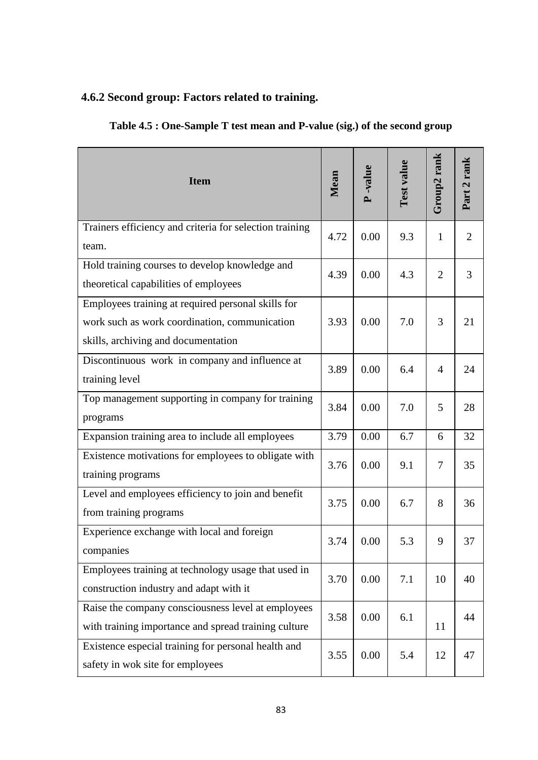# **4.6.2 Second group: Factors related to training.**

| Table 4.5 : One-Sample T test mean and P-value (sig.) of the second group |  |  |
|---------------------------------------------------------------------------|--|--|
|                                                                           |  |  |

| <b>Item</b>                                                                                                                                | Mean | <b>P</b> -value | Test value | Group2 rank    | Part 2 rank    |
|--------------------------------------------------------------------------------------------------------------------------------------------|------|-----------------|------------|----------------|----------------|
| Trainers efficiency and criteria for selection training<br>team.                                                                           | 4.72 | 0.00            | 9.3        | 1              | $\overline{2}$ |
| Hold training courses to develop knowledge and<br>theoretical capabilities of employees                                                    | 4.39 | 0.00            | 4.3        | $\overline{2}$ | 3              |
| Employees training at required personal skills for<br>work such as work coordination, communication<br>skills, archiving and documentation | 3.93 | 0.00            | 7.0        | 3              | 21             |
| Discontinuous work in company and influence at<br>training level                                                                           | 3.89 | 0.00            | 6.4        | $\overline{4}$ | 24             |
| Top management supporting in company for training<br>programs                                                                              | 3.84 | 0.00            | 7.0        | 5              | 28             |
| Expansion training area to include all employees                                                                                           | 3.79 | 0.00            | 6.7        | 6              | 32             |
| Existence motivations for employees to obligate with<br>training programs                                                                  | 3.76 | 0.00            | 9.1        | 7              | 35             |
| Level and employees efficiency to join and benefit<br>from training programs                                                               | 3.75 | 0.00            | 6.7        | 8              | 36             |
| Experience exchange with local and foreign<br>companies                                                                                    | 3.74 | 0.00            | 5.3        | 9              | 37             |
| Employees training at technology usage that used in<br>construction industry and adapt with it                                             | 3.70 | 0.00            | 7.1        | 10             | 40             |
| Raise the company consciousness level at employees<br>with training importance and spread training culture                                 | 3.58 | 0.00            | 6.1        | 11             | 44             |
| Existence especial training for personal health and<br>safety in wok site for employees                                                    | 3.55 | 0.00            | 5.4        | 12             | 47             |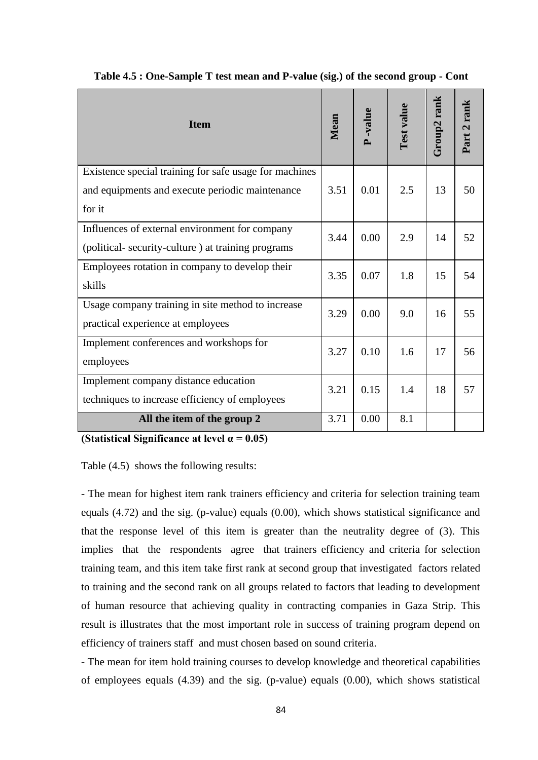| <b>Item</b>                                            | Mean | -value | Test value | Group2 rank | Part 2 rank |
|--------------------------------------------------------|------|--------|------------|-------------|-------------|
| Existence special training for safe usage for machines |      |        |            |             |             |
| and equipments and execute periodic maintenance        | 3.51 | 0.01   | 2.5        | 13          | 50          |
| for it                                                 |      |        |            |             |             |
| Influences of external environment for company         | 3.44 | 0.00   | 2.9        | 14          | 52          |
| (political- security-culture) at training programs     |      |        |            |             |             |
| Employees rotation in company to develop their         | 3.35 | 0.07   | 1.8        | 15          | 54          |
| skills                                                 |      |        |            |             |             |
| Usage company training in site method to increase      | 3.29 | 0.00   | 9.0        | 16          | 55          |
| practical experience at employees                      |      |        |            |             |             |
| Implement conferences and workshops for                | 3.27 | 0.10   | 1.6        | 17          | 56          |
| employees                                              |      |        |            |             |             |
| Implement company distance education                   | 3.21 | 0.15   | 1.4        | 18          | 57          |
| techniques to increase efficiency of employees         |      |        |            |             |             |
| All the item of the group 2                            | 3.71 | 0.00   | 8.1        |             |             |

**Table 4.5 : One-Sample T test mean and P-value (sig.) of the second group - Cont**

**(Statistical Significance at level α = 0.05)**

Table (4.5) shows the following results:

- The mean for highest item rank trainers efficiency and criteria for selection training team equals (4.72) and the sig. (p-value) equals (0.00), which shows statistical significance and that the response level of this item is greater than the neutrality degree of (3). This implies that the respondents agree that trainers efficiency and criteria for selection training team, and this item take first rank at second group that investigated factors related to training and the second rank on all groups related to factors that leading to development of human resource that achieving quality in contracting companies in Gaza Strip. This result is illustrates that the most important role in success of training program depend on efficiency of trainers staff and must chosen based on sound criteria.

- The mean for item hold training courses to develop knowledge and theoretical capabilities of employees equals (4.39) and the sig. (p-value) equals (0.00), which shows statistical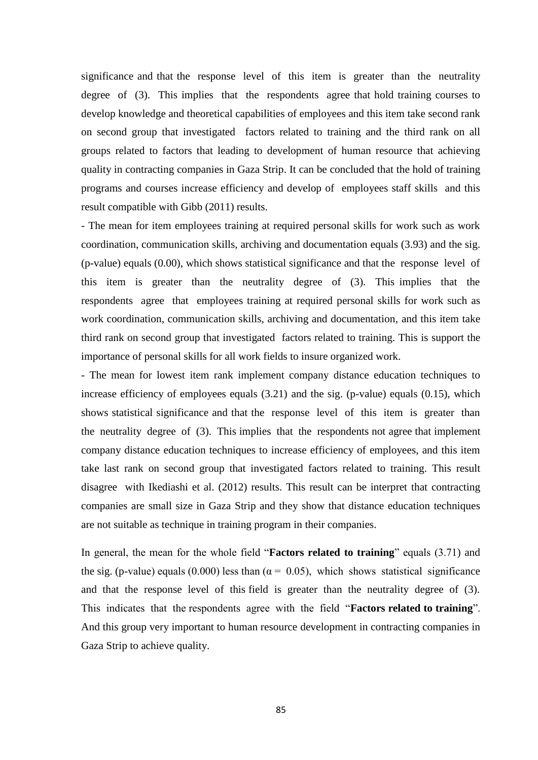significance and that the response level of this item is greater than the neutrality degree of (3). This implies that the respondents agree that hold training courses to develop knowledge and theoretical capabilities of employees and this item take second rank on second group that investigated factors related to training and the third rank on all groups related to factors that leading to development of human resource that achieving quality in contracting companies in Gaza Strip. It can be concluded that the hold of training programs and courses increase efficiency and develop of employees staff skills and this result compatible with Gibb (2011) results.

- The mean for item employees training at required personal skills for work such as work coordination, communication skills, archiving and documentation equals (3.93) and the sig. (p-value) equals (0.00), which shows statistical significance and that the response level of this item is greater than the neutrality degree of (3). This implies that the respondents agree that employees training at required personal skills for work such as work coordination, communication skills, archiving and documentation, and this item take third rank on second group that investigated factors related to training. This is support the importance of personal skills for all work fields to insure organized work.

- The mean for lowest item rank implement company distance education techniques to increase efficiency of employees equals (3.21) and the sig. (p-value) equals (0.15), which shows statistical significance and that the response level of this item is greater than the neutrality degree of (3). This implies that the respondents not agree that implement company distance education techniques to increase efficiency of employees, and this item take last rank on second group that investigated factors related to training. This result disagree with Ikediashi et al.  $(2012)$  results. This result can be interpret that contracting companies are small size in Gaza Strip and they show that distance education techniques are not suitable as technique in training program in their companies.

In general, the mean for the whole field "**Factors related to training**" equals (3.71) and the sig. (p-value) equals (0.000) less than ( $\alpha$  = 0.05), which shows statistical significance and that the response level of this field is greater than the neutrality degree of (3). This indicates that the respondents agree with the field "**Factors related to training**". And this group very important to human resource development in contracting companies in Gaza Strip to achieve quality.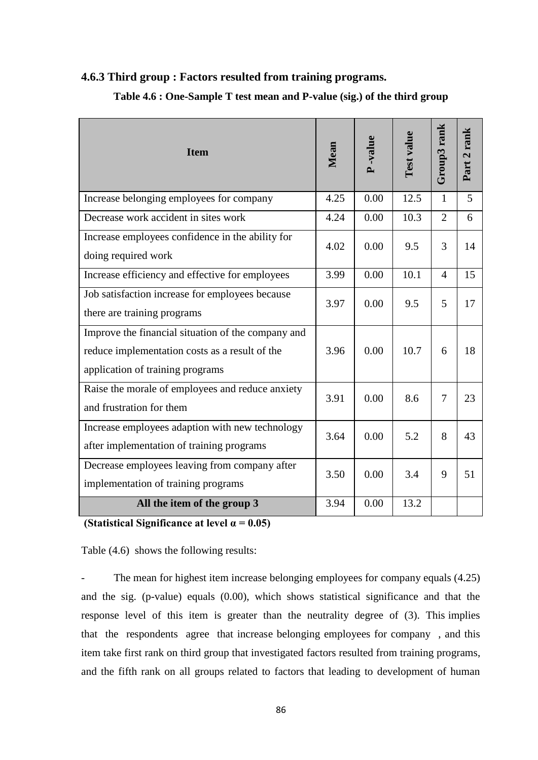#### **4.6.3 Third group : Factors resulted from training programs.**

| <b>Item</b>                                                                                                                              | Mean | -value | Test value | Group3 rank    | Part 2 rank |
|------------------------------------------------------------------------------------------------------------------------------------------|------|--------|------------|----------------|-------------|
| Increase belonging employees for company                                                                                                 | 4.25 | 0.00   | 12.5       | 1              | 5           |
| Decrease work accident in sites work                                                                                                     | 4.24 | 0.00   | 10.3       | $\overline{2}$ | 6           |
| Increase employees confidence in the ability for<br>doing required work                                                                  | 4.02 | 0.00   | 9.5        | 3              | 14          |
| Increase efficiency and effective for employees                                                                                          | 3.99 | 0.00   | 10.1       | $\overline{4}$ | 15          |
| Job satisfaction increase for employees because<br>there are training programs                                                           | 3.97 | 0.00   | 9.5        | 5              | 17          |
| Improve the financial situation of the company and<br>reduce implementation costs as a result of the<br>application of training programs | 3.96 | 0.00   | 10.7       | 6              | 18          |
| Raise the morale of employees and reduce anxiety<br>and frustration for them                                                             | 3.91 | 0.00   | 8.6        | 7              | 23          |
| Increase employees adaption with new technology<br>after implementation of training programs                                             | 3.64 | 0.00   | 5.2        | 8              | 43          |
| Decrease employees leaving from company after<br>implementation of training programs                                                     | 3.50 | 0.00   | 3.4        | 9              | 51          |
| All the item of the group 3                                                                                                              | 3.94 | 0.00   | 13.2       |                |             |

#### **Table 4.6 : One-Sample T test mean and P-value (sig.) of the third group**

**(Statistical Significance at level α = 0.05)**

Table (4.6) shows the following results:

The mean for highest item increase belonging employees for company equals (4.25) and the sig. (p-value) equals (0.00), which shows statistical significance and that the response level of this item is greater than the neutrality degree of (3). This implies that the respondents agree that increase belonging employees for company , and this item take first rank on third group that investigated factors resulted from training programs, and the fifth rank on all groups related to factors that leading to development of human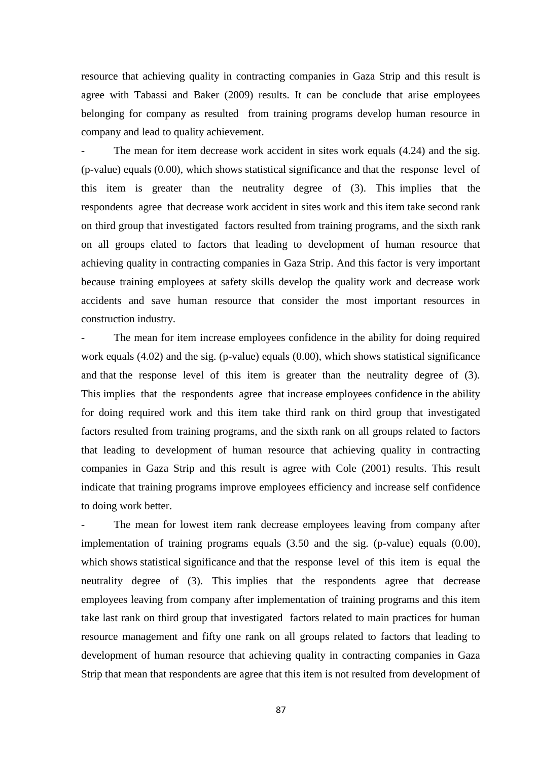resource that achieving quality in contracting companies in Gaza Strip and this result is agree with Tabassi and Baker (2009) results. It can be conclude that arise employees belonging for company as resulted from training programs develop human resource in company and lead to quality achievement.

The mean for item decrease work accident in sites work equals (4.24) and the sig. (p-value) equals (0.00), which shows statistical significance and that the response level of this item is greater than the neutrality degree of (3). This implies that the respondents agree that decrease work accident in sites work and this item take second rank on third group that investigated factors resulted from training programs, and the sixth rank on all groups elated to factors that leading to development of human resource that achieving quality in contracting companies in Gaza Strip. And this factor is very important because training employees at safety skills develop the quality work and decrease work accidents and save human resource that consider the most important resources in construction industry.

The mean for item increase employees confidence in the ability for doing required work equals (4.02) and the sig. (p-value) equals (0.00), which shows statistical significance and that the response level of this item is greater than the neutrality degree of (3). This implies that the respondents agree that increase employees confidence in the ability for doing required work and this item take third rank on third group that investigated factors resulted from training programs, and the sixth rank on all groups related to factors that leading to development of human resource that achieving quality in contracting companies in Gaza Strip and this result is agree with Cole (2001) results. This result indicate that training programs improve employees efficiency and increase self confidence to doing work better.

The mean for lowest item rank decrease employees leaving from company after implementation of training programs equals (3.50 and the sig. (p-value) equals (0.00), which shows statistical significance and that the response level of this item is equal the neutrality degree of (3). This implies that the respondents agree that decrease employees leaving from company after implementation of training programs and this item take last rank on third group that investigated factors related to main practices for human resource management and fifty one rank on all groups related to factors that leading to development of human resource that achieving quality in contracting companies in Gaza Strip that mean that respondents are agree that this item is not resulted from development of

87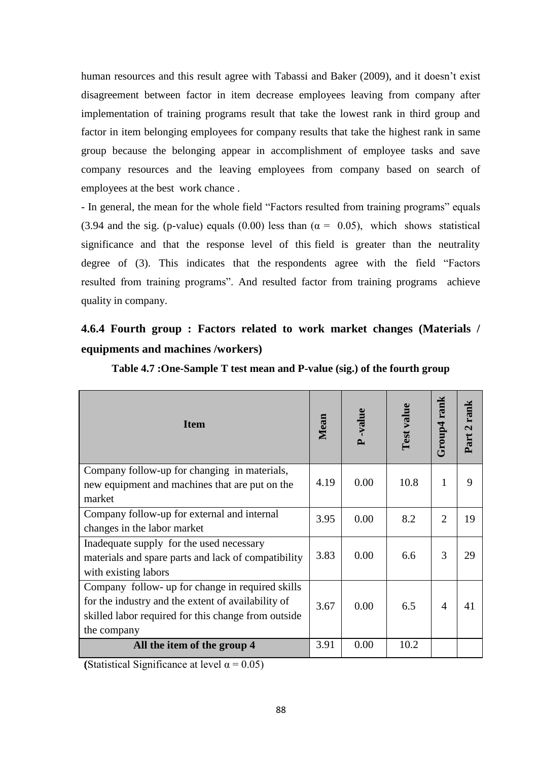human resources and this result agree with Tabassi and Baker (2009), and it doesn"t exist disagreement between factor in item decrease employees leaving from company after implementation of training programs result that take the lowest rank in third group and factor in item belonging employees for company results that take the highest rank in same group because the belonging appear in accomplishment of employee tasks and save company resources and the leaving employees from company based on search of employees at the best work chance .

- In general, the mean for the whole field "Factors resulted from training programs" equals (3.94 and the sig. (p-value) equals (0.00) less than ( $\alpha = 0.05$ ), which shows statistical significance and that the response level of this field is greater than the neutrality degree of (3). This indicates that the respondents agree with the field "Factors resulted from training programs". And resulted factor from training programs achieve quality in company.

# **4.6.4 Fourth group : Factors related to work market changes (Materials / equipments and machines /workers)**

| <b>Item</b>                                         | Mean | -value<br>$\mathbf{r}$ | Test value | rank<br><b>Group4</b> | Part 2 rank |
|-----------------------------------------------------|------|------------------------|------------|-----------------------|-------------|
| Company follow-up for changing in materials,        | 4.19 | 0.00                   | 10.8       | $\mathbf{1}$          | 9           |
| new equipment and machines that are put on the      |      |                        |            |                       |             |
| market                                              |      |                        |            |                       |             |
| Company follow-up for external and internal         | 3.95 | 0.00                   | 8.2        | $\overline{2}$        | 19          |
| changes in the labor market                         |      |                        |            |                       |             |
| Inadequate supply for the used necessary            |      |                        |            |                       |             |
| materials and spare parts and lack of compatibility | 3.83 | 0.00                   | 6.6        | 3                     | 29          |
| with existing labors                                |      |                        |            |                       |             |
| Company follow- up for change in required skills    |      |                        |            |                       |             |
| for the industry and the extent of availability of  | 3.67 | 0.00                   | 6.5        | 4                     | 41          |
| skilled labor required for this change from outside |      |                        |            |                       |             |
| the company                                         |      |                        |            |                       |             |
| All the item of the group 4                         | 3.91 | 0.00                   | 10.2       |                       |             |

**Table 4.7 :One-Sample T test mean and P-value (sig.) of the fourth group**

**(Statistical Significance at level**  $\alpha = 0.05$ **)**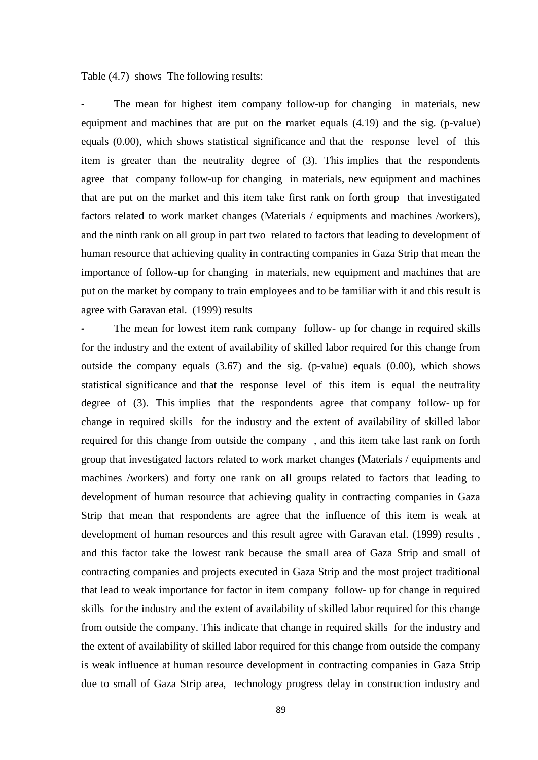Table (4.7) shows The following results:

The mean for highest item company follow-up for changing in materials, new equipment and machines that are put on the market equals (4.19) and the sig. (p-value) equals (0.00), which shows statistical significance and that the response level of this item is greater than the neutrality degree of (3). This implies that the respondents agree that company follow-up for changing in materials, new equipment and machines that are put on the market and this item take first rank on forth group that investigated factors related to work market changes (Materials / equipments and machines /workers), and the ninth rank on all group in part two related to factors that leading to development of human resource that achieving quality in contracting companies in Gaza Strip that mean the importance of follow-up for changing in materials, new equipment and machines that are put on the market by company to train employees and to be familiar with it and this result is agree with Garavan etal. (1999) results

The mean for lowest item rank company follow- up for change in required skills for the industry and the extent of availability of skilled labor required for this change from outside the company equals (3.67) and the sig. (p-value) equals (0.00), which shows statistical significance and that the response level of this item is equal the neutrality degree of (3). This implies that the respondents agree that company follow- up for change in required skills for the industry and the extent of availability of skilled labor required for this change from outside the company , and this item take last rank on forth group that investigated factors related to work market changes (Materials / equipments and machines /workers) and forty one rank on all groups related to factors that leading to development of human resource that achieving quality in contracting companies in Gaza Strip that mean that respondents are agree that the influence of this item is weak at development of human resources and this result agree with Garavan etal. (1999) results , and this factor take the lowest rank because the small area of Gaza Strip and small of contracting companies and projects executed in Gaza Strip and the most project traditional that lead to weak importance for factor in item company follow- up for change in required skills for the industry and the extent of availability of skilled labor required for this change from outside the company. This indicate that change in required skills for the industry and the extent of availability of skilled labor required for this change from outside the company is weak influence at human resource development in contracting companies in Gaza Strip due to small of Gaza Strip area, technology progress delay in construction industry and

89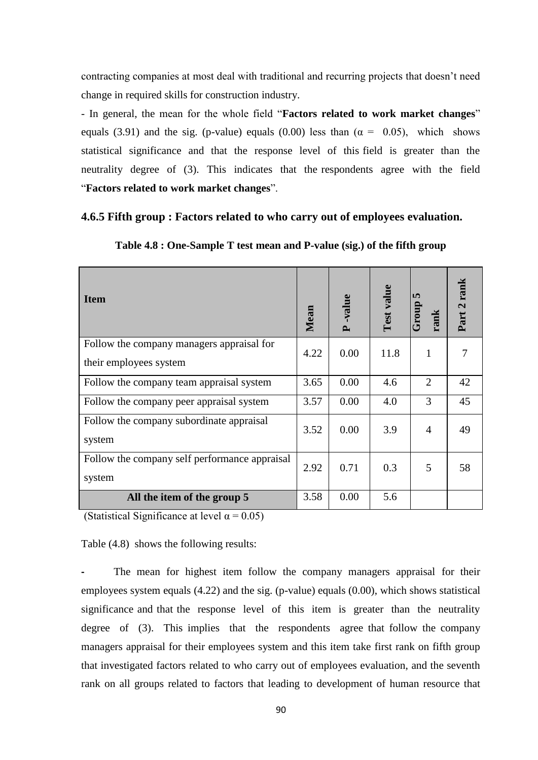contracting companies at most deal with traditional and recurring projects that doesn"t need change in required skills for construction industry.

- In general, the mean for the whole field "**Factors related to work market changes**" equals (3.91) and the sig. (p-value) equals (0.00) less than ( $\alpha = 0.05$ ), which shows statistical significance and that the response level of this field is greater than the neutrality degree of (3). This indicates that the respondents agree with the field "**Factors related to work market changes**".

#### **4.6.5 Fifth group : Factors related to who carry out of employees evaluation.**

| <b>Item</b>                                   | Mean | -value<br>$\mathbf{r}$ | Test value | <b>In</b><br>quorr<br>rank | Part 2 rank |
|-----------------------------------------------|------|------------------------|------------|----------------------------|-------------|
| Follow the company managers appraisal for     | 4.22 | 0.00                   | 11.8       | 1                          | 7           |
| their employees system                        |      |                        |            |                            |             |
| Follow the company team appraisal system      | 3.65 | 0.00                   | 4.6        | 2                          | 42          |
| Follow the company peer appraisal system      | 3.57 | 0.00                   | 4.0        | 3                          | 45          |
| Follow the company subordinate appraisal      | 3.52 | 0.00                   | 3.9        | $\overline{A}$             | 49          |
| system                                        |      |                        |            |                            |             |
| Follow the company self performance appraisal | 2.92 | 0.71                   | 0.3        | 5                          | 58          |
| system                                        |      |                        |            |                            |             |
| All the item of the group 5                   | 3.58 | 0.00                   | 5.6        |                            |             |

**Table 4.8 : One-Sample T test mean and P-value (sig.) of the fifth group**

(Statistical Significance at level  $\alpha = 0.05$ )

Table (4.8) shows the following results:

The mean for highest item follow the company managers appraisal for their employees system equals  $(4.22)$  and the sig. (p-value) equals  $(0.00)$ , which shows statistical significance and that the response level of this item is greater than the neutrality degree of (3). This implies that the respondents agree that follow the company managers appraisal for their employees system and this item take first rank on fifth group that investigated factors related to who carry out of employees evaluation, and the seventh rank on all groups related to factors that leading to development of human resource that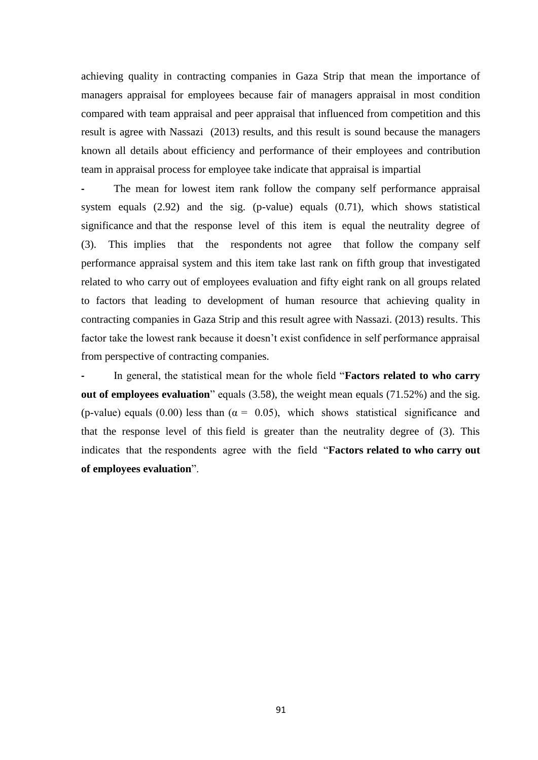achieving quality in contracting companies in Gaza Strip that mean the importance of managers appraisal for employees because fair of managers appraisal in most condition compared with team appraisal and peer appraisal that influenced from competition and this result is agree with Nassazi (2013) results, and this result is sound because the managers known all details about efficiency and performance of their employees and contribution team in appraisal process for employee take indicate that appraisal is impartial

The mean for lowest item rank follow the company self performance appraisal system equals (2.92) and the sig. (p-value) equals (0.71), which shows statistical significance and that the response level of this item is equal the neutrality degree of (3). This implies that the respondents not agree that follow the company self performance appraisal system and this item take last rank on fifth group that investigated related to who carry out of employees evaluation and fifty eight rank on all groups related to factors that leading to development of human resource that achieving quality in contracting companies in Gaza Strip and this result agree with Nassazi. (2013) results. This factor take the lowest rank because it doesn't exist confidence in self performance appraisal from perspective of contracting companies.

In general, the statistical mean for the whole field "**Factors related to who carry out of employees evaluation**" equals (3.58), the weight mean equals (71.52%) and the sig. (p-value) equals (0.00) less than ( $\alpha = 0.05$ ), which shows statistical significance and that the response level of this field is greater than the neutrality degree of (3). This indicates that the respondents agree with the field "**Factors related to who carry out of employees evaluation**".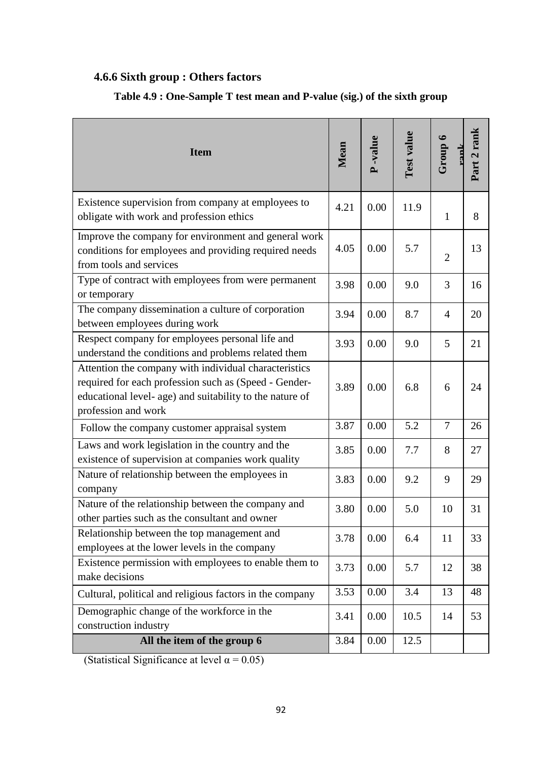# **4.6.6 Sixth group : Others factors**

| <b>Item</b>                                                                                                                                                                                       | Mean | <b>P</b> -value | Test value | Group 6        | Part 2 rank |
|---------------------------------------------------------------------------------------------------------------------------------------------------------------------------------------------------|------|-----------------|------------|----------------|-------------|
| Existence supervision from company at employees to<br>obligate with work and profession ethics                                                                                                    | 4.21 | 0.00            | 11.9       | $\mathbf{1}$   | 8           |
| Improve the company for environment and general work<br>conditions for employees and providing required needs<br>from tools and services                                                          | 4.05 | 0.00            | 5.7        | $\overline{2}$ | 13          |
| Type of contract with employees from were permanent<br>or temporary                                                                                                                               | 3.98 | 0.00            | 9.0        | 3              | 16          |
| The company dissemination a culture of corporation<br>between employees during work                                                                                                               | 3.94 | 0.00            | 8.7        | $\overline{4}$ | 20          |
| Respect company for employees personal life and<br>understand the conditions and problems related them                                                                                            | 3.93 | 0.00            | 9.0        | 5              | 21          |
| Attention the company with individual characteristics<br>required for each profession such as (Speed - Gender-<br>educational level- age) and suitability to the nature of<br>profession and work | 3.89 | 0.00            | 6.8        | 6              | 24          |
| Follow the company customer appraisal system                                                                                                                                                      | 3.87 | 0.00            | 5.2        | 7              | 26          |
| Laws and work legislation in the country and the<br>existence of supervision at companies work quality                                                                                            | 3.85 | 0.00            | 7.7        | 8              | 27          |
| Nature of relationship between the employees in<br>company                                                                                                                                        | 3.83 | 0.00            | 9.2        | 9              | 29          |
| Nature of the relationship between the company and<br>other parties such as the consultant and owner                                                                                              | 3.80 | 0.00            | 5.0        | 10             | 31          |
| Relationship between the top management and<br>employees at the lower levels in the company                                                                                                       | 3.78 | 0.00            | 6.4        | 11             | 33          |
| Existence permission with employees to enable them to<br>make decisions                                                                                                                           | 3.73 | 0.00            | 5.7        | 12             | 38          |
| Cultural, political and religious factors in the company                                                                                                                                          | 3.53 | 0.00            | 3.4        | 13             | 48          |
| Demographic change of the workforce in the<br>construction industry                                                                                                                               | 3.41 | 0.00            | 10.5       | 14             | 53          |
| All the item of the group 6                                                                                                                                                                       | 3.84 | 0.00            | 12.5       |                |             |

# **Table 4.9 : One-Sample T test mean and P-value (sig.) of the sixth group**

(Statistical Significance at level  $\alpha$  = 0.05)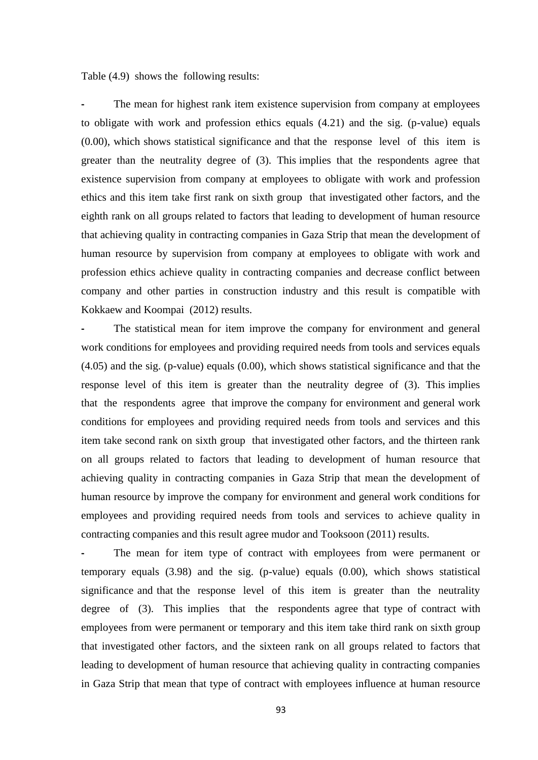#### Table (4.9) shows the following results:

**-** The mean for highest rank item existence supervision from company at employees to obligate with work and profession ethics equals (4.21) and the sig. (p-value) equals (0.00), which shows statistical significance and that the response level of this item is greater than the neutrality degree of (3). This implies that the respondents agree that existence supervision from company at employees to obligate with work and profession ethics and this item take first rank on sixth group that investigated other factors, and the eighth rank on all groups related to factors that leading to development of human resource that achieving quality in contracting companies in Gaza Strip that mean the development of human resource by supervision from company at employees to obligate with work and profession ethics achieve quality in contracting companies and decrease conflict between company and other parties in construction industry and this result is compatible with Kokkaew and Koompai (2012) results.

The statistical mean for item improve the company for environment and general work conditions for employees and providing required needs from tools and services equals (4.05) and the sig. (p-value) equals (0.00), which shows statistical significance and that the response level of this item is greater than the neutrality degree of (3). This implies that the respondents agree that improve the company for environment and general work conditions for employees and providing required needs from tools and services and this item take second rank on sixth group that investigated other factors, and the thirteen rank on all groups related to factors that leading to development of human resource that achieving quality in contracting companies in Gaza Strip that mean the development of human resource by improve the company for environment and general work conditions for employees and providing required needs from tools and services to achieve quality in contracting companies and this result agree mudor and Tooksoon (2011) results.

The mean for item type of contract with employees from were permanent or temporary equals (3.98) and the sig. (p-value) equals (0.00), which shows statistical significance and that the response level of this item is greater than the neutrality degree of (3). This implies that the respondents agree that type of contract with employees from were permanent or temporary and this item take third rank on sixth group that investigated other factors, and the sixteen rank on all groups related to factors that leading to development of human resource that achieving quality in contracting companies in Gaza Strip that mean that type of contract with employees influence at human resource

93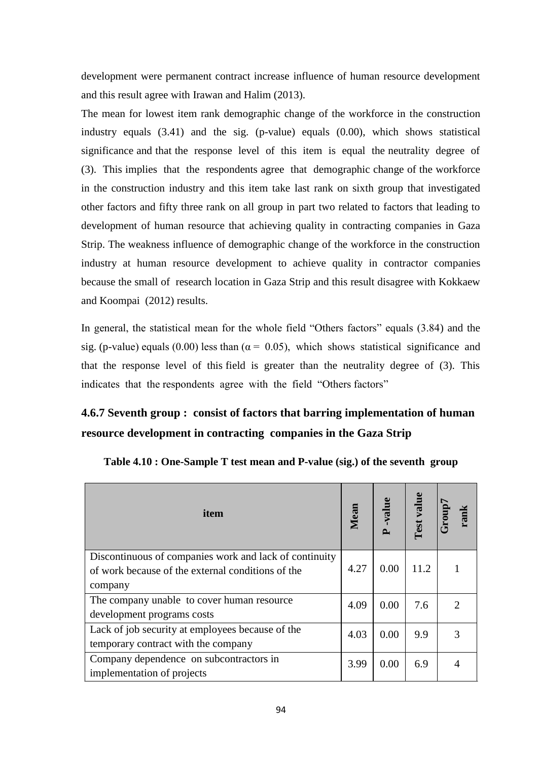development were permanent contract increase influence of human resource development and this result agree with Irawan and Halim (2013).

The mean for lowest item rank demographic change of the workforce in the construction industry equals (3.41) and the sig. (p-value) equals (0.00), which shows statistical significance and that the response level of this item is equal the neutrality degree of (3). This implies that the respondents agree that demographic change of the workforce in the construction industry and this item take last rank on sixth group that investigated other factors and fifty three rank on all group in part two related to factors that leading to development of human resource that achieving quality in contracting companies in Gaza Strip. The weakness influence of demographic change of the workforce in the construction industry at human resource development to achieve quality in contractor companies because the small of research location in Gaza Strip and this result disagree with Kokkaew and Koompai (2012) results.

In general, the statistical mean for the whole field "Others factors" equals (3.84) and the sig. (p-value) equals (0.00) less than ( $\alpha$  = 0.05), which shows statistical significance and that the response level of this field is greater than the neutrality degree of (3). This indicates that the respondents agree with the field "Others factors"

# **4.6.7 Seventh group : consist of factors that barring implementation of human resource development in contracting companies in the Gaza Strip**

| item                                                                                                                   | Mean | value<br>≏ | Test value | Group<br>Anak |
|------------------------------------------------------------------------------------------------------------------------|------|------------|------------|---------------|
| Discontinuous of companies work and lack of continuity<br>of work because of the external conditions of the<br>company | 4.27 | 0.00       | 11.2       |               |
| The company unable to cover human resource<br>development programs costs                                               | 4.09 | 0.00       | 7.6        |               |
| Lack of job security at employees because of the<br>temporary contract with the company                                | 4.03 | 0.00       | 9.9        |               |
| Company dependence on subcontractors in<br>implementation of projects                                                  | 3.99 | 0.00       | 6.9        |               |

**Table 4.10 : One-Sample T test mean and P-value (sig.) of the seventh group**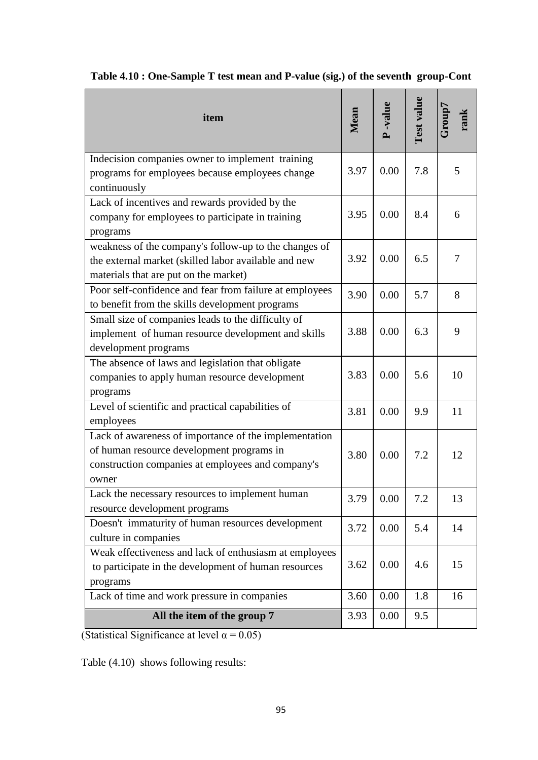| item                                                                                                                                                             | Mean | -value | <b>Test value</b> |    |
|------------------------------------------------------------------------------------------------------------------------------------------------------------------|------|--------|-------------------|----|
| Indecision companies owner to implement training<br>programs for employees because employees change<br>continuously                                              | 3.97 | 0.00   | 7.8               | 5  |
| Lack of incentives and rewards provided by the<br>company for employees to participate in training<br>programs                                                   | 3.95 | 0.00   | 8.4               | 6  |
| weakness of the company's follow-up to the changes of<br>the external market (skilled labor available and new<br>materials that are put on the market)           | 3.92 | 0.00   | 6.5               | 7  |
| Poor self-confidence and fear from failure at employees<br>to benefit from the skills development programs                                                       | 3.90 | 0.00   | 5.7               | 8  |
| Small size of companies leads to the difficulty of<br>implement of human resource development and skills<br>development programs                                 | 3.88 | 0.00   | 6.3               | 9  |
| The absence of laws and legislation that obligate<br>companies to apply human resource development<br>programs                                                   | 3.83 | 0.00   | 5.6               | 10 |
| Level of scientific and practical capabilities of<br>employees                                                                                                   | 3.81 | 0.00   | 9.9               | 11 |
| Lack of awareness of importance of the implementation<br>of human resource development programs in<br>construction companies at employees and company's<br>owner | 3.80 | 0.00   | 7.2               | 12 |
| Lack the necessary resources to implement human<br>resource development programs                                                                                 | 3.79 | 0.00   | 7.2               | 13 |
| Doesn't immaturity of human resources development<br>culture in companies                                                                                        | 3.72 | 0.00   | 5.4               | 14 |
| Weak effectiveness and lack of enthusiasm at employees<br>to participate in the development of human resources<br>programs                                       | 3.62 | 0.00   | 4.6               | 15 |
| Lack of time and work pressure in companies                                                                                                                      | 3.60 | 0.00   | 1.8               | 16 |
| All the item of the group 7                                                                                                                                      | 3.93 | 0.00   | 9.5               |    |

|  |  | Table 4.10 : One-Sample T test mean and P-value (sig.) of the seventh group-Cont |  |
|--|--|----------------------------------------------------------------------------------|--|
|  |  |                                                                                  |  |

(Statistical Significance at level  $\alpha = 0.05$ )

Table (4.10) shows following results: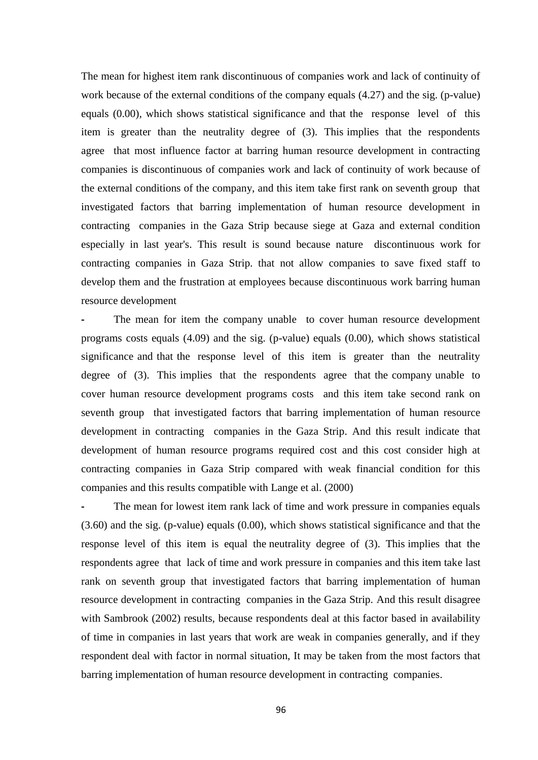The mean for highest item rank discontinuous of companies work and lack of continuity of work because of the external conditions of the company equals (4.27) and the sig. (p-value) equals (0.00), which shows statistical significance and that the response level of this item is greater than the neutrality degree of (3). This implies that the respondents agree that most influence factor at barring human resource development in contracting companies is discontinuous of companies work and lack of continuity of work because of the external conditions of the company, and this item take first rank on seventh group that investigated factors that barring implementation of human resource development in contracting companies in the Gaza Strip because siege at Gaza and external condition especially in last year's. This result is sound because nature discontinuous work for contracting companies in Gaza Strip. that not allow companies to save fixed staff to develop them and the frustration at employees because discontinuous work barring human resource development

**-** The mean for item the company unable to cover human resource development programs costs equals (4.09) and the sig. (p-value) equals (0.00), which shows statistical significance and that the response level of this item is greater than the neutrality degree of (3). This implies that the respondents agree that the company unable to cover human resource development programs costs and this item take second rank on seventh group that investigated factors that barring implementation of human resource development in contracting companies in the Gaza Strip. And this result indicate that development of human resource programs required cost and this cost consider high at contracting companies in Gaza Strip compared with weak financial condition for this companies and this results compatible with Lange et al. (2000)

**-** The mean for lowest item rank lack of time and work pressure in companies equals (3.60) and the sig. (p-value) equals (0.00), which shows statistical significance and that the response level of this item is equal the neutrality degree of (3). This implies that the respondents agree that lack of time and work pressure in companies and this item take last rank on seventh group that investigated factors that barring implementation of human resource development in contracting companies in the Gaza Strip. And this result disagree with Sambrook (2002) results, because respondents deal at this factor based in availability of time in companies in last years that work are weak in companies generally, and if they respondent deal with factor in normal situation, It may be taken from the most factors that barring implementation of human resource development in contracting companies.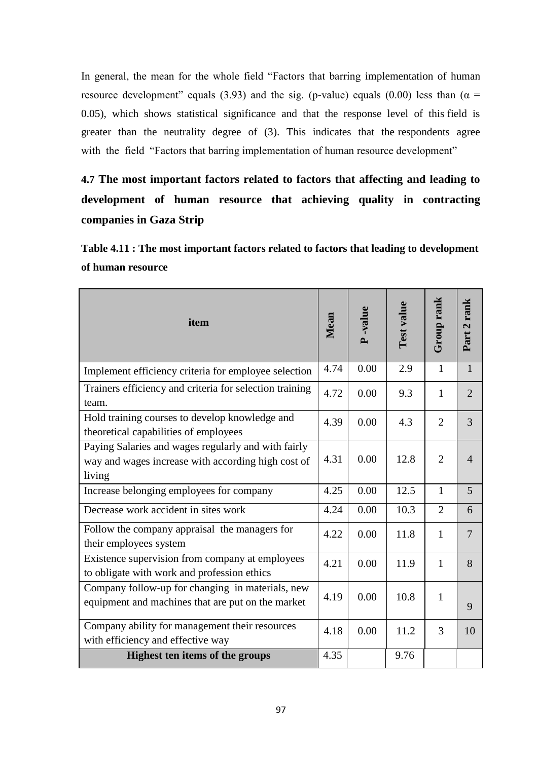In general, the mean for the whole field "Factors that barring implementation of human resource development" equals (3.93) and the sig. (p-value) equals (0.00) less than ( $\alpha$  = 0.05), which shows statistical significance and that the response level of this field is greater than the neutrality degree of (3). This indicates that the respondents agree with the field "Factors that barring implementation of human resource development"

**4.7 The most important factors related to factors that affecting and leading to development of human resource that achieving quality in contracting companies in Gaza Strip**

**Table 4.11 : The most important factors related to factors that leading to development of human resource**

| item                                                                                                                | Mean | <b>P</b> -value | Test value | Group rank     | Part 2 rank    |
|---------------------------------------------------------------------------------------------------------------------|------|-----------------|------------|----------------|----------------|
| Implement efficiency criteria for employee selection                                                                | 4.74 | 0.00            | 2.9        | $\mathbf{1}$   | $\mathbf{1}$   |
| Trainers efficiency and criteria for selection training<br>team.                                                    | 4.72 | 0.00            | 9.3        | $\mathbf{1}$   | $\overline{2}$ |
| Hold training courses to develop knowledge and<br>theoretical capabilities of employees                             | 4.39 | 0.00            | 4.3        | $\overline{2}$ | 3              |
| Paying Salaries and wages regularly and with fairly<br>way and wages increase with according high cost of<br>living | 4.31 | 0.00            | 12.8       | $\overline{2}$ | $\overline{4}$ |
| Increase belonging employees for company                                                                            | 4.25 | 0.00            | 12.5       | 1              | 5              |
| Decrease work accident in sites work                                                                                | 4.24 | 0.00            | 10.3       | $\overline{2}$ | 6              |
| Follow the company appraisal the managers for<br>their employees system                                             | 4.22 | 0.00            | 11.8       | $\mathbf{1}$   | 7              |
| Existence supervision from company at employees<br>to obligate with work and profession ethics                      | 4.21 | 0.00            | 11.9       | 1              | 8              |
| Company follow-up for changing in materials, new<br>equipment and machines that are put on the market               | 4.19 | 0.00            | 10.8       | $\mathbf{1}$   | 9              |
| Company ability for management their resources<br>with efficiency and effective way                                 | 4.18 | 0.00            | 11.2       | 3              | 10             |
| Highest ten items of the groups                                                                                     | 4.35 |                 | 9.76       |                |                |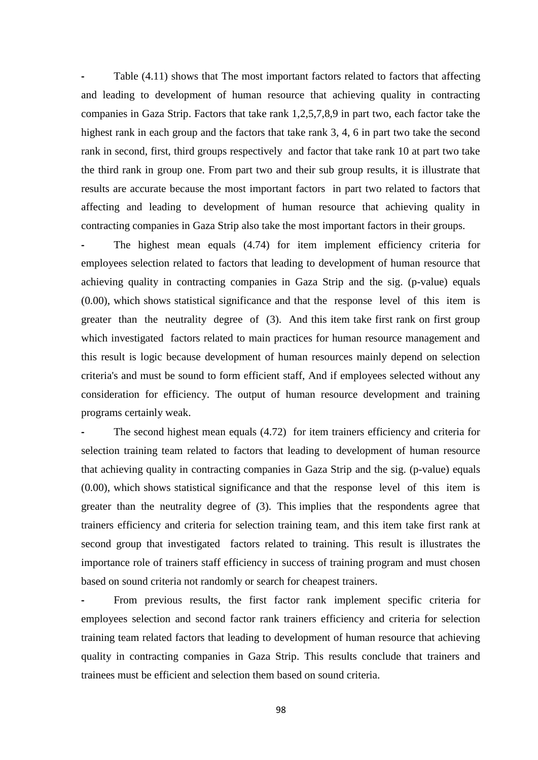**-** Table (4.11) shows that The most important factors related to factors that affecting and leading to development of human resource that achieving quality in contracting companies in Gaza Strip. Factors that take rank 1,2,5,7,8,9 in part two, each factor take the highest rank in each group and the factors that take rank 3, 4, 6 in part two take the second rank in second, first, third groups respectively and factor that take rank 10 at part two take the third rank in group one. From part two and their sub group results, it is illustrate that results are accurate because the most important factors in part two related to factors that affecting and leading to development of human resource that achieving quality in contracting companies in Gaza Strip also take the most important factors in their groups.

**-** The highest mean equals (4.74) for item implement efficiency criteria for employees selection related to factors that leading to development of human resource that achieving quality in contracting companies in Gaza Strip and the sig. (p-value) equals (0.00), which shows statistical significance and that the response level of this item is greater than the neutrality degree of (3). And this item take first rank on first group which investigated factors related to main practices for human resource management and this result is logic because development of human resources mainly depend on selection criteria's and must be sound to form efficient staff, And if employees selected without any consideration for efficiency. The output of human resource development and training programs certainly weak.

The second highest mean equals  $(4.72)$  for item trainers efficiency and criteria for selection training team related to factors that leading to development of human resource that achieving quality in contracting companies in Gaza Strip and the sig. (p-value) equals (0.00), which shows statistical significance and that the response level of this item is greater than the neutrality degree of (3). This implies that the respondents agree that trainers efficiency and criteria for selection training team, and this item take first rank at second group that investigated factors related to training. This result is illustrates the importance role of trainers staff efficiency in success of training program and must chosen based on sound criteria not randomly or search for cheapest trainers.

**-** From previous results, the first factor rank implement specific criteria for employees selection and second factor rank trainers efficiency and criteria for selection training team related factors that leading to development of human resource that achieving quality in contracting companies in Gaza Strip. This results conclude that trainers and trainees must be efficient and selection them based on sound criteria.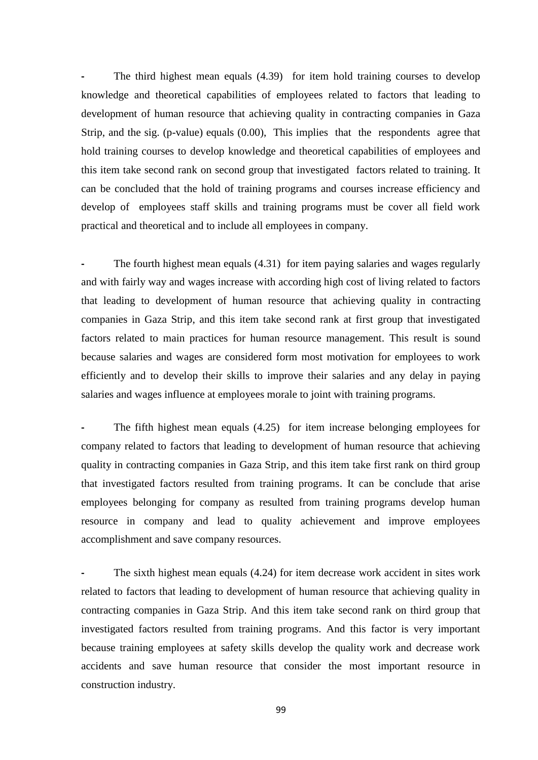The third highest mean equals  $(4.39)$  for item hold training courses to develop knowledge and theoretical capabilities of employees related to factors that leading to development of human resource that achieving quality in contracting companies in Gaza Strip, and the sig. (p-value) equals (0.00), This implies that the respondents agree that hold training courses to develop knowledge and theoretical capabilities of employees and this item take second rank on second group that investigated factors related to training. It can be concluded that the hold of training programs and courses increase efficiency and develop of employees staff skills and training programs must be cover all field work practical and theoretical and to include all employees in company.

**-** The fourth highest mean equals (4.31) for item paying salaries and wages regularly and with fairly way and wages increase with according high cost of living related to factors that leading to development of human resource that achieving quality in contracting companies in Gaza Strip, and this item take second rank at first group that investigated factors related to main practices for human resource management. This result is sound because salaries and wages are considered form most motivation for employees to work efficiently and to develop their skills to improve their salaries and any delay in paying salaries and wages influence at employees morale to joint with training programs.

**-** The fifth highest mean equals (4.25) for item increase belonging employees for company related to factors that leading to development of human resource that achieving quality in contracting companies in Gaza Strip, and this item take first rank on third group that investigated factors resulted from training programs. It can be conclude that arise employees belonging for company as resulted from training programs develop human resource in company and lead to quality achievement and improve employees accomplishment and save company resources.

The sixth highest mean equals  $(4.24)$  for item decrease work accident in sites work related to factors that leading to development of human resource that achieving quality in contracting companies in Gaza Strip. And this item take second rank on third group that investigated factors resulted from training programs. And this factor is very important because training employees at safety skills develop the quality work and decrease work accidents and save human resource that consider the most important resource in construction industry.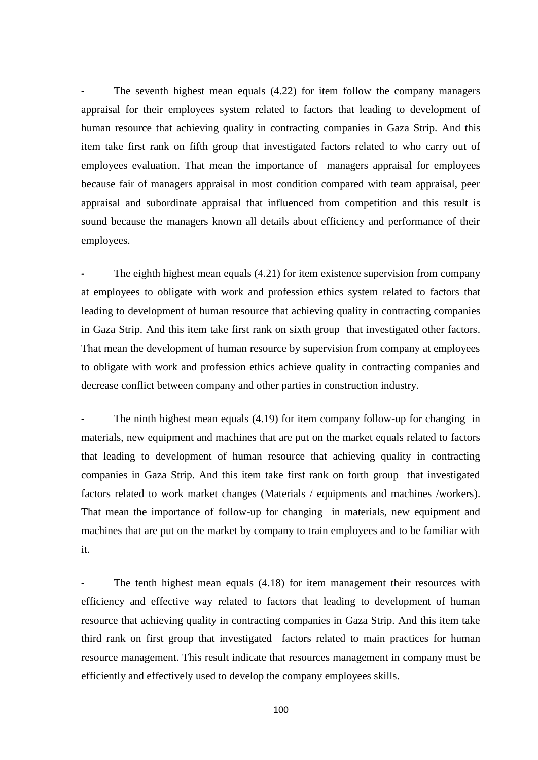The seventh highest mean equals  $(4.22)$  for item follow the company managers appraisal for their employees system related to factors that leading to development of human resource that achieving quality in contracting companies in Gaza Strip. And this item take first rank on fifth group that investigated factors related to who carry out of employees evaluation. That mean the importance of managers appraisal for employees because fair of managers appraisal in most condition compared with team appraisal, peer appraisal and subordinate appraisal that influenced from competition and this result is sound because the managers known all details about efficiency and performance of their employees.

The eighth highest mean equals (4.21) for item existence supervision from company at employees to obligate with work and profession ethics system related to factors that leading to development of human resource that achieving quality in contracting companies in Gaza Strip. And this item take first rank on sixth group that investigated other factors. That mean the development of human resource by supervision from company at employees to obligate with work and profession ethics achieve quality in contracting companies and decrease conflict between company and other parties in construction industry.

The ninth highest mean equals (4.19) for item company follow-up for changing in materials, new equipment and machines that are put on the market equals related to factors that leading to development of human resource that achieving quality in contracting companies in Gaza Strip. And this item take first rank on forth group that investigated factors related to work market changes (Materials / equipments and machines /workers). That mean the importance of follow-up for changing in materials, new equipment and machines that are put on the market by company to train employees and to be familiar with it.

The tenth highest mean equals  $(4.18)$  for item management their resources with efficiency and effective way related to factors that leading to development of human resource that achieving quality in contracting companies in Gaza Strip. And this item take third rank on first group that investigated factors related to main practices for human resource management. This result indicate that resources management in company must be efficiently and effectively used to develop the company employees skills.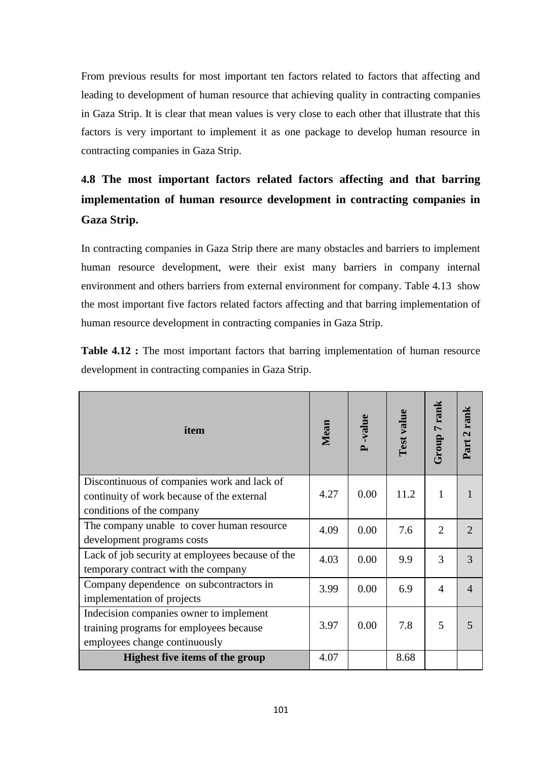From previous results for most important ten factors related to factors that affecting and leading to development of human resource that achieving quality in contracting companies in Gaza Strip. It is clear that mean values is very close to each other that illustrate that this factors is very important to implement it as one package to develop human resource in contracting companies in Gaza Strip.

# **4.8 The most important factors related factors affecting and that barring implementation of human resource development in contracting companies in Gaza Strip.**

In contracting companies in Gaza Strip there are many obstacles and barriers to implement human resource development, were their exist many barriers in company internal environment and others barriers from external environment for company. Table 4.13 show the most important five factors related factors affecting and that barring implementation of human resource development in contracting companies in Gaza Strip.

**Table 4.12 :** The most important factors that barring implementation of human resource development in contracting companies in Gaza Strip.

| item                                                                    | Mean | P-value | Test value | Group 7 rank   | Part 2 rank   |
|-------------------------------------------------------------------------|------|---------|------------|----------------|---------------|
| Discontinuous of companies work and lack of                             | 4.27 | 0.00    | 11.2       | 1              |               |
| continuity of work because of the external<br>conditions of the company |      |         |            |                |               |
| The company unable to cover human resource                              | 4.09 | 0.00    | 7.6        | $\overline{2}$ | $\mathcal{D}$ |
| development programs costs                                              |      |         |            |                |               |
| Lack of job security at employees because of the                        | 4.03 | 0.00    | 9.9        | 3              | $\mathcal{R}$ |
| temporary contract with the company                                     |      |         |            |                |               |
| Company dependence on subcontractors in                                 | 3.99 | 0.00    | 6.9        | $\overline{4}$ |               |
| implementation of projects                                              |      |         |            |                |               |
| Indecision companies owner to implement                                 |      |         |            |                |               |
| training programs for employees because                                 | 3.97 | 0.00    | 7.8        | 5              |               |
| employees change continuously                                           |      |         |            |                |               |
| <b>Highest five items of the group</b>                                  | 4.07 |         | 8.68       |                |               |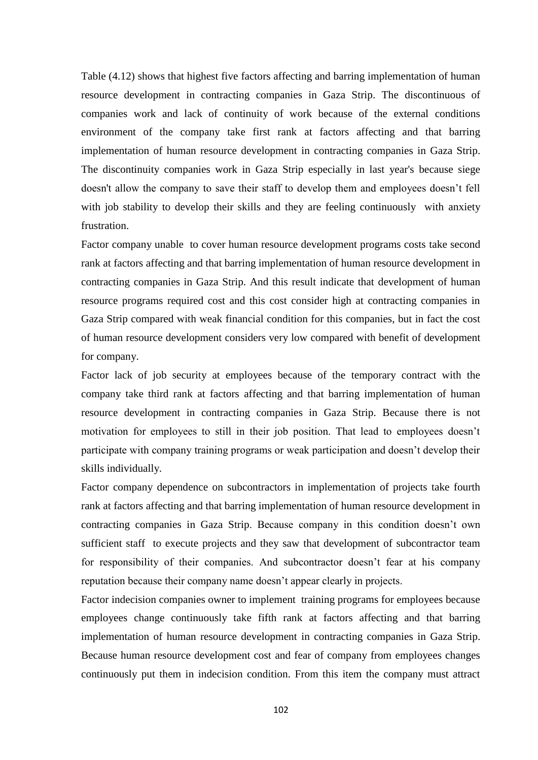Table (4.12) shows that highest five factors affecting and barring implementation of human resource development in contracting companies in Gaza Strip. The discontinuous of companies work and lack of continuity of work because of the external conditions environment of the company take first rank at factors affecting and that barring implementation of human resource development in contracting companies in Gaza Strip. The discontinuity companies work in Gaza Strip especially in last year's because siege doesn't allow the company to save their staff to develop them and employees doesn"t fell with job stability to develop their skills and they are feeling continuously with anxiety frustration.

Factor company unable to cover human resource development programs costs take second rank at factors affecting and that barring implementation of human resource development in contracting companies in Gaza Strip. And this result indicate that development of human resource programs required cost and this cost consider high at contracting companies in Gaza Strip compared with weak financial condition for this companies, but in fact the cost of human resource development considers very low compared with benefit of development for company.

Factor lack of job security at employees because of the temporary contract with the company take third rank at factors affecting and that barring implementation of human resource development in contracting companies in Gaza Strip. Because there is not motivation for employees to still in their job position. That lead to employees doesn"t participate with company training programs or weak participation and doesn"t develop their skills individually.

Factor company dependence on subcontractors in implementation of projects take fourth rank at factors affecting and that barring implementation of human resource development in contracting companies in Gaza Strip. Because company in this condition doesn't own sufficient staff to execute projects and they saw that development of subcontractor team for responsibility of their companies. And subcontractor doesn't fear at his company reputation because their company name doesn"t appear clearly in projects.

Factor indecision companies owner to implement training programs for employees because employees change continuously take fifth rank at factors affecting and that barring implementation of human resource development in contracting companies in Gaza Strip. Because human resource development cost and fear of company from employees changes continuously put them in indecision condition. From this item the company must attract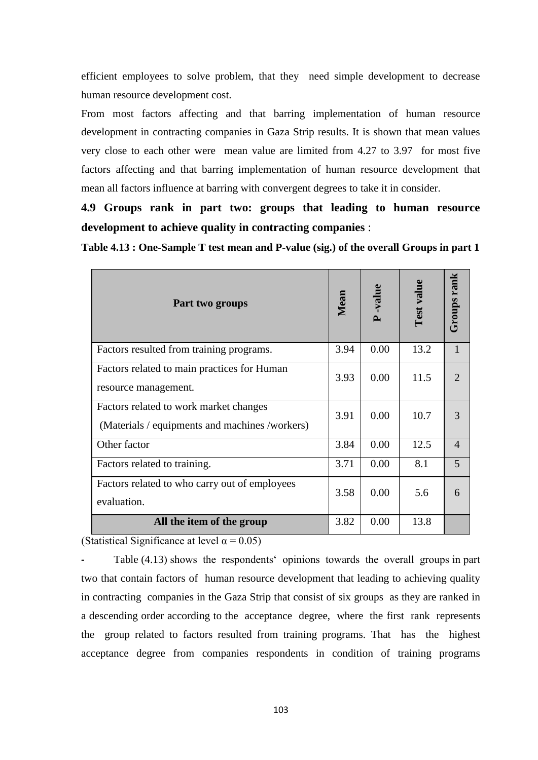efficient employees to solve problem, that they need simple development to decrease human resource development cost.

From most factors affecting and that barring implementation of human resource development in contracting companies in Gaza Strip results. It is shown that mean values very close to each other were mean value are limited from 4.27 to 3.97 for most five factors affecting and that barring implementation of human resource development that mean all factors influence at barring with convergent degrees to take it in consider.

**4.9 Groups rank in part two: groups that leading to human resource development to achieve quality in contracting companies** :

**Table 4.13 : One-Sample T test mean and P-value (sig.) of the overall Groups in part 1**

| Part two groups                                                                          | Mean | P-value | Test value | Groups rank                 |
|------------------------------------------------------------------------------------------|------|---------|------------|-----------------------------|
| Factors resulted from training programs.                                                 | 3.94 | 0.00    | 13.2       |                             |
| Factors related to main practices for Human<br>resource management.                      | 3.93 | 0.00    | 11.5       | $\mathcal{D}_{\mathcal{A}}$ |
| Factors related to work market changes<br>(Materials / equipments and machines /workers) | 3.91 | 0.00    | 10.7       | 3                           |
| Other factor                                                                             | 3.84 | 0.00    | 12.5       | $\overline{4}$              |
| Factors related to training.                                                             | 3.71 | 0.00    | 8.1        | 5                           |
| Factors related to who carry out of employees<br>evaluation.                             | 3.58 | 0.00    | 5.6        | 6                           |
| All the item of the group                                                                | 3.82 | 0.00    | 13.8       |                             |

(Statistical Significance at level  $\alpha = 0.05$ )

**-** Table (4.13) shows the respondents" opinions towards the overall groups in part two that contain factors of human resource development that leading to achieving quality in contracting companies in the Gaza Strip that consist of six groupsas they are ranked in a descending order according to the acceptance degree, where the first rank represents the group related to factors resulted from training programs. That has the highest acceptance degree from companies respondents in condition of training programs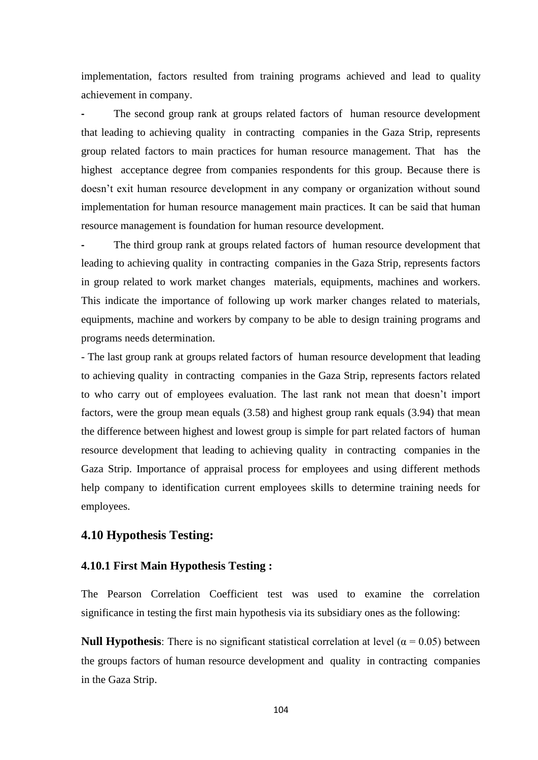implementation, factors resulted from training programs achieved and lead to quality achievement in company.

The second group rank at groups related factors of human resource development that leading to achieving quality in contracting companies in the Gaza Strip, represents group related factors to main practices for human resource management. That has the highest acceptance degree from companies respondents for this group. Because there is doesn"t exit human resource development in any company or organization without sound implementation for human resource management main practices. It can be said that human resource management is foundation for human resource development.

**-** The third group rank at groups related factors of human resource development that leading to achieving quality in contracting companies in the Gaza Strip, represents factors in group related to work market changes materials, equipments, machines and workers. This indicate the importance of following up work marker changes related to materials, equipments, machine and workers by company to be able to design training programs and programs needs determination.

- The last group rank at groups related factors of human resource development that leading to achieving quality in contracting companies in the Gaza Strip, represents factors related to who carry out of employees evaluation. The last rank not mean that doesn"t import factors, were the group mean equals (3.58) and highest group rank equals (3.94) that mean the difference between highest and lowest group is simple for part related factors of human resource development that leading to achieving quality in contracting companies in the Gaza Strip. Importance of appraisal process for employees and using different methods help company to identification current employees skills to determine training needs for employees.

#### **4.10 Hypothesis Testing:**

#### **4.10.1 First Main Hypothesis Testing :**

The Pearson Correlation Coefficient test was used to examine the correlation significance in testing the first main hypothesis via its subsidiary ones as the following:

**Null Hypothesis**: There is no significant statistical correlation at level ( $\alpha$  = 0.05) between the groups factors of human resource development and quality in contracting companies in the Gaza Strip.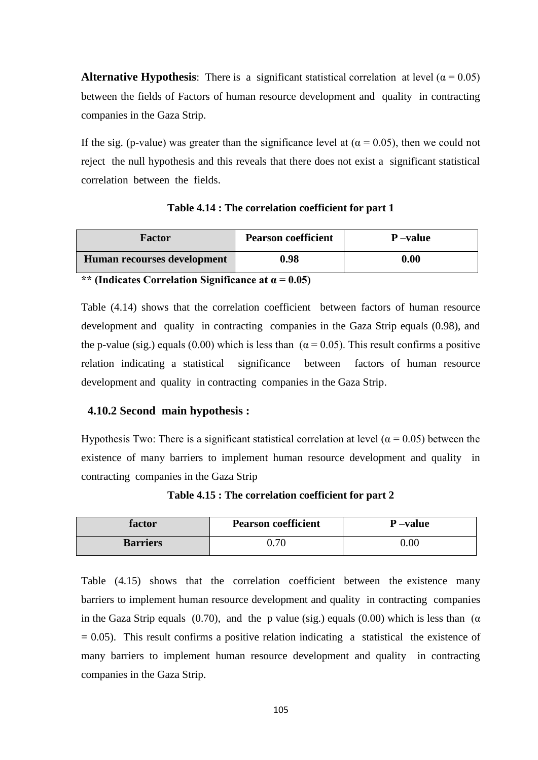**Alternative Hypothesis**: There is a significant statistical correlation at level ( $\alpha$  = 0.05) between the fields of Factors of human resource development and quality in contracting companies in the Gaza Strip.

If the sig. (p-value) was greater than the significance level at ( $\alpha$  = 0.05), then we could not reject the null hypothesis and this reveals that there does not exist a significant statistical correlation between the fields.

| <b>Factor</b>               | <b>Pearson coefficient</b> | P-value  |
|-----------------------------|----------------------------|----------|
| Human recourses development | 0.98                       | $0.00\,$ |

**Table 4.14 : The correlation coefficient for part 1**

**\*\* (Indicates Correlation Significance at α = 0.05)**

Table (4.14) shows that the correlation coefficient between factors of human resource development and quality in contracting companies in the Gaza Strip equals (0.98), and the p-value (sig.) equals (0.00) which is less than ( $\alpha$  = 0.05). This result confirms a positive relation indicating a statistical significance between factors of human resource development and quality in contracting companies in the Gaza Strip.

#### **4.10.2 Second main hypothesis :**

Hypothesis Two: There is a significant statistical correlation at level ( $\alpha$  = 0.05) between the existence of many barriers to implement human resource development and quality in contracting companies in the Gaza Strip

**Table 4.15 : The correlation coefficient for part 2**

| factor          | <b>Pearson coefficient</b> | P-value  |
|-----------------|----------------------------|----------|
| <b>Barriers</b> | $0.70\,$                   | $0.00\,$ |

Table (4.15) shows that the correlation coefficient between the existence many barriers to implement human resource development and quality in contracting companies in the Gaza Strip equals (0.70), and the p value (sig.) equals (0.00) which is less than ( $\alpha$  $= 0.05$ ). This result confirms a positive relation indicating a statistical the existence of many barriers to implement human resource development and quality in contracting companies in the Gaza Strip.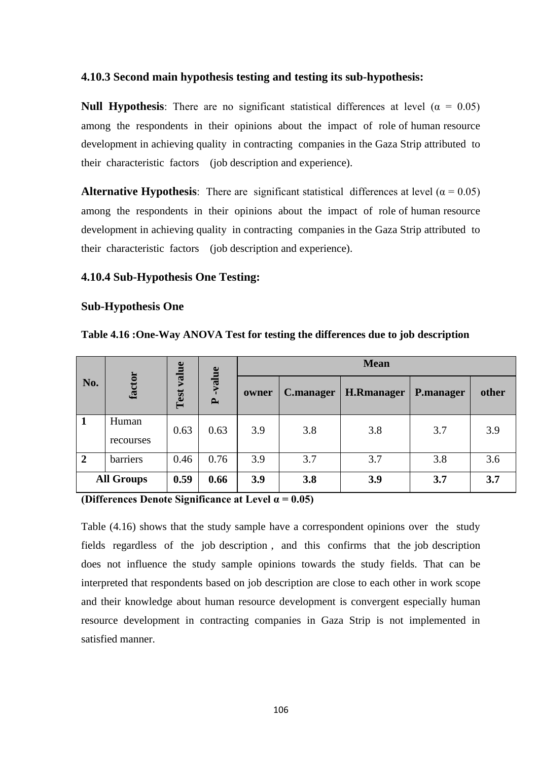#### **4.10.3 Second main hypothesis testing and testing its sub-hypothesis:**

**Null Hypothesis**: There are no significant statistical differences at level ( $\alpha = 0.05$ ) among the respondents in their opinions about the impact of role of human resource development in achieving quality in contracting companies in the Gaza Strip attributed to their characteristic factors (job description and experience).

**Alternative Hypothesis**: There are significant statistical differences at level ( $\alpha = 0.05$ ) among the respondents in their opinions about the impact of role of human resource development in achieving quality in contracting companies in the Gaza Strip attributed to their characteristic factors (job description and experience).

#### **4.10.4 Sub-Hypothesis One Testing:**

#### **Sub-Hypothesis One**

|             |                    | value |                       | <b>Mean</b> |           |                   |                  |       |  |
|-------------|--------------------|-------|-----------------------|-------------|-----------|-------------------|------------------|-------|--|
| No.         | factor             | Test  | value<br>$\mathbf{r}$ | owner       | C.manager | <b>H.Rmanager</b> | <b>P.manager</b> | other |  |
|             | Human<br>recourses | 0.63  | 0.63                  | 3.9         | 3.8       | 3.8               | 3.7              | 3.9   |  |
| $\mathbf 2$ | barriers           | 0.46  | 0.76                  | 3.9         | 3.7       | 3.7               | 3.8              | 3.6   |  |
|             | <b>All Groups</b>  | 0.59  | 0.66                  | 3.9         | 3.8       | 3.9               | 3.7              | 3.7   |  |

**Table 4.16 :One-Way ANOVA Test for testing the differences due to job description**

**(Differences Denote Significance at Level α = 0.05)**

Table (4.16) shows that the study sample have a correspondent opinions over the study fields regardless of the job description , and this confirms that the job description does not influence the study sample opinions towards the study fields. That can be interpreted that respondents based on job description are close to each other in work scope and their knowledge about human resource development is convergent especially human resource development in contracting companies in Gaza Strip is not implemented in satisfied manner.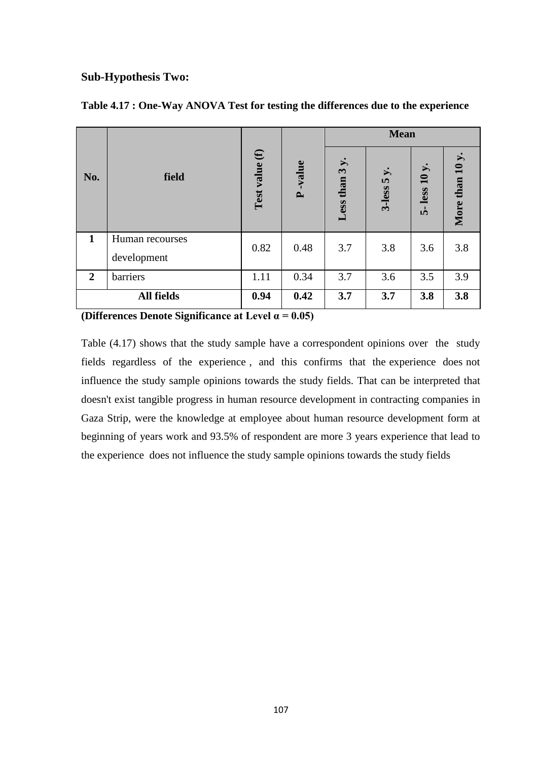#### **Sub-Hypothesis Two:**

|                |                                |                |                        |                                                    | <b>Mean</b>       |                    |                 |
|----------------|--------------------------------|----------------|------------------------|----------------------------------------------------|-------------------|--------------------|-----------------|
| No.            | field                          | Test value (f) | -value<br>$\mathbf{r}$ | $\dot{v}$<br>$\boldsymbol{\omega}$<br>than<br>Less | ょ.<br>5<br>3-less | less $10 y$ .<br>้ | More than 10 y. |
| 1              | Human recourses<br>development | 0.82           | 0.48                   | 3.7                                                | 3.8               | 3.6                | 3.8             |
| $\overline{2}$ | barriers                       | 1.11           | 0.34                   | 3.7                                                | 3.6               | 3.5                | 3.9             |
|                | <b>All fields</b>              | 0.94           | 0.42                   | 3.7                                                | 3.7               | 3.8                | 3.8             |

#### **Table 4.17 : One-Way ANOVA Test for testing the differences due to the experience**

**(Differences Denote Significance at Level α = 0.05)**

Table (4.17) shows that the study sample have a correspondent opinions over the study fields regardless of the experience , and this confirms that the experience does not influence the study sample opinions towards the study fields. That can be interpreted that doesn't exist tangible progress in human resource development in contracting companies in Gaza Strip, were the knowledge at employee about human resource development form at beginning of years work and 93.5% of respondent are more 3 years experience that lead to the experience does not influence the study sample opinions towards the study fields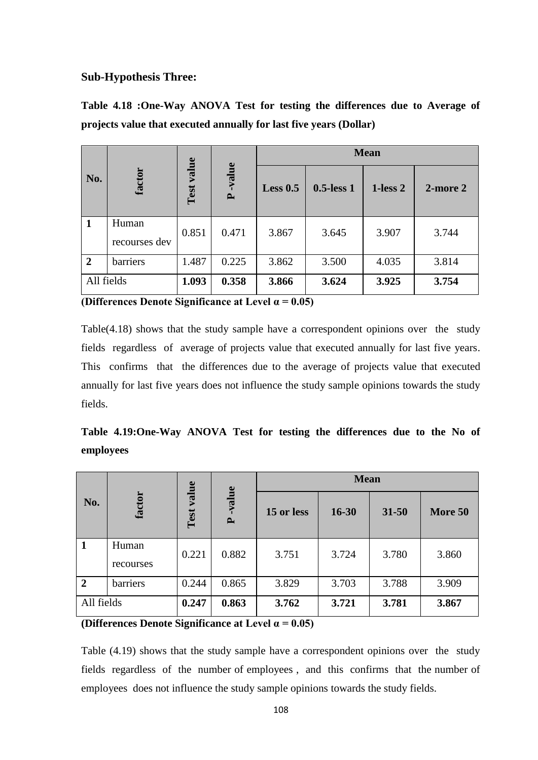#### **Sub-Hypothesis Three:**

|                                                                    |  |  |  | Table 4.18 :One-Way ANOVA Test for testing the differences due to Average of |  |  |
|--------------------------------------------------------------------|--|--|--|------------------------------------------------------------------------------|--|--|
| projects value that executed annually for last five years (Dollar) |  |  |  |                                                                              |  |  |

|                |                        |            |                        | <b>Mean</b> |               |               |               |  |
|----------------|------------------------|------------|------------------------|-------------|---------------|---------------|---------------|--|
| No.            | factor                 | Test value | -value<br>$\mathbf{r}$ | Less $0.5$  | $0.5$ -less 1 | $1$ -less $2$ | $2$ -more $2$ |  |
| $\mathbf 1$    | Human<br>recourses dev | 0.851      | 0.471                  | 3.867       | 3.645         | 3.907         | 3.744         |  |
| $\overline{2}$ | barriers               | 1.487      | 0.225                  | 3.862       | 3.500         | 4.035         | 3.814         |  |
| All fields     |                        | 1.093      | 0.358                  | 3.866       | 3.624         | 3.925         | 3.754         |  |

**(Differences Denote Significance at Level α = 0.05)**

Table(4.18) shows that the study sample have a correspondent opinions over the study fields regardless of average of projects value that executed annually for last five years. This confirms that the differences due to the average of projects value that executed annually for last five years does not influence the study sample opinions towards the study fields.

**Table 4.19:One-Way ANOVA Test for testing the differences due to the No of employees**

| No.            | factor             | e<br>$\overline{v}$ alı<br>Test | -value<br>$\mathbf{r}$ | <b>Mean</b> |           |           |         |
|----------------|--------------------|---------------------------------|------------------------|-------------|-----------|-----------|---------|
|                |                    |                                 |                        | 15 or less  | $16 - 30$ | $31 - 50$ | More 50 |
| $\mathbf{1}$   | Human<br>recourses | 0.221                           | 0.882                  | 3.751       | 3.724     | 3.780     | 3.860   |
| $\overline{2}$ | barriers           | 0.244                           | 0.865                  | 3.829       | 3.703     | 3.788     | 3.909   |
| All fields     |                    | 0.247                           | 0.863                  | 3.762       | 3.721     | 3.781     | 3.867   |

**(Differences Denote Significance at Level α = 0.05)**

Table (4.19) shows that the study sample have a correspondent opinions over the study fields regardless of the number of employees , and this confirms that the number of employees does not influence the study sample opinions towards the study fields.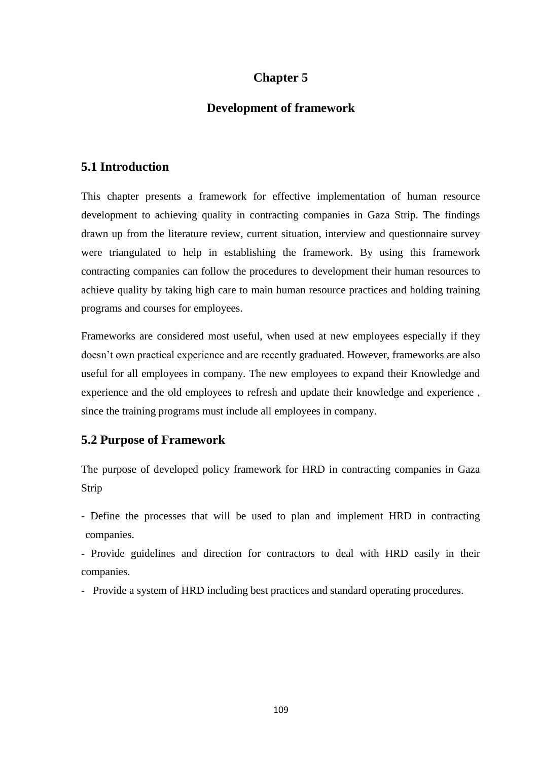## **Chapter 5**

## **Development of framework**

### **5.1 Introduction**

This chapter presents a framework for effective implementation of human resource development to achieving quality in contracting companies in Gaza Strip. The findings drawn up from the literature review, current situation, interview and questionnaire survey were triangulated to help in establishing the framework. By using this framework contracting companies can follow the procedures to development their human resources to achieve quality by taking high care to main human resource practices and holding training programs and courses for employees.

Frameworks are considered most useful, when used at new employees especially if they doesn"t own practical experience and are recently graduated. However, frameworks are also useful for all employees in company. The new employees to expand their Knowledge and experience and the old employees to refresh and update their knowledge and experience , since the training programs must include all employees in company.

#### **5.2 Purpose of Framework**

The purpose of developed policy framework for HRD in contracting companies in Gaza Strip

- Define the processes that will be used to plan and implement HRD in contracting companies.

- Provide guidelines and direction for contractors to deal with HRD easily in their companies.

- Provide a system of HRD including best practices and standard operating procedures.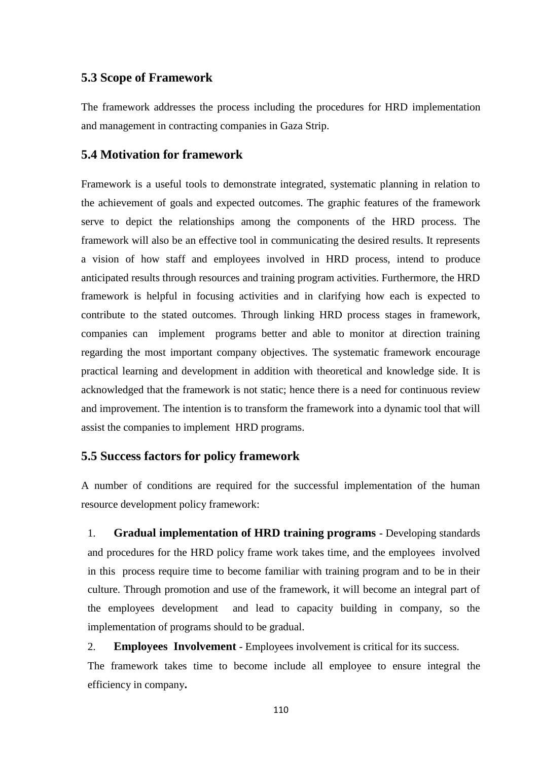#### **5.3 Scope of Framework**

The framework addresses the process including the procedures for HRD implementation and management in contracting companies in Gaza Strip.

#### **5.4 Motivation for framework**

Framework is a useful tools to demonstrate integrated, systematic planning in relation to the achievement of goals and expected outcomes. The graphic features of the framework serve to depict the relationships among the components of the HRD process. The framework will also be an effective tool in communicating the desired results. It represents a vision of how staff and employees involved in HRD process, intend to produce anticipated results through resources and training program activities. Furthermore, the HRD framework is helpful in focusing activities and in clarifying how each is expected to contribute to the stated outcomes. Through linking HRD process stages in framework, companies can implement programs better and able to monitor at direction training regarding the most important company objectives. The systematic framework encourage practical learning and development in addition with theoretical and knowledge side. It is acknowledged that the framework is not static; hence there is a need for continuous review and improvement. The intention is to transform the framework into a dynamic tool that will assist the companies to implement HRD programs.

#### **5.5 Success factors for policy framework**

A number of conditions are required for the successful implementation of the human resource development policy framework:

1. **Gradual implementation of HRD training programs** - Developing standards and procedures for the HRD policy frame work takes time, and the employees involved in this process require time to become familiar with training program and to be in their culture. Through promotion and use of the framework, it will become an integral part of the employees development and lead to capacity building in company, so the implementation of programs should to be gradual.

#### 2. **Employees Involvement** - Employees involvement is critical for its success.

The framework takes time to become include all employee to ensure integral the efficiency in company**.**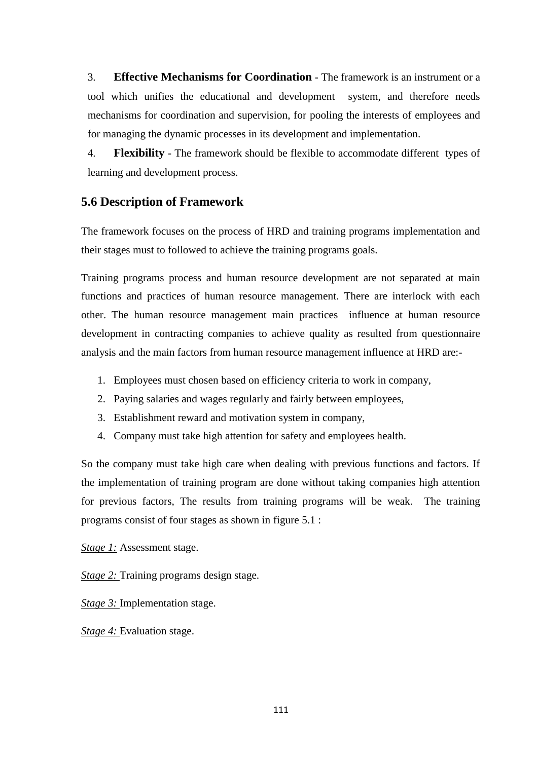3. **Effective Mechanisms for Coordination** - The framework is an instrument or a tool which unifies the educational and development system, and therefore needs mechanisms for coordination and supervision, for pooling the interests of employees and for managing the dynamic processes in its development and implementation.

4. **Flexibility** - The framework should be flexible to accommodate different types of learning and development process.

## **5.6 Description of Framework**

The framework focuses on the process of HRD and training programs implementation and their stages must to followed to achieve the training programs goals.

Training programs process and human resource development are not separated at main functions and practices of human resource management. There are interlock with each other. The human resource management main practices influence at human resource development in contracting companies to achieve quality as resulted from questionnaire analysis and the main factors from human resource management influence at HRD are:-

- 1. Employees must chosen based on efficiency criteria to work in company,
- 2. Paying salaries and wages regularly and fairly between employees,
- 3. Establishment reward and motivation system in company,
- 4. Company must take high attention for safety and employees health.

So the company must take high care when dealing with previous functions and factors. If the implementation of training program are done without taking companies high attention for previous factors, The results from training programs will be weak. The training programs consist of four stages as shown in figure 5.1 :

*Stage 1:* Assessment stage.

*Stage 2:* Training programs design stage.

*Stage 3:* Implementation stage.

*Stage 4:* Evaluation stage.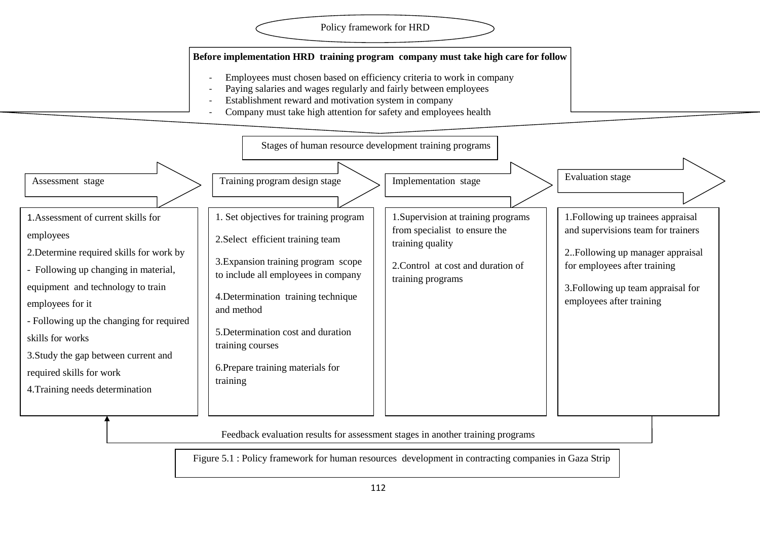#### Policy framework for HRD

#### **Before implementation HRD training program company must take high care for follow**

- Employees must chosen based on efficiency criteria to work in company
- Paying salaries and wages regularly and fairly between employees
- Establishment reward and motivation system in company
- Company must take high attention for safety and employees health



Feedback evaluation results for assessment stages in another training programs

Figure 5.1 : Policy framework for human resources development in contracting companies in Gaza Strip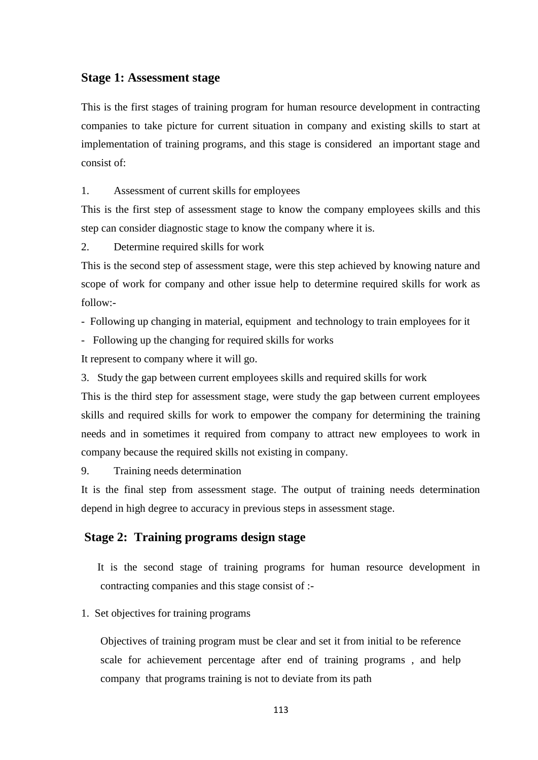#### **Stage 1: Assessment stage**

This is the first stages of training program for human resource development in contracting companies to take picture for current situation in company and existing skills to start at implementation of training programs, and this stage is considered an important stage and consist of:

1. Assessment of current skills for employees

This is the first step of assessment stage to know the company employees skills and this step can consider diagnostic stage to know the company where it is.

2. Determine required skills for work

This is the second step of assessment stage, were this step achieved by knowing nature and scope of work for company and other issue help to determine required skills for work as follow:-

- Following up changing in material, equipment and technology to train employees for it

- Following up the changing for required skills for works

It represent to company where it will go.

3. Study the gap between current employees skills and required skills for work

This is the third step for assessment stage, were study the gap between current employees skills and required skills for work to empower the company for determining the training needs and in sometimes it required from company to attract new employees to work in company because the required skills not existing in company.

9. Training needs determination

It is the final step from assessment stage. The output of training needs determination depend in high degree to accuracy in previous steps in assessment stage.

## **Stage 2: Training programs design stage**

It is the second stage of training programs for human resource development in contracting companies and this stage consist of :-

1. Set objectives for training programs

Objectives of training program must be clear and set it from initial to be reference scale for achievement percentage after end of training programs , and help company that programs training is not to deviate from its path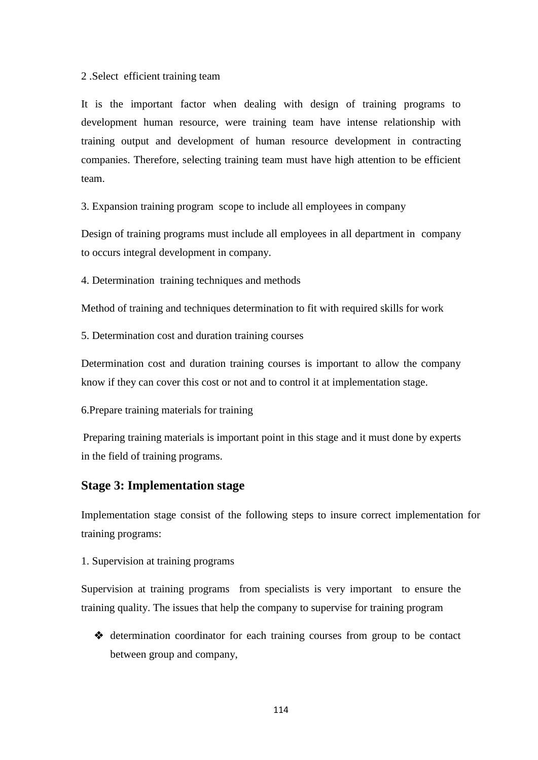#### 2 .Select efficient training team

It is the important factor when dealing with design of training programs to development human resource, were training team have intense relationship with training output and development of human resource development in contracting companies. Therefore, selecting training team must have high attention to be efficient team.

3. Expansion training program scope to include all employees in company

Design of training programs must include all employees in all department in company to occurs integral development in company.

4. Determination training techniques and methods

Method of training and techniques determination to fit with required skills for work

5. Determination cost and duration training courses

Determination cost and duration training courses is important to allow the company know if they can cover this cost or not and to control it at implementation stage.

6.Prepare training materials for training

Preparing training materials is important point in this stage and it must done by experts in the field of training programs.

#### **Stage 3: Implementation stage**

Implementation stage consist of the following steps to insure correct implementation for training programs:

1. Supervision at training programs

Supervision at training programs from specialists is very important to ensure the training quality. The issues that help the company to supervise for training program

 determination coordinator for each training courses from group to be contact between group and company,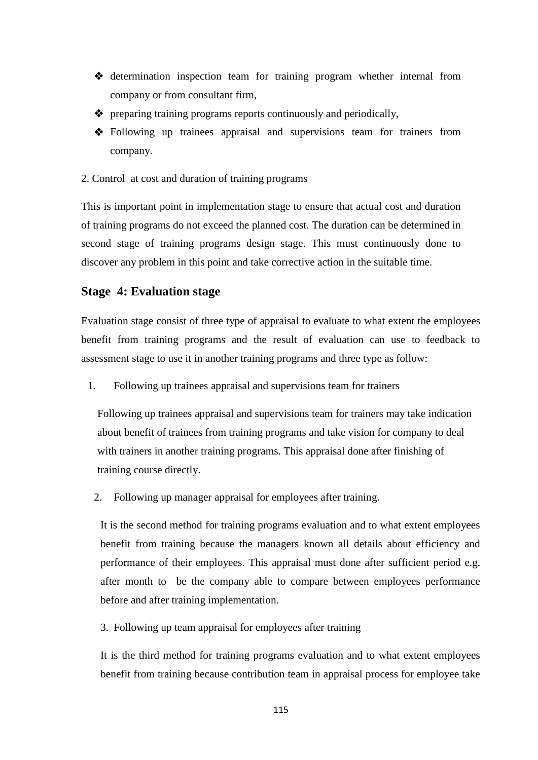- determination inspection team for training program whether internal from company or from consultant firm,
- preparing training programs reports continuously and periodically,
- Following up trainees appraisal and supervisions team for trainers from company.
- 2. Control at cost and duration of training programs

This is important point in implementation stage to ensure that actual cost and duration of training programs do not exceed the planned cost. The duration can be determined in second stage of training programs design stage. This must continuously done to discover any problem in this point and take corrective action in the suitable time.

## **Stage 4: Evaluation stage**

Evaluation stage consist of three type of appraisal to evaluate to what extent the employees benefit from training programs and the result of evaluation can use to feedback to assessment stage to use it in another training programs and three type as follow:

1. Following up trainees appraisal and supervisions team for trainers

Following up trainees appraisal and supervisions team for trainers may take indication about benefit of trainees from training programs and take vision for company to deal with trainers in another training programs. This appraisal done after finishing of training course directly.

2. Following up manager appraisal for employees after training.

It is the second method for training programs evaluation and to what extent employees benefit from training because the managers known all details about efficiency and performance of their employees. This appraisal must done after sufficient period e.g. after month to be the company able to compare between employees performance before and after training implementation.

3. Following up team appraisal for employees after training

It is the third method for training programs evaluation and to what extent employees benefit from training because contribution team in appraisal process for employee take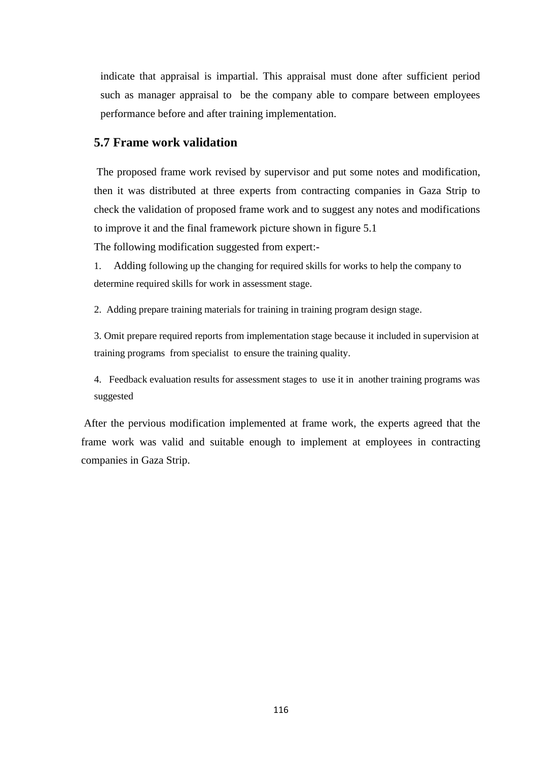indicate that appraisal is impartial. This appraisal must done after sufficient period such as manager appraisal to be the company able to compare between employees performance before and after training implementation.

#### **5.7 Frame work validation**

The proposed frame work revised by supervisor and put some notes and modification, then it was distributed at three experts from contracting companies in Gaza Strip to check the validation of proposed frame work and to suggest any notes and modifications to improve it and the final framework picture shown in figure 5.1

The following modification suggested from expert:-

1. Adding following up the changing for required skills for works to help the company to determine required skills for work in assessment stage.

2. Adding prepare training materials for training in training program design stage.

3. Omit prepare required reports from implementation stage because it included in supervision at training programs from specialist to ensure the training quality.

4. Feedback evaluation results for assessment stages to use it in another training programs was suggested

After the pervious modification implemented at frame work, the experts agreed that the frame work was valid and suitable enough to implement at employees in contracting companies in Gaza Strip.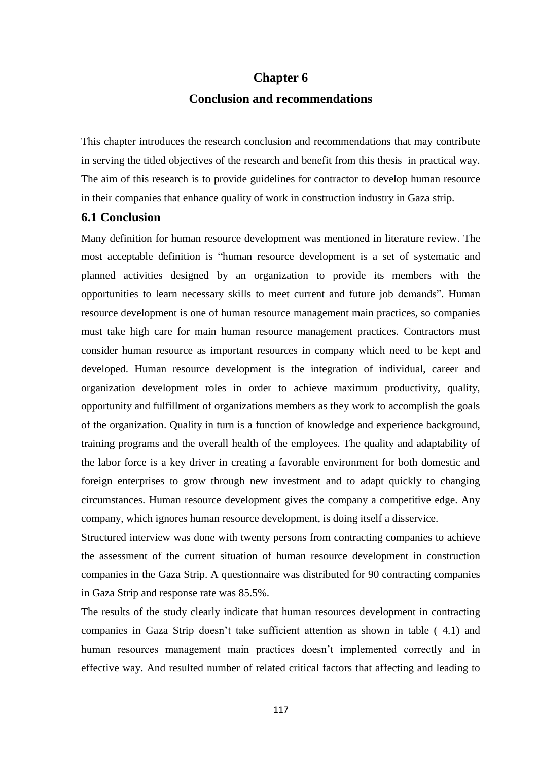# **Chapter 6 Conclusion and recommendations**

This chapter introduces the research conclusion and recommendations that may contribute in serving the titled objectives of the research and benefit from this thesis in practical way. The aim of this research is to provide guidelines for contractor to develop human resource in their companies that enhance quality of work in construction industry in Gaza strip.

## **6.1 Conclusion**

Many definition for human resource development was mentioned in literature review. The most acceptable definition is "human resource development is a set of systematic and planned activities designed by an organization to provide its members with the opportunities to learn necessary skills to meet current and future job demands". Human resource development is one of human resource management main practices, so companies must take high care for main human resource management practices. Contractors must consider human resource as important resources in company which need to be kept and developed. Human resource development is the integration of individual, career and organization development roles in order to achieve maximum productivity, quality, opportunity and fulfillment of organizations members as they work to accomplish the goals of the organization. Quality in turn is a function of knowledge and experience background, training programs and the overall health of the employees. The quality and adaptability of the labor force is a key driver in creating a favorable environment for both domestic and foreign enterprises to grow through new investment and to adapt quickly to changing circumstances. Human resource development gives the company a competitive edge. Any company, which ignores human resource development, is doing itself a disservice.

Structured interview was done with twenty persons from contracting companies to achieve the assessment of the current situation of human resource development in construction companies in the Gaza Strip. A questionnaire was distributed for 90 contracting companies in Gaza Strip and response rate was 85.5%.

The results of the study clearly indicate that human resources development in contracting companies in Gaza Strip doesn"t take sufficient attention as shown in table ( 4.1) and human resources management main practices doesn't implemented correctly and in effective way. And resulted number of related critical factors that affecting and leading to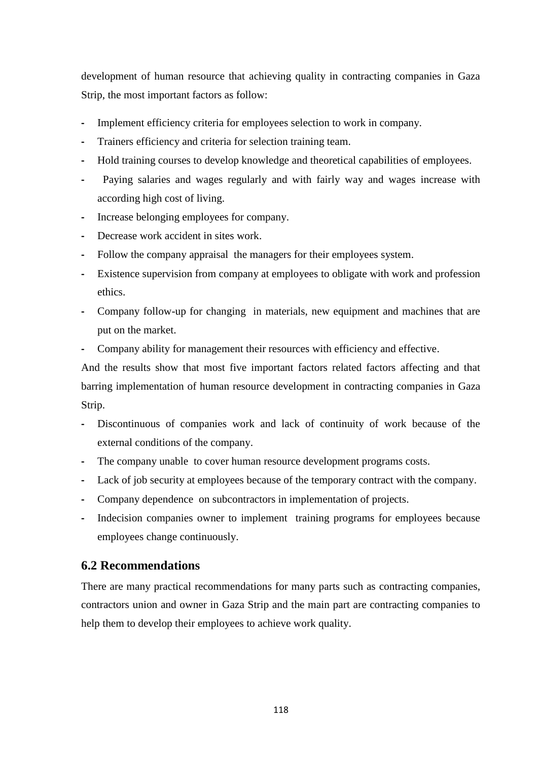development of human resource that achieving quality in contracting companies in Gaza Strip, the most important factors as follow:

- **-** Implement efficiency criteria for employees selection to work in company.
- **-** Trainers efficiency and criteria for selection training team.
- **-** Hold training courses to develop knowledge and theoretical capabilities of employees.
- **-** Paying salaries and wages regularly and with fairly way and wages increase with according high cost of living.
- **-** Increase belonging employees for company.
- **-** Decrease work accident in sites work.
- **-** Follow the company appraisal the managers for their employees system.
- **-** Existence supervision from company at employees to obligate with work and profession ethics.
- **-** Company follow-up for changing in materials, new equipment and machines that are put on the market.
- **-** Company ability for management their resources with efficiency and effective.

And the results show that most five important factors related factors affecting and that barring implementation of human resource development in contracting companies in Gaza Strip.

- **-** Discontinuous of companies work and lack of continuity of work because of the external conditions of the company.
- **-** The company unable to cover human resource development programs costs.
- **-** Lack of job security at employees because of the temporary contract with the company.
- **-** Company dependence on subcontractors in implementation of projects.
- **-** Indecision companies owner to implement training programs for employees because employees change continuously.

#### **6.2 Recommendations**

There are many practical recommendations for many parts such as contracting companies, contractors union and owner in Gaza Strip and the main part are contracting companies to help them to develop their employees to achieve work quality.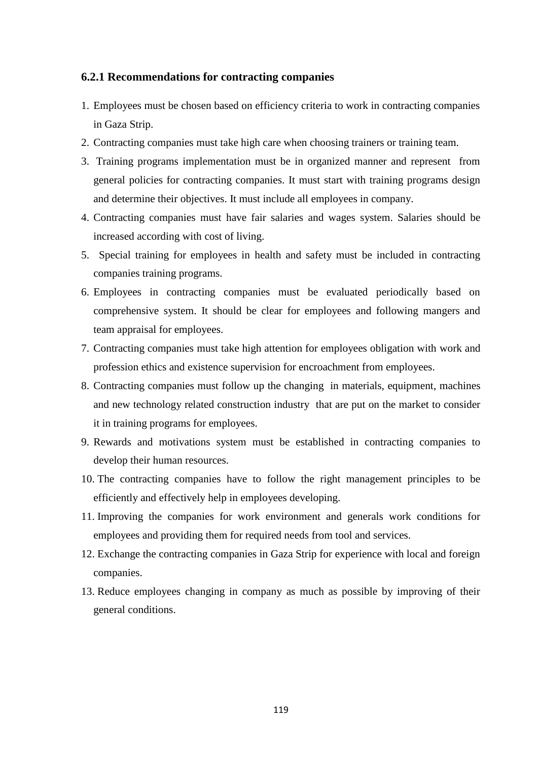#### **6.2.1 Recommendations for contracting companies**

- 1. Employees must be chosen based on efficiency criteria to work in contracting companies in Gaza Strip.
- 2. Contracting companies must take high care when choosing trainers or training team.
- 3. Training programs implementation must be in organized manner and represent from general policies for contracting companies. It must start with training programs design and determine their objectives. It must include all employees in company.
- 4. Contracting companies must have fair salaries and wages system. Salaries should be increased according with cost of living.
- 5. Special training for employees in health and safety must be included in contracting companies training programs.
- 6. Employees in contracting companies must be evaluated periodically based on comprehensive system. It should be clear for employees and following mangers and team appraisal for employees.
- 7. Contracting companies must take high attention for employees obligation with work and profession ethics and existence supervision for encroachment from employees.
- 8. Contracting companies must follow up the changing in materials, equipment, machines and new technology related construction industry that are put on the market to consider it in training programs for employees.
- 9. Rewards and motivations system must be established in contracting companies to develop their human resources.
- 10. The contracting companies have to follow the right management principles to be efficiently and effectively help in employees developing.
- 11. Improving the companies for work environment and generals work conditions for employees and providing them for required needs from tool and services.
- 12. Exchange the contracting companies in Gaza Strip for experience with local and foreign companies.
- 13. Reduce employees changing in company as much as possible by improving of their general conditions.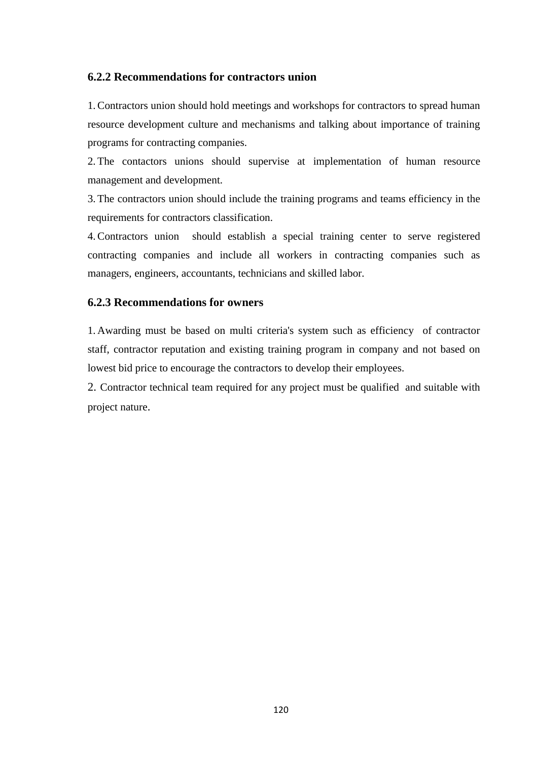#### **6.2.2 Recommendations for contractors union**

1.Contractors union should hold meetings and workshops for contractors to spread human resource development culture and mechanisms and talking about importance of training programs for contracting companies.

2. The contactors unions should supervise at implementation of human resource management and development.

3. The contractors union should include the training programs and teams efficiency in the requirements for contractors classification.

4.Contractors union should establish a special training center to serve registered contracting companies and include all workers in contracting companies such as managers, engineers, accountants, technicians and skilled labor.

#### **6.2.3 Recommendations for owners**

1. Awarding must be based on multi criteria's system such as efficiency of contractor staff, contractor reputation and existing training program in company and not based on lowest bid price to encourage the contractors to develop their employees.

2. Contractor technical team required for any project must be qualified and suitable with project nature.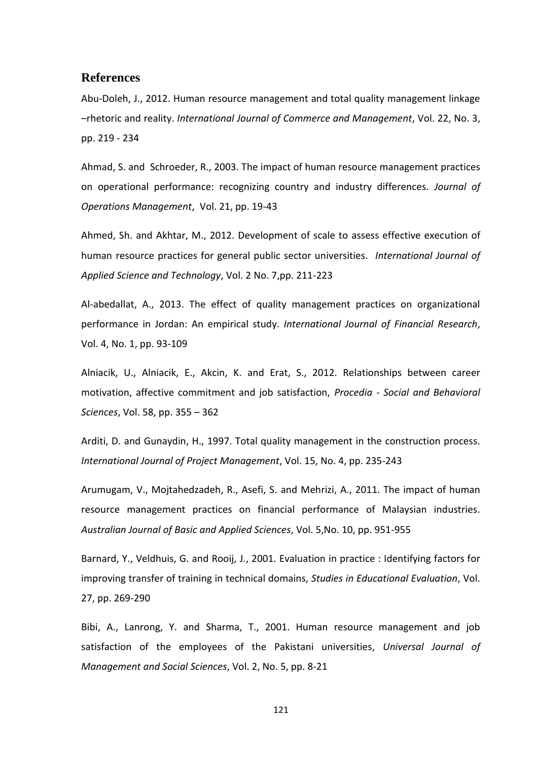#### **References**

Abu-Doleh, J., 2012. Human resource management and total quality management linkage –rhetoric and reality. *International Journal of Commerce and Management*, Vol. 22, No. 3, pp. 219 - 234

Ahmad, S. and Schroeder, R., 2003. The impact of human resource management practices on operational performance: recognizing country and industry differences. *Journal of Operations Management*, Vol. 21, pp. 19-43

Ahmed, Sh. and Akhtar, M., 2012. Development of scale to assess effective execution of human resource practices for general public sector universities. *International Journal of Applied Science and Technology*, Vol. 2 No. 7,pp. 211-223

Al-abedallat, A., 2013. The effect of quality management practices on organizational performance in Jordan: An empirical study. *International Journal of Financial Research*, Vol. 4, No. 1, pp. 93-109

Alniacik, U., Alniacik, E., Akcin, K. and Erat, S., 2012. Relationships between career motivation, affective commitment and job satisfaction, *Procedia - Social and Behavioral Sciences*, Vol. 58, pp. 355 – 362

Arditi, D. and Gunaydin, H., 1997. Total quality management in the construction process. *International Journal of Project Management*, Vol. 15, No. 4, pp. 235-243

Arumugam, V., Mojtahedzadeh, R., Asefi, S. and Mehrizi, A., 2011. The impact of human resource management practices on financial performance of Malaysian industries. *Australian Journal of Basic and Applied Sciences*, Vol. 5,No. 10, pp. 951-955

Barnard, Y., Veldhuis, G. and Rooij, J., 2001. Evaluation in practice : Identifying factors for improving transfer of training in technical domains, *Studies in Educational Evaluation*, Vol. 27, pp. 269-290

Bibi, A., Lanrong, Y. and Sharma, T., 2001. Human resource management and job satisfaction of the employees of the Pakistani universities, *Universal Journal of Management and Social Sciences*, Vol. 2, No. 5, pp. 8-21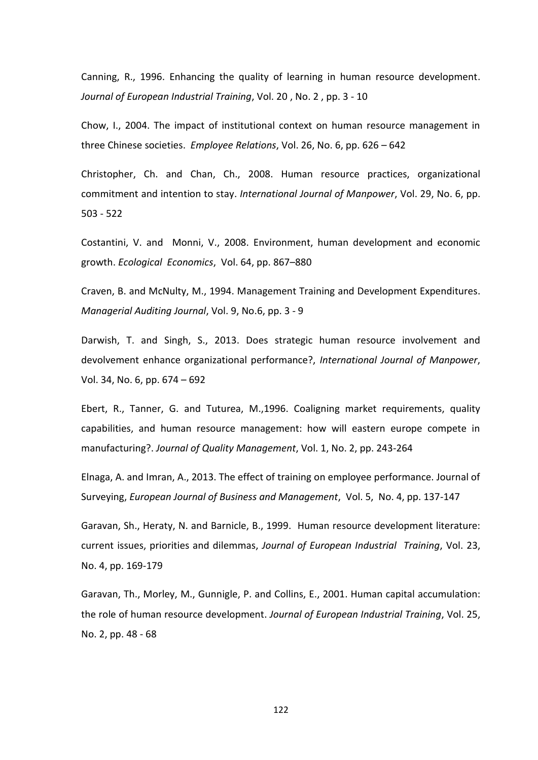Canning, R., 1996. Enhancing the quality of learning in human resource development. *Journal of European Industrial Training*, Vol. 20 , No. 2 , pp. 3 - 10

Chow, I., 2004. The impact of institutional context on human resource management in three Chinese societies. *Employee Relations*, Vol. 26, No. 6, pp. 626 – 642

Christopher, Ch. and Chan, Ch., 2008. Human resource practices, organizational commitment and intention to stay. *International Journal of Manpower*, Vol. 29, No. 6, pp. 503 - 522

Costantini, V. and Monni, V., 2008. Environment, human development and economic growth. *Ecological Economics*, Vol. 64, pp. 867–880

Craven, B. and McNulty, M., 1994. Management Training and Development Expenditures. *Managerial Auditing Journal*, Vol. 9, No.6, pp. 3 - 9

Darwish, T. and Singh, S., 2013. Does strategic human resource involvement and devolvement enhance organizational performance?, *International Journal of Manpower*, Vol. 34, No. 6, pp. 674 – 692

Ebert, R., Tanner, G. and Tuturea, M.,1996. Coaligning market requirements, quality capabilities, and human resource management: how will eastern europe compete in manufacturing?. *Journal of Quality Management*, Vol. 1, No. 2, pp. 243-264

Elnaga, A. and Imran, A., 2013. The effect of training on employee performance. Journal of Surveying, *European Journal of Business and Management*, Vol. 5, No. 4, pp. 137-147

Garavan, Sh., Heraty, N. and Barnicle, B., 1999. Human resource development literature: current issues, priorities and dilemmas, *Journal of European Industrial Training*, Vol. 23, No. 4, pp. 169-179

Garavan, Th., Morley, M., Gunnigle, P. and Collins, E., 2001. Human capital accumulation: the role of human resource development. *Journal of European Industrial Training*, Vol. 25, No. 2, pp. 48 - 68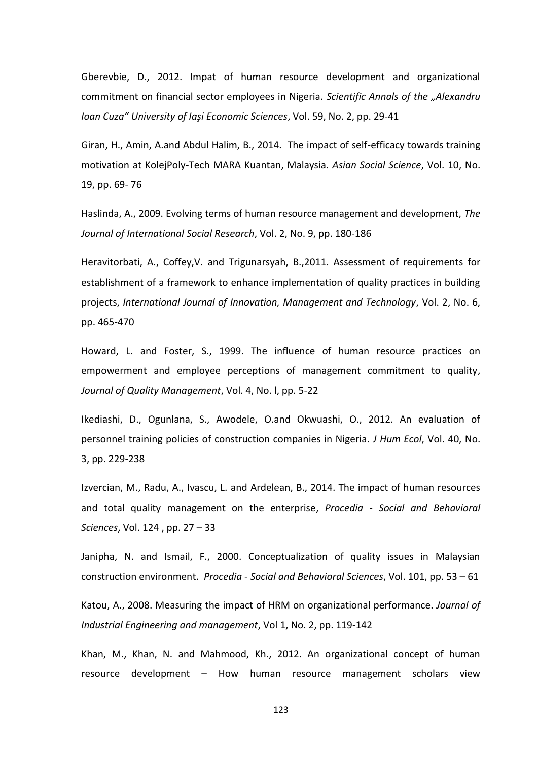Gberevbie, D., 2012. Impat of human resource development and organizational commitment on financial sector employees in Nigeria. *Scientific Annals of the "Alexandru Ioan Cuza" University of Iaşi Economic Sciences*, Vol. 59, No. 2, pp. 29-41

Giran, H., Amin, A.and Abdul Halim, B., 2014. The impact of self-efficacy towards training motivation at KolejPoly-Tech MARA Kuantan, Malaysia. *Asian Social Science*, Vol. 10, No. 19, pp. 69- 76

Haslinda, A., 2009. Evolving terms of human resource management and development, *The Journal of International Social Research*, Vol. 2, No. 9, pp. 180-186

Heravitorbati, A., Coffey,V. and Trigunarsyah, B.,2011. Assessment of requirements for establishment of a framework to enhance implementation of quality practices in building projects, *International Journal of Innovation, Management and Technology*, Vol. 2, No. 6, pp. 465-470

Howard, L. and Foster, S., 1999. The influence of human resource practices on empowerment and employee perceptions of management commitment to quality, *Journal of Quality Management*, Vol. 4, No. l, pp. 5-22

Ikediashi, D., Ogunlana, S., Awodele, O.and Okwuashi, O., 2012. An evaluation of personnel training policies of construction companies in Nigeria. *J Hum Ecol*, Vol. 40, No. 3, pp. 229-238

Izvercian, M., Radu, A., Ivascu, L. and Ardelean, B., 2014. The impact of human resources and total quality management on the enterprise, *Procedia - Social and Behavioral Sciences*, Vol. 124 , pp. 27 – 33

Janipha, N. and Ismail, F., 2000. Conceptualization of quality issues in Malaysian construction environment. *Procedia - Social and Behavioral Sciences*, Vol. 101, pp. 53 – 61

Katou, A., 2008. Measuring the impact of HRM on organizational performance. *Journal of Industrial Engineering and management*, Vol 1, No. 2, pp. 119-142

Khan, M., Khan, N. and Mahmood, Kh., 2012. An organizational concept of human resource development – How human resource management scholars view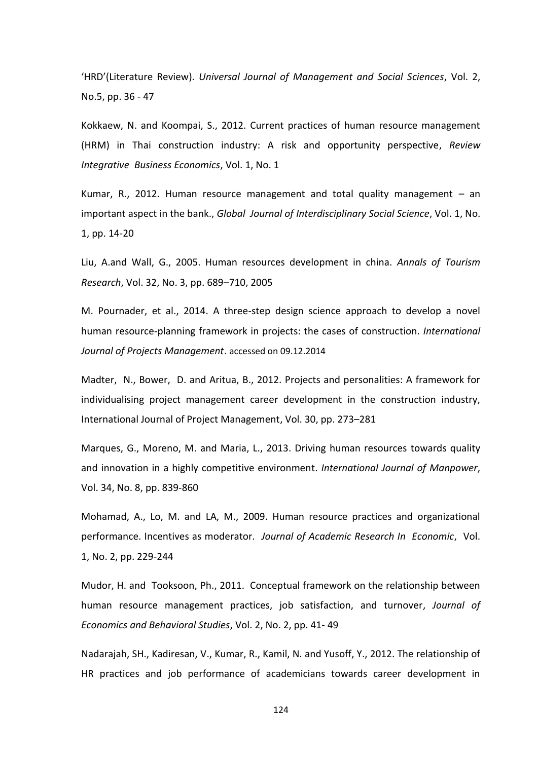'HRD'(Literature Review). *Universal Journal of Management and Social Sciences*, Vol. 2, No.5, pp. 36 - 47

Kokkaew, N. and Koompai, S., 2012. Current practices of human resource management (HRM) in Thai construction industry: A risk and opportunity perspective, *Review Integrative Business Economics*, Vol. 1, No. 1

Kumar, R., 2012. Human resource management and total quality management – an important aspect in the bank., *Global Journal of Interdisciplinary Social Science*, Vol. 1, No. 1, pp. 14-20

Liu, A.and Wall, G., 2005. Human resources development in china. *Annals of Tourism Research*, Vol. 32, No. 3, pp. 689–710, 2005

M. Pournader, et al., 2014. A three-step design science approach to develop a novel human resource-planning framework in projects: the cases of construction. *International Journal of Projects Management*. [accessed on 09.12.2014](http://dx.doi.org/10.1016/j.ijproman.2014.06.009)

Madter, N., Bower, D. and Aritua, B., 2012. Projects and personalities: A framework for individualising project management career development in the construction industry, International Journal of Project Management, Vol. 30, pp. 273–281

Marques, G., Moreno, M. and Maria, L., 2013. Driving human resources towards quality and innovation in a highly competitive environment. *International Journal of Manpower*, Vol. 34, No. 8, pp. 839-860

Mohamad, A., Lo, M. and LA, M., 2009. Human resource practices and organizational performance. Incentives as moderator*. Journal of Academic Research In Economic*, Vol. 1, No. 2, pp. 229-244

Mudor, H. and Tooksoon, Ph., 2011. Conceptual framework on the relationship between human resource management practices, job satisfaction, and turnover, *Journal of Economics and Behavioral Studies*, Vol. 2, No. 2, pp. 41- 49

Nadarajah, SH., Kadiresan, V., Kumar, R., Kamil, N. and Yusoff, Y., 2012. The relationship of HR practices and job performance of academicians towards career development in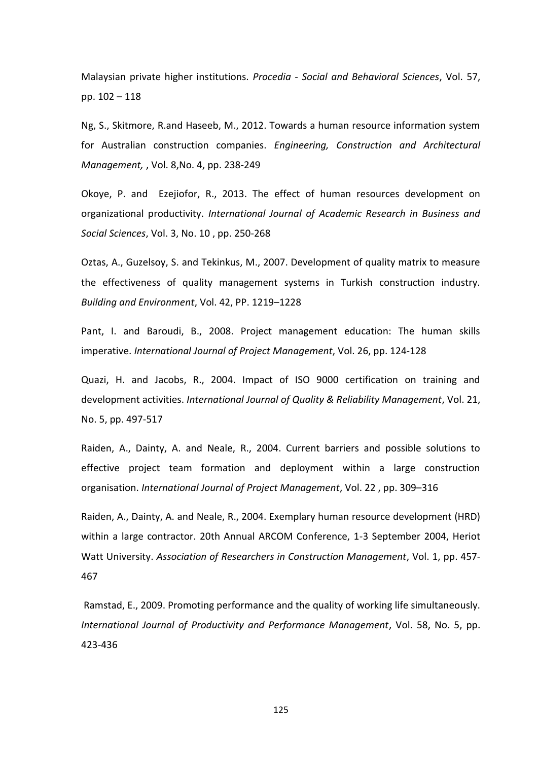Malaysian private higher institutions. *Procedia - Social and Behavioral Sciences*, Vol. 57, pp. 102 – 118

Ng, S., Skitmore, R.and Haseeb, M., 2012. Towards a human resource information system for Australian construction companies. *Engineering, Construction and Architectural Management,* , Vol. 8,No. 4, pp. 238-249

Okoye, P. and Ezejiofor, R., 2013. The effect of human resources development on organizational productivity. *International Journal of Academic Research in Business and Social Sciences*, Vol. 3, No. 10 , pp. 250-268

Oztas, A., Guzelsoy, S. and Tekinkus, M., 2007. Development of quality matrix to measure the effectiveness of quality management systems in Turkish construction industry. *Building and Environment*, Vol. 42, PP. 1219–1228

Pant, I. and Baroudi, B., 2008. Project management education: The human skills imperative. *International Journal of Project Management*, Vol. 26, pp. 124-128

Quazi, H. and Jacobs, R., 2004. Impact of ISO 9000 certification on training and development activities. *International Journal of Quality & Reliability Management*, Vol. 21, No. 5, pp. 497-517

Raiden, A., Dainty, A. and Neale, R., 2004. Current barriers and possible solutions to effective project team formation and deployment within a large construction organisation. *International Journal of Project Management*, Vol. 22 , pp. 309–316

Raiden, A., Dainty, A. and Neale, R., 2004. Exemplary human resource development (HRD) within a large contractor. 20th Annual ARCOM Conference, 1-3 September 2004, Heriot Watt University. *Association of Researchers in Construction Management*, Vol. 1, pp. 457- 467

Ramstad, E., 2009. Promoting performance and the quality of working life simultaneously. *International Journal of Productivity and Performance Management*, Vol. 58, No. 5, pp. 423-436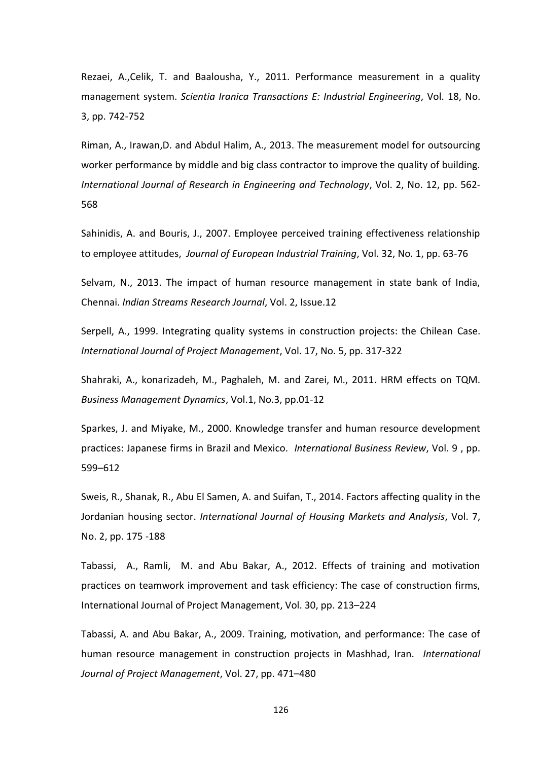Rezaei, A.,Celik, T. and Baalousha, Y., 2011. Performance measurement in a quality management system. *Scientia Iranica Transactions E: Industrial Engineering*, Vol. 18, No. 3, pp. 742-752

Riman, A., Irawan,D. and Abdul Halim, A., 2013. The measurement model for outsourcing worker performance by middle and big class contractor to improve the quality of building. *International Journal of Research in Engineering and Technology*, Vol. 2, No. 12, pp. 562- 568

Sahinidis, A. and Bouris, J., 2007. Employee perceived training effectiveness relationship to employee attitudes, *Journal of European Industrial Training*, Vol. 32, No. 1, pp. 63-76

Selvam, N., 2013. The impact of human resource management in state bank of India, Chennai. *Indian Streams Research Journal*, Vol. 2, Issue.12

Serpell, A., 1999. Integrating quality systems in construction projects: the Chilean Case. *International Journal of Project Management*, Vol. 17, No. 5, pp. 317-322

Shahraki, A., konarizadeh, M., Paghaleh, M. and Zarei, M., 2011. HRM effects on TQM. *Business Management Dynamics*, Vol.1, No.3, pp.01-12

Sparkes, J. and Miyake, M., 2000. Knowledge transfer and human resource development practices: Japanese firms in Brazil and Mexico. *International Business Review*, Vol. 9 , pp. 599–612

Sweis, R., Shanak, R., Abu El Samen, A. and Suifan, T., 2014. Factors affecting quality in the Jordanian housing sector. *International Journal of Housing Markets and Analysis*, Vol. 7, No. 2, pp. 175 -188

Tabassi, A., Ramli, M. and Abu Bakar, A., 2012. Effects of training and motivation practices on teamwork improvement and task efficiency: The case of construction firms, International Journal of Project Management, Vol. 30, pp. 213–224

Tabassi, A. and Abu Bakar, A., 2009. Training, motivation, and performance: The case of human resource management in construction projects in Mashhad, Iran. *International Journal of Project Management*, Vol. 27, pp. 471–480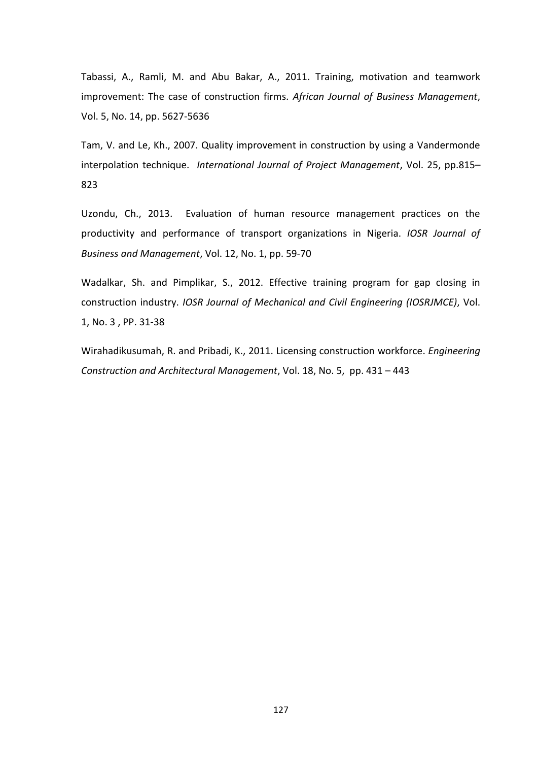Tabassi, A., Ramli, M. and Abu Bakar, A., 2011. Training, motivation and teamwork improvement: The case of construction firms. *African Journal of Business Management*, Vol. 5, No. 14, pp. 5627-5636

Tam, V. and Le, Kh., 2007. Quality improvement in construction by using a Vandermonde interpolation technique. *International Journal of Project Management*, Vol. 25, pp.815– 823

Uzondu, Ch., 2013. Evaluation of human resource management practices on the productivity and performance of transport organizations in Nigeria. *IOSR Journal of Business and Management*, Vol. 12, No. 1, pp. 59-70

Wadalkar, Sh. and Pimplikar, S., 2012. Effective training program for gap closing in construction industry. *IOSR Journal of Mechanical and Civil Engineering (IOSRJMCE)*, Vol. 1, No. 3 , PP. 31-38

Wirahadikusumah, R. and Pribadi, K., 2011. Licensing construction workforce. *Engineering Construction and Architectural Management*, Vol. 18, No. 5, pp. 431 – 443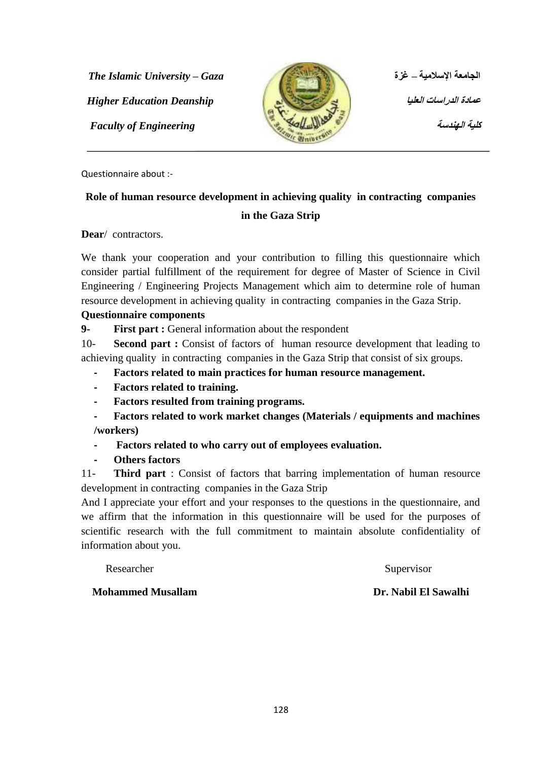**انضايؼت اإلساليٛت – غزة** *Gaza – University Islamic The* **Higher Education Deanship** 



*عمادة الدراسات العليا* 

Questionnaire about :-

# **Role of human resource development in achieving quality in contracting companies**

#### **in the Gaza Strip**

**Dear**/ contractors.

We thank your cooperation and your contribution to filling this questionnaire which consider partial fulfillment of the requirement for degree of Master of Science in Civil Engineering / Engineering Projects Management which aim to determine role of human resource development in achieving quality in contracting companies in the Gaza Strip.

#### **Questionnaire components**

**9- First part :** General information about the respondent

10- **Second part :** Consist of factors of human resource development that leading to achieving quality in contracting companies in the Gaza Strip that consist of six groups.

- **- Factors related to main practices for human resource management.**
- **- Factors related to training.**
- **- Factors resulted from training programs.**
- **- Factors related to work market changes (Materials / equipments and machines /workers)**
- **- Factors related to who carry out of employees evaluation.**
- **- Others factors**

11- **Third part** : Consist of factors that barring implementation of human resource development in contracting companies in the Gaza Strip

And I appreciate your effort and your responses to the questions in the questionnaire, and we affirm that the information in this questionnaire will be used for the purposes of scientific research with the full commitment to maintain absolute confidentiality of information about you.

Researcher Supervisor

**Mohammed Musallam Dr. Nabil El Sawalhi**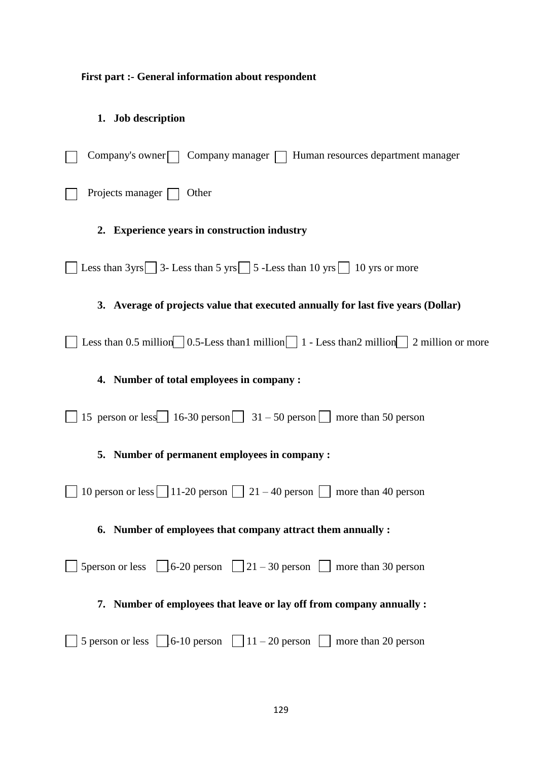## **First part :- General information about respondent**

# **1. Job description**

| Company's owner $\Box$ Company manager $\Box$ Human resources department manager                                                        |
|-----------------------------------------------------------------------------------------------------------------------------------------|
| Projects manager $\Box$<br>Other                                                                                                        |
| 2. Experience years in construction industry                                                                                            |
| Less than $3yrs$ 3-Less than $5yrs$ 5 -Less than 10 yrs 10 yrs or more                                                                  |
| 3. Average of projects value that executed annually for last five years (Dollar)                                                        |
| Less than 0.5 million $\bigcup$ 0.5-Less than 1 million $\bigcup$ 1 - Less than 2 million $\bigcup$ 2 million or more                   |
| 4. Number of total employees in company :                                                                                               |
| 15 person or less 16-30 person 31 – 50 person more than 50 person                                                                       |
| 5. Number of permanent employees in company :                                                                                           |
| 10 person or less $\boxed{\phantom{0}11\text{-}20}$ person $\boxed{\phantom{0}21-40}$ person $\boxed{\phantom{0}1}$ more than 40 person |
| 6. Number of employees that company attract them annually :                                                                             |
| 5 person or less $\Box$ 6-20 person $\Box$ 21 – 30 person $\Box$ more than 30 person                                                    |
| 7. Number of employees that leave or lay off from company annually :                                                                    |
| 5 person or less $\boxed{6-10}$ person $\boxed{11-20}$ person $\boxed{ }$ more than 20 person                                           |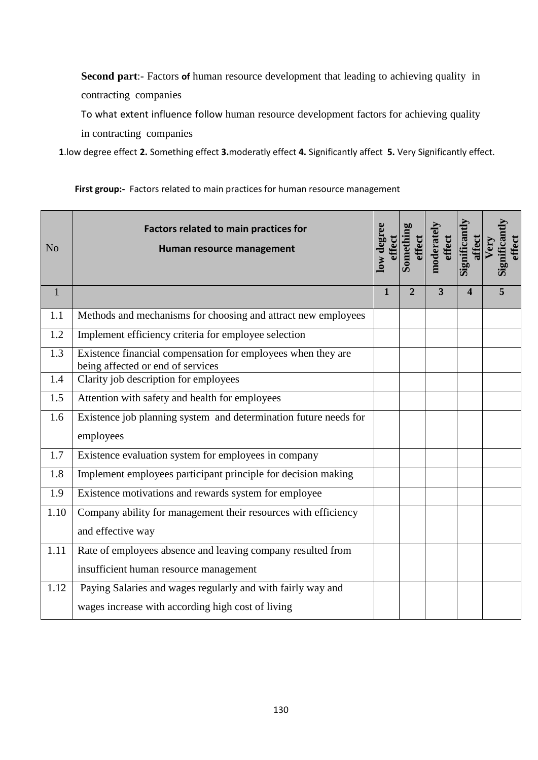**Second part**:- Factors **of** human resource development that leading to achieving quality in contracting companies

To what extent influence follow human resource development factors for achieving quality in contracting companies

 **1**.low degree effect **2.** Something effect **3.**moderatly effect **4.** Significantly affect **5.** Very Significantly effect.

**First group:-** Factors related to main practices for human resource management

| N <sub>o</sub> | <b>Factors related to main practices for</b><br>Human resource management                         | low degree<br>effect | Somethin<br>effect | moderatel<br>effect     | Significantl<br>affect  | Significant<br>effect<br>Very |
|----------------|---------------------------------------------------------------------------------------------------|----------------------|--------------------|-------------------------|-------------------------|-------------------------------|
| $\mathbf{1}$   |                                                                                                   | 1                    | $\overline{2}$     | $\overline{\mathbf{3}}$ | $\overline{\mathbf{A}}$ | 5                             |
| 1.1            | Methods and mechanisms for choosing and attract new employees                                     |                      |                    |                         |                         |                               |
| 1.2            | Implement efficiency criteria for employee selection                                              |                      |                    |                         |                         |                               |
| 1.3            | Existence financial compensation for employees when they are<br>being affected or end of services |                      |                    |                         |                         |                               |
| 1.4            | Clarity job description for employees                                                             |                      |                    |                         |                         |                               |
| 1.5            | Attention with safety and health for employees                                                    |                      |                    |                         |                         |                               |
| 1.6            | Existence job planning system and determination future needs for                                  |                      |                    |                         |                         |                               |
|                | employees                                                                                         |                      |                    |                         |                         |                               |
| 1.7            | Existence evaluation system for employees in company                                              |                      |                    |                         |                         |                               |
| 1.8            | Implement employees participant principle for decision making                                     |                      |                    |                         |                         |                               |
| 1.9            | Existence motivations and rewards system for employee                                             |                      |                    |                         |                         |                               |
| 1.10           | Company ability for management their resources with efficiency                                    |                      |                    |                         |                         |                               |
|                | and effective way                                                                                 |                      |                    |                         |                         |                               |
| 1.11           | Rate of employees absence and leaving company resulted from                                       |                      |                    |                         |                         |                               |
|                | insufficient human resource management                                                            |                      |                    |                         |                         |                               |
| 1.12           | Paying Salaries and wages regularly and with fairly way and                                       |                      |                    |                         |                         |                               |
|                | wages increase with according high cost of living                                                 |                      |                    |                         |                         |                               |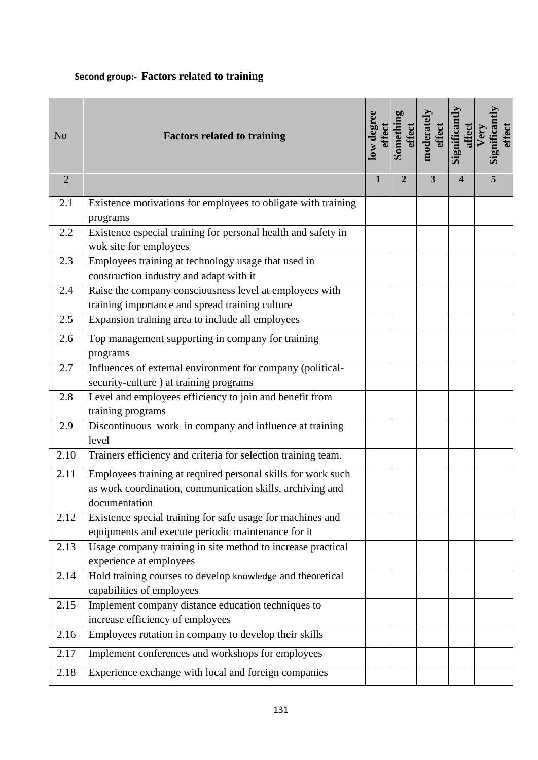## **Second group:- Factors related to training**

| N <sub>o</sub> | <b>Factors related to training</b>                                                                                                         | low degree<br>effect | Somethin<br>effect | moderatel<br>effect | Significantly<br>affect | Significant<br>effect<br>Very |
|----------------|--------------------------------------------------------------------------------------------------------------------------------------------|----------------------|--------------------|---------------------|-------------------------|-------------------------------|
| $\overline{2}$ |                                                                                                                                            | 1                    | $\overline{2}$     | 3                   | 4                       | 5                             |
| 2.1            | Existence motivations for employees to obligate with training<br>programs                                                                  |                      |                    |                     |                         |                               |
| 2.2            | Existence especial training for personal health and safety in<br>wok site for employees                                                    |                      |                    |                     |                         |                               |
| 2.3            | Employees training at technology usage that used in<br>construction industry and adapt with it                                             |                      |                    |                     |                         |                               |
| 2.4            | Raise the company consciousness level at employees with<br>training importance and spread training culture                                 |                      |                    |                     |                         |                               |
| 2.5            | Expansion training area to include all employees                                                                                           |                      |                    |                     |                         |                               |
| 2.6            | Top management supporting in company for training<br>programs                                                                              |                      |                    |                     |                         |                               |
| 2.7            | Influences of external environment for company (political-<br>security-culture ) at training programs                                      |                      |                    |                     |                         |                               |
| 2.8            | Level and employees efficiency to join and benefit from<br>training programs                                                               |                      |                    |                     |                         |                               |
| 2.9            | Discontinuous work in company and influence at training<br>level                                                                           |                      |                    |                     |                         |                               |
| 2.10           | Trainers efficiency and criteria for selection training team.                                                                              |                      |                    |                     |                         |                               |
| 2.11           | Employees training at required personal skills for work such<br>as work coordination, communication skills, archiving and<br>documentation |                      |                    |                     |                         |                               |
| 2.12           | Existence special training for safe usage for machines and<br>equipments and execute periodic maintenance for it                           |                      |                    |                     |                         |                               |
| 2.13           | Usage company training in site method to increase practical<br>experience at employees                                                     |                      |                    |                     |                         |                               |
| 2.14           | Hold training courses to develop knowledge and theoretical<br>capabilities of employees                                                    |                      |                    |                     |                         |                               |
| 2.15           | Implement company distance education techniques to<br>increase efficiency of employees                                                     |                      |                    |                     |                         |                               |
| 2.16           | Employees rotation in company to develop their skills                                                                                      |                      |                    |                     |                         |                               |
| 2.17           | Implement conferences and workshops for employees                                                                                          |                      |                    |                     |                         |                               |
| 2.18           | Experience exchange with local and foreign companies                                                                                       |                      |                    |                     |                         |                               |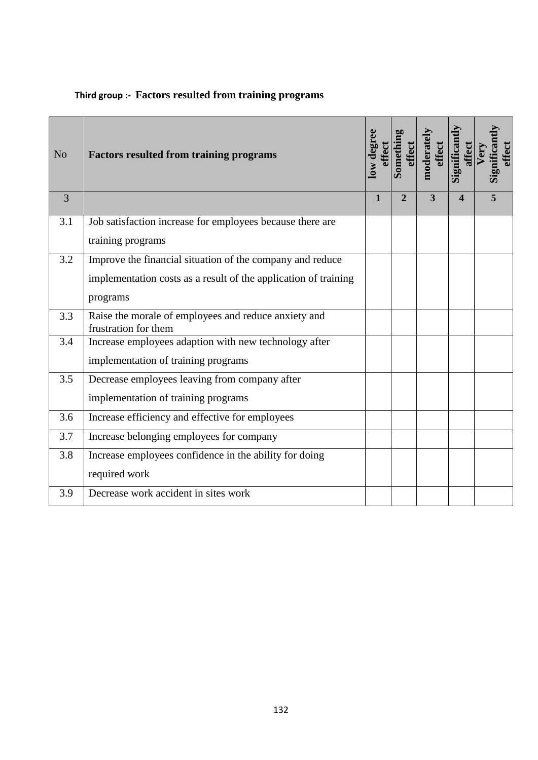| N <sub>o</sub> | <b>Factors resulted from training programs</b>                               | low degree<br>effect | Somethi<br>effect | moderatel<br>effect     | <b>Significant</b><br>affect | Significan<br>effect<br>Very |
|----------------|------------------------------------------------------------------------------|----------------------|-------------------|-------------------------|------------------------------|------------------------------|
| $\overline{3}$ |                                                                              | 1                    | $\overline{2}$    | $\overline{\mathbf{3}}$ | $\overline{\mathbf{4}}$      | 5                            |
| 3.1            | Job satisfaction increase for employees because there are                    |                      |                   |                         |                              |                              |
|                | training programs                                                            |                      |                   |                         |                              |                              |
| 3.2            | Improve the financial situation of the company and reduce                    |                      |                   |                         |                              |                              |
|                | implementation costs as a result of the application of training              |                      |                   |                         |                              |                              |
|                | programs                                                                     |                      |                   |                         |                              |                              |
| 3.3            | Raise the morale of employees and reduce anxiety and<br>frustration for them |                      |                   |                         |                              |                              |
| 3.4            | Increase employees adaption with new technology after                        |                      |                   |                         |                              |                              |
|                | implementation of training programs                                          |                      |                   |                         |                              |                              |
| 3.5            | Decrease employees leaving from company after                                |                      |                   |                         |                              |                              |
|                | implementation of training programs                                          |                      |                   |                         |                              |                              |
| 3.6            | Increase efficiency and effective for employees                              |                      |                   |                         |                              |                              |
| 3.7            | Increase belonging employees for company                                     |                      |                   |                         |                              |                              |
| 3.8            | Increase employees confidence in the ability for doing                       |                      |                   |                         |                              |                              |
|                | required work                                                                |                      |                   |                         |                              |                              |
| 3.9            | Decrease work accident in sites work                                         |                      |                   |                         |                              |                              |

## **Third group :- Factors resulted from training programs**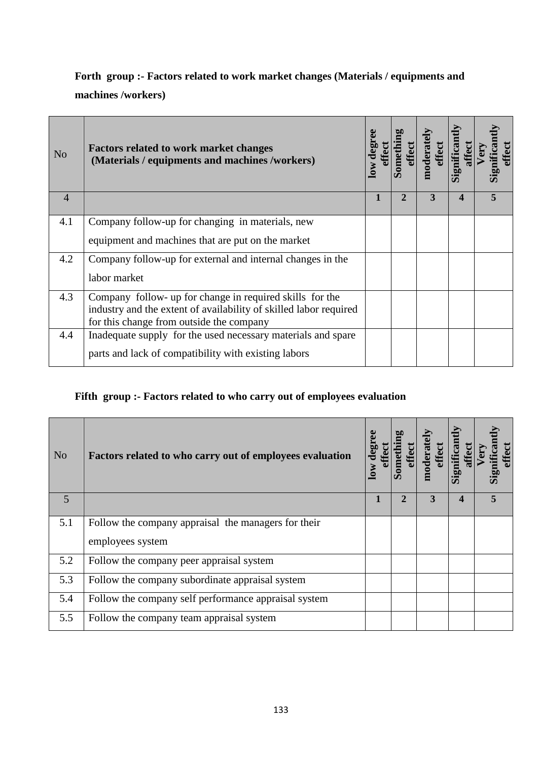# **Forth group :- Factors related to work market changes (Materials / equipments and**

#### **machines /workers)**

| N <sub>o</sub> | <b>Factors related to work market changes</b><br>(Materials / equipments and machines /workers)               | 10W | mod | ignifica | ignifica<br>ffect |
|----------------|---------------------------------------------------------------------------------------------------------------|-----|-----|----------|-------------------|
| $\overline{4}$ |                                                                                                               |     | 3   | 4        |                   |
| 4.1            | Company follow-up for changing in materials, new                                                              |     |     |          |                   |
|                | equipment and machines that are put on the market                                                             |     |     |          |                   |
| 4.2            | Company follow-up for external and internal changes in the                                                    |     |     |          |                   |
|                | labor market                                                                                                  |     |     |          |                   |
| 4.3            | Company follow- up for change in required skills for the                                                      |     |     |          |                   |
|                | industry and the extent of availability of skilled labor required<br>for this change from outside the company |     |     |          |                   |
| 4.4            | Inadequate supply for the used necessary materials and spare                                                  |     |     |          |                   |
|                | parts and lack of compatibility with existing labors                                                          |     |     |          |                   |

### **Fifth group :- Factors related to who carry out of employees evaluation**

| N <sub>o</sub> | Factors related to who carry out of employees evaluation | ŠΜ |   | 팂 |  |
|----------------|----------------------------------------------------------|----|---|---|--|
| 5              |                                                          |    | 3 | 4 |  |
| 5.1            | Follow the company appraisal the managers for their      |    |   |   |  |
|                | employees system                                         |    |   |   |  |
| 5.2            | Follow the company peer appraisal system                 |    |   |   |  |
| 5.3            | Follow the company subordinate appraisal system          |    |   |   |  |
| 5.4            | Follow the company self performance appraisal system     |    |   |   |  |
| 5.5            | Follow the company team appraisal system                 |    |   |   |  |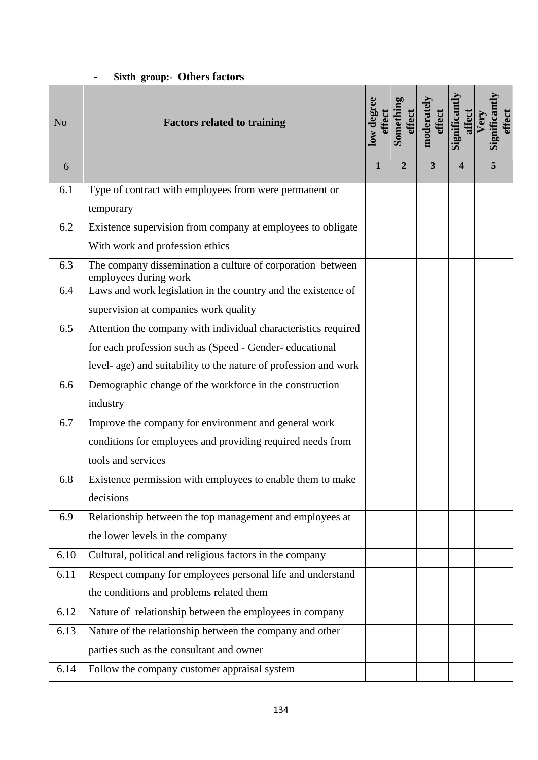### **- Sixth group:- Others factors**

| N <sub>o</sub> | <b>Factors related to training</b>                                                  | low degree | Somethi<br>effect | moderate<br>effect      | Significant<br>affect | Significant<br>effect<br>Very |
|----------------|-------------------------------------------------------------------------------------|------------|-------------------|-------------------------|-----------------------|-------------------------------|
| 6              |                                                                                     | 1          | $\mathbf{2}$      | $\overline{\mathbf{3}}$ | $\boldsymbol{4}$      | 5                             |
| 6.1            | Type of contract with employees from were permanent or                              |            |                   |                         |                       |                               |
|                | temporary                                                                           |            |                   |                         |                       |                               |
| 6.2            | Existence supervision from company at employees to obligate                         |            |                   |                         |                       |                               |
|                | With work and profession ethics                                                     |            |                   |                         |                       |                               |
| 6.3            | The company dissemination a culture of corporation between<br>employees during work |            |                   |                         |                       |                               |
| 6.4            | Laws and work legislation in the country and the existence of                       |            |                   |                         |                       |                               |
|                | supervision at companies work quality                                               |            |                   |                         |                       |                               |
| 6.5            | Attention the company with individual characteristics required                      |            |                   |                         |                       |                               |
|                | for each profession such as (Speed - Gender- educational                            |            |                   |                         |                       |                               |
|                | level- age) and suitability to the nature of profession and work                    |            |                   |                         |                       |                               |
| 6.6            | Demographic change of the workforce in the construction                             |            |                   |                         |                       |                               |
|                | industry                                                                            |            |                   |                         |                       |                               |
| 6.7            | Improve the company for environment and general work                                |            |                   |                         |                       |                               |
|                | conditions for employees and providing required needs from                          |            |                   |                         |                       |                               |
|                | tools and services                                                                  |            |                   |                         |                       |                               |
| 6.8            | Existence permission with employees to enable them to make                          |            |                   |                         |                       |                               |
|                | decisions                                                                           |            |                   |                         |                       |                               |
| 6.9            | Relationship between the top management and employees at                            |            |                   |                         |                       |                               |
|                | the lower levels in the company                                                     |            |                   |                         |                       |                               |
| 6.10           | Cultural, political and religious factors in the company                            |            |                   |                         |                       |                               |
| 6.11           | Respect company for employees personal life and understand                          |            |                   |                         |                       |                               |
|                | the conditions and problems related them                                            |            |                   |                         |                       |                               |
| 6.12           | Nature of relationship between the employees in company                             |            |                   |                         |                       |                               |
| 6.13           | Nature of the relationship between the company and other                            |            |                   |                         |                       |                               |
|                | parties such as the consultant and owner                                            |            |                   |                         |                       |                               |
| 6.14           | Follow the company customer appraisal system                                        |            |                   |                         |                       |                               |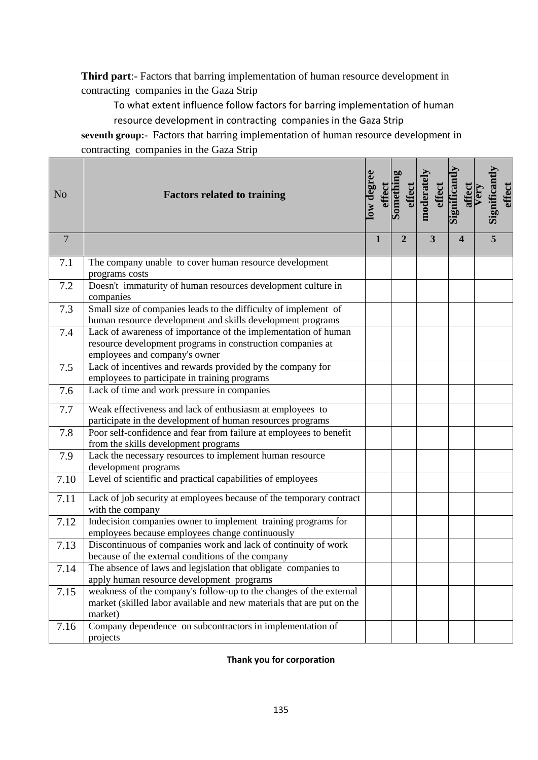**Third part**:- Factors that barring implementation of human resource development in contracting companies in the Gaza Strip

To what extent influence follow factors for barring implementation of human resource development in contracting companies in the Gaza Strip

**seventh group:-** Factors that barring implementation of human resource development in contracting companies in the Gaza Strip

| N <sub>o</sub> | <b>Factors related to training</b>                                                                                                                            | low degree   | Somethi<br>effect | moderatel | effect                  | Significant | affect                  | Very | Significant | effect |
|----------------|---------------------------------------------------------------------------------------------------------------------------------------------------------------|--------------|-------------------|-----------|-------------------------|-------------|-------------------------|------|-------------|--------|
| $\overline{7}$ |                                                                                                                                                               | $\mathbf{1}$ | $\overline{2}$    |           | $\overline{\mathbf{3}}$ |             | $\overline{\mathbf{4}}$ |      | 5           |        |
| 7.1            | The company unable to cover human resource development<br>programs costs                                                                                      |              |                   |           |                         |             |                         |      |             |        |
| 7.2            | Doesn't immaturity of human resources development culture in<br>companies                                                                                     |              |                   |           |                         |             |                         |      |             |        |
| 7.3            | Small size of companies leads to the difficulty of implement of                                                                                               |              |                   |           |                         |             |                         |      |             |        |
|                | human resource development and skills development programs                                                                                                    |              |                   |           |                         |             |                         |      |             |        |
| 7.4            | Lack of awareness of importance of the implementation of human<br>resource development programs in construction companies at<br>employees and company's owner |              |                   |           |                         |             |                         |      |             |        |
| 7.5            | Lack of incentives and rewards provided by the company for<br>employees to participate in training programs                                                   |              |                   |           |                         |             |                         |      |             |        |
| 7.6            | Lack of time and work pressure in companies                                                                                                                   |              |                   |           |                         |             |                         |      |             |        |
| 7.7            | Weak effectiveness and lack of enthusiasm at employees to                                                                                                     |              |                   |           |                         |             |                         |      |             |        |
|                | participate in the development of human resources programs                                                                                                    |              |                   |           |                         |             |                         |      |             |        |
| 7.8            | Poor self-confidence and fear from failure at employees to benefit<br>from the skills development programs                                                    |              |                   |           |                         |             |                         |      |             |        |
| 7.9            | Lack the necessary resources to implement human resource<br>development programs                                                                              |              |                   |           |                         |             |                         |      |             |        |
| 7.10           | Level of scientific and practical capabilities of employees                                                                                                   |              |                   |           |                         |             |                         |      |             |        |
| 7.11           | Lack of job security at employees because of the temporary contract<br>with the company                                                                       |              |                   |           |                         |             |                         |      |             |        |
| 7.12           | Indecision companies owner to implement training programs for<br>employees because employees change continuously                                              |              |                   |           |                         |             |                         |      |             |        |
| 7.13           | Discontinuous of companies work and lack of continuity of work<br>because of the external conditions of the company                                           |              |                   |           |                         |             |                         |      |             |        |
| 7.14           | The absence of laws and legislation that obligate companies to<br>apply human resource development programs                                                   |              |                   |           |                         |             |                         |      |             |        |
| 7.15           | weakness of the company's follow-up to the changes of the external<br>market (skilled labor available and new materials that are put on the<br>market)        |              |                   |           |                         |             |                         |      |             |        |
| 7.16           | Company dependence on subcontractors in implementation of<br>projects                                                                                         |              |                   |           |                         |             |                         |      |             |        |

#### **Thank you for corporation**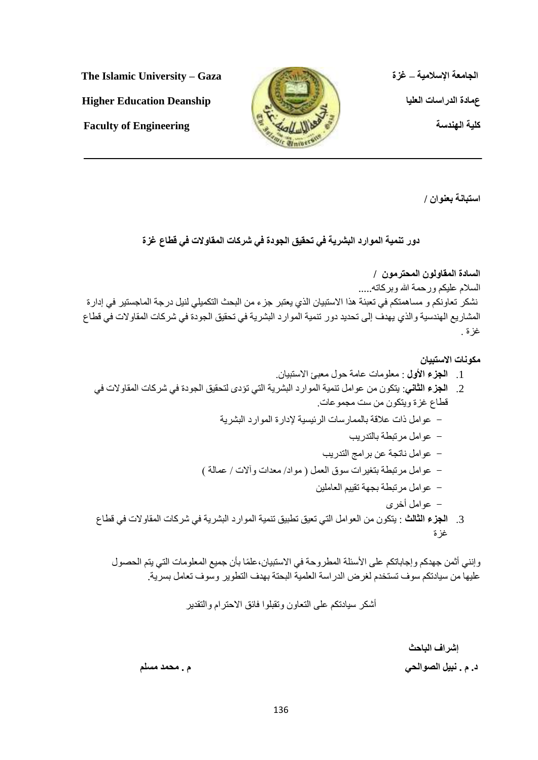**انضايؼت اإلساليٛت – غزة Gaza – University Islamic The**

ع هادة الدراسات العليا السابقة المعنادة الدراسات العليا المسابقة التعليم المسابقة المعنى التعليم التي يتعلق ال



ا**ستبانـة بعنو**ان /

## دور تنمية الموارد البشرية ف*ي* تحقيق الجودة في شركات المقاولات في قطاع غزة

السادة المقاولون المحترمون / السلام عليكم ورحمة الله وبركاته..... نشكر تعاونكم و مساهمتكم في تعبئة هذا الاستبيان الذي يعتبر جزء من البحث التكميلي لنيل درجة الماجستير في إدار ة المشاريع الهندسية والذي يهدف إلى تحديد دور تنمية الموارد البشرية في تحقيق الجودة في شركات المقاولات في قطاع غز ة .

مكو نات الاستبيا*ن* 

- 1 ا**لجزء الأول** : معلومات عامة حول معبئ الاستبيان.
- 2. ا**لجزء الثاني**: يتكون من عوامل تنمية الموارد البشرية التي تؤدي لتحقيق الجودة في شركات المقاولات في قطاع غزة ويتكون من ست مجموعات
	- عوامل ذات علاقة بالممارسات الرئيسية لإدارة الموارد البشرية
		- عوامل مرتبطة بالتدريب
		- عوامل ناتجة عن برامج التدريب
	- عو امل مر تبطة بتغير ات سوق العمل ( مو اد/ معدات و ألات / عمالة )
		- عو امل مر تبطة بجهة تقييم العاملين
			- عوامل أخرى
- 3. ا**لجزء الثالث** : يتكون من العوامل التي تعيق تطبيق تنمية الموارد البشرية في شركات المقاولات في قطاع غز ة

وإنني أثمن جهدكم وإجاباتكم على الأسئلة المطروحة في الاستبيان،علمًا بأن جميع المعلومات التي يتم الحصول عليها من سيادتكم سوف تستخدم لغرض الدراسة العلمية البحتة بهدف التطوير وسوف تعامل بسرية.

أشكر سيادتكم على التعاون وتقبلوا فائق الاحترام والتقدير

**إششاف انباحذ د. و . َبٛم انصٕانحٙ و . يحًذ يسهى**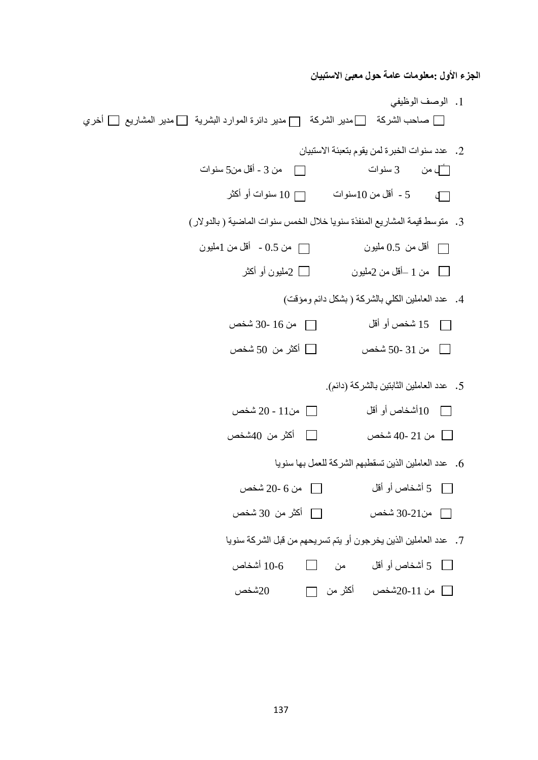**الجزء الأول :معلومات عامة حول معبئ الاستبيان** 1. الوصف الوظيفي  $\square$  صاحب الشركة  $\square$ مدير الشركة  $\square$  مدير دائرة الموارد البشرية  $\square$  مدير المشاريع  $\square$  أخري 2. عدد سنوات الخبرة لمن يقوم بتعبئة الاستبيان ألم من 3 سنوات  $\Box$ من 3 - أقل من5ٍ سنوات  $\Box$ من 3 ي 5 - أقل من 10سنوات  $\Box$ 10 سنوات أو أكثر  $10$ 3. متوسط قيمة المشاريع المنفذة سنويا خلال الخمس سنوات الماضية ( بالدولار) أقل من 0.5 مليون  $\Box$  مليون  $\Box$  من 0.5 - أقل من 1مليون  $\Box$ من 1 –أقل من 2مليون  $\Box$  2مليون أو أكثر  $\Box$ 4. عدد العاملين الكلي بالشركة ( بشكل دائم ومؤقت) اً 15 شخص أو أقل  $\Box$ من 16 -30 شخص  $\Box$ ين 31 -50 شخص  $\square$  أكثر من 50 شخص  $\square$ 5. عدد العاملين الثابتين بالشركة (دائم). اً 10أشخاص أو أقل  $\Box$ من11 - 20 شخص  $10$ ين 21 -40 شخص  $\Box$ أكثر من 40شخص  $\Box$ . عدد العاملين الذين تسقطبهم الشركة للعمل بها سنو يا 5 أشخبص أٔ ألم يٍ 6 20- شخض من21-30 شخص  $\Box$ أكثر من 30 شخص  $\Box$ 7. عدد العاملين الذين يخرجون أو يتم تسريحهم من قبل الشركة سنويا 5 أشخاص أو أقل من  $\hskip10mm\Box$  10-6 أشخاص  $5$ ي ني 11-20شخص أكثر من  $\square$  20شخص  $\square$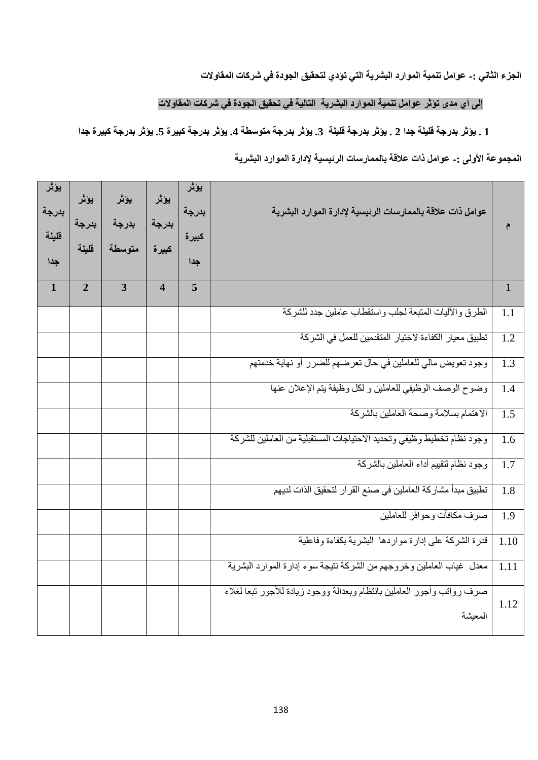الجزء الثان*ي* :- عوامل تنمية الموارد البشرية التي تؤدي لتحقيق الجودة في شركات المقاولات

#### إل*ى* أي مدى تؤثر عوامل تنمية الموارد البشرية التالية في تحقيق الجودة في شركات المقاولات

### **1 . ٚؤرش بذسصت لهٛهت صذا 2 . ٚؤرش بذسصت لهٛهت .3 ٚؤرش بذسصت يخٕسطت .4 ٚؤرش بذسصت كبٛشة .5 ٚؤرش بذسصت كبٛشة صذا**

## المجموعة الأول*ى :- عو*امل ذات علاقة بالممارسات الرئيسية لإدارة الموارد البشرية

| يؤثر<br>بدرجة<br>فليلة<br>جدا | يؤثر<br>بدرجة<br>فليلة | يؤثر<br>بدرجة<br>متوسطة | يؤثر<br>بدرجة<br>كبيرة  | يؤثر<br>بدرجة<br>كبيرة<br>جدا | عوامل ذات علاقة بالممارسات الرئيسية لإدارة الموارد البشرية                        |              |
|-------------------------------|------------------------|-------------------------|-------------------------|-------------------------------|-----------------------------------------------------------------------------------|--------------|
| $\mathbf{1}$                  | $\overline{2}$         | $\overline{3}$          | $\overline{\mathbf{4}}$ | 5                             |                                                                                   | $\mathbf{1}$ |
|                               |                        |                         |                         |                               | الطرق والأليات المتبعة لجلب واستقطاب عاملين جدد للشركة                            | 1.1          |
|                               |                        |                         |                         |                               | تطبيق معيار الكفاءة لاختيار المتقدمين للعمل في الشركة                             | 1.2          |
|                               |                        |                         |                         |                               | وجود تعويض مالي للعاملين في حال تعرضهم للضرر أو نهاية خدمتهم                      | 1.3          |
|                               |                        |                         |                         |                               | وضوح الوصف الوظيفي للعاملين و لكل وظيفة يتم الإعلان عنها                          | 1.4          |
|                               |                        |                         |                         |                               | الاهتمام بسلامة وصحة العاملين بالشركة                                             | 1.5          |
|                               |                        |                         |                         |                               | وجود نظام تخطيط وظيفي وتحديد الاحتياجات المستقبلية من العاملين للشركة             | 1.6          |
|                               |                        |                         |                         |                               | وجود نظام لتقييم أداء العاملين بالشركة                                            | 1.7          |
|                               |                        |                         |                         |                               | تطبيق مبدأ مشاركة العاملين في صنع القرار لتحقيق الذات لديهم                       | 1.8          |
|                               |                        |                         |                         |                               | صرف مكافأت وحوافز للعاملين                                                        | 1.9          |
|                               |                        |                         |                         |                               | قدرة الشركة على إدارة مواردها البشرية بكفاءة وفاعلية                              | 1.10         |
|                               |                        |                         |                         |                               | معدل غياب العاملين وخروجهم من الشركة نتيجة سوء إدارة الموارد البشرية              | 1.11         |
|                               |                        |                         |                         |                               | صرف رواتب وأجور العاملين بانتظام وبعدالة ووجود زيادة للأجور تبعا لغلاء<br>المعيشة | 1.12         |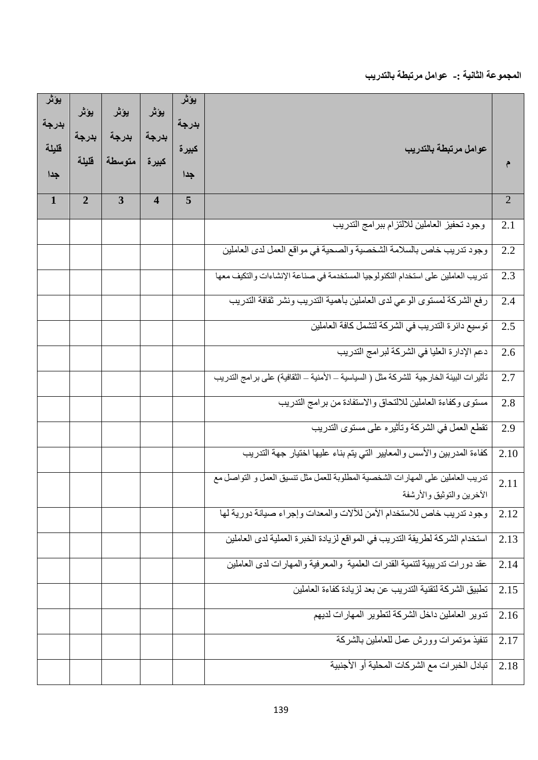المجموعة الثانية :- عوامل مرتبطة بالتدريب

| يؤثر<br>بدرجة<br>قليلة<br>جدا | يؤثر<br>بدرجة<br>قليلة | يؤثر<br>بدرجة<br>متوسطة | يؤثر<br>بدرجة<br>كبيرة  | يؤثر<br>بدرجة<br>كبيرة<br>جدا | عوامل مرتبطة بالتدريب                                                                                         |                |
|-------------------------------|------------------------|-------------------------|-------------------------|-------------------------------|---------------------------------------------------------------------------------------------------------------|----------------|
| $\mathbf{1}$                  | $\overline{2}$         | $\overline{3}$          | $\overline{\mathbf{4}}$ | 5                             |                                                                                                               | $\overline{2}$ |
|                               |                        |                         |                         |                               | وجود تحفيز العاملين للالتزام ببرامج التدريب                                                                   | 2.1            |
|                               |                        |                         |                         |                               | وجود تدريب خاص بالسلامة الشخصية والصحية في مواقع العمل لدى العاملين                                           | 2.2            |
|                               |                        |                         |                         |                               | تدريب العاملين على استخدام التكنولوجيا المستخدمة في صناعة الإنشاءات والتكيف معها                              | 2.3            |
|                               |                        |                         |                         |                               | رفع الشركة لمستوى الوعى لدى العاملين بأهمية التدريب ونشر ثقافة التدريب                                        | 2.4            |
|                               |                        |                         |                         |                               | توسيع دائرة التدريب في الشركة لتشمل كافة العاملين                                                             | 2.5            |
|                               |                        |                         |                         |                               | دعم الإدارة العليا في الشركة لبرامج التدريب                                                                   | 2.6            |
|                               |                        |                         |                         |                               | تأثير ات البيئة الخارجية  للشركة مثل ( السياسية ــ الأمنية ــ الثقافية) على بر امج التدريب                    | 2.7            |
|                               |                        |                         |                         |                               | مستوى وكفاءة العاملين للالتحاق والاستفادة من برامج التدريب                                                    | 2.8            |
|                               |                        |                         |                         |                               | تقطع العمل في الشركة وتأثيره على مستوى التدريب                                                                | 2.9            |
|                               |                        |                         |                         |                               | كفاءة المدربين والأسس والمعايير التي يتم بناء عليها اختيار جهة التدريب                                        | 2.10           |
|                               |                        |                         |                         |                               | تدريب العاملين على المهارات الشخصية المطلوبة للعمل مثل تنسيق العمل و التواصل مع<br>الاخرين والتوثيق والأر شفة | 2.11           |
|                               |                        |                         |                         |                               | وجود تدريب خاص للاستخدام الأمن للألات والمعدات وإجراء صيانة دورية لها                                         | 2.12           |
|                               |                        |                         |                         |                               | استخدام الشركة لطريقة التدريب في المواقع لزيادة الخبرة العملية لدى العاملين                                   | 2.13           |
|                               |                        |                         |                         |                               | عقد دورات ندريبية لتنمية القدرات العلمية والمعرفية والمهارات لدى العاملين                                     | 2.14           |
|                               |                        |                         |                         |                               | تطبيق الشركة لتقنية التدريب عن بعد لزيادة كفاءة العاملين                                                      | 2.15           |
|                               |                        |                         |                         |                               | تدوير العاملين داخل الشركة لتطوير المهارات لديهم                                                              | 2.16           |
|                               |                        |                         |                         |                               | تنفيذ مؤتمرات وورش عمل للعاملين بالشركة                                                                       | 2.17           |
|                               |                        |                         |                         |                               | تبادل الخبر ات مع الشركات المحلية أو الأجنبية                                                                 | 2.18           |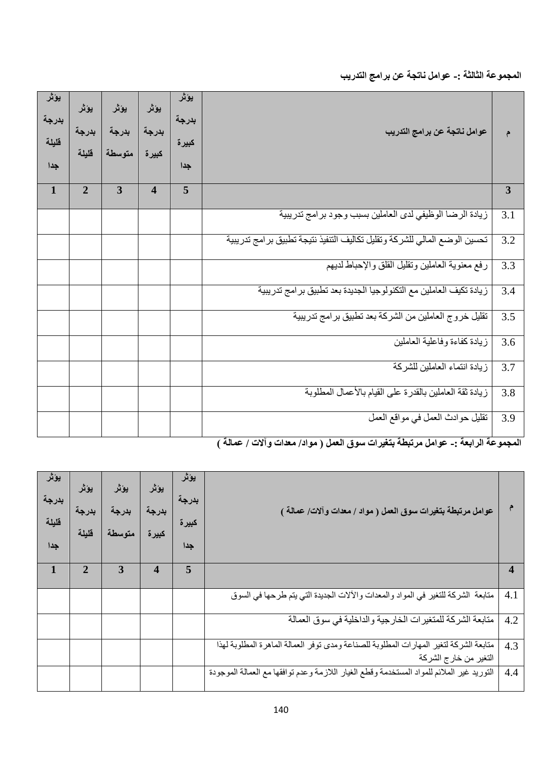المجموعة الثالثة :- عوامل ناتجة عن برامج التدريب

| يؤثر<br>بدرجة<br>قليلة | يؤثر<br>بدرجة<br>متوسطة | يؤثر<br>بدرجة<br>كبيرة  | يؤثر<br>بدرجة<br>كبيرة<br>جدا | عوامل ناتجة عن برامج التدريب                                              | م                                                                                                                   |
|------------------------|-------------------------|-------------------------|-------------------------------|---------------------------------------------------------------------------|---------------------------------------------------------------------------------------------------------------------|
| $\overline{2}$         | 3                       | $\overline{\mathbf{4}}$ | $\overline{5}$                |                                                                           | $\mathbf{3}$                                                                                                        |
|                        |                         |                         |                               |                                                                           | 3.1                                                                                                                 |
|                        |                         |                         |                               | تحسين الوضع المالي للشركة وتقليل تكاليف التنفيذ نتيجة تطبيق برامج تدريبية | 3.2                                                                                                                 |
|                        |                         |                         |                               | رفع معنوية العاملين وتقليل القلق والإحباط لديهم                           | 3.3                                                                                                                 |
|                        |                         |                         |                               | زيادة تكيف العاملين مع التكنولوجيا الجديدة بعد تطبيق برامج تدريبية        | 3.4                                                                                                                 |
|                        |                         |                         |                               | تقليل خروج العاملين من الشركة بعد تطبيق برامج تدريبية                     | 3.5                                                                                                                 |
|                        |                         |                         |                               | زيادة كفاءة وفاعلية العاملين                                              | $\overline{3.6}$                                                                                                    |
|                        |                         |                         |                               | زيادة انتماء العاملين للشركة                                              | 3.7                                                                                                                 |
|                        |                         |                         |                               |                                                                           | 3.8                                                                                                                 |
|                        |                         |                         |                               | نقليل حوادث العمل في مواقع العمل                                          | 3.9                                                                                                                 |
|                        |                         |                         |                               |                                                                           | زيادة الرضا الوظيفي لدى العاملين بسبب وجود برامج تدريبية<br>زيادة ثقة العاملين بالقدرة على القيام بالأعمال المطلوبة |

المجموعة الرابعة :- عوامل مرتبطة بتغيرات سوق العمل ( مواد/ معدات وآلات / عمالة )

| يؤثر<br>بدرجة<br>قليلة<br>جدا | يؤثر<br>بدرجة<br>قليلة | يؤثر<br>بدرجة<br>متوسطة | يؤثر<br>بدرجة<br>كبيرة | يؤثر<br>بدر جه<br>كبيرة<br>جدا | عوامل مرتبطة بتغيرات سوق العمل ( مواد / معدات وآلات/ عمالة )                                                   |     |
|-------------------------------|------------------------|-------------------------|------------------------|--------------------------------|----------------------------------------------------------------------------------------------------------------|-----|
| 1                             | 2                      | 3                       | 4                      | 5                              |                                                                                                                |     |
|                               |                        |                         |                        |                                | متابعة الشركة للنغير في المواد والمعدات والألات الجديدة التي يتم طرحها في السوق                                | 4.1 |
|                               |                        |                         |                        |                                | متابعة الشركة للمتغيرات الخارجية والداخلية في سوق العمالة                                                      | 4.2 |
|                               |                        |                         |                        |                                | متابعة الشركة لتغير المهارات المطلوبة للصناعة ومدى توفر العمالة الماهرة المطلوبة لهذا<br>التغير من خارج الشركة | 4.3 |
|                               |                        |                         |                        |                                | التوريد غير الملائم للمواد المستخدمة وقطع الغيار اللازمة وعدم توافقها مع العمالة الموجودة                      | 4.4 |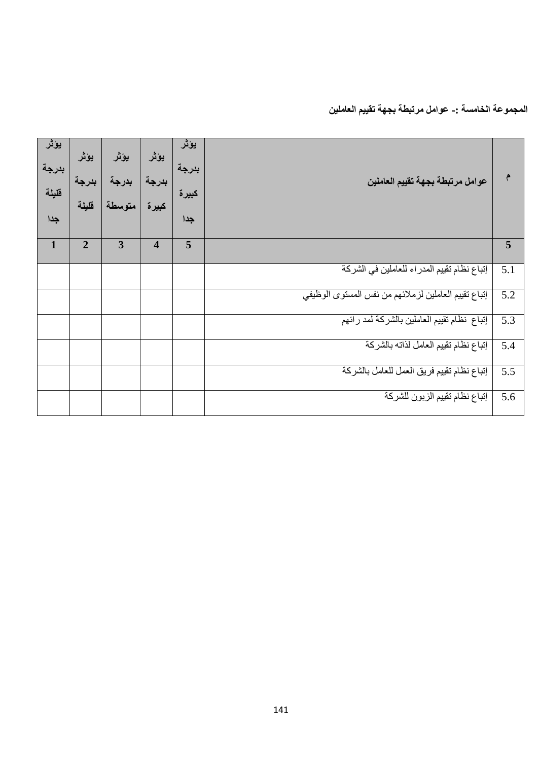## ا<mark>لمجم</mark>وعة الخامسة :- عوامل مرتبطة بجهة تقييم العاملين

| يؤثر<br>بدرجة<br>فليلة<br>جدا | يؤثر<br>بدرجة<br>فليلة | يؤثر<br>بدرجة<br>متوسطة | يؤثر<br>بدرجة<br>كبيرة  | يؤثر<br>بدرجة<br>كبيرة<br>جدا | عوامل مرتبطة بجهة تقييم العاملين                     |     |
|-------------------------------|------------------------|-------------------------|-------------------------|-------------------------------|------------------------------------------------------|-----|
| $\mathbf{1}$                  | $\overline{2}$         | 3                       | $\overline{\mathbf{4}}$ | 5                             |                                                      | 5   |
|                               |                        |                         |                         |                               | إتباع نظام تقييم المدراء للعاملين في الشركة          | 5.1 |
|                               |                        |                         |                         |                               | إتباع تقييم العاملين لزملائهم من نفس المستوى الوظيفي | 5.2 |
|                               |                        |                         |                         |                               | إتباع نظام تقييم العاملين بالشركة لمد رائهم          | 5.3 |
|                               |                        |                         |                         |                               | إتباع نظام تقييم العامل لذاته بالشركة                | 5.4 |
|                               |                        |                         |                         |                               | إنباع نظام تقييم فريق العمل للعامل بالشركة           | 5.5 |
|                               |                        |                         |                         |                               | إتباع نظام تقييم الزبون للشركة                       | 5.6 |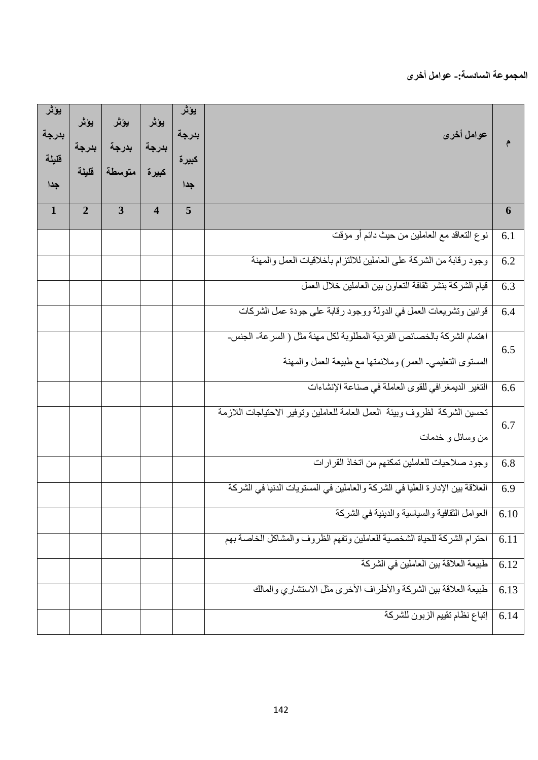## المجموعة السادسة<del>:</del>- عوامل أخرى

| يؤثر<br>بدرجة<br>قليلة<br>جدا | يؤثر<br>بدرجة<br>قليلة | يؤثر<br>بدرجة<br>متوسطة | يؤثر<br>بدرجة<br>كبيرة  | يؤثر<br>بدرجة<br>كبيرة<br>جدا | عوامل أخرى                                                                                                                         |      |
|-------------------------------|------------------------|-------------------------|-------------------------|-------------------------------|------------------------------------------------------------------------------------------------------------------------------------|------|
| $\mathbf{1}$                  | $\overline{2}$         | $\overline{3}$          | $\overline{\mathbf{4}}$ | 5                             |                                                                                                                                    | 6    |
|                               |                        |                         |                         |                               | نوع النعاقد مع العاملين من حيث دائم أو مؤقت                                                                                        | 6.1  |
|                               |                        |                         |                         |                               | وجود رقابة من الشركة على العاملين للالتزام بأخلاقيات العمل والمهنة                                                                 | 6.2  |
|                               |                        |                         |                         |                               | قيام الشركة بنشر ثقافة التعاون بين العاملين خلال العمل                                                                             | 6.3  |
|                               |                        |                         |                         |                               | قوانين وتشريعات العمل في الدولة ووجود رقابة على جودة عمل الشركات                                                                   | 6.4  |
|                               |                        |                         |                         |                               | اهتمام الشركة بالخصائص الفردية المطلوبة لكل مهنة مثل ( السرعة- الجنس-<br>المستوى التعليمي- العمر) وملائمتها مع طبيعة العمل والمهنة | 6.5  |
|                               |                        |                         |                         |                               | التغير الديمغرافي للقوى العاملة في صناعة الإنشاءات                                                                                 | 6.6  |
|                               |                        |                         |                         |                               | تحسين الشركة لظروف وبيئة العمل العامة للعاملين وتوفير الاحتياجات اللازمة<br>من وسائل و خدمات                                       | 6.7  |
|                               |                        |                         |                         |                               | وجود صلاحيات للعاملين تمكنهم من اتخاذ القرارات                                                                                     | 6.8  |
|                               |                        |                         |                         |                               | العلاقة بين الإدارة العليا في الشركة والعاملين في المستويات الدنيا في الشركة                                                       | 6.9  |
|                               |                        |                         |                         |                               | العوامل الثقافية والسياسية والدينية في الشركة                                                                                      | 6.10 |
|                               |                        |                         |                         |                               | احترام الشركة للحياة الشخصية للعاملين وتفهم الظروف والمشاكل الخاصة بهم                                                             | 6.11 |
|                               |                        |                         |                         |                               | طبيعة العلاقة بين العاملين في الشركة                                                                                               | 6.12 |
|                               |                        |                         |                         |                               | طبيعة العلاقة بين الشركة والأطراف الأخرى مثل الاستشاري والمالك                                                                     | 6.13 |
|                               |                        |                         |                         |                               | إتباع نظام تقييم الزبون للشركة                                                                                                     | 6.14 |